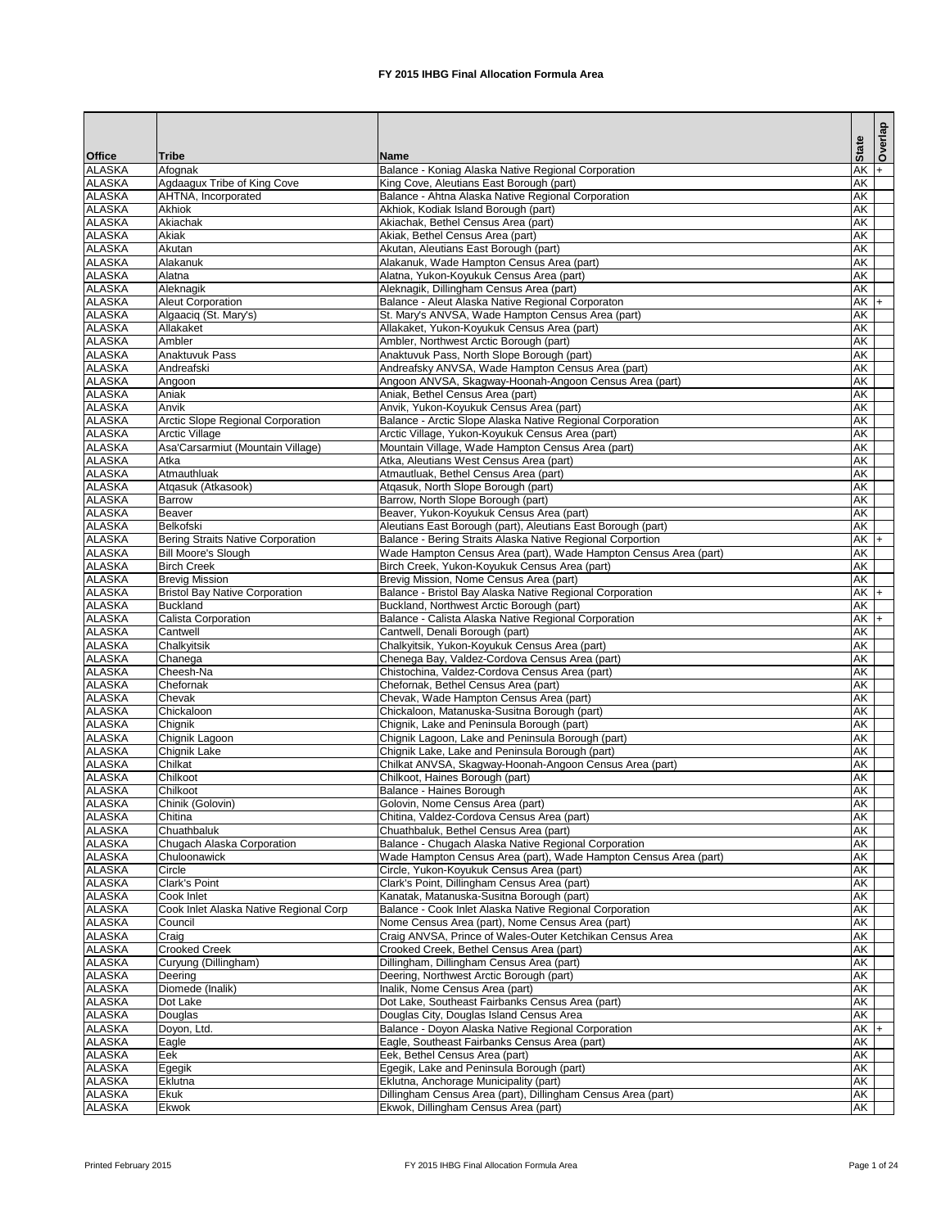|                                |                                                                 |                                                                                                                            |                                    | Overlap |
|--------------------------------|-----------------------------------------------------------------|----------------------------------------------------------------------------------------------------------------------------|------------------------------------|---------|
| <b>Office</b>                  | Tribe                                                           | <b>Name</b>                                                                                                                | <b>State</b>                       |         |
| <b>ALASKA</b>                  | Afognak                                                         | Balance - Koniag Alaska Native Regional Corporation                                                                        | $AK +$                             |         |
| <b>ALASKA</b>                  | Agdaagux Tribe of King Cove                                     | King Cove, Aleutians East Borough (part)                                                                                   | $\overline{\mathsf{AK}}$           |         |
| <b>ALASKA</b>                  | AHTNA, Incorporated                                             | Balance - Ahtna Alaska Native Regional Corporation                                                                         | AK                                 |         |
| <b>ALASKA</b>                  | <b>Akhiok</b>                                                   | Akhiok, Kodiak Island Borough (part)                                                                                       | $\overline{\mathsf{AK}}$           |         |
| <b>ALASKA</b>                  | Akiachak                                                        | Akiachak, Bethel Census Area (part)                                                                                        | <b>AK</b>                          |         |
| <b>ALASKA</b><br><b>ALASKA</b> | Akiak<br>Akutan                                                 | Akiak, Bethel Census Area (part)<br>Akutan, Aleutians East Borough (part)                                                  | <b>AK</b><br><b>AK</b>             |         |
| <b>ALASKA</b>                  | Alakanuk                                                        | Alakanuk, Wade Hampton Census Area (part)                                                                                  | <b>AK</b>                          |         |
| <b>ALASKA</b>                  | Alatna                                                          | Alatna, Yukon-Koyukuk Census Area (part)                                                                                   | <b>AK</b>                          |         |
| <b>ALASKA</b>                  | Aleknagik                                                       | Aleknagik, Dillingham Census Area (part)                                                                                   | <b>AK</b>                          |         |
| <b>ALASKA</b>                  | <b>Aleut Corporation</b>                                        | Balance - Aleut Alaska Native Regional Corporaton                                                                          | $AK +$                             |         |
| <b>ALASKA</b>                  | Algaaciq (St. Mary's)                                           | St. Mary's ANVSA, Wade Hampton Census Area (part)                                                                          | <b>AK</b>                          |         |
| <b>ALASKA</b>                  | Allakaket                                                       | Allakaket, Yukon-Koyukuk Census Area (part)                                                                                | <b>AK</b>                          |         |
| <b>ALASKA</b>                  | Ambler                                                          | Ambler, Northwest Arctic Borough (part)                                                                                    | <b>AK</b>                          |         |
| <b>ALASKA</b>                  | <b>Anaktuvuk Pass</b>                                           | Anaktuvuk Pass, North Slope Borough (part)                                                                                 | <b>AK</b>                          |         |
| <b>ALASKA</b><br><b>ALASKA</b> | Andreafski<br>Angoon                                            | Andreafsky ANVSA, Wade Hampton Census Area (part)<br>Angoon ANVSA, Skagway-Hoonah-Angoon Census Area (part)                | <b>AK</b><br><b>AK</b>             |         |
| <b>ALASKA</b>                  | Aniak                                                           | Aniak, Bethel Census Area (part)                                                                                           | <b>AK</b>                          |         |
| <b>ALASKA</b>                  | Anvik                                                           | Anvik, Yukon-Koyukuk Census Area (part)                                                                                    | <b>AK</b>                          |         |
| <b>ALASKA</b>                  | <b>Arctic Slope Regional Corporation</b>                        | Balance - Arctic Slope Alaska Native Regional Corporation                                                                  | $\overline{\mathsf{AK}}$           |         |
| <b>ALASKA</b>                  | <b>Arctic Village</b>                                           | Arctic Village, Yukon-Koyukuk Census Area (part)                                                                           | $\overline{\mathsf{AK}}$           |         |
| <b>ALASKA</b>                  | Asa'Carsarmiut (Mountain Village)                               | Mountain Village, Wade Hampton Census Area (part)                                                                          | <b>AK</b>                          |         |
| <b>ALASKA</b>                  | Atka                                                            | Atka, Aleutians West Census Area (part)                                                                                    | <b>AK</b>                          |         |
| <b>ALASKA</b>                  | Atmauthluak                                                     | Atmautluak, Bethel Census Area (part)                                                                                      | <b>AK</b>                          |         |
| <b>ALASKA</b>                  | Atqasuk (Atkasook)                                              | Atqasuk, North Slope Borough (part)                                                                                        | AK                                 |         |
| <b>ALASKA</b>                  | <b>Barrow</b>                                                   | Barrow, North Slope Borough (part)                                                                                         | AK                                 |         |
| <b>ALASKA</b>                  | <b>Beaver</b>                                                   | Beaver, Yukon-Koyukuk Census Area (part)                                                                                   | <b>AK</b>                          |         |
| <b>ALASKA</b><br><b>ALASKA</b> | <b>Belkofski</b>                                                | Aleutians East Borough (part), Aleutians East Borough (part)<br>Balance - Bering Straits Alaska Native Regional Corportion | $\overline{\mathsf{AK}}$<br>$AK$ + |         |
| <b>ALASKA</b>                  | Bering Straits Native Corporation<br><b>Bill Moore's Slough</b> | Wade Hampton Census Area (part), Wade Hampton Census Area (part)                                                           | $\overline{\mathsf{AK}}$           |         |
| <b>ALASKA</b>                  | <b>Birch Creek</b>                                              | Birch Creek, Yukon-Koyukuk Census Area (part)                                                                              | AK                                 |         |
| <b>ALASKA</b>                  | <b>Brevig Mission</b>                                           | Brevig Mission, Nome Census Area (part)                                                                                    | $\overline{\mathsf{AK}}$           |         |
| <b>ALASKA</b>                  | <b>Bristol Bay Native Corporation</b>                           | Balance - Bristol Bay Alaska Native Regional Corporation                                                                   | $AK +$                             |         |
| <b>ALASKA</b>                  | <b>Buckland</b>                                                 | Buckland, Northwest Arctic Borough (part)                                                                                  | <b>AK</b>                          |         |
| <b>ALASKA</b>                  | Calista Corporation                                             | Balance - Calista Alaska Native Regional Corporation                                                                       | $AK$ $+$                           |         |
| <b>ALASKA</b>                  | Cantwell                                                        | Cantwell, Denali Borough (part)                                                                                            | $\overline{\mathsf{AK}}$           |         |
| <b>ALASKA</b>                  | Chalkyitsik                                                     | Chalkyitsik, Yukon-Koyukuk Census Area (part)                                                                              | $\overline{\mathsf{AK}}$           |         |
| <b>ALASKA</b>                  | Chanega                                                         | Chenega Bay, Valdez-Cordova Census Area (part)                                                                             | $\overline{\mathsf{AK}}$           |         |
| <b>ALASKA</b>                  | Cheesh-Na                                                       | Chistochina, Valdez-Cordova Census Area (part)                                                                             | <b>AK</b>                          |         |
| <b>ALASKA</b><br><b>ALASKA</b> | Chefornak<br>Chevak                                             | Chefornak, Bethel Census Area (part)<br>Chevak, Wade Hampton Census Area (part)                                            | <b>AK</b><br><b>AK</b>             |         |
| <b>ALASKA</b>                  | Chickaloon                                                      | Chickaloon, Matanuska-Susitna Borough (part)                                                                               | <b>AK</b>                          |         |
| <b>ALASKA</b>                  | Chignik                                                         | Chignik, Lake and Peninsula Borough (part)                                                                                 | <b>AK</b>                          |         |
| <b>ALASKA</b>                  | Chignik Lagoon                                                  | Chignik Lagoon, Lake and Peninsula Borough (part)                                                                          | <b>AK</b>                          |         |
| <b>ALASKA</b>                  | Chignik Lake                                                    | Chignik Lake, Lake and Peninsula Borough (part)                                                                            | <b>AK</b>                          |         |
| <b>ALASKA</b>                  | Chilkat                                                         | Chilkat ANVSA, Skagway-Hoonah-Angoon Census Area (part)                                                                    | <b>AK</b>                          |         |
| <b>ALASKA</b>                  | Chilkoot                                                        | Chilkoot, Haines Borough (part)                                                                                            | <b>AK</b>                          |         |
| <b>ALASKA</b>                  | Chilkoot                                                        | Balance - Haines Borough                                                                                                   | <b>AK</b>                          |         |
| <b>ALASKA</b>                  | Chinik (Golovin)                                                | Golovin, Nome Census Area (part)                                                                                           | <b>AK</b>                          |         |
| <b>ALASKA</b>                  | Chitina                                                         | Chitina, Valdez-Cordova Census Area (part)                                                                                 | <b>AK</b>                          |         |
| <b>ALASKA</b>                  | Chuathbaluk                                                     | Chuathbaluk, Bethel Census Area (part)                                                                                     | <b>AK</b>                          |         |
| <b>ALASKA</b><br><b>ALASKA</b> | Chugach Alaska Corporation                                      | Balance - Chugach Alaska Native Regional Corporation                                                                       | <b>AK</b><br><b>AK</b>             |         |
| <b>ALASKA</b>                  | Chuloonawick<br>Circle                                          | Wade Hampton Census Area (part), Wade Hampton Census Area (part)<br>Circle, Yukon-Koyukuk Census Area (part)               | AK                                 |         |
| <b>ALASKA</b>                  | <b>Clark's Point</b>                                            | Clark's Point, Dillingham Census Area (part)                                                                               | <b>AK</b>                          |         |
| <b>ALASKA</b>                  | Cook Inlet                                                      | Kanatak, Matanuska-Susitna Borough (part)                                                                                  | <b>AK</b>                          |         |
| <b>ALASKA</b>                  | Cook Inlet Alaska Native Regional Corp                          | Balance - Cook Inlet Alaska Native Regional Corporation                                                                    | <b>AK</b>                          |         |
| <b>ALASKA</b>                  | Council                                                         | Nome Census Area (part), Nome Census Area (part)                                                                           | <b>AK</b>                          |         |
| <b>ALASKA</b>                  | Craig                                                           | Craig ANVSA, Prince of Wales-Outer Ketchikan Census Area                                                                   | <b>AK</b>                          |         |
| <b>ALASKA</b>                  | <b>Crooked Creek</b>                                            | Crooked Creek, Bethel Census Area (part)                                                                                   | <b>AK</b>                          |         |
| <b>ALASKA</b>                  | Curyung (Dillingham)                                            | Dillingham, Dillingham Census Area (part)                                                                                  | <b>AK</b>                          |         |
| <b>ALASKA</b>                  | Deering                                                         | Deering, Northwest Arctic Borough (part)                                                                                   | <b>AK</b>                          |         |
| <b>ALASKA</b>                  | Diomede (Inalik)                                                | Inalik, Nome Census Area (part)                                                                                            | AK                                 |         |
| <b>ALASKA</b>                  | Dot Lake                                                        | Dot Lake, Southeast Fairbanks Census Area (part)                                                                           | $\overline{\mathsf{AK}}$           |         |
| <b>ALASKA</b><br><b>ALASKA</b> | Douglas<br>Doyon, Ltd.                                          | Douglas City, Douglas Island Census Area<br>Balance - Doyon Alaska Native Regional Corporation                             | AK<br>$AK +$                       |         |
| <b>ALASKA</b>                  | Eagle                                                           | Eagle, Southeast Fairbanks Census Area (part)                                                                              | <b>AK</b>                          |         |
| <b>ALASKA</b>                  | Eek                                                             | Eek, Bethel Census Area (part)                                                                                             | $\overline{\mathsf{AK}}$           |         |
| <b>ALASKA</b>                  | Egegik                                                          | Egegik, Lake and Peninsula Borough (part)                                                                                  | AK                                 |         |
| <b>ALASKA</b>                  | Eklutna                                                         | Eklutna, Anchorage Municipality (part)                                                                                     | AK                                 |         |
| <b>ALASKA</b>                  | <b>Ekuk</b>                                                     | Dillingham Census Area (part), Dillingham Census Area (part)                                                               | <b>AK</b>                          |         |
| <b>ALASKA</b>                  | Ekwok                                                           | Ekwok, Dillingham Census Area (part)                                                                                       | AK                                 |         |

Printed February 2015 **FX** 2015 IHBG Final Allocation Formula Area Page 1 of 24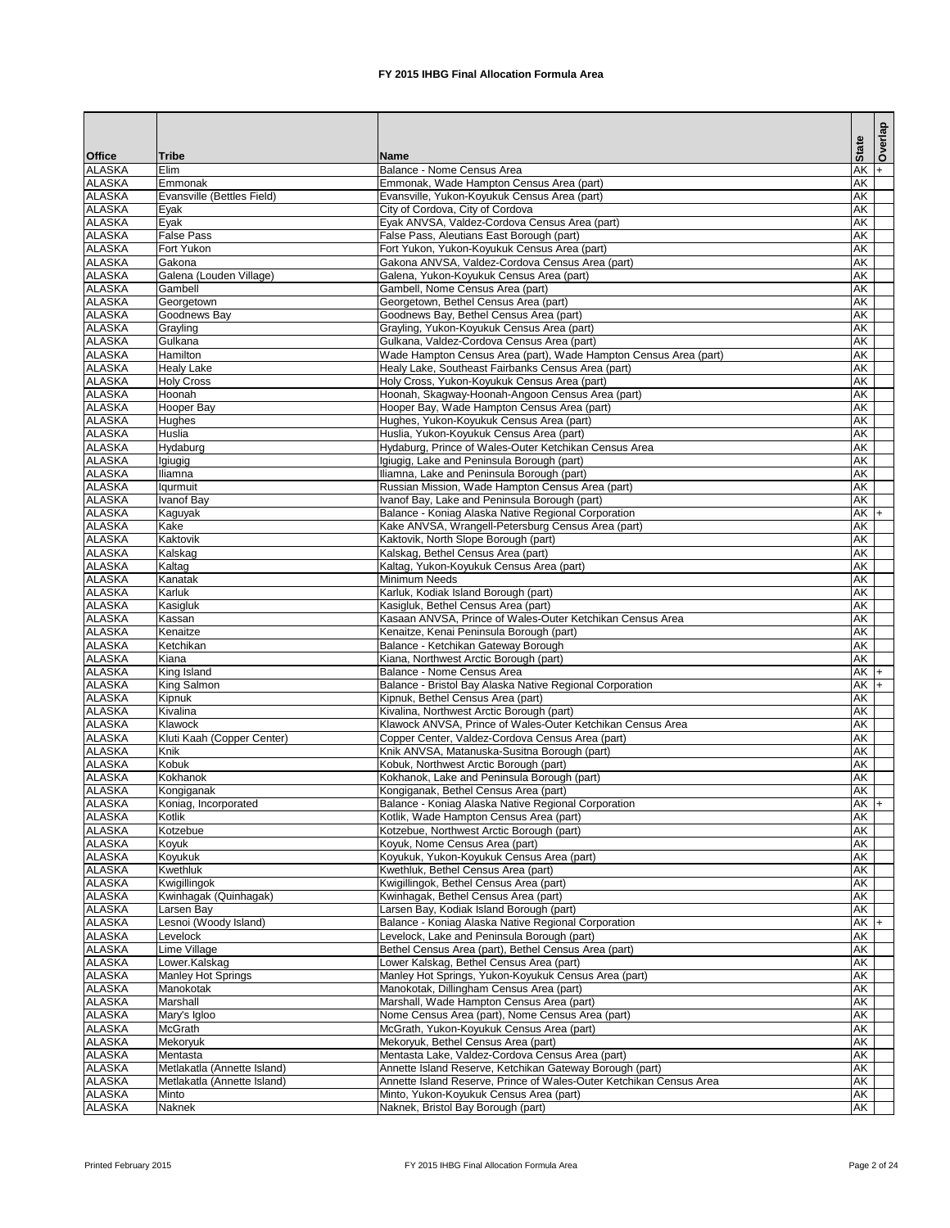|                                |                               |                                                                                                   |                        | Overlap |
|--------------------------------|-------------------------------|---------------------------------------------------------------------------------------------------|------------------------|---------|
| <b>Office</b>                  | <b>Tribe</b>                  | <b>Name</b>                                                                                       | <b>State</b>           |         |
| <b>ALASKA</b>                  | Elim                          | Balance - Nome Census Area                                                                        | <b>AK</b>              | $ + $   |
| <b>ALASKA</b>                  | Emmonak                       | Emmonak, Wade Hampton Census Area (part)                                                          | <b>AK</b>              |         |
| <b>ALASKA</b><br><b>ALASKA</b> | Evansville (Bettles Field)    | Evansville, Yukon-Koyukuk Census Area (part)                                                      | <b>AK</b>              |         |
| <b>ALASKA</b>                  | Eyak<br>Eyak                  | City of Cordova, City of Cordova<br>Eyak ANVSA, Valdez-Cordova Census Area (part)                 | AK<br><b>AK</b>        |         |
| <b>ALASKA</b>                  | <b>False Pass</b>             | False Pass, Aleutians East Borough (part)                                                         | <b>AK</b>              |         |
| <b>ALASKA</b>                  | Fort Yukon                    | Fort Yukon, Yukon-Koyukuk Census Area (part)                                                      | <b>AK</b>              |         |
| <b>ALASKA</b>                  | Gakona                        | Gakona ANVSA, Valdez-Cordova Census Area (part)                                                   | <b>AK</b>              |         |
| <b>ALASKA</b>                  | Galena (Louden Village)       | Galena, Yukon-Koyukuk Census Area (part)                                                          | <b>AK</b>              |         |
| <b>ALASKA</b><br><b>ALASKA</b> | Gambell<br>Georgetown         | Gambell, Nome Census Area (part)<br>Georgetown, Bethel Census Area (part)                         | <b>AK</b><br><b>AK</b> |         |
| <b>ALASKA</b>                  | Goodnews Bay                  | Goodnews Bay, Bethel Census Area (part)                                                           | <b>AK</b>              |         |
| <b>ALASKA</b>                  | Grayling                      | Grayling, Yukon-Koyukuk Census Area (part)                                                        | <b>AK</b>              |         |
| <b>ALASKA</b>                  | Gulkana                       | Gulkana, Valdez-Cordova Census Area (part)                                                        | <b>AK</b>              |         |
| <b>ALASKA</b>                  | <b>Hamilton</b>               | Wade Hampton Census Area (part), Wade Hampton Census Area (part)                                  | <b>AK</b>              |         |
| <b>ALASKA</b>                  | <b>Healy Lake</b>             | Healy Lake, Southeast Fairbanks Census Area (part)                                                | <b>AK</b>              |         |
| <b>ALASKA</b><br><b>ALASKA</b> | <b>Holy Cross</b><br>Hoonah   | Holy Cross, Yukon-Koyukuk Census Area (part)<br>Hoonah, Skagway-Hoonah-Angoon Census Area (part)  | AK<br><b>AK</b>        |         |
| <b>ALASKA</b>                  | Hooper Bay                    | Hooper Bay, Wade Hampton Census Area (part)                                                       | <b>AK</b>              |         |
| <b>ALASKA</b>                  | <b>Hughes</b>                 | Hughes, Yukon-Koyukuk Census Area (part)                                                          | <b>AK</b>              |         |
| <b>ALASKA</b>                  | <b>Huslia</b>                 | Huslia, Yukon-Koyukuk Census Area (part)                                                          | <b>AK</b>              |         |
| <b>ALASKA</b>                  | Hydaburg                      | Hydaburg, Prince of Wales-Outer Ketchikan Census Area                                             | AK                     |         |
| <b>ALASKA</b>                  | Igiugig                       | Igiugig, Lake and Peninsula Borough (part)                                                        | <b>AK</b>              |         |
| <b>ALASKA</b>                  | Iliamna                       | Iliamna, Lake and Peninsula Borough (part)                                                        | AK                     |         |
| <b>ALASKA</b><br><b>ALASKA</b> | <b>Iqurmuit</b><br>Ivanof Bay | Russian Mission, Wade Hampton Census Area (part)<br>Ivanof Bay, Lake and Peninsula Borough (part) | <b>AK</b><br><b>AK</b> |         |
| <b>ALASKA</b>                  | Kaguyak                       | Balance - Koniag Alaska Native Regional Corporation                                               | $AK +$                 |         |
| <b>ALASKA</b>                  | Kake                          | Kake ANVSA, Wrangell-Petersburg Census Area (part)                                                | <b>AK</b>              |         |
| <b>ALASKA</b>                  | Kaktovik                      | Kaktovik, North Slope Borough (part)                                                              | <b>AK</b>              |         |
| <b>ALASKA</b>                  | Kalskag                       | Kalskag, Bethel Census Area (part)                                                                | <b>AK</b>              |         |
| <b>ALASKA</b>                  | Kaltag                        | Kaltag, Yukon-Koyukuk Census Area (part)                                                          | <b>AK</b>              |         |
| <b>ALASKA</b><br><b>ALASKA</b> | Kanatak<br>Karluk             | <b>Minimum Needs</b><br>Karluk, Kodiak Island Borough (part)                                      | <b>AK</b><br>AK        |         |
| <b>ALASKA</b>                  | Kasigluk                      | Kasigluk, Bethel Census Area (part)                                                               | AK                     |         |
| <b>ALASKA</b>                  | Kassan                        | Kasaan ANVSA, Prince of Wales-Outer Ketchikan Census Area                                         | AK                     |         |
| <b>ALASKA</b>                  | Kenaitze                      | Kenaitze, Kenai Peninsula Borough (part)                                                          | AK                     |         |
| <b>ALASKA</b>                  | Ketchikan                     | Balance - Ketchikan Gateway Borough                                                               | <b>AK</b>              |         |
| <b>ALASKA</b>                  | Kiana                         | Kiana, Northwest Arctic Borough (part)                                                            | AK                     |         |
| <b>ALASKA</b><br><b>ALASKA</b> | King Island<br>King Salmon    | Balance - Nome Census Area<br>Balance - Bristol Bay Alaska Native Regional Corporation            | $AK$ +<br>$AK +$       |         |
| <b>ALASKA</b>                  | Kipnuk                        | Kipnuk, Bethel Census Area (part)                                                                 | <b>AK</b>              |         |
| <b>ALASKA</b>                  | Kivalina                      | Kivalina, Northwest Arctic Borough (part)                                                         | AK                     |         |
| <b>ALASKA</b>                  | Klawock                       | Klawock ANVSA, Prince of Wales-Outer Ketchikan Census Area                                        | AK                     |         |
| <b>ALASKA</b>                  | Kluti Kaah (Copper Center)    | Copper Center, Valdez-Cordova Census Area (part)                                                  | <b>AK</b>              |         |
| <b>ALASKA</b>                  | Knik                          | Knik ANVSA, Matanuska-Susitna Borough (part)                                                      | <b>AK</b>              |         |
| <b>ALASKA</b><br><b>ALASKA</b> | Kobuk<br>Kokhanok             | Kobuk, Northwest Arctic Borough (part)<br>Kokhanok, Lake and Peninsula Borough (part)             | <b>AK</b><br>AK        |         |
| <b>ALASKA</b>                  | Kongiganak                    | Kongiganak, Bethel Census Area (part)                                                             | <b>AK</b>              |         |
| <b>ALASKA</b>                  | Koniag, Incorporated          | Balance - Koniag Alaska Native Regional Corporation                                               | $AK +$                 |         |
| <b>ALASKA</b>                  | Kotlik                        | Kotlik, Wade Hampton Census Area (part)                                                           | AK                     |         |
| <b>ALASKA</b>                  | Kotzebue                      | Kotzebue, Northwest Arctic Borough (part)                                                         | AK                     |         |
| <b>ALASKA</b>                  | Koyuk                         | Koyuk, Nome Census Area (part)                                                                    | AK<br>AK               |         |
| <b>ALASKA</b><br><b>ALASKA</b> | Koyukuk<br>Kwethluk           | Koyukuk, Yukon-Koyukuk Census Area (part)<br>Kwethluk, Bethel Census Area (part)                  | AK                     |         |
| <b>ALASKA</b>                  | Kwigillingok                  | Kwigillingok, Bethel Census Area (part)                                                           | AK                     |         |
| <b>ALASKA</b>                  | Kwinhagak (Quinhagak)         | Kwinhagak, Bethel Census Area (part)                                                              | AK                     |         |
| <b>ALASKA</b>                  | Larsen Bay                    | Larsen Bay, Kodiak Island Borough (part)                                                          | <b>AK</b>              |         |
| <b>ALASKA</b>                  | Lesnoi (Woody Island)         | Balance - Koniag Alaska Native Regional Corporation                                               | $AK$ +                 |         |
| <b>ALASKA</b>                  | Levelock                      | Levelock, Lake and Peninsula Borough (part)                                                       | AK                     |         |
| <b>ALASKA</b><br><b>ALASKA</b> | Lime Village<br>Lower.Kalskag | Bethel Census Area (part), Bethel Census Area (part)<br>Lower Kalskag, Bethel Census Area (part)  | AK<br><b>AK</b>        |         |
| <b>ALASKA</b>                  | <b>Manley Hot Springs</b>     | Manley Hot Springs, Yukon-Koyukuk Census Area (part)                                              | <b>AK</b>              |         |
| <b>ALASKA</b>                  | Manokotak                     | Manokotak, Dillingham Census Area (part)                                                          | <b>AK</b>              |         |
| <b>ALASKA</b>                  | Marshall                      | Marshall, Wade Hampton Census Area (part)                                                         | AK                     |         |
| <b>ALASKA</b>                  | Mary's Igloo                  | Nome Census Area (part), Nome Census Area (part)                                                  | AK                     |         |
| <b>ALASKA</b>                  | <b>McGrath</b>                | McGrath, Yukon-Koyukuk Census Area (part)                                                         | AK                     |         |
| <b>ALASKA</b><br><b>ALASKA</b> | Mekoryuk<br>Mentasta          | Mekoryuk, Bethel Census Area (part)<br>Mentasta Lake, Valdez-Cordova Census Area (part)           | AK<br>AK               |         |
| <b>ALASKA</b>                  | Metlakatla (Annette Island)   | Annette Island Reserve, Ketchikan Gateway Borough (part)                                          | AK                     |         |
| <b>ALASKA</b>                  | Metlakatla (Annette Island)   | Annette Island Reserve, Prince of Wales-Outer Ketchikan Census Area                               | AK                     |         |
| <b>ALASKA</b>                  | Minto                         | Minto, Yukon-Koyukuk Census Area (part)                                                           | <b>AK</b>              |         |
| <b>ALASKA</b>                  | Naknek                        | Naknek, Bristol Bay Borough (part)                                                                | AK                     |         |

Printed February 2015 **FX** 2015 IHBG Final Allocation Formula Area Page 2 of 24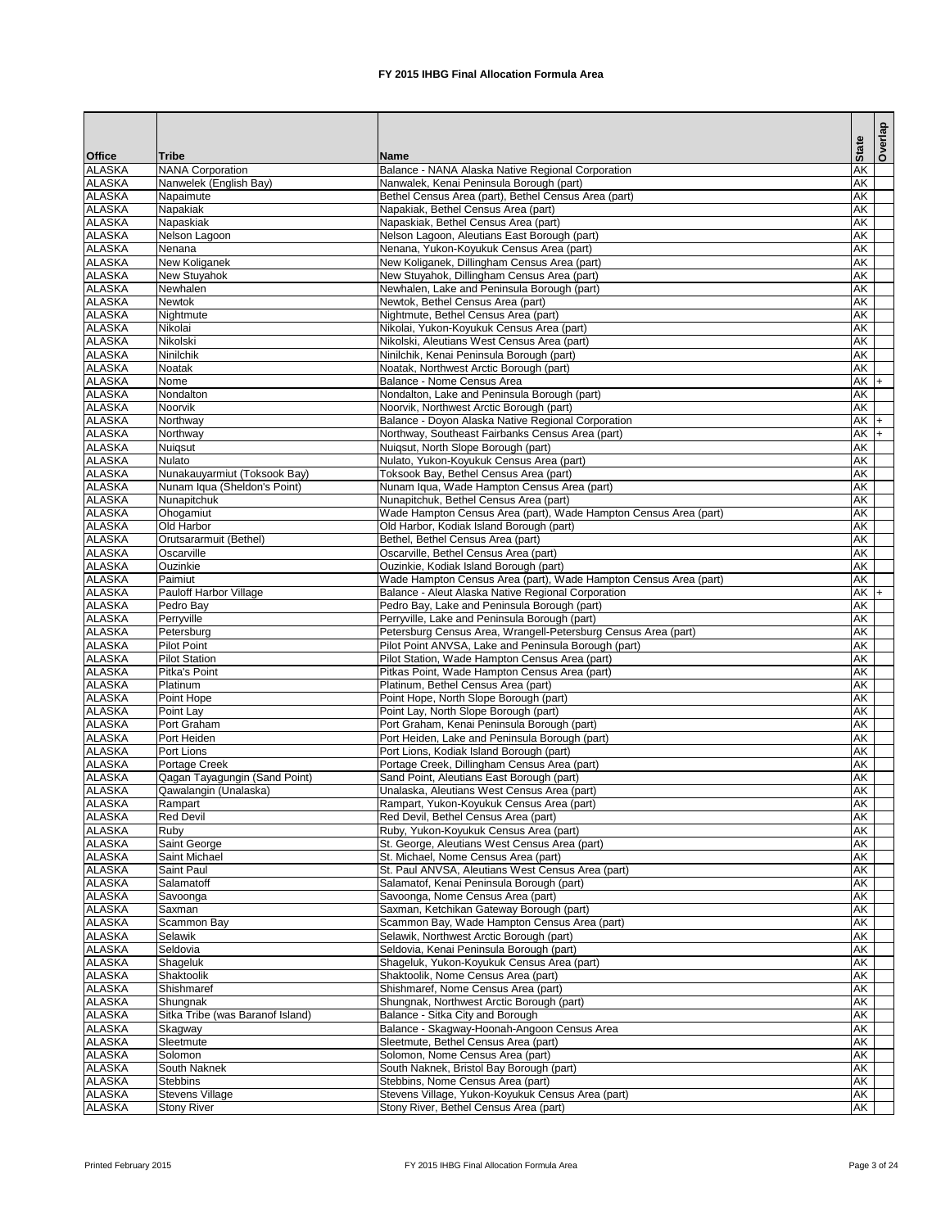|                                |                                           |                                                                                                                        |                          | Overlap |
|--------------------------------|-------------------------------------------|------------------------------------------------------------------------------------------------------------------------|--------------------------|---------|
| <b>Office</b>                  | <b>Tribe</b>                              | <b>Name</b>                                                                                                            | <b>State</b>             |         |
| <b>ALASKA</b>                  | <b>NANA Corporation</b>                   | Balance - NANA Alaska Native Regional Corporation                                                                      | <b>AK</b>                |         |
| <b>ALASKA</b>                  | Nanwelek (English Bay)                    | Nanwalek, Kenai Peninsula Borough (part)                                                                               | AK                       |         |
| <b>ALASKA</b>                  | Napaimute                                 | Bethel Census Area (part), Bethel Census Area (part)<br>Napakiak, Bethel Census Area (part)                            | AK<br><b>AK</b>          |         |
| <b>ALASKA</b><br><b>ALASKA</b> | Napakiak<br>Napaskiak                     | Napaskiak, Bethel Census Area (part)                                                                                   | AK                       |         |
| <b>ALASKA</b>                  | Nelson Lagoon                             | Nelson Lagoon, Aleutians East Borough (part)                                                                           | AK                       |         |
| <b>ALASKA</b>                  | Nenana                                    | Nenana, Yukon-Koyukuk Census Area (part)                                                                               | AK                       |         |
| <b>ALASKA</b>                  | New Koliganek                             | New Koliganek, Dillingham Census Area (part)                                                                           | AK                       |         |
| <b>ALASKA</b>                  | New Stuyahok                              | New Stuyahok, Dillingham Census Area (part)                                                                            | AK                       |         |
| <b>ALASKA</b>                  | Newhalen                                  | Newhalen, Lake and Peninsula Borough (part)                                                                            | AK                       |         |
| <b>ALASKA</b>                  | <b>Newtok</b>                             | Newtok, Bethel Census Area (part)                                                                                      | AK                       |         |
| <b>ALASKA</b><br><b>ALASKA</b> | Nightmute<br>Nikolai                      | Nightmute, Bethel Census Area (part)                                                                                   | AK<br><b>AK</b>          |         |
| <b>ALASKA</b>                  | Nikolski                                  | Nikolai, Yukon-Koyukuk Census Area (part)<br>Nikolski, Aleutians West Census Area (part)                               | <b>AK</b>                |         |
| <b>ALASKA</b>                  | Ninilchik                                 | Ninilchik, Kenai Peninsula Borough (part)                                                                              | <b>AK</b>                |         |
| <b>ALASKA</b>                  | <b>Noatak</b>                             | Noatak, Northwest Arctic Borough (part)                                                                                | <b>AK</b>                |         |
| <b>ALASKA</b>                  | Nome                                      | Balance - Nome Census Area                                                                                             | $AK +$                   |         |
| <b>ALASKA</b>                  | Nondalton                                 | Nondalton, Lake and Peninsula Borough (part)                                                                           | <b>AK</b>                |         |
| <b>ALASKA</b>                  | Noorvik                                   | Noorvik, Northwest Arctic Borough (part)                                                                               | <b>AK</b>                |         |
| <b>ALASKA</b>                  | Northway                                  | Balance - Doyon Alaska Native Regional Corporation                                                                     | $AK$ +                   |         |
| <b>ALASKA</b>                  | Northway                                  | Northway, Southeast Fairbanks Census Area (part)                                                                       | $AK +$                   |         |
| <b>ALASKA</b><br><b>ALASKA</b> | Nuiqsut<br><b>Nulato</b>                  | Nuigsut, North Slope Borough (part)                                                                                    | <b>AK</b><br>AK          |         |
| <b>ALASKA</b>                  | Nunakauyarmiut (Toksook Bay)              | Nulato, Yukon-Koyukuk Census Area (part)<br>Toksook Bay, Bethel Census Area (part)                                     | AK                       |         |
| <b>ALASKA</b>                  | Nunam Iqua (Sheldon's Point)              | Nunam Iqua, Wade Hampton Census Area (part)                                                                            | <b>AK</b>                |         |
| <b>ALASKA</b>                  | Nunapitchuk                               | Nunapitchuk, Bethel Census Area (part)                                                                                 | AK                       |         |
| <b>ALASKA</b>                  | Ohogamiut                                 | Wade Hampton Census Area (part), Wade Hampton Census Area (part)                                                       | AK                       |         |
| <b>ALASKA</b>                  | Old Harbor                                | Old Harbor, Kodiak Island Borough (part)                                                                               | $\overline{\mathsf{AK}}$ |         |
| <b>ALASKA</b>                  | Orutsararmuit (Bethel)                    | Bethel, Bethel Census Area (part)                                                                                      | AK                       |         |
| <b>ALASKA</b>                  | Oscarville                                | Oscarville, Bethel Census Area (part)                                                                                  | <b>AK</b>                |         |
| <b>ALASKA</b>                  | Ouzinkie<br>Paimiut                       | Ouzinkie, Kodiak Island Borough (part)                                                                                 | AK                       |         |
| <b>ALASKA</b><br><b>ALASKA</b> | <b>Pauloff Harbor Village</b>             | Wade Hampton Census Area (part), Wade Hampton Census Area (part)<br>Balance - Aleut Alaska Native Regional Corporation | AK<br>$AK +$             |         |
| <b>ALASKA</b>                  | Pedro Bay                                 | Pedro Bay, Lake and Peninsula Borough (part)                                                                           | <b>AK</b>                |         |
| <b>ALASKA</b>                  | Perryville                                | Perryville, Lake and Peninsula Borough (part)                                                                          | AK                       |         |
| <b>ALASKA</b>                  | Petersburg                                | Petersburg Census Area, Wrangell-Petersburg Census Area (part)                                                         | $\overline{\mathsf{AK}}$ |         |
| <b>ALASKA</b>                  | <b>Pilot Point</b>                        | Pilot Point ANVSA, Lake and Peninsula Borough (part)                                                                   | <b>AK</b>                |         |
| <b>ALASKA</b>                  | <b>Pilot Station</b>                      | Pilot Station, Wade Hampton Census Area (part)                                                                         | <b>AK</b>                |         |
| <b>ALASKA</b>                  | Pitka's Point                             | Pitkas Point, Wade Hampton Census Area (part)                                                                          | <b>AK</b>                |         |
| <b>ALASKA</b>                  | Platinum                                  | Platinum, Bethel Census Area (part)                                                                                    | <b>AK</b>                |         |
| <b>ALASKA</b><br><b>ALASKA</b> | Point Hope<br>Point Lay                   | Point Hope, North Slope Borough (part)<br>Point Lay, North Slope Borough (part)                                        | AK<br><b>AK</b>          |         |
| <b>ALASKA</b>                  | Port Graham                               | Port Graham, Kenai Peninsula Borough (part)                                                                            | AK                       |         |
| <b>ALASKA</b>                  | Port Heiden                               | Port Heiden, Lake and Peninsula Borough (part)                                                                         | AK                       |         |
| <b>ALASKA</b>                  | Port Lions                                | Port Lions, Kodiak Island Borough (part)                                                                               | AK                       |         |
| <b>ALASKA</b>                  | Portage Creek                             | Portage Creek, Dillingham Census Area (part)                                                                           | <b>AK</b>                |         |
| <b>ALASKA</b>                  | Qagan Tayagungin (Sand Point)             | Sand Point, Aleutians East Borough (part)                                                                              | <b>AK</b>                |         |
| <b>ALASKA</b>                  | Qawalangin (Unalaska)                     | Unalaska, Aleutians West Census Area (part)                                                                            | <b>AK</b>                |         |
| <b>ALASKA</b>                  | Rampart                                   | Rampart, Yukon-Koyukuk Census Area (part)                                                                              | <b>AK</b>                |         |
| <b>ALASKA</b><br><b>ALASKA</b> | <b>Red Devil</b><br>Ruby                  | Red Devil, Bethel Census Area (part)<br>Ruby, Yukon-Koyukuk Census Area (part)                                         | <b>AK</b><br><b>AK</b>   |         |
| <b>ALASKA</b>                  | Saint George                              | St. George, Aleutians West Census Area (part)                                                                          | <b>AK</b>                |         |
| <b>ALASKA</b>                  | Saint Michael                             | St. Michael, Nome Census Area (part)                                                                                   | <b>AK</b>                |         |
| <b>ALASKA</b>                  | Saint Paul                                | St. Paul ANVSA, Aleutians West Census Area (part)                                                                      | <b>AK</b>                |         |
| <b>ALASKA</b>                  | Salamatoff                                | Salamatof, Kenai Peninsula Borough (part)                                                                              | <b>AK</b>                |         |
| <b>ALASKA</b>                  | Savoonga                                  | Savoonga, Nome Census Area (part)                                                                                      | <b>AK</b>                |         |
| <b>ALASKA</b>                  | Saxman                                    | Saxman, Ketchikan Gateway Borough (part)                                                                               | <b>AK</b>                |         |
| <b>ALASKA</b>                  | Scammon Bay                               | Scammon Bay, Wade Hampton Census Area (part)                                                                           | <b>AK</b>                |         |
| <b>ALASKA</b>                  | Selawik                                   | Selawik, Northwest Arctic Borough (part)                                                                               | <b>AK</b>                |         |
| <b>ALASKA</b><br><b>ALASKA</b> | Seldovia<br>Shageluk                      | Seldovia, Kenai Peninsula Borough (part)<br>Shageluk, Yukon-Koyukuk Census Area (part)                                 | <b>AK</b><br>AK          |         |
| <b>ALASKA</b>                  | Shaktoolik                                | Shaktoolik, Nome Census Area (part)                                                                                    | <b>AK</b>                |         |
| <b>ALASKA</b>                  | Shishmaref                                | Shishmaref, Nome Census Area (part)                                                                                    | <b>AK</b>                |         |
| <b>ALASKA</b>                  | Shungnak                                  | Shungnak, Northwest Arctic Borough (part)                                                                              | <b>AK</b>                |         |
| <b>ALASKA</b>                  | Sitka Tribe (was Baranof Island)          | Balance - Sitka City and Borough                                                                                       | <b>AK</b>                |         |
| <b>ALASKA</b>                  | Skagway                                   | Balance - Skagway-Hoonah-Angoon Census Area                                                                            | <b>AK</b>                |         |
| <b>ALASKA</b>                  | Sleetmute                                 | Sleetmute, Bethel Census Area (part)                                                                                   | AK                       |         |
| <b>ALASKA</b>                  | Solomon                                   | Solomon, Nome Census Area (part)                                                                                       | AK                       |         |
| <b>ALASKA</b>                  | South Naknek                              | South Naknek, Bristol Bay Borough (part)                                                                               | AK                       |         |
| <b>ALASKA</b><br><b>ALASKA</b> | <b>Stebbins</b><br><b>Stevens Village</b> | Stebbins, Nome Census Area (part)<br>Stevens Village, Yukon-Koyukuk Census Area (part)                                 | AK<br>AK                 |         |
| <b>ALASKA</b>                  | <b>Stony River</b>                        | Stony River, Bethel Census Area (part)                                                                                 | AK                       |         |
|                                |                                           |                                                                                                                        |                          |         |

Printed February 2015 **FX** 2015 IHBG Final Allocation Formula Area Page 3 of 24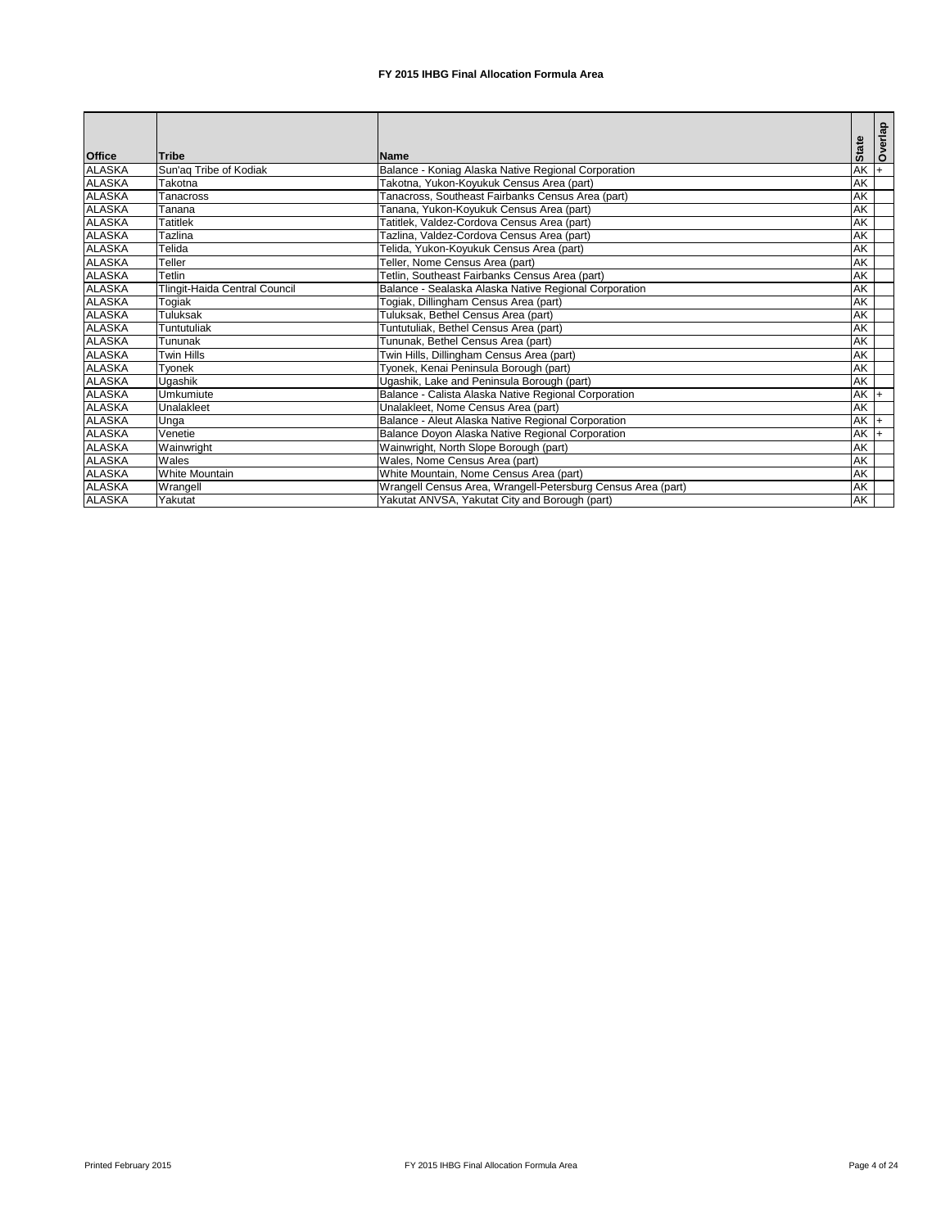|               |                                      |                                                              |              | <b>Overlap</b> |
|---------------|--------------------------------------|--------------------------------------------------------------|--------------|----------------|
| <b>Office</b> | <b>Tribe</b>                         | <b>Name</b>                                                  | <b>State</b> |                |
| <b>ALASKA</b> | Sun'aq Tribe of Kodiak               | Balance - Koniag Alaska Native Regional Corporation          | $AK +$       |                |
| <b>ALASKA</b> | Takotna                              | <b>Fakotna, Yukon-Koyukuk Census Area (part)</b>             | <b>AK</b>    |                |
| <b>ALASKA</b> | <b>Tanacross</b>                     | Tanacross, Southeast Fairbanks Census Area (part)            | <b>AK</b>    |                |
| <b>ALASKA</b> | Tanana                               | Fanana, Yukon-Koyukuk Census Area (part)                     | AK           |                |
| <b>ALASKA</b> | <b>Tatitlek</b>                      | <b>Tatitlek, Valdez-Cordova Census Area (part)</b>           | <b>AK</b>    |                |
| <b>ALASKA</b> | Tazlina                              | Tazlina, Valdez-Cordova Census Area (part)                   | AK           |                |
| <b>ALASKA</b> | Telida                               | Telida, Yukon-Koyukuk Census Area (part)                     | <b>AK</b>    |                |
| <b>ALASKA</b> | Teller                               | Teller, Nome Census Area (part)                              | <b>AK</b>    |                |
| <b>ALASKA</b> | Tetlin                               | Fetlin, Southeast Fairbanks Census Area (part)               | <b>AK</b>    |                |
| <b>ALASKA</b> | <b>Tlingit-Haida Central Council</b> | Balance - Sealaska Alaska Native Regional Corporation        | <b>AK</b>    |                |
| <b>ALASKA</b> | Togiak                               | Togiak, Dillingham Census Area (part)                        | AK           |                |
| <b>ALASKA</b> | <b>Tuluksak</b>                      | Tuluksak, Bethel Census Area (part)                          | <b>AK</b>    |                |
| <b>ALASKA</b> | Tuntutuliak                          | Tuntutuliak, Bethel Census Area (part)                       | <b>AK</b>    |                |
| <b>ALASKA</b> | Tununak                              | Tununak, Bethel Census Area (part)                           | <b>AK</b>    |                |
| <b>ALASKA</b> | <b>Twin Hills</b>                    | Twin Hills, Dillingham Census Area (part)                    | <b>AK</b>    |                |
| <b>ALASKA</b> | Tyonek                               | Tyonek, Kenai Peninsula Borough (part)                       | AK           |                |
| <b>ALASKA</b> | Ugashik                              | Ugashik, Lake and Peninsula Borough (part)                   | AK           |                |
| <b>ALASKA</b> | <b>Umkumiute</b>                     | Balance - Calista Alaska Native Regional Corporation         | $AK +$       |                |
| <b>ALASKA</b> | Unalakleet                           | Unalakleet, Nome Census Area (part)                          | <b>AK</b>    |                |
| <b>ALASKA</b> | Unga                                 | Balance - Aleut Alaska Native Regional Corporation           | $AK +$       |                |
| <b>ALASKA</b> | Venetie                              | Balance Doyon Alaska Native Regional Corporation             | $AK +$       |                |
| <b>ALASKA</b> | Wainwright                           | Wainwright, North Slope Borough (part)                       | AK           |                |
| <b>ALASKA</b> | Wales                                | Wales, Nome Census Area (part)                               | <b>AK</b>    |                |
| <b>ALASKA</b> | <b>White Mountain</b>                | White Mountain, Nome Census Area (part)                      | AK           |                |
| <b>ALASKA</b> | Wrangell                             | Wrangell Census Area, Wrangell-Petersburg Census Area (part) | <b>AK</b>    |                |
| <b>ALASKA</b> | Yakutat                              | Yakutat ANVSA, Yakutat City and Borough (part)               | AK           |                |

Printed February 2015 **FX** 2015 IHBG Final Allocation Formula Area Page 4 of 24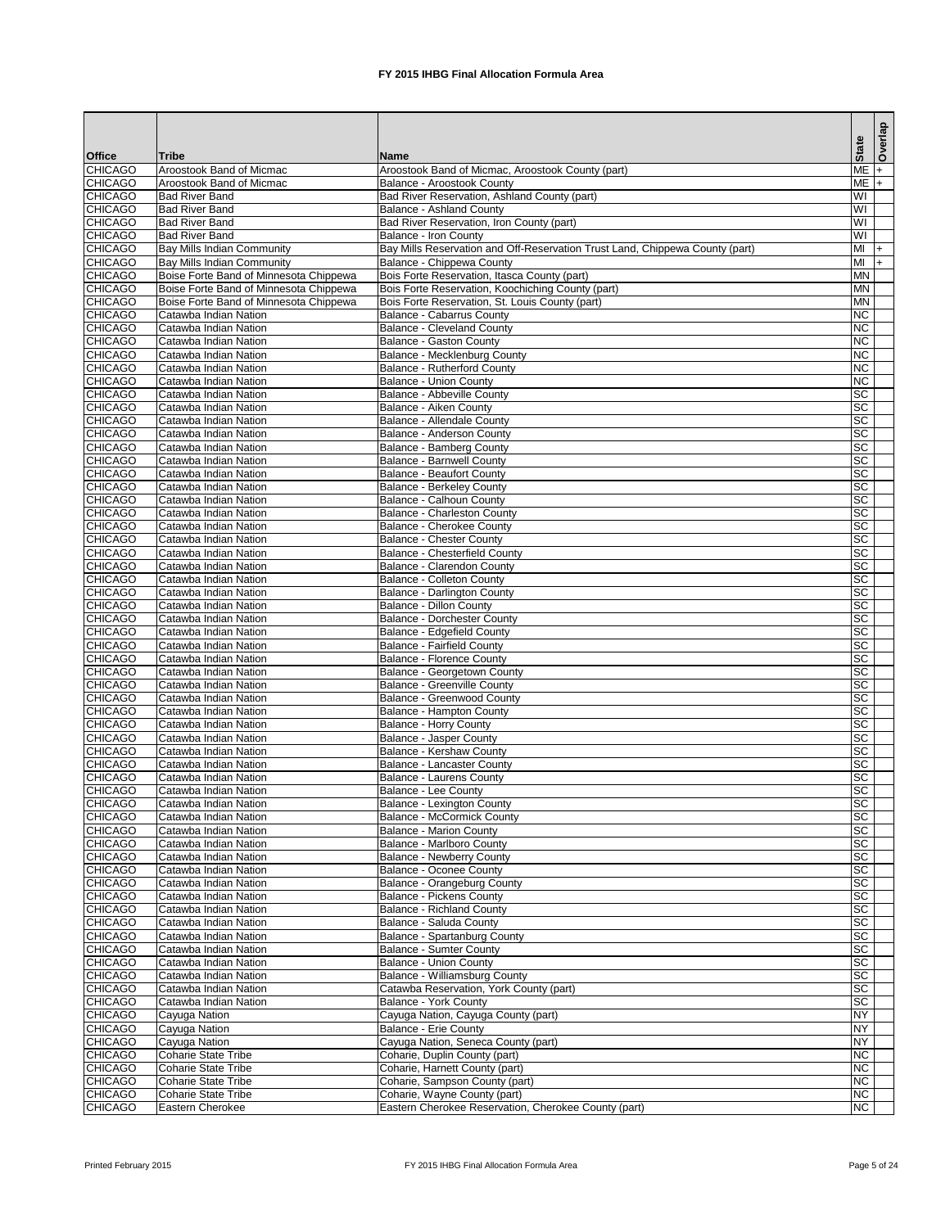|                                  |                                                   |                                                                                          | <b>State</b>                      | Overlap |
|----------------------------------|---------------------------------------------------|------------------------------------------------------------------------------------------|-----------------------------------|---------|
| <b>Office</b>                    | Tribe                                             | Name                                                                                     |                                   |         |
| <b>CHICAGO</b>                   | Aroostook Band of Micmac                          | Aroostook Band of Micmac, Aroostook County (part)                                        | $ME +$                            |         |
| <b>CHICAGO</b><br><b>CHICAGO</b> | Aroostook Band of Micmac<br><b>Bad River Band</b> | <b>Balance - Aroostook County</b><br><b>Bad River Reservation, Ashland County (part)</b> | $ME +$<br>$\overline{\mathsf{W}}$ |         |
| <b>CHICAGO</b>                   | <b>Bad River Band</b>                             | <b>Balance - Ashland County</b>                                                          | WI                                |         |
| <b>CHICAGO</b>                   | <b>Bad River Band</b>                             | Bad River Reservation, Iron County (part)                                                | WI                                |         |
| <b>CHICAGO</b>                   | <b>Bad River Band</b>                             | <b>Balance - Iron County</b>                                                             | WI                                |         |
| <b>CHICAGO</b>                   | <b>Bay Mills Indian Community</b>                 | Bay Mills Reservation and Off-Reservation Trust Land, Chippewa County (part)             | MI                                | $ +$    |
| <b>CHICAGO</b>                   | <b>Bay Mills Indian Community</b>                 | Balance - Chippewa County                                                                | MI                                | $+$     |
| <b>CHICAGO</b>                   | Boise Forte Band of Minnesota Chippewa            | Bois Forte Reservation, Itasca County (part)                                             | <b>MN</b>                         |         |
| <b>CHICAGO</b>                   | Boise Forte Band of Minnesota Chippewa            | Bois Forte Reservation, Koochiching County (part)                                        | <b>MN</b>                         |         |
| <b>CHICAGO</b>                   | Boise Forte Band of Minnesota Chippewa            | Bois Forte Reservation, St. Louis County (part)                                          | <b>MN</b>                         |         |
| <b>CHICAGO</b>                   | Catawba Indian Nation                             | <b>Balance - Cabarrus County</b>                                                         | <b>NC</b>                         |         |
| <b>CHICAGO</b><br><b>CHICAGO</b> | Catawba Indian Nation<br>Catawba Indian Nation    | <b>Balance - Cleveland County</b><br><b>Balance - Gaston County</b>                      | <b>NC</b><br><b>NC</b>            |         |
| <b>CHICAGO</b>                   | Catawba Indian Nation                             | Balance - Mecklenburg County                                                             | <b>NC</b>                         |         |
| <b>CHICAGO</b>                   | Catawba Indian Nation                             | <b>Balance - Rutherford County</b>                                                       | <b>NC</b>                         |         |
| <b>CHICAGO</b>                   | Catawba Indian Nation                             | <b>Balance - Union County</b>                                                            | <b>NC</b>                         |         |
| <b>CHICAGO</b>                   | Catawba Indian Nation                             | Balance - Abbeville County                                                               | <b>SC</b>                         |         |
| <b>CHICAGO</b>                   | Catawba Indian Nation                             | <b>Balance - Aiken County</b>                                                            | <b>SC</b>                         |         |
| <b>CHICAGO</b>                   | Catawba Indian Nation                             | <b>Balance - Allendale County</b>                                                        | <b>SC</b>                         |         |
| <b>CHICAGO</b>                   | Catawba Indian Nation                             | Balance - Anderson County                                                                | <b>SC</b>                         |         |
| <b>CHICAGO</b>                   | Catawba Indian Nation                             | <b>Balance - Bamberg County</b>                                                          | <b>SC</b>                         |         |
| <b>CHICAGO</b>                   | Catawba Indian Nation                             | <b>Balance - Barnwell County</b>                                                         | <b>SC</b>                         |         |
| <b>CHICAGO</b>                   | Catawba Indian Nation                             | <b>Balance - Beaufort County</b>                                                         | <b>SC</b>                         |         |
| <b>CHICAGO</b>                   | Catawba Indian Nation                             | <b>Balance - Berkeley County</b>                                                         | $\overline{sc}$                   |         |
| <b>CHICAGO</b>                   | Catawba Indian Nation                             | <b>Balance - Calhoun County</b>                                                          | <b>SC</b><br>$\overline{sc}$      |         |
| <b>CHICAGO</b><br><b>CHICAGO</b> | Catawba Indian Nation<br>Catawba Indian Nation    | <b>Balance - Charleston County</b><br><b>Balance - Cherokee County</b>                   | SC                                |         |
| <b>CHICAGO</b>                   | Catawba Indian Nation                             | <b>Balance - Chester County</b>                                                          | SC                                |         |
| <b>CHICAGO</b>                   | Catawba Indian Nation                             | Balance - Chesterfield County                                                            | SC                                |         |
| <b>CHICAGO</b>                   | Catawba Indian Nation                             | Balance - Clarendon County                                                               | <b>SC</b>                         |         |
| <b>CHICAGO</b>                   | Catawba Indian Nation                             | <b>Balance - Colleton County</b>                                                         | SC                                |         |
| <b>CHICAGO</b>                   | Catawba Indian Nation                             | Balance - Darlington County                                                              | <b>SC</b>                         |         |
| <b>CHICAGO</b>                   | Catawba Indian Nation                             | Balance - Dillon County                                                                  | <b>SC</b>                         |         |
| <b>CHICAGO</b>                   | Catawba Indian Nation                             | Balance - Dorchester County                                                              | <b>SC</b>                         |         |
| <b>CHICAGO</b>                   | Catawba Indian Nation                             | Balance - Edgefield County                                                               | <b>SC</b>                         |         |
| <b>CHICAGO</b>                   | Catawba Indian Nation                             | <b>Balance - Fairfield County</b>                                                        | <b>SC</b>                         |         |
| <b>CHICAGO</b>                   | Catawba Indian Nation                             | <b>Balance - Florence County</b>                                                         | $\overline{SC}$                   |         |
| <b>CHICAGO</b><br><b>CHICAGO</b> | Catawba Indian Nation<br>Catawba Indian Nation    | <b>Balance - Georgetown County</b><br><b>Balance - Greenville County</b>                 | <b>SC</b><br><b>SC</b>            |         |
| <b>CHICAGO</b>                   | Catawba Indian Nation                             | <b>Balance - Greenwood County</b>                                                        | <b>SC</b>                         |         |
| <b>CHICAGO</b>                   | Catawba Indian Nation                             | <b>Balance - Hampton County</b>                                                          | <b>SC</b>                         |         |
| <b>CHICAGO</b>                   | Catawba Indian Nation                             | <b>Balance - Horry County</b>                                                            | <b>SC</b>                         |         |
| <b>CHICAGO</b>                   | Catawba Indian Nation                             | <b>Balance - Jasper County</b>                                                           | <b>SC</b>                         |         |
| <b>CHICAGO</b>                   | Catawba Indian Nation                             | <b>Balance - Kershaw County</b>                                                          | <b>SC</b>                         |         |
| <b>CHICAGO</b>                   | Catawba Indian Nation                             | <b>Balance - Lancaster County</b>                                                        | <b>SC</b>                         |         |
| <b>CHICAGO</b>                   | Catawba Indian Nation                             | <b>Balance - Laurens County</b>                                                          | <b>SC</b>                         |         |
| <b>CHICAGO</b>                   | Catawba Indian Nation                             | <b>Balance - Lee County</b>                                                              | <b>SC</b>                         |         |
| <b>CHICAGO</b>                   | Catawba Indian Nation                             | <b>Balance - Lexington County</b>                                                        | <b>SC</b>                         |         |
| <b>CHICAGO</b>                   | Catawba Indian Nation                             | <b>Balance - McCormick County</b>                                                        | <b>SC</b>                         |         |
| <b>CHICAGO</b>                   | Catawba Indian Nation                             | <b>Balance - Marion County</b>                                                           | <b>SC</b>                         |         |
| <b>CHICAGO</b><br><b>CHICAGO</b> | Catawba Indian Nation<br>Catawba Indian Nation    | Balance - Marlboro County<br><b>Balance - Newberry County</b>                            | <b>SC</b><br><b>SC</b>            |         |
| <b>CHICAGO</b>                   | Catawba Indian Nation                             | <b>Balance - Oconee County</b>                                                           | <b>SC</b>                         |         |
| <b>CHICAGO</b>                   | Catawba Indian Nation                             | <b>Balance - Orangeburg County</b>                                                       | <b>SC</b>                         |         |
| <b>CHICAGO</b>                   | Catawba Indian Nation                             | <b>Balance - Pickens County</b>                                                          | <b>SC</b>                         |         |
| <b>CHICAGO</b>                   | Catawba Indian Nation                             | <b>Balance - Richland County</b>                                                         | <b>SC</b>                         |         |
| <b>CHICAGO</b>                   | Catawba Indian Nation                             | Balance - Saluda County                                                                  | <b>SC</b>                         |         |
| <b>CHICAGO</b>                   | Catawba Indian Nation                             | <b>Balance - Spartanburg County</b>                                                      | <b>SC</b>                         |         |
| <b>CHICAGO</b>                   | Catawba Indian Nation                             | <b>Balance - Sumter County</b>                                                           | <b>SC</b>                         |         |
| <b>CHICAGO</b>                   | Catawba Indian Nation                             | <b>Balance - Union County</b>                                                            | <b>SC</b>                         |         |
| <b>CHICAGO</b>                   | Catawba Indian Nation                             | Balance - Williamsburg County                                                            | <b>SC</b>                         |         |
| <b>CHICAGO</b>                   | Catawba Indian Nation                             | Catawba Reservation, York County (part)                                                  | SC<br><b>SC</b>                   |         |
| <b>CHICAGO</b><br><b>CHICAGO</b> | Catawba Indian Nation                             | <b>Balance - York County</b><br>Cayuga Nation, Cayuga County (part)                      | <b>NY</b>                         |         |
| <b>CHICAGO</b>                   | Cayuga Nation<br>Cayuga Nation                    | <b>Balance - Erie County</b>                                                             | <b>NY</b>                         |         |
| <b>CHICAGO</b>                   | Cayuga Nation                                     | Cayuga Nation, Seneca County (part)                                                      | <b>NY</b>                         |         |
| <b>CHICAGO</b>                   | Coharie State Tribe                               | Coharie, Duplin County (part)                                                            | NC                                |         |
| <b>CHICAGO</b>                   | <b>Coharie State Tribe</b>                        | Coharie, Harnett County (part)                                                           | <b>NC</b>                         |         |
| <b>CHICAGO</b>                   | Coharie State Tribe                               | Coharie, Sampson County (part)                                                           | NC                                |         |
| <b>CHICAGO</b>                   | <b>Coharie State Tribe</b>                        | Coharie, Wayne County (part)                                                             | $\overline{\text{NC}}$            |         |
| <b>CHICAGO</b>                   | Eastern Cherokee                                  | Eastern Cherokee Reservation, Cherokee County (part)                                     | NC                                |         |

Printed February 2015 **FX** 2015 IHBG Final Allocation Formula Area Page 5 of 24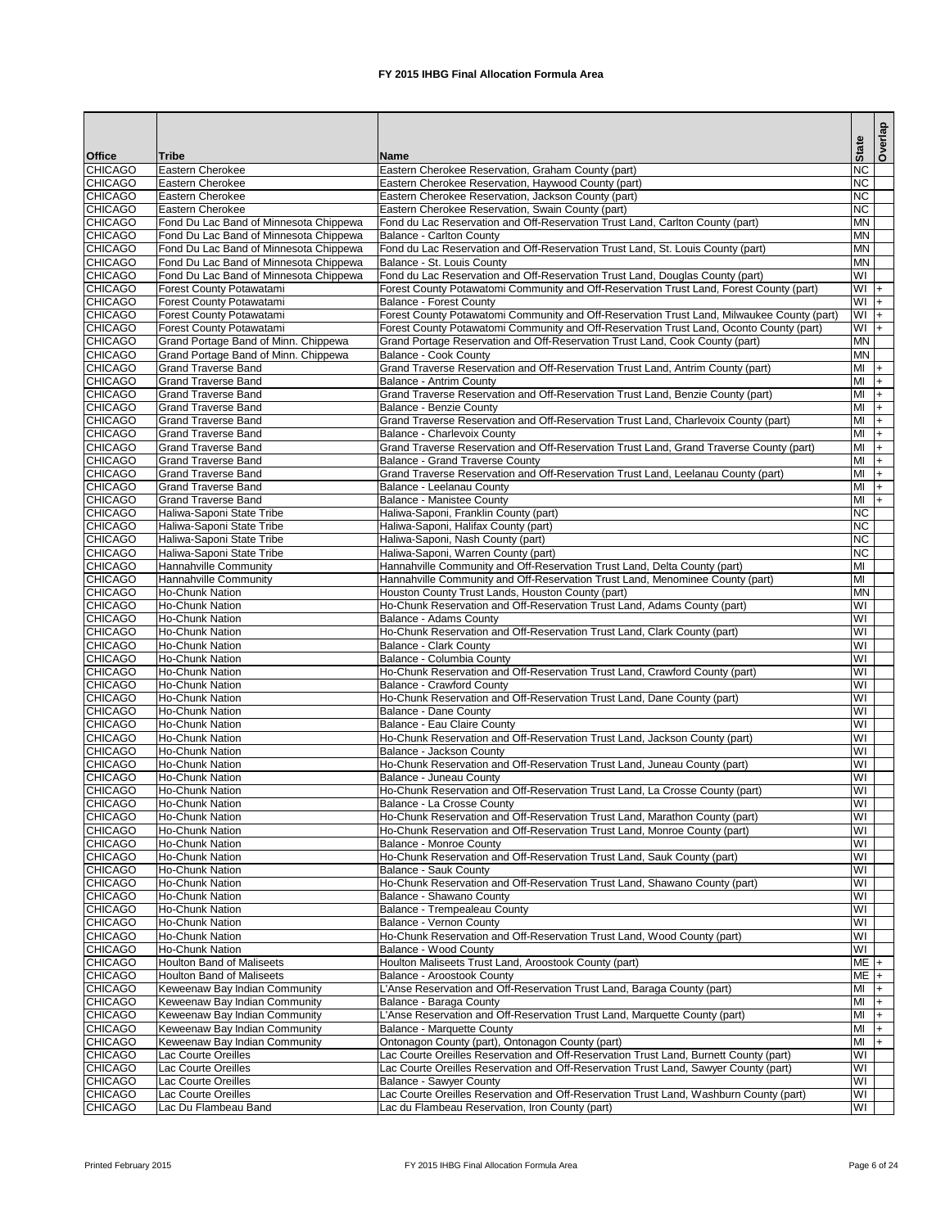|                                  |                                                             |                                                                                                                                           | <b>State</b>                  | Overlap  |
|----------------------------------|-------------------------------------------------------------|-------------------------------------------------------------------------------------------------------------------------------------------|-------------------------------|----------|
| <b>Office</b>                    | Tribe                                                       | <b>Name</b>                                                                                                                               |                               |          |
| <b>CHICAGO</b>                   | Eastern Cherokee                                            | Eastern Cherokee Reservation, Graham County (part)                                                                                        | <b>NC</b>                     |          |
| <b>CHICAGO</b><br><b>CHICAGO</b> | <b>Eastern Cherokee</b><br>Eastern Cherokee                 | Eastern Cherokee Reservation, Haywood County (part)<br>Eastern Cherokee Reservation, Jackson County (part)                                | <b>NC</b><br><b>NC</b>        |          |
| <b>CHICAGO</b>                   | Eastern Cherokee                                            | Eastern Cherokee Reservation, Swain County (part)                                                                                         | <b>NC</b>                     |          |
| <b>CHICAGO</b>                   | Fond Du Lac Band of Minnesota Chippewa                      | Fond du Lac Reservation and Off-Reservation Trust Land, Carlton County (part)                                                             | <b>MN</b>                     |          |
| <b>CHICAGO</b>                   | Fond Du Lac Band of Minnesota Chippewa                      | <b>Balance - Carlton County</b>                                                                                                           | <b>MN</b>                     |          |
| <b>CHICAGO</b>                   | Fond Du Lac Band of Minnesota Chippewa                      | Fond du Lac Reservation and Off-Reservation Trust Land, St. Louis County (part)                                                           | <b>MN</b>                     |          |
| <b>CHICAGO</b>                   | Fond Du Lac Band of Minnesota Chippewa                      | Balance - St. Louis County                                                                                                                | <b>MN</b>                     |          |
| <b>CHICAGO</b>                   | Fond Du Lac Band of Minnesota Chippewa                      | Fond du Lac Reservation and Off-Reservation Trust Land, Douglas County (part)                                                             | WI                            |          |
| <b>CHICAGO</b>                   | <b>Forest County Potawatami</b>                             | Forest County Potawatomi Community and Off-Reservation Trust Land, Forest County (part)                                                   | $+$ MV                        |          |
| <b>CHICAGO</b><br><b>CHICAGO</b> | <b>Forest County Potawatami</b><br>Forest County Potawatami | <b>Balance - Forest County</b><br>Forest County Potawatomi Community and Off-Reservation Trust Land, Milwaukee County (part)              | WI<br>WI                      | $ +$     |
| <b>CHICAGO</b>                   | Forest County Potawatami                                    | Forest County Potawatomi Community and Off-Reservation Trust Land, Oconto County (part)                                                   | $+$ IW                        | $ +$     |
| <b>CHICAGO</b>                   | Grand Portage Band of Minn. Chippewa                        | Grand Portage Reservation and Off-Reservation Trust Land, Cook County (part)                                                              | <b>MN</b>                     |          |
| <b>CHICAGO</b>                   | Grand Portage Band of Minn. Chippewa                        | <b>Balance - Cook County</b>                                                                                                              | <b>MN</b>                     |          |
| <b>CHICAGO</b>                   | <b>Grand Traverse Band</b>                                  | Grand Traverse Reservation and Off-Reservation Trust Land, Antrim County (part)                                                           | MI                            | I+       |
| <b>CHICAGO</b>                   | <b>Grand Traverse Band</b>                                  | <b>Balance - Antrim County</b>                                                                                                            | MI                            | $+$      |
| <b>CHICAGO</b>                   | <b>Grand Traverse Band</b>                                  | Grand Traverse Reservation and Off-Reservation Trust Land, Benzie County (part)                                                           | MI                            | $+$      |
| <b>CHICAGO</b>                   | <b>Grand Traverse Band</b>                                  | Balance - Benzie County                                                                                                                   | MI                            | $+$      |
| <b>CHICAGO</b>                   | <b>Grand Traverse Band</b>                                  | Grand Traverse Reservation and Off-Reservation Trust Land, Charlevoix County (part)                                                       | MI                            | $+$      |
| <b>CHICAGO</b>                   | <b>Grand Traverse Band</b>                                  | <b>Balance - Charlevoix County</b>                                                                                                        | MI                            | $+$      |
| <b>CHICAGO</b>                   | <b>Grand Traverse Band</b>                                  | Grand Traverse Reservation and Off-Reservation Trust Land, Grand Traverse County (part)                                                   | MI                            | $+$      |
| <b>CHICAGO</b><br><b>CHICAGO</b> | <b>Grand Traverse Band</b><br><b>Grand Traverse Band</b>    | <b>Balance - Grand Traverse County</b><br>Grand Traverse Reservation and Off-Reservation Trust Land, Leelanau County (part)               | MI<br>MI                      | $ + $    |
| <b>CHICAGO</b>                   | <b>Grand Traverse Band</b>                                  | Balance - Leelanau County                                                                                                                 | MI                            | I+<br>I+ |
| <b>CHICAGO</b>                   | <b>Grand Traverse Band</b>                                  | <b>Balance - Manistee County</b>                                                                                                          | MI                            | $+$      |
| <b>CHICAGO</b>                   | Haliwa-Saponi State Tribe                                   | Haliwa-Saponi, Franklin County (part)                                                                                                     | <b>NC</b>                     |          |
| <b>CHICAGO</b>                   | Haliwa-Saponi State Tribe                                   | Haliwa-Saponi, Halifax County (part)                                                                                                      | <b>NC</b>                     |          |
| <b>CHICAGO</b>                   | Haliwa-Saponi State Tribe                                   | Haliwa-Saponi, Nash County (part)                                                                                                         | <b>NC</b>                     |          |
| <b>CHICAGO</b>                   | Haliwa-Saponi State Tribe                                   | Haliwa-Saponi, Warren County (part)                                                                                                       | <b>NC</b>                     |          |
| <b>CHICAGO</b>                   | Hannahville Community                                       | Hannahville Community and Off-Reservation Trust Land, Delta County (part)                                                                 | MI                            |          |
| <b>CHICAGO</b>                   | Hannahville Community                                       | Hannahville Community and Off-Reservation Trust Land, Menominee County (part)                                                             | MI                            |          |
| <b>CHICAGO</b>                   | Ho-Chunk Nation                                             | Houston County Trust Lands, Houston County (part)                                                                                         | <b>MN</b>                     |          |
| <b>CHICAGO</b>                   | Ho-Chunk Nation                                             | Ho-Chunk Reservation and Off-Reservation Trust Land, Adams County (part)                                                                  | $\overline{\mathsf{W}}$       |          |
| <b>CHICAGO</b>                   | Ho-Chunk Nation<br>Ho-Chunk Nation                          | Balance - Adams County                                                                                                                    | WI<br>WI                      |          |
| <b>CHICAGO</b><br><b>CHICAGO</b> | Ho-Chunk Nation                                             | Ho-Chunk Reservation and Off-Reservation Trust Land, Clark County (part)<br><b>Balance - Clark County</b>                                 | WI                            |          |
| <b>CHICAGO</b>                   | Ho-Chunk Nation                                             | Balance - Columbia County                                                                                                                 | $\overline{\mathsf{W}}$       |          |
| <b>CHICAGO</b>                   | <b>Ho-Chunk Nation</b>                                      | Ho-Chunk Reservation and Off-Reservation Trust Land, Crawford County (part)                                                               | WI                            |          |
| <b>CHICAGO</b>                   | Ho-Chunk Nation                                             | <b>Balance - Crawford County</b>                                                                                                          | $\overline{\mathsf{W}}$       |          |
| <b>CHICAGO</b>                   | Ho-Chunk Nation                                             | Ho-Chunk Reservation and Off-Reservation Trust Land, Dane County (part)                                                                   | WI                            |          |
| <b>CHICAGO</b>                   | Ho-Chunk Nation                                             | <b>Balance - Dane County</b>                                                                                                              | WI                            |          |
| <b>CHICAGO</b>                   | Ho-Chunk Nation                                             | Balance - Eau Claire County                                                                                                               | WI                            |          |
| <b>CHICAGO</b>                   | Ho-Chunk Nation                                             | Ho-Chunk Reservation and Off-Reservation Trust Land, Jackson County (part)                                                                | WI                            |          |
| <b>CHICAGO</b>                   | Ho-Chunk Nation                                             | Balance - Jackson County                                                                                                                  | WI                            |          |
| <b>CHICAGO</b>                   | Ho-Chunk Nation                                             | Ho-Chunk Reservation and Off-Reservation Trust Land, Juneau County (part)                                                                 | WI                            |          |
| <b>CHICAGO</b>                   | Ho-Chunk Nation                                             | Balance - Juneau County                                                                                                                   | WI                            |          |
| <b>CHICAGO</b><br><b>CHICAGO</b> | Ho-Chunk Nation<br>Ho-Chunk Nation                          | Ho-Chunk Reservation and Off-Reservation Trust Land, La Crosse County (part)<br>Balance - La Crosse County                                | WI<br>WI                      |          |
| <b>CHICAGO</b>                   | Ho-Chunk Nation                                             | Ho-Chunk Reservation and Off-Reservation Trust Land, Marathon County (part)                                                               | $\overline{\mathsf{W}}$       |          |
| <b>CHICAGO</b>                   | Ho-Chunk Nation                                             | Ho-Chunk Reservation and Off-Reservation Trust Land, Monroe County (part)                                                                 | WI                            |          |
| <b>CHICAGO</b>                   | <b>Ho-Chunk Nation</b>                                      | <b>Balance - Monroe County</b>                                                                                                            | WI                            |          |
| <b>CHICAGO</b>                   | <b>Ho-Chunk Nation</b>                                      | Ho-Chunk Reservation and Off-Reservation Trust Land, Sauk County (part)                                                                   | WI                            |          |
| <b>CHICAGO</b>                   | <b>Ho-Chunk Nation</b>                                      | <b>Balance - Sauk County</b>                                                                                                              | WI                            |          |
| <b>CHICAGO</b>                   | Ho-Chunk Nation                                             | Ho-Chunk Reservation and Off-Reservation Trust Land, Shawano County (part)                                                                | WI                            |          |
| <b>CHICAGO</b>                   | Ho-Chunk Nation                                             | Balance - Shawano County                                                                                                                  | WI                            |          |
| <b>CHICAGO</b>                   | Ho-Chunk Nation                                             | Balance - Trempealeau County                                                                                                              | WI                            |          |
| <b>CHICAGO</b>                   | Ho-Chunk Nation                                             | Balance - Vernon County                                                                                                                   | WI                            |          |
| <b>CHICAGO</b>                   | Ho-Chunk Nation<br>Ho-Chunk Nation                          | Ho-Chunk Reservation and Off-Reservation Trust Land, Wood County (part)                                                                   | WI<br>$\overline{\mathsf{W}}$ |          |
| <b>CHICAGO</b><br><b>CHICAGO</b> | <b>Houlton Band of Maliseets</b>                            | Balance - Wood County<br>Houlton Maliseets Trust Land, Aroostook County (part)                                                            | ME <sub>+</sub>               |          |
| <b>CHICAGO</b>                   | <b>Houlton Band of Maliseets</b>                            | Balance - Aroostook County                                                                                                                | ME <sub>+</sub>               |          |
| <b>CHICAGO</b>                   | Keweenaw Bay Indian Community                               | L'Anse Reservation and Off-Reservation Trust Land, Baraga County (part)                                                                   | MI                            |          |
| <b>CHICAGO</b>                   | Keweenaw Bay Indian Community                               | Balance - Baraga County                                                                                                                   | MI                            | I+       |
| <b>CHICAGO</b>                   | Keweenaw Bay Indian Community                               | L'Anse Reservation and Off-Reservation Trust Land, Marquette County (part)                                                                | MI                            | I+       |
| <b>CHICAGO</b>                   | Keweenaw Bay Indian Community                               | Balance - Marquette County                                                                                                                | MI                            | $ + $    |
| <b>CHICAGO</b>                   | Keweenaw Bay Indian Community                               | Ontonagon County (part), Ontonagon County (part)                                                                                          | MI                            | I+.      |
| <b>CHICAGO</b>                   | Lac Courte Oreilles                                         | Lac Courte Oreilles Reservation and Off-Reservation Trust Land, Burnett County (part)                                                     | $\overline{\mathsf{W}}$       |          |
| <b>CHICAGO</b>                   | Lac Courte Oreilles                                         | Lac Courte Oreilles Reservation and Off-Reservation Trust Land, Sawyer County (part)                                                      | WI                            |          |
| <b>CHICAGO</b>                   | Lac Courte Oreilles                                         | <b>Balance - Sawyer County</b>                                                                                                            | WI                            |          |
| <b>CHICAGO</b><br><b>CHICAGO</b> | Lac Courte Oreilles<br>Lac Du Flambeau Band                 | Lac Courte Oreilles Reservation and Off-Reservation Trust Land, Washburn County (part)<br>Lac du Flambeau Reservation, Iron County (part) | WI<br>WI                      |          |
|                                  |                                                             |                                                                                                                                           |                               |          |

Printed February 2015 **FX** 2015 IHBG Final Allocation Formula Area Page 6 of 24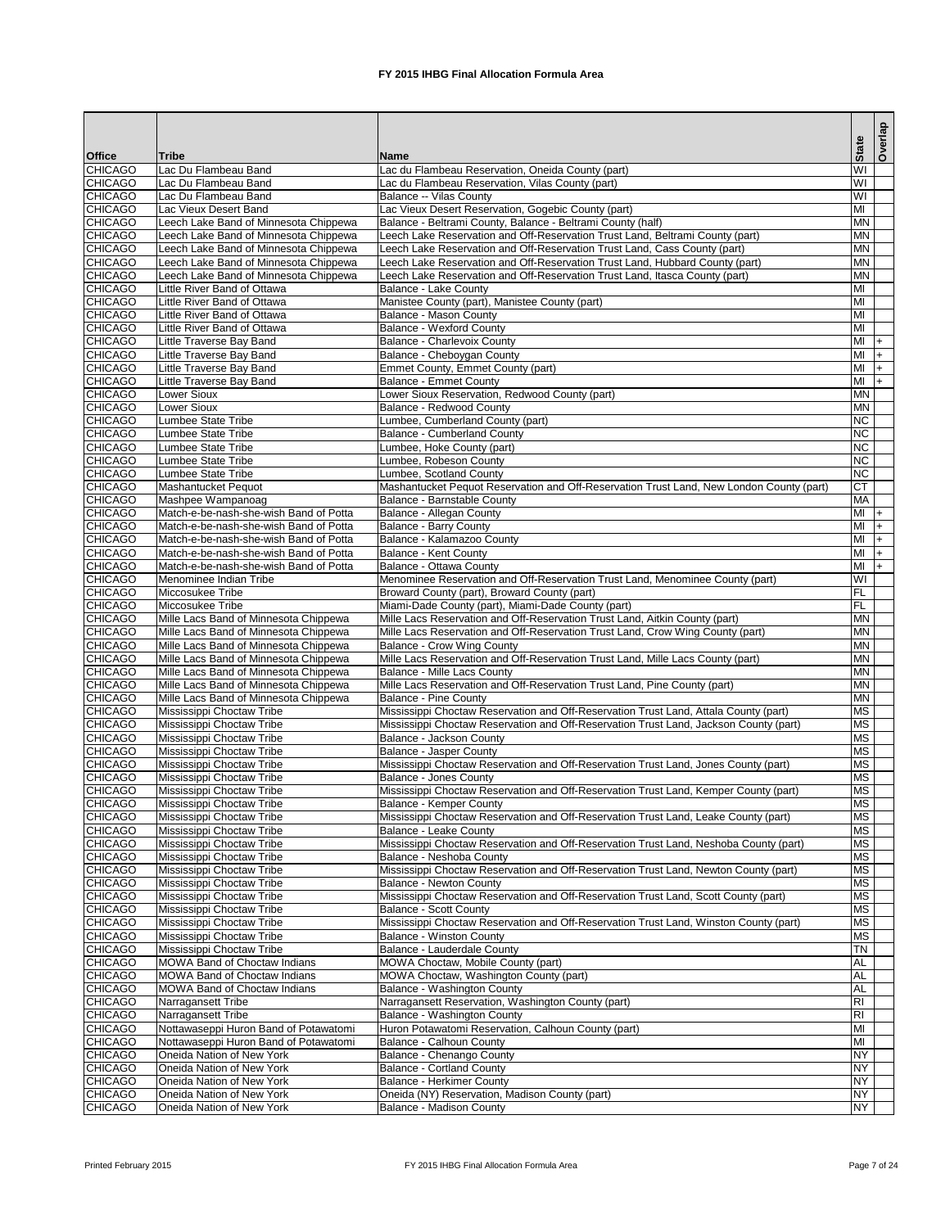| WI<br><b>CHICAGO</b><br>Lac Du Flambeau Band<br>Lac du Flambeau Reservation, Oneida County (part)<br>WI<br><b>CHICAGO</b><br>Lac Du Flambeau Band<br>Lac du Flambeau Reservation, Vilas County (part)<br><b>CHICAGO</b><br>$\overline{\mathsf{W}}$<br>Lac Du Flambeau Band<br>Balance -- Vilas County<br>MI<br><b>CHICAGO</b><br>Lac Vieux Desert Reservation, Gogebic County (part)<br>Lac Vieux Desert Band<br><b>CHICAGO</b><br><b>MN</b><br>Leech Lake Band of Minnesota Chippewa<br>Balance - Beltrami County, Balance - Beltrami County (half)<br><b>CHICAGO</b><br>Leech Lake Reservation and Off-Reservation Trust Land, Beltrami County (part)<br><b>MN</b><br>Leech Lake Band of Minnesota Chippewa<br><b>CHICAGO</b><br>Leech Lake Band of Minnesota Chippewa<br>Leech Lake Reservation and Off-Reservation Trust Land, Cass County (part)<br><b>MN</b><br><b>CHICAGO</b><br><b>MN</b><br>Leech Lake Band of Minnesota Chippewa<br>Leech Lake Reservation and Off-Reservation Trust Land, Hubbard County (part)<br><b>CHICAGO</b><br>Leech Lake Reservation and Off-Reservation Trust Land, Itasca County (part)<br><b>MN</b><br>Leech Lake Band of Minnesota Chippewa<br><b>CHICAGO</b><br><b>Little River Band of Ottawa</b><br>MI<br><b>Balance - Lake County</b><br><b>CHICAGO</b><br>Manistee County (part), Manistee County (part)<br>MI<br>Little River Band of Ottawa<br><b>CHICAGO</b><br>MI<br>Little River Band of Ottawa<br>Balance - Mason County<br><b>CHICAGO</b><br>MI<br>Little River Band of Ottawa<br><b>Balance - Wexford County</b><br><b>CHICAGO</b><br>MI<br>Little Traverse Bay Band<br>Balance - Charlevoix County<br><b>CHICAGO</b><br>Little Traverse Bay Band<br>MI<br>Balance - Cheboygan County<br><b>CHICAGO</b><br>MI<br>Little Traverse Bay Band<br>Emmet County, Emmet County (part)<br><b>CHICAGO</b><br>MI<br>Little Traverse Bay Band<br><b>Balance - Emmet County</b><br>$+$<br><b>CHICAGO</b><br>Lower Sioux Reservation, Redwood County (part)<br><b>MN</b><br>Lower Sioux<br><b>CHICAGO</b><br><b>Lower Sioux</b><br><b>Balance - Redwood County</b><br><b>MN</b><br><b>CHICAGO</b><br><b>NC</b><br>Lumbee State Tribe<br>Lumbee, Cumberland County (part)<br><b>CHICAGO</b><br><b>NC</b><br><b>Balance - Cumberland County</b><br>Lumbee State Tribe<br><b>CHICAGO</b><br><b>NC</b><br>Lumbee State Tribe<br>Lumbee, Hoke County (part)<br><b>NC</b><br><b>CHICAGO</b><br>Lumbee, Robeson County<br>Lumbee State Tribe<br><b>NC</b><br><b>CHICAGO</b><br><b>Lumbee State Tribe</b><br>Lumbee, Scotland County<br><b>CT</b><br><b>CHICAGO</b><br>Mashantucket Pequot Reservation and Off-Reservation Trust Land, New London County (part)<br>Mashantucket Pequot<br><b>CHICAGO</b><br><b>MA</b><br>Mashpee Wampanoag<br>Balance - Barnstable County<br><b>CHICAGO</b><br>MI<br>Match-e-be-nash-she-wish Band of Potta<br>Balance - Allegan County<br><b>CHICAGO</b><br>MI<br><b>Balance - Barry County</b><br>Match-e-be-nash-she-wish Band of Potta<br><b>CHICAGO</b><br>MI<br>Balance - Kalamazoo County<br>Match-e-be-nash-she-wish Band of Potta<br><b>CHICAGO</b><br>$\overline{\mathsf{M}}$<br><b>Balance - Kent County</b><br>Match-e-be-nash-she-wish Band of Potta<br><b>CHICAGO</b><br>MI<br>Balance - Ottawa County<br>Match-e-be-nash-she-wish Band of Potta<br><b>CHICAGO</b><br>Menominee Reservation and Off-Reservation Trust Land, Menominee County (part)<br>WI<br>Menominee Indian Tribe<br>FL<br><b>CHICAGO</b><br>Miccosukee Tribe<br>Broward County (part), Broward County (part)<br><b>CHICAGO</b><br>FL<br>Miccosukee Tribe<br>Miami-Dade County (part), Miami-Dade County (part)<br><b>MN</b><br><b>CHICAGO</b><br>Mille Lacs Band of Minnesota Chippewa<br>Mille Lacs Reservation and Off-Reservation Trust Land, Aitkin County (part)<br><b>MN</b><br><b>CHICAGO</b><br>Mille Lacs Reservation and Off-Reservation Trust Land, Crow Wing County (part)<br>Mille Lacs Band of Minnesota Chippewa<br><b>MN</b><br><b>CHICAGO</b><br>Mille Lacs Band of Minnesota Chippewa<br><b>Balance - Crow Wing County</b><br><b>MN</b><br><b>CHICAGO</b><br>Mille Lacs Reservation and Off-Reservation Trust Land, Mille Lacs County (part)<br>Mille Lacs Band of Minnesota Chippewa<br><b>MN</b><br><b>CHICAGO</b><br>Balance - Mille Lacs County<br>Mille Lacs Band of Minnesota Chippewa<br><b>CHICAGO</b><br><b>MN</b><br>Mille Lacs Band of Minnesota Chippewa<br>Mille Lacs Reservation and Off-Reservation Trust Land, Pine County (part)<br><b>CHICAGO</b><br><b>MN</b><br>Mille Lacs Band of Minnesota Chippewa<br><b>Balance - Pine County</b><br>Mississippi Choctaw Reservation and Off-Reservation Trust Land, Attala County (part)<br><b>CHICAGO</b><br><b>MS</b><br>Mississippi Choctaw Tribe<br><b>MS</b><br><b>CHICAGO</b><br>Mississippi Choctaw Reservation and Off-Reservation Trust Land, Jackson County (part)<br>Mississippi Choctaw Tribe<br><b>CHICAGO</b><br><b>MS</b><br>Mississippi Choctaw Tribe<br>Balance - Jackson County<br><b>CHICAGO</b><br><b>MS</b><br>Mississippi Choctaw Tribe<br><b>Balance - Jasper County</b><br><b>MS</b><br><b>CHICAGO</b><br>Mississippi Choctaw Reservation and Off-Reservation Trust Land, Jones County (part)<br>Mississippi Choctaw Tribe<br><b>CHICAGO</b><br><b>MS</b><br>Mississippi Choctaw Tribe<br><b>Balance - Jones County</b><br><b>CHICAGO</b><br>Mississippi Choctaw Reservation and Off-Reservation Trust Land, Kemper County (part)<br><b>MS</b><br>Mississippi Choctaw Tribe<br><b>CHICAGO</b><br><b>MS</b><br>Mississippi Choctaw Tribe<br>Balance - Kemper County<br><b>MS</b><br><b>CHICAGO</b><br>Mississippi Choctaw Tribe<br>Mississippi Choctaw Reservation and Off-Reservation Trust Land, Leake County (part)<br><b>CHICAGO</b><br><b>MS</b><br>Mississippi Choctaw Tribe<br>Balance - Leake County<br><b>CHICAGO</b><br><b>MS</b><br>Mississippi Choctaw Tribe<br>Mississippi Choctaw Reservation and Off-Reservation Trust Land, Neshoba County (part)<br><b>CHICAGO</b><br><b>MS</b><br>Mississippi Choctaw Tribe<br>Balance - Neshoba County<br><b>MS</b><br><b>CHICAGO</b><br>Mississippi Choctaw Tribe<br>Mississippi Choctaw Reservation and Off-Reservation Trust Land, Newton County (part)<br><b>CHICAGO</b><br><b>MS</b><br>Mississippi Choctaw Tribe<br><b>Balance - Newton County</b><br><b>CHICAGO</b><br><b>MS</b><br>Mississippi Choctaw Tribe<br>Mississippi Choctaw Reservation and Off-Reservation Trust Land, Scott County (part)<br><b>MS</b><br><b>CHICAGO</b><br>Mississippi Choctaw Tribe<br><b>Balance - Scott County</b><br><b>MS</b><br><b>CHICAGO</b><br>Mississippi Choctaw Tribe<br>Mississippi Choctaw Reservation and Off-Reservation Trust Land, Winston County (part)<br><b>MS</b><br><b>CHICAGO</b><br>Mississippi Choctaw Tribe<br><b>Balance - Winston County</b><br><b>CHICAGO</b><br><b>TN</b><br>Mississippi Choctaw Tribe<br>Balance - Lauderdale County<br><b>CHICAGO</b><br><b>AL</b><br><b>MOWA</b> Band of Choctaw Indians<br>MOWA Choctaw, Mobile County (part)<br><b>CHICAGO</b><br><b>AL</b><br><b>MOWA Band of Choctaw Indians</b><br>MOWA Choctaw, Washington County (part)<br><b>AL</b><br><b>CHICAGO</b><br>MOWA Band of Choctaw Indians<br>Balance - Washington County<br>R <sub>l</sub><br><b>CHICAGO</b><br>Narragansett Tribe<br>Narragansett Reservation, Washington County (part)<br><b>CHICAGO</b><br>RI.<br>Narragansett Tribe<br>Balance - Washington County<br><b>CHICAGO</b><br>MI<br>Nottawaseppi Huron Band of Potawatomi<br>Huron Potawatomi Reservation, Calhoun County (part)<br>MI<br><b>CHICAGO</b><br>Nottawaseppi Huron Band of Potawatomi<br>Balance - Calhoun County<br><b>NY</b><br><b>CHICAGO</b><br>Oneida Nation of New York<br>Balance - Chenango County<br><b>NY</b><br><b>CHICAGO</b><br>Oneida Nation of New York<br><b>Balance - Cortland County</b><br>NY<br><b>CHICAGO</b><br>Balance - Herkimer County<br>Oneida Nation of New York<br><b>CHICAGO</b><br><b>NY</b><br>Oneida Nation of New York<br>Oneida (NY) Reservation, Madison County (part) |               |              |             | <b>State</b> | Overlap |
|---------------------------------------------------------------------------------------------------------------------------------------------------------------------------------------------------------------------------------------------------------------------------------------------------------------------------------------------------------------------------------------------------------------------------------------------------------------------------------------------------------------------------------------------------------------------------------------------------------------------------------------------------------------------------------------------------------------------------------------------------------------------------------------------------------------------------------------------------------------------------------------------------------------------------------------------------------------------------------------------------------------------------------------------------------------------------------------------------------------------------------------------------------------------------------------------------------------------------------------------------------------------------------------------------------------------------------------------------------------------------------------------------------------------------------------------------------------------------------------------------------------------------------------------------------------------------------------------------------------------------------------------------------------------------------------------------------------------------------------------------------------------------------------------------------------------------------------------------------------------------------------------------------------------------------------------------------------------------------------------------------------------------------------------------------------------------------------------------------------------------------------------------------------------------------------------------------------------------------------------------------------------------------------------------------------------------------------------------------------------------------------------------------------------------------------------------------------------------------------------------------------------------------------------------------------------------------------------------------------------------------------------------------------------------------------------------------------------------------------------------------------------------------------------------------------------------------------------------------------------------------------------------------------------------------------------------------------------------------------------------------------------------------------------------------------------------------------------------------------------------------------------------------------------------------------------------------------------------------------------------------------------------------------------------------------------------------------------------------------------------------------------------------------------------------------------------------------------------------------------------------------------------------------------------------------------------------------------------------------------------------------------------------------------------------------------------------------------------------------------------------------------------------------------------------------------------------------------------------------------------------------------------------------------------------------------------------------------------------------------------------------------------------------------------------------------------------------------------------------------------------------------------------------------------------------------------------------------------------------------------------------------------------------------------------------------------------------------------------------------------------------------------------------------------------------------------------------------------------------------------------------------------------------------------------------------------------------------------------------------------------------------------------------------------------------------------------------------------------------------------------------------------------------------------------------------------------------------------------------------------------------------------------------------------------------------------------------------------------------------------------------------------------------------------------------------------------------------------------------------------------------------------------------------------------------------------------------------------------------------------------------------------------------------------------------------------------------------------------------------------------------------------------------------------------------------------------------------------------------------------------------------------------------------------------------------------------------------------------------------------------------------------------------------------------------------------------------------------------------------------------------------------------------------------------------------------------------------------------------------------------------------------------------------------------------------------------------------------------------------------------------------------------------------------------------------------------------------------------------------------------------------------------------------------------------------------------------------------------------------------------------------------------------------------------------------------------------------------------------------------------------------------------------------------------------------------------------------------------------------------------------------------------------------------------------------------------------------------------------------------------------------------------------------------------------------------------------------------------------------------------------------------------------------------------------------------------------------------------------------------------------------------------------------------------------------------------------------------------------------------------------------------------------------------------------------------------------------------------------------------------------------------------------------------------------------------------------------------------------------------------------------------------------------------------------------------------------------------------------------------------------------------------------------------------------------------------------------------------------------------------------------------------------------------------------------------------------------------------------------------------------------------------------------------------------------------------------------------------------------------------------------------------------------------------------------------------------------------------------------------------------------------------------------------------------------------------------------------------------------------------------------------------------------------------------------------------------------------|---------------|--------------|-------------|--------------|---------|
|                                                                                                                                                                                                                                                                                                                                                                                                                                                                                                                                                                                                                                                                                                                                                                                                                                                                                                                                                                                                                                                                                                                                                                                                                                                                                                                                                                                                                                                                                                                                                                                                                                                                                                                                                                                                                                                                                                                                                                                                                                                                                                                                                                                                                                                                                                                                                                                                                                                                                                                                                                                                                                                                                                                                                                                                                                                                                                                                                                                                                                                                                                                                                                                                                                                                                                                                                                                                                                                                                                                                                                                                                                                                                                                                                                                                                                                                                                                                                                                                                                                                                                                                                                                                                                                                                                                                                                                                                                                                                                                                                                                                                                                                                                                                                                                                                                                                                                                                                                                                                                                                                                                                                                                                                                                                                                                                                                                                                                                                                                                                                                                                                                                                                                                                                                                                                                                                                                                                                                                                                                                                                                                                                                                                                                                                                                                                                                                                                                                                                                                                                                                                                                                                                                                                                                                                                                                                                                                                                                                                                                                                                                                                                                                                                                                                                                                                                                                                                                                                                                                                                                                                                                                                                                                                                                                                                                                                                                                                                                                                                                                                                                   | <b>Office</b> | <b>Tribe</b> | <b>Name</b> |              |         |
|                                                                                                                                                                                                                                                                                                                                                                                                                                                                                                                                                                                                                                                                                                                                                                                                                                                                                                                                                                                                                                                                                                                                                                                                                                                                                                                                                                                                                                                                                                                                                                                                                                                                                                                                                                                                                                                                                                                                                                                                                                                                                                                                                                                                                                                                                                                                                                                                                                                                                                                                                                                                                                                                                                                                                                                                                                                                                                                                                                                                                                                                                                                                                                                                                                                                                                                                                                                                                                                                                                                                                                                                                                                                                                                                                                                                                                                                                                                                                                                                                                                                                                                                                                                                                                                                                                                                                                                                                                                                                                                                                                                                                                                                                                                                                                                                                                                                                                                                                                                                                                                                                                                                                                                                                                                                                                                                                                                                                                                                                                                                                                                                                                                                                                                                                                                                                                                                                                                                                                                                                                                                                                                                                                                                                                                                                                                                                                                                                                                                                                                                                                                                                                                                                                                                                                                                                                                                                                                                                                                                                                                                                                                                                                                                                                                                                                                                                                                                                                                                                                                                                                                                                                                                                                                                                                                                                                                                                                                                                                                                                                                                                                   |               |              |             |              |         |
|                                                                                                                                                                                                                                                                                                                                                                                                                                                                                                                                                                                                                                                                                                                                                                                                                                                                                                                                                                                                                                                                                                                                                                                                                                                                                                                                                                                                                                                                                                                                                                                                                                                                                                                                                                                                                                                                                                                                                                                                                                                                                                                                                                                                                                                                                                                                                                                                                                                                                                                                                                                                                                                                                                                                                                                                                                                                                                                                                                                                                                                                                                                                                                                                                                                                                                                                                                                                                                                                                                                                                                                                                                                                                                                                                                                                                                                                                                                                                                                                                                                                                                                                                                                                                                                                                                                                                                                                                                                                                                                                                                                                                                                                                                                                                                                                                                                                                                                                                                                                                                                                                                                                                                                                                                                                                                                                                                                                                                                                                                                                                                                                                                                                                                                                                                                                                                                                                                                                                                                                                                                                                                                                                                                                                                                                                                                                                                                                                                                                                                                                                                                                                                                                                                                                                                                                                                                                                                                                                                                                                                                                                                                                                                                                                                                                                                                                                                                                                                                                                                                                                                                                                                                                                                                                                                                                                                                                                                                                                                                                                                                                                                   |               |              |             |              |         |
|                                                                                                                                                                                                                                                                                                                                                                                                                                                                                                                                                                                                                                                                                                                                                                                                                                                                                                                                                                                                                                                                                                                                                                                                                                                                                                                                                                                                                                                                                                                                                                                                                                                                                                                                                                                                                                                                                                                                                                                                                                                                                                                                                                                                                                                                                                                                                                                                                                                                                                                                                                                                                                                                                                                                                                                                                                                                                                                                                                                                                                                                                                                                                                                                                                                                                                                                                                                                                                                                                                                                                                                                                                                                                                                                                                                                                                                                                                                                                                                                                                                                                                                                                                                                                                                                                                                                                                                                                                                                                                                                                                                                                                                                                                                                                                                                                                                                                                                                                                                                                                                                                                                                                                                                                                                                                                                                                                                                                                                                                                                                                                                                                                                                                                                                                                                                                                                                                                                                                                                                                                                                                                                                                                                                                                                                                                                                                                                                                                                                                                                                                                                                                                                                                                                                                                                                                                                                                                                                                                                                                                                                                                                                                                                                                                                                                                                                                                                                                                                                                                                                                                                                                                                                                                                                                                                                                                                                                                                                                                                                                                                                                                   |               |              |             |              |         |
|                                                                                                                                                                                                                                                                                                                                                                                                                                                                                                                                                                                                                                                                                                                                                                                                                                                                                                                                                                                                                                                                                                                                                                                                                                                                                                                                                                                                                                                                                                                                                                                                                                                                                                                                                                                                                                                                                                                                                                                                                                                                                                                                                                                                                                                                                                                                                                                                                                                                                                                                                                                                                                                                                                                                                                                                                                                                                                                                                                                                                                                                                                                                                                                                                                                                                                                                                                                                                                                                                                                                                                                                                                                                                                                                                                                                                                                                                                                                                                                                                                                                                                                                                                                                                                                                                                                                                                                                                                                                                                                                                                                                                                                                                                                                                                                                                                                                                                                                                                                                                                                                                                                                                                                                                                                                                                                                                                                                                                                                                                                                                                                                                                                                                                                                                                                                                                                                                                                                                                                                                                                                                                                                                                                                                                                                                                                                                                                                                                                                                                                                                                                                                                                                                                                                                                                                                                                                                                                                                                                                                                                                                                                                                                                                                                                                                                                                                                                                                                                                                                                                                                                                                                                                                                                                                                                                                                                                                                                                                                                                                                                                                                   |               |              |             |              |         |
|                                                                                                                                                                                                                                                                                                                                                                                                                                                                                                                                                                                                                                                                                                                                                                                                                                                                                                                                                                                                                                                                                                                                                                                                                                                                                                                                                                                                                                                                                                                                                                                                                                                                                                                                                                                                                                                                                                                                                                                                                                                                                                                                                                                                                                                                                                                                                                                                                                                                                                                                                                                                                                                                                                                                                                                                                                                                                                                                                                                                                                                                                                                                                                                                                                                                                                                                                                                                                                                                                                                                                                                                                                                                                                                                                                                                                                                                                                                                                                                                                                                                                                                                                                                                                                                                                                                                                                                                                                                                                                                                                                                                                                                                                                                                                                                                                                                                                                                                                                                                                                                                                                                                                                                                                                                                                                                                                                                                                                                                                                                                                                                                                                                                                                                                                                                                                                                                                                                                                                                                                                                                                                                                                                                                                                                                                                                                                                                                                                                                                                                                                                                                                                                                                                                                                                                                                                                                                                                                                                                                                                                                                                                                                                                                                                                                                                                                                                                                                                                                                                                                                                                                                                                                                                                                                                                                                                                                                                                                                                                                                                                                                                   |               |              |             |              |         |
|                                                                                                                                                                                                                                                                                                                                                                                                                                                                                                                                                                                                                                                                                                                                                                                                                                                                                                                                                                                                                                                                                                                                                                                                                                                                                                                                                                                                                                                                                                                                                                                                                                                                                                                                                                                                                                                                                                                                                                                                                                                                                                                                                                                                                                                                                                                                                                                                                                                                                                                                                                                                                                                                                                                                                                                                                                                                                                                                                                                                                                                                                                                                                                                                                                                                                                                                                                                                                                                                                                                                                                                                                                                                                                                                                                                                                                                                                                                                                                                                                                                                                                                                                                                                                                                                                                                                                                                                                                                                                                                                                                                                                                                                                                                                                                                                                                                                                                                                                                                                                                                                                                                                                                                                                                                                                                                                                                                                                                                                                                                                                                                                                                                                                                                                                                                                                                                                                                                                                                                                                                                                                                                                                                                                                                                                                                                                                                                                                                                                                                                                                                                                                                                                                                                                                                                                                                                                                                                                                                                                                                                                                                                                                                                                                                                                                                                                                                                                                                                                                                                                                                                                                                                                                                                                                                                                                                                                                                                                                                                                                                                                                                   |               |              |             |              |         |
|                                                                                                                                                                                                                                                                                                                                                                                                                                                                                                                                                                                                                                                                                                                                                                                                                                                                                                                                                                                                                                                                                                                                                                                                                                                                                                                                                                                                                                                                                                                                                                                                                                                                                                                                                                                                                                                                                                                                                                                                                                                                                                                                                                                                                                                                                                                                                                                                                                                                                                                                                                                                                                                                                                                                                                                                                                                                                                                                                                                                                                                                                                                                                                                                                                                                                                                                                                                                                                                                                                                                                                                                                                                                                                                                                                                                                                                                                                                                                                                                                                                                                                                                                                                                                                                                                                                                                                                                                                                                                                                                                                                                                                                                                                                                                                                                                                                                                                                                                                                                                                                                                                                                                                                                                                                                                                                                                                                                                                                                                                                                                                                                                                                                                                                                                                                                                                                                                                                                                                                                                                                                                                                                                                                                                                                                                                                                                                                                                                                                                                                                                                                                                                                                                                                                                                                                                                                                                                                                                                                                                                                                                                                                                                                                                                                                                                                                                                                                                                                                                                                                                                                                                                                                                                                                                                                                                                                                                                                                                                                                                                                                                                   |               |              |             |              |         |
|                                                                                                                                                                                                                                                                                                                                                                                                                                                                                                                                                                                                                                                                                                                                                                                                                                                                                                                                                                                                                                                                                                                                                                                                                                                                                                                                                                                                                                                                                                                                                                                                                                                                                                                                                                                                                                                                                                                                                                                                                                                                                                                                                                                                                                                                                                                                                                                                                                                                                                                                                                                                                                                                                                                                                                                                                                                                                                                                                                                                                                                                                                                                                                                                                                                                                                                                                                                                                                                                                                                                                                                                                                                                                                                                                                                                                                                                                                                                                                                                                                                                                                                                                                                                                                                                                                                                                                                                                                                                                                                                                                                                                                                                                                                                                                                                                                                                                                                                                                                                                                                                                                                                                                                                                                                                                                                                                                                                                                                                                                                                                                                                                                                                                                                                                                                                                                                                                                                                                                                                                                                                                                                                                                                                                                                                                                                                                                                                                                                                                                                                                                                                                                                                                                                                                                                                                                                                                                                                                                                                                                                                                                                                                                                                                                                                                                                                                                                                                                                                                                                                                                                                                                                                                                                                                                                                                                                                                                                                                                                                                                                                                                   |               |              |             |              |         |
|                                                                                                                                                                                                                                                                                                                                                                                                                                                                                                                                                                                                                                                                                                                                                                                                                                                                                                                                                                                                                                                                                                                                                                                                                                                                                                                                                                                                                                                                                                                                                                                                                                                                                                                                                                                                                                                                                                                                                                                                                                                                                                                                                                                                                                                                                                                                                                                                                                                                                                                                                                                                                                                                                                                                                                                                                                                                                                                                                                                                                                                                                                                                                                                                                                                                                                                                                                                                                                                                                                                                                                                                                                                                                                                                                                                                                                                                                                                                                                                                                                                                                                                                                                                                                                                                                                                                                                                                                                                                                                                                                                                                                                                                                                                                                                                                                                                                                                                                                                                                                                                                                                                                                                                                                                                                                                                                                                                                                                                                                                                                                                                                                                                                                                                                                                                                                                                                                                                                                                                                                                                                                                                                                                                                                                                                                                                                                                                                                                                                                                                                                                                                                                                                                                                                                                                                                                                                                                                                                                                                                                                                                                                                                                                                                                                                                                                                                                                                                                                                                                                                                                                                                                                                                                                                                                                                                                                                                                                                                                                                                                                                                                   |               |              |             |              |         |
|                                                                                                                                                                                                                                                                                                                                                                                                                                                                                                                                                                                                                                                                                                                                                                                                                                                                                                                                                                                                                                                                                                                                                                                                                                                                                                                                                                                                                                                                                                                                                                                                                                                                                                                                                                                                                                                                                                                                                                                                                                                                                                                                                                                                                                                                                                                                                                                                                                                                                                                                                                                                                                                                                                                                                                                                                                                                                                                                                                                                                                                                                                                                                                                                                                                                                                                                                                                                                                                                                                                                                                                                                                                                                                                                                                                                                                                                                                                                                                                                                                                                                                                                                                                                                                                                                                                                                                                                                                                                                                                                                                                                                                                                                                                                                                                                                                                                                                                                                                                                                                                                                                                                                                                                                                                                                                                                                                                                                                                                                                                                                                                                                                                                                                                                                                                                                                                                                                                                                                                                                                                                                                                                                                                                                                                                                                                                                                                                                                                                                                                                                                                                                                                                                                                                                                                                                                                                                                                                                                                                                                                                                                                                                                                                                                                                                                                                                                                                                                                                                                                                                                                                                                                                                                                                                                                                                                                                                                                                                                                                                                                                                                   |               |              |             |              |         |
|                                                                                                                                                                                                                                                                                                                                                                                                                                                                                                                                                                                                                                                                                                                                                                                                                                                                                                                                                                                                                                                                                                                                                                                                                                                                                                                                                                                                                                                                                                                                                                                                                                                                                                                                                                                                                                                                                                                                                                                                                                                                                                                                                                                                                                                                                                                                                                                                                                                                                                                                                                                                                                                                                                                                                                                                                                                                                                                                                                                                                                                                                                                                                                                                                                                                                                                                                                                                                                                                                                                                                                                                                                                                                                                                                                                                                                                                                                                                                                                                                                                                                                                                                                                                                                                                                                                                                                                                                                                                                                                                                                                                                                                                                                                                                                                                                                                                                                                                                                                                                                                                                                                                                                                                                                                                                                                                                                                                                                                                                                                                                                                                                                                                                                                                                                                                                                                                                                                                                                                                                                                                                                                                                                                                                                                                                                                                                                                                                                                                                                                                                                                                                                                                                                                                                                                                                                                                                                                                                                                                                                                                                                                                                                                                                                                                                                                                                                                                                                                                                                                                                                                                                                                                                                                                                                                                                                                                                                                                                                                                                                                                                                   |               |              |             |              |         |
|                                                                                                                                                                                                                                                                                                                                                                                                                                                                                                                                                                                                                                                                                                                                                                                                                                                                                                                                                                                                                                                                                                                                                                                                                                                                                                                                                                                                                                                                                                                                                                                                                                                                                                                                                                                                                                                                                                                                                                                                                                                                                                                                                                                                                                                                                                                                                                                                                                                                                                                                                                                                                                                                                                                                                                                                                                                                                                                                                                                                                                                                                                                                                                                                                                                                                                                                                                                                                                                                                                                                                                                                                                                                                                                                                                                                                                                                                                                                                                                                                                                                                                                                                                                                                                                                                                                                                                                                                                                                                                                                                                                                                                                                                                                                                                                                                                                                                                                                                                                                                                                                                                                                                                                                                                                                                                                                                                                                                                                                                                                                                                                                                                                                                                                                                                                                                                                                                                                                                                                                                                                                                                                                                                                                                                                                                                                                                                                                                                                                                                                                                                                                                                                                                                                                                                                                                                                                                                                                                                                                                                                                                                                                                                                                                                                                                                                                                                                                                                                                                                                                                                                                                                                                                                                                                                                                                                                                                                                                                                                                                                                                                                   |               |              |             |              |         |
|                                                                                                                                                                                                                                                                                                                                                                                                                                                                                                                                                                                                                                                                                                                                                                                                                                                                                                                                                                                                                                                                                                                                                                                                                                                                                                                                                                                                                                                                                                                                                                                                                                                                                                                                                                                                                                                                                                                                                                                                                                                                                                                                                                                                                                                                                                                                                                                                                                                                                                                                                                                                                                                                                                                                                                                                                                                                                                                                                                                                                                                                                                                                                                                                                                                                                                                                                                                                                                                                                                                                                                                                                                                                                                                                                                                                                                                                                                                                                                                                                                                                                                                                                                                                                                                                                                                                                                                                                                                                                                                                                                                                                                                                                                                                                                                                                                                                                                                                                                                                                                                                                                                                                                                                                                                                                                                                                                                                                                                                                                                                                                                                                                                                                                                                                                                                                                                                                                                                                                                                                                                                                                                                                                                                                                                                                                                                                                                                                                                                                                                                                                                                                                                                                                                                                                                                                                                                                                                                                                                                                                                                                                                                                                                                                                                                                                                                                                                                                                                                                                                                                                                                                                                                                                                                                                                                                                                                                                                                                                                                                                                                                                   |               |              |             |              | $+$     |
|                                                                                                                                                                                                                                                                                                                                                                                                                                                                                                                                                                                                                                                                                                                                                                                                                                                                                                                                                                                                                                                                                                                                                                                                                                                                                                                                                                                                                                                                                                                                                                                                                                                                                                                                                                                                                                                                                                                                                                                                                                                                                                                                                                                                                                                                                                                                                                                                                                                                                                                                                                                                                                                                                                                                                                                                                                                                                                                                                                                                                                                                                                                                                                                                                                                                                                                                                                                                                                                                                                                                                                                                                                                                                                                                                                                                                                                                                                                                                                                                                                                                                                                                                                                                                                                                                                                                                                                                                                                                                                                                                                                                                                                                                                                                                                                                                                                                                                                                                                                                                                                                                                                                                                                                                                                                                                                                                                                                                                                                                                                                                                                                                                                                                                                                                                                                                                                                                                                                                                                                                                                                                                                                                                                                                                                                                                                                                                                                                                                                                                                                                                                                                                                                                                                                                                                                                                                                                                                                                                                                                                                                                                                                                                                                                                                                                                                                                                                                                                                                                                                                                                                                                                                                                                                                                                                                                                                                                                                                                                                                                                                                                                   |               |              |             |              | $+$     |
|                                                                                                                                                                                                                                                                                                                                                                                                                                                                                                                                                                                                                                                                                                                                                                                                                                                                                                                                                                                                                                                                                                                                                                                                                                                                                                                                                                                                                                                                                                                                                                                                                                                                                                                                                                                                                                                                                                                                                                                                                                                                                                                                                                                                                                                                                                                                                                                                                                                                                                                                                                                                                                                                                                                                                                                                                                                                                                                                                                                                                                                                                                                                                                                                                                                                                                                                                                                                                                                                                                                                                                                                                                                                                                                                                                                                                                                                                                                                                                                                                                                                                                                                                                                                                                                                                                                                                                                                                                                                                                                                                                                                                                                                                                                                                                                                                                                                                                                                                                                                                                                                                                                                                                                                                                                                                                                                                                                                                                                                                                                                                                                                                                                                                                                                                                                                                                                                                                                                                                                                                                                                                                                                                                                                                                                                                                                                                                                                                                                                                                                                                                                                                                                                                                                                                                                                                                                                                                                                                                                                                                                                                                                                                                                                                                                                                                                                                                                                                                                                                                                                                                                                                                                                                                                                                                                                                                                                                                                                                                                                                                                                                                   |               |              |             |              | $+$     |
|                                                                                                                                                                                                                                                                                                                                                                                                                                                                                                                                                                                                                                                                                                                                                                                                                                                                                                                                                                                                                                                                                                                                                                                                                                                                                                                                                                                                                                                                                                                                                                                                                                                                                                                                                                                                                                                                                                                                                                                                                                                                                                                                                                                                                                                                                                                                                                                                                                                                                                                                                                                                                                                                                                                                                                                                                                                                                                                                                                                                                                                                                                                                                                                                                                                                                                                                                                                                                                                                                                                                                                                                                                                                                                                                                                                                                                                                                                                                                                                                                                                                                                                                                                                                                                                                                                                                                                                                                                                                                                                                                                                                                                                                                                                                                                                                                                                                                                                                                                                                                                                                                                                                                                                                                                                                                                                                                                                                                                                                                                                                                                                                                                                                                                                                                                                                                                                                                                                                                                                                                                                                                                                                                                                                                                                                                                                                                                                                                                                                                                                                                                                                                                                                                                                                                                                                                                                                                                                                                                                                                                                                                                                                                                                                                                                                                                                                                                                                                                                                                                                                                                                                                                                                                                                                                                                                                                                                                                                                                                                                                                                                                                   |               |              |             |              |         |
|                                                                                                                                                                                                                                                                                                                                                                                                                                                                                                                                                                                                                                                                                                                                                                                                                                                                                                                                                                                                                                                                                                                                                                                                                                                                                                                                                                                                                                                                                                                                                                                                                                                                                                                                                                                                                                                                                                                                                                                                                                                                                                                                                                                                                                                                                                                                                                                                                                                                                                                                                                                                                                                                                                                                                                                                                                                                                                                                                                                                                                                                                                                                                                                                                                                                                                                                                                                                                                                                                                                                                                                                                                                                                                                                                                                                                                                                                                                                                                                                                                                                                                                                                                                                                                                                                                                                                                                                                                                                                                                                                                                                                                                                                                                                                                                                                                                                                                                                                                                                                                                                                                                                                                                                                                                                                                                                                                                                                                                                                                                                                                                                                                                                                                                                                                                                                                                                                                                                                                                                                                                                                                                                                                                                                                                                                                                                                                                                                                                                                                                                                                                                                                                                                                                                                                                                                                                                                                                                                                                                                                                                                                                                                                                                                                                                                                                                                                                                                                                                                                                                                                                                                                                                                                                                                                                                                                                                                                                                                                                                                                                                                                   |               |              |             |              |         |
|                                                                                                                                                                                                                                                                                                                                                                                                                                                                                                                                                                                                                                                                                                                                                                                                                                                                                                                                                                                                                                                                                                                                                                                                                                                                                                                                                                                                                                                                                                                                                                                                                                                                                                                                                                                                                                                                                                                                                                                                                                                                                                                                                                                                                                                                                                                                                                                                                                                                                                                                                                                                                                                                                                                                                                                                                                                                                                                                                                                                                                                                                                                                                                                                                                                                                                                                                                                                                                                                                                                                                                                                                                                                                                                                                                                                                                                                                                                                                                                                                                                                                                                                                                                                                                                                                                                                                                                                                                                                                                                                                                                                                                                                                                                                                                                                                                                                                                                                                                                                                                                                                                                                                                                                                                                                                                                                                                                                                                                                                                                                                                                                                                                                                                                                                                                                                                                                                                                                                                                                                                                                                                                                                                                                                                                                                                                                                                                                                                                                                                                                                                                                                                                                                                                                                                                                                                                                                                                                                                                                                                                                                                                                                                                                                                                                                                                                                                                                                                                                                                                                                                                                                                                                                                                                                                                                                                                                                                                                                                                                                                                                                                   |               |              |             |              |         |
|                                                                                                                                                                                                                                                                                                                                                                                                                                                                                                                                                                                                                                                                                                                                                                                                                                                                                                                                                                                                                                                                                                                                                                                                                                                                                                                                                                                                                                                                                                                                                                                                                                                                                                                                                                                                                                                                                                                                                                                                                                                                                                                                                                                                                                                                                                                                                                                                                                                                                                                                                                                                                                                                                                                                                                                                                                                                                                                                                                                                                                                                                                                                                                                                                                                                                                                                                                                                                                                                                                                                                                                                                                                                                                                                                                                                                                                                                                                                                                                                                                                                                                                                                                                                                                                                                                                                                                                                                                                                                                                                                                                                                                                                                                                                                                                                                                                                                                                                                                                                                                                                                                                                                                                                                                                                                                                                                                                                                                                                                                                                                                                                                                                                                                                                                                                                                                                                                                                                                                                                                                                                                                                                                                                                                                                                                                                                                                                                                                                                                                                                                                                                                                                                                                                                                                                                                                                                                                                                                                                                                                                                                                                                                                                                                                                                                                                                                                                                                                                                                                                                                                                                                                                                                                                                                                                                                                                                                                                                                                                                                                                                                                   |               |              |             |              |         |
|                                                                                                                                                                                                                                                                                                                                                                                                                                                                                                                                                                                                                                                                                                                                                                                                                                                                                                                                                                                                                                                                                                                                                                                                                                                                                                                                                                                                                                                                                                                                                                                                                                                                                                                                                                                                                                                                                                                                                                                                                                                                                                                                                                                                                                                                                                                                                                                                                                                                                                                                                                                                                                                                                                                                                                                                                                                                                                                                                                                                                                                                                                                                                                                                                                                                                                                                                                                                                                                                                                                                                                                                                                                                                                                                                                                                                                                                                                                                                                                                                                                                                                                                                                                                                                                                                                                                                                                                                                                                                                                                                                                                                                                                                                                                                                                                                                                                                                                                                                                                                                                                                                                                                                                                                                                                                                                                                                                                                                                                                                                                                                                                                                                                                                                                                                                                                                                                                                                                                                                                                                                                                                                                                                                                                                                                                                                                                                                                                                                                                                                                                                                                                                                                                                                                                                                                                                                                                                                                                                                                                                                                                                                                                                                                                                                                                                                                                                                                                                                                                                                                                                                                                                                                                                                                                                                                                                                                                                                                                                                                                                                                                                   |               |              |             |              |         |
|                                                                                                                                                                                                                                                                                                                                                                                                                                                                                                                                                                                                                                                                                                                                                                                                                                                                                                                                                                                                                                                                                                                                                                                                                                                                                                                                                                                                                                                                                                                                                                                                                                                                                                                                                                                                                                                                                                                                                                                                                                                                                                                                                                                                                                                                                                                                                                                                                                                                                                                                                                                                                                                                                                                                                                                                                                                                                                                                                                                                                                                                                                                                                                                                                                                                                                                                                                                                                                                                                                                                                                                                                                                                                                                                                                                                                                                                                                                                                                                                                                                                                                                                                                                                                                                                                                                                                                                                                                                                                                                                                                                                                                                                                                                                                                                                                                                                                                                                                                                                                                                                                                                                                                                                                                                                                                                                                                                                                                                                                                                                                                                                                                                                                                                                                                                                                                                                                                                                                                                                                                                                                                                                                                                                                                                                                                                                                                                                                                                                                                                                                                                                                                                                                                                                                                                                                                                                                                                                                                                                                                                                                                                                                                                                                                                                                                                                                                                                                                                                                                                                                                                                                                                                                                                                                                                                                                                                                                                                                                                                                                                                                                   |               |              |             |              |         |
|                                                                                                                                                                                                                                                                                                                                                                                                                                                                                                                                                                                                                                                                                                                                                                                                                                                                                                                                                                                                                                                                                                                                                                                                                                                                                                                                                                                                                                                                                                                                                                                                                                                                                                                                                                                                                                                                                                                                                                                                                                                                                                                                                                                                                                                                                                                                                                                                                                                                                                                                                                                                                                                                                                                                                                                                                                                                                                                                                                                                                                                                                                                                                                                                                                                                                                                                                                                                                                                                                                                                                                                                                                                                                                                                                                                                                                                                                                                                                                                                                                                                                                                                                                                                                                                                                                                                                                                                                                                                                                                                                                                                                                                                                                                                                                                                                                                                                                                                                                                                                                                                                                                                                                                                                                                                                                                                                                                                                                                                                                                                                                                                                                                                                                                                                                                                                                                                                                                                                                                                                                                                                                                                                                                                                                                                                                                                                                                                                                                                                                                                                                                                                                                                                                                                                                                                                                                                                                                                                                                                                                                                                                                                                                                                                                                                                                                                                                                                                                                                                                                                                                                                                                                                                                                                                                                                                                                                                                                                                                                                                                                                                                   |               |              |             |              |         |
|                                                                                                                                                                                                                                                                                                                                                                                                                                                                                                                                                                                                                                                                                                                                                                                                                                                                                                                                                                                                                                                                                                                                                                                                                                                                                                                                                                                                                                                                                                                                                                                                                                                                                                                                                                                                                                                                                                                                                                                                                                                                                                                                                                                                                                                                                                                                                                                                                                                                                                                                                                                                                                                                                                                                                                                                                                                                                                                                                                                                                                                                                                                                                                                                                                                                                                                                                                                                                                                                                                                                                                                                                                                                                                                                                                                                                                                                                                                                                                                                                                                                                                                                                                                                                                                                                                                                                                                                                                                                                                                                                                                                                                                                                                                                                                                                                                                                                                                                                                                                                                                                                                                                                                                                                                                                                                                                                                                                                                                                                                                                                                                                                                                                                                                                                                                                                                                                                                                                                                                                                                                                                                                                                                                                                                                                                                                                                                                                                                                                                                                                                                                                                                                                                                                                                                                                                                                                                                                                                                                                                                                                                                                                                                                                                                                                                                                                                                                                                                                                                                                                                                                                                                                                                                                                                                                                                                                                                                                                                                                                                                                                                                   |               |              |             |              |         |
|                                                                                                                                                                                                                                                                                                                                                                                                                                                                                                                                                                                                                                                                                                                                                                                                                                                                                                                                                                                                                                                                                                                                                                                                                                                                                                                                                                                                                                                                                                                                                                                                                                                                                                                                                                                                                                                                                                                                                                                                                                                                                                                                                                                                                                                                                                                                                                                                                                                                                                                                                                                                                                                                                                                                                                                                                                                                                                                                                                                                                                                                                                                                                                                                                                                                                                                                                                                                                                                                                                                                                                                                                                                                                                                                                                                                                                                                                                                                                                                                                                                                                                                                                                                                                                                                                                                                                                                                                                                                                                                                                                                                                                                                                                                                                                                                                                                                                                                                                                                                                                                                                                                                                                                                                                                                                                                                                                                                                                                                                                                                                                                                                                                                                                                                                                                                                                                                                                                                                                                                                                                                                                                                                                                                                                                                                                                                                                                                                                                                                                                                                                                                                                                                                                                                                                                                                                                                                                                                                                                                                                                                                                                                                                                                                                                                                                                                                                                                                                                                                                                                                                                                                                                                                                                                                                                                                                                                                                                                                                                                                                                                                                   |               |              |             |              |         |
|                                                                                                                                                                                                                                                                                                                                                                                                                                                                                                                                                                                                                                                                                                                                                                                                                                                                                                                                                                                                                                                                                                                                                                                                                                                                                                                                                                                                                                                                                                                                                                                                                                                                                                                                                                                                                                                                                                                                                                                                                                                                                                                                                                                                                                                                                                                                                                                                                                                                                                                                                                                                                                                                                                                                                                                                                                                                                                                                                                                                                                                                                                                                                                                                                                                                                                                                                                                                                                                                                                                                                                                                                                                                                                                                                                                                                                                                                                                                                                                                                                                                                                                                                                                                                                                                                                                                                                                                                                                                                                                                                                                                                                                                                                                                                                                                                                                                                                                                                                                                                                                                                                                                                                                                                                                                                                                                                                                                                                                                                                                                                                                                                                                                                                                                                                                                                                                                                                                                                                                                                                                                                                                                                                                                                                                                                                                                                                                                                                                                                                                                                                                                                                                                                                                                                                                                                                                                                                                                                                                                                                                                                                                                                                                                                                                                                                                                                                                                                                                                                                                                                                                                                                                                                                                                                                                                                                                                                                                                                                                                                                                                                                   |               |              |             |              | $ + $   |
|                                                                                                                                                                                                                                                                                                                                                                                                                                                                                                                                                                                                                                                                                                                                                                                                                                                                                                                                                                                                                                                                                                                                                                                                                                                                                                                                                                                                                                                                                                                                                                                                                                                                                                                                                                                                                                                                                                                                                                                                                                                                                                                                                                                                                                                                                                                                                                                                                                                                                                                                                                                                                                                                                                                                                                                                                                                                                                                                                                                                                                                                                                                                                                                                                                                                                                                                                                                                                                                                                                                                                                                                                                                                                                                                                                                                                                                                                                                                                                                                                                                                                                                                                                                                                                                                                                                                                                                                                                                                                                                                                                                                                                                                                                                                                                                                                                                                                                                                                                                                                                                                                                                                                                                                                                                                                                                                                                                                                                                                                                                                                                                                                                                                                                                                                                                                                                                                                                                                                                                                                                                                                                                                                                                                                                                                                                                                                                                                                                                                                                                                                                                                                                                                                                                                                                                                                                                                                                                                                                                                                                                                                                                                                                                                                                                                                                                                                                                                                                                                                                                                                                                                                                                                                                                                                                                                                                                                                                                                                                                                                                                                                                   |               |              |             |              | $+$     |
|                                                                                                                                                                                                                                                                                                                                                                                                                                                                                                                                                                                                                                                                                                                                                                                                                                                                                                                                                                                                                                                                                                                                                                                                                                                                                                                                                                                                                                                                                                                                                                                                                                                                                                                                                                                                                                                                                                                                                                                                                                                                                                                                                                                                                                                                                                                                                                                                                                                                                                                                                                                                                                                                                                                                                                                                                                                                                                                                                                                                                                                                                                                                                                                                                                                                                                                                                                                                                                                                                                                                                                                                                                                                                                                                                                                                                                                                                                                                                                                                                                                                                                                                                                                                                                                                                                                                                                                                                                                                                                                                                                                                                                                                                                                                                                                                                                                                                                                                                                                                                                                                                                                                                                                                                                                                                                                                                                                                                                                                                                                                                                                                                                                                                                                                                                                                                                                                                                                                                                                                                                                                                                                                                                                                                                                                                                                                                                                                                                                                                                                                                                                                                                                                                                                                                                                                                                                                                                                                                                                                                                                                                                                                                                                                                                                                                                                                                                                                                                                                                                                                                                                                                                                                                                                                                                                                                                                                                                                                                                                                                                                                                                   |               |              |             |              | $+$     |
|                                                                                                                                                                                                                                                                                                                                                                                                                                                                                                                                                                                                                                                                                                                                                                                                                                                                                                                                                                                                                                                                                                                                                                                                                                                                                                                                                                                                                                                                                                                                                                                                                                                                                                                                                                                                                                                                                                                                                                                                                                                                                                                                                                                                                                                                                                                                                                                                                                                                                                                                                                                                                                                                                                                                                                                                                                                                                                                                                                                                                                                                                                                                                                                                                                                                                                                                                                                                                                                                                                                                                                                                                                                                                                                                                                                                                                                                                                                                                                                                                                                                                                                                                                                                                                                                                                                                                                                                                                                                                                                                                                                                                                                                                                                                                                                                                                                                                                                                                                                                                                                                                                                                                                                                                                                                                                                                                                                                                                                                                                                                                                                                                                                                                                                                                                                                                                                                                                                                                                                                                                                                                                                                                                                                                                                                                                                                                                                                                                                                                                                                                                                                                                                                                                                                                                                                                                                                                                                                                                                                                                                                                                                                                                                                                                                                                                                                                                                                                                                                                                                                                                                                                                                                                                                                                                                                                                                                                                                                                                                                                                                                                                   |               |              |             |              | $+$     |
|                                                                                                                                                                                                                                                                                                                                                                                                                                                                                                                                                                                                                                                                                                                                                                                                                                                                                                                                                                                                                                                                                                                                                                                                                                                                                                                                                                                                                                                                                                                                                                                                                                                                                                                                                                                                                                                                                                                                                                                                                                                                                                                                                                                                                                                                                                                                                                                                                                                                                                                                                                                                                                                                                                                                                                                                                                                                                                                                                                                                                                                                                                                                                                                                                                                                                                                                                                                                                                                                                                                                                                                                                                                                                                                                                                                                                                                                                                                                                                                                                                                                                                                                                                                                                                                                                                                                                                                                                                                                                                                                                                                                                                                                                                                                                                                                                                                                                                                                                                                                                                                                                                                                                                                                                                                                                                                                                                                                                                                                                                                                                                                                                                                                                                                                                                                                                                                                                                                                                                                                                                                                                                                                                                                                                                                                                                                                                                                                                                                                                                                                                                                                                                                                                                                                                                                                                                                                                                                                                                                                                                                                                                                                                                                                                                                                                                                                                                                                                                                                                                                                                                                                                                                                                                                                                                                                                                                                                                                                                                                                                                                                                                   |               |              |             |              | $+$     |
|                                                                                                                                                                                                                                                                                                                                                                                                                                                                                                                                                                                                                                                                                                                                                                                                                                                                                                                                                                                                                                                                                                                                                                                                                                                                                                                                                                                                                                                                                                                                                                                                                                                                                                                                                                                                                                                                                                                                                                                                                                                                                                                                                                                                                                                                                                                                                                                                                                                                                                                                                                                                                                                                                                                                                                                                                                                                                                                                                                                                                                                                                                                                                                                                                                                                                                                                                                                                                                                                                                                                                                                                                                                                                                                                                                                                                                                                                                                                                                                                                                                                                                                                                                                                                                                                                                                                                                                                                                                                                                                                                                                                                                                                                                                                                                                                                                                                                                                                                                                                                                                                                                                                                                                                                                                                                                                                                                                                                                                                                                                                                                                                                                                                                                                                                                                                                                                                                                                                                                                                                                                                                                                                                                                                                                                                                                                                                                                                                                                                                                                                                                                                                                                                                                                                                                                                                                                                                                                                                                                                                                                                                                                                                                                                                                                                                                                                                                                                                                                                                                                                                                                                                                                                                                                                                                                                                                                                                                                                                                                                                                                                                                   |               |              |             |              |         |
|                                                                                                                                                                                                                                                                                                                                                                                                                                                                                                                                                                                                                                                                                                                                                                                                                                                                                                                                                                                                                                                                                                                                                                                                                                                                                                                                                                                                                                                                                                                                                                                                                                                                                                                                                                                                                                                                                                                                                                                                                                                                                                                                                                                                                                                                                                                                                                                                                                                                                                                                                                                                                                                                                                                                                                                                                                                                                                                                                                                                                                                                                                                                                                                                                                                                                                                                                                                                                                                                                                                                                                                                                                                                                                                                                                                                                                                                                                                                                                                                                                                                                                                                                                                                                                                                                                                                                                                                                                                                                                                                                                                                                                                                                                                                                                                                                                                                                                                                                                                                                                                                                                                                                                                                                                                                                                                                                                                                                                                                                                                                                                                                                                                                                                                                                                                                                                                                                                                                                                                                                                                                                                                                                                                                                                                                                                                                                                                                                                                                                                                                                                                                                                                                                                                                                                                                                                                                                                                                                                                                                                                                                                                                                                                                                                                                                                                                                                                                                                                                                                                                                                                                                                                                                                                                                                                                                                                                                                                                                                                                                                                                                                   |               |              |             |              |         |
|                                                                                                                                                                                                                                                                                                                                                                                                                                                                                                                                                                                                                                                                                                                                                                                                                                                                                                                                                                                                                                                                                                                                                                                                                                                                                                                                                                                                                                                                                                                                                                                                                                                                                                                                                                                                                                                                                                                                                                                                                                                                                                                                                                                                                                                                                                                                                                                                                                                                                                                                                                                                                                                                                                                                                                                                                                                                                                                                                                                                                                                                                                                                                                                                                                                                                                                                                                                                                                                                                                                                                                                                                                                                                                                                                                                                                                                                                                                                                                                                                                                                                                                                                                                                                                                                                                                                                                                                                                                                                                                                                                                                                                                                                                                                                                                                                                                                                                                                                                                                                                                                                                                                                                                                                                                                                                                                                                                                                                                                                                                                                                                                                                                                                                                                                                                                                                                                                                                                                                                                                                                                                                                                                                                                                                                                                                                                                                                                                                                                                                                                                                                                                                                                                                                                                                                                                                                                                                                                                                                                                                                                                                                                                                                                                                                                                                                                                                                                                                                                                                                                                                                                                                                                                                                                                                                                                                                                                                                                                                                                                                                                                                   |               |              |             |              |         |
|                                                                                                                                                                                                                                                                                                                                                                                                                                                                                                                                                                                                                                                                                                                                                                                                                                                                                                                                                                                                                                                                                                                                                                                                                                                                                                                                                                                                                                                                                                                                                                                                                                                                                                                                                                                                                                                                                                                                                                                                                                                                                                                                                                                                                                                                                                                                                                                                                                                                                                                                                                                                                                                                                                                                                                                                                                                                                                                                                                                                                                                                                                                                                                                                                                                                                                                                                                                                                                                                                                                                                                                                                                                                                                                                                                                                                                                                                                                                                                                                                                                                                                                                                                                                                                                                                                                                                                                                                                                                                                                                                                                                                                                                                                                                                                                                                                                                                                                                                                                                                                                                                                                                                                                                                                                                                                                                                                                                                                                                                                                                                                                                                                                                                                                                                                                                                                                                                                                                                                                                                                                                                                                                                                                                                                                                                                                                                                                                                                                                                                                                                                                                                                                                                                                                                                                                                                                                                                                                                                                                                                                                                                                                                                                                                                                                                                                                                                                                                                                                                                                                                                                                                                                                                                                                                                                                                                                                                                                                                                                                                                                                                                   |               |              |             |              |         |
|                                                                                                                                                                                                                                                                                                                                                                                                                                                                                                                                                                                                                                                                                                                                                                                                                                                                                                                                                                                                                                                                                                                                                                                                                                                                                                                                                                                                                                                                                                                                                                                                                                                                                                                                                                                                                                                                                                                                                                                                                                                                                                                                                                                                                                                                                                                                                                                                                                                                                                                                                                                                                                                                                                                                                                                                                                                                                                                                                                                                                                                                                                                                                                                                                                                                                                                                                                                                                                                                                                                                                                                                                                                                                                                                                                                                                                                                                                                                                                                                                                                                                                                                                                                                                                                                                                                                                                                                                                                                                                                                                                                                                                                                                                                                                                                                                                                                                                                                                                                                                                                                                                                                                                                                                                                                                                                                                                                                                                                                                                                                                                                                                                                                                                                                                                                                                                                                                                                                                                                                                                                                                                                                                                                                                                                                                                                                                                                                                                                                                                                                                                                                                                                                                                                                                                                                                                                                                                                                                                                                                                                                                                                                                                                                                                                                                                                                                                                                                                                                                                                                                                                                                                                                                                                                                                                                                                                                                                                                                                                                                                                                                                   |               |              |             |              |         |
|                                                                                                                                                                                                                                                                                                                                                                                                                                                                                                                                                                                                                                                                                                                                                                                                                                                                                                                                                                                                                                                                                                                                                                                                                                                                                                                                                                                                                                                                                                                                                                                                                                                                                                                                                                                                                                                                                                                                                                                                                                                                                                                                                                                                                                                                                                                                                                                                                                                                                                                                                                                                                                                                                                                                                                                                                                                                                                                                                                                                                                                                                                                                                                                                                                                                                                                                                                                                                                                                                                                                                                                                                                                                                                                                                                                                                                                                                                                                                                                                                                                                                                                                                                                                                                                                                                                                                                                                                                                                                                                                                                                                                                                                                                                                                                                                                                                                                                                                                                                                                                                                                                                                                                                                                                                                                                                                                                                                                                                                                                                                                                                                                                                                                                                                                                                                                                                                                                                                                                                                                                                                                                                                                                                                                                                                                                                                                                                                                                                                                                                                                                                                                                                                                                                                                                                                                                                                                                                                                                                                                                                                                                                                                                                                                                                                                                                                                                                                                                                                                                                                                                                                                                                                                                                                                                                                                                                                                                                                                                                                                                                                                                   |               |              |             |              |         |
|                                                                                                                                                                                                                                                                                                                                                                                                                                                                                                                                                                                                                                                                                                                                                                                                                                                                                                                                                                                                                                                                                                                                                                                                                                                                                                                                                                                                                                                                                                                                                                                                                                                                                                                                                                                                                                                                                                                                                                                                                                                                                                                                                                                                                                                                                                                                                                                                                                                                                                                                                                                                                                                                                                                                                                                                                                                                                                                                                                                                                                                                                                                                                                                                                                                                                                                                                                                                                                                                                                                                                                                                                                                                                                                                                                                                                                                                                                                                                                                                                                                                                                                                                                                                                                                                                                                                                                                                                                                                                                                                                                                                                                                                                                                                                                                                                                                                                                                                                                                                                                                                                                                                                                                                                                                                                                                                                                                                                                                                                                                                                                                                                                                                                                                                                                                                                                                                                                                                                                                                                                                                                                                                                                                                                                                                                                                                                                                                                                                                                                                                                                                                                                                                                                                                                                                                                                                                                                                                                                                                                                                                                                                                                                                                                                                                                                                                                                                                                                                                                                                                                                                                                                                                                                                                                                                                                                                                                                                                                                                                                                                                                                   |               |              |             |              |         |
|                                                                                                                                                                                                                                                                                                                                                                                                                                                                                                                                                                                                                                                                                                                                                                                                                                                                                                                                                                                                                                                                                                                                                                                                                                                                                                                                                                                                                                                                                                                                                                                                                                                                                                                                                                                                                                                                                                                                                                                                                                                                                                                                                                                                                                                                                                                                                                                                                                                                                                                                                                                                                                                                                                                                                                                                                                                                                                                                                                                                                                                                                                                                                                                                                                                                                                                                                                                                                                                                                                                                                                                                                                                                                                                                                                                                                                                                                                                                                                                                                                                                                                                                                                                                                                                                                                                                                                                                                                                                                                                                                                                                                                                                                                                                                                                                                                                                                                                                                                                                                                                                                                                                                                                                                                                                                                                                                                                                                                                                                                                                                                                                                                                                                                                                                                                                                                                                                                                                                                                                                                                                                                                                                                                                                                                                                                                                                                                                                                                                                                                                                                                                                                                                                                                                                                                                                                                                                                                                                                                                                                                                                                                                                                                                                                                                                                                                                                                                                                                                                                                                                                                                                                                                                                                                                                                                                                                                                                                                                                                                                                                                                                   |               |              |             |              |         |
|                                                                                                                                                                                                                                                                                                                                                                                                                                                                                                                                                                                                                                                                                                                                                                                                                                                                                                                                                                                                                                                                                                                                                                                                                                                                                                                                                                                                                                                                                                                                                                                                                                                                                                                                                                                                                                                                                                                                                                                                                                                                                                                                                                                                                                                                                                                                                                                                                                                                                                                                                                                                                                                                                                                                                                                                                                                                                                                                                                                                                                                                                                                                                                                                                                                                                                                                                                                                                                                                                                                                                                                                                                                                                                                                                                                                                                                                                                                                                                                                                                                                                                                                                                                                                                                                                                                                                                                                                                                                                                                                                                                                                                                                                                                                                                                                                                                                                                                                                                                                                                                                                                                                                                                                                                                                                                                                                                                                                                                                                                                                                                                                                                                                                                                                                                                                                                                                                                                                                                                                                                                                                                                                                                                                                                                                                                                                                                                                                                                                                                                                                                                                                                                                                                                                                                                                                                                                                                                                                                                                                                                                                                                                                                                                                                                                                                                                                                                                                                                                                                                                                                                                                                                                                                                                                                                                                                                                                                                                                                                                                                                                                                   |               |              |             |              |         |
|                                                                                                                                                                                                                                                                                                                                                                                                                                                                                                                                                                                                                                                                                                                                                                                                                                                                                                                                                                                                                                                                                                                                                                                                                                                                                                                                                                                                                                                                                                                                                                                                                                                                                                                                                                                                                                                                                                                                                                                                                                                                                                                                                                                                                                                                                                                                                                                                                                                                                                                                                                                                                                                                                                                                                                                                                                                                                                                                                                                                                                                                                                                                                                                                                                                                                                                                                                                                                                                                                                                                                                                                                                                                                                                                                                                                                                                                                                                                                                                                                                                                                                                                                                                                                                                                                                                                                                                                                                                                                                                                                                                                                                                                                                                                                                                                                                                                                                                                                                                                                                                                                                                                                                                                                                                                                                                                                                                                                                                                                                                                                                                                                                                                                                                                                                                                                                                                                                                                                                                                                                                                                                                                                                                                                                                                                                                                                                                                                                                                                                                                                                                                                                                                                                                                                                                                                                                                                                                                                                                                                                                                                                                                                                                                                                                                                                                                                                                                                                                                                                                                                                                                                                                                                                                                                                                                                                                                                                                                                                                                                                                                                                   |               |              |             |              |         |
|                                                                                                                                                                                                                                                                                                                                                                                                                                                                                                                                                                                                                                                                                                                                                                                                                                                                                                                                                                                                                                                                                                                                                                                                                                                                                                                                                                                                                                                                                                                                                                                                                                                                                                                                                                                                                                                                                                                                                                                                                                                                                                                                                                                                                                                                                                                                                                                                                                                                                                                                                                                                                                                                                                                                                                                                                                                                                                                                                                                                                                                                                                                                                                                                                                                                                                                                                                                                                                                                                                                                                                                                                                                                                                                                                                                                                                                                                                                                                                                                                                                                                                                                                                                                                                                                                                                                                                                                                                                                                                                                                                                                                                                                                                                                                                                                                                                                                                                                                                                                                                                                                                                                                                                                                                                                                                                                                                                                                                                                                                                                                                                                                                                                                                                                                                                                                                                                                                                                                                                                                                                                                                                                                                                                                                                                                                                                                                                                                                                                                                                                                                                                                                                                                                                                                                                                                                                                                                                                                                                                                                                                                                                                                                                                                                                                                                                                                                                                                                                                                                                                                                                                                                                                                                                                                                                                                                                                                                                                                                                                                                                                                                   |               |              |             |              |         |
|                                                                                                                                                                                                                                                                                                                                                                                                                                                                                                                                                                                                                                                                                                                                                                                                                                                                                                                                                                                                                                                                                                                                                                                                                                                                                                                                                                                                                                                                                                                                                                                                                                                                                                                                                                                                                                                                                                                                                                                                                                                                                                                                                                                                                                                                                                                                                                                                                                                                                                                                                                                                                                                                                                                                                                                                                                                                                                                                                                                                                                                                                                                                                                                                                                                                                                                                                                                                                                                                                                                                                                                                                                                                                                                                                                                                                                                                                                                                                                                                                                                                                                                                                                                                                                                                                                                                                                                                                                                                                                                                                                                                                                                                                                                                                                                                                                                                                                                                                                                                                                                                                                                                                                                                                                                                                                                                                                                                                                                                                                                                                                                                                                                                                                                                                                                                                                                                                                                                                                                                                                                                                                                                                                                                                                                                                                                                                                                                                                                                                                                                                                                                                                                                                                                                                                                                                                                                                                                                                                                                                                                                                                                                                                                                                                                                                                                                                                                                                                                                                                                                                                                                                                                                                                                                                                                                                                                                                                                                                                                                                                                                                                   |               |              |             |              |         |
|                                                                                                                                                                                                                                                                                                                                                                                                                                                                                                                                                                                                                                                                                                                                                                                                                                                                                                                                                                                                                                                                                                                                                                                                                                                                                                                                                                                                                                                                                                                                                                                                                                                                                                                                                                                                                                                                                                                                                                                                                                                                                                                                                                                                                                                                                                                                                                                                                                                                                                                                                                                                                                                                                                                                                                                                                                                                                                                                                                                                                                                                                                                                                                                                                                                                                                                                                                                                                                                                                                                                                                                                                                                                                                                                                                                                                                                                                                                                                                                                                                                                                                                                                                                                                                                                                                                                                                                                                                                                                                                                                                                                                                                                                                                                                                                                                                                                                                                                                                                                                                                                                                                                                                                                                                                                                                                                                                                                                                                                                                                                                                                                                                                                                                                                                                                                                                                                                                                                                                                                                                                                                                                                                                                                                                                                                                                                                                                                                                                                                                                                                                                                                                                                                                                                                                                                                                                                                                                                                                                                                                                                                                                                                                                                                                                                                                                                                                                                                                                                                                                                                                                                                                                                                                                                                                                                                                                                                                                                                                                                                                                                                                   |               |              |             |              |         |
|                                                                                                                                                                                                                                                                                                                                                                                                                                                                                                                                                                                                                                                                                                                                                                                                                                                                                                                                                                                                                                                                                                                                                                                                                                                                                                                                                                                                                                                                                                                                                                                                                                                                                                                                                                                                                                                                                                                                                                                                                                                                                                                                                                                                                                                                                                                                                                                                                                                                                                                                                                                                                                                                                                                                                                                                                                                                                                                                                                                                                                                                                                                                                                                                                                                                                                                                                                                                                                                                                                                                                                                                                                                                                                                                                                                                                                                                                                                                                                                                                                                                                                                                                                                                                                                                                                                                                                                                                                                                                                                                                                                                                                                                                                                                                                                                                                                                                                                                                                                                                                                                                                                                                                                                                                                                                                                                                                                                                                                                                                                                                                                                                                                                                                                                                                                                                                                                                                                                                                                                                                                                                                                                                                                                                                                                                                                                                                                                                                                                                                                                                                                                                                                                                                                                                                                                                                                                                                                                                                                                                                                                                                                                                                                                                                                                                                                                                                                                                                                                                                                                                                                                                                                                                                                                                                                                                                                                                                                                                                                                                                                                                                   |               |              |             |              |         |
|                                                                                                                                                                                                                                                                                                                                                                                                                                                                                                                                                                                                                                                                                                                                                                                                                                                                                                                                                                                                                                                                                                                                                                                                                                                                                                                                                                                                                                                                                                                                                                                                                                                                                                                                                                                                                                                                                                                                                                                                                                                                                                                                                                                                                                                                                                                                                                                                                                                                                                                                                                                                                                                                                                                                                                                                                                                                                                                                                                                                                                                                                                                                                                                                                                                                                                                                                                                                                                                                                                                                                                                                                                                                                                                                                                                                                                                                                                                                                                                                                                                                                                                                                                                                                                                                                                                                                                                                                                                                                                                                                                                                                                                                                                                                                                                                                                                                                                                                                                                                                                                                                                                                                                                                                                                                                                                                                                                                                                                                                                                                                                                                                                                                                                                                                                                                                                                                                                                                                                                                                                                                                                                                                                                                                                                                                                                                                                                                                                                                                                                                                                                                                                                                                                                                                                                                                                                                                                                                                                                                                                                                                                                                                                                                                                                                                                                                                                                                                                                                                                                                                                                                                                                                                                                                                                                                                                                                                                                                                                                                                                                                                                   |               |              |             |              |         |
|                                                                                                                                                                                                                                                                                                                                                                                                                                                                                                                                                                                                                                                                                                                                                                                                                                                                                                                                                                                                                                                                                                                                                                                                                                                                                                                                                                                                                                                                                                                                                                                                                                                                                                                                                                                                                                                                                                                                                                                                                                                                                                                                                                                                                                                                                                                                                                                                                                                                                                                                                                                                                                                                                                                                                                                                                                                                                                                                                                                                                                                                                                                                                                                                                                                                                                                                                                                                                                                                                                                                                                                                                                                                                                                                                                                                                                                                                                                                                                                                                                                                                                                                                                                                                                                                                                                                                                                                                                                                                                                                                                                                                                                                                                                                                                                                                                                                                                                                                                                                                                                                                                                                                                                                                                                                                                                                                                                                                                                                                                                                                                                                                                                                                                                                                                                                                                                                                                                                                                                                                                                                                                                                                                                                                                                                                                                                                                                                                                                                                                                                                                                                                                                                                                                                                                                                                                                                                                                                                                                                                                                                                                                                                                                                                                                                                                                                                                                                                                                                                                                                                                                                                                                                                                                                                                                                                                                                                                                                                                                                                                                                                                   |               |              |             |              |         |
|                                                                                                                                                                                                                                                                                                                                                                                                                                                                                                                                                                                                                                                                                                                                                                                                                                                                                                                                                                                                                                                                                                                                                                                                                                                                                                                                                                                                                                                                                                                                                                                                                                                                                                                                                                                                                                                                                                                                                                                                                                                                                                                                                                                                                                                                                                                                                                                                                                                                                                                                                                                                                                                                                                                                                                                                                                                                                                                                                                                                                                                                                                                                                                                                                                                                                                                                                                                                                                                                                                                                                                                                                                                                                                                                                                                                                                                                                                                                                                                                                                                                                                                                                                                                                                                                                                                                                                                                                                                                                                                                                                                                                                                                                                                                                                                                                                                                                                                                                                                                                                                                                                                                                                                                                                                                                                                                                                                                                                                                                                                                                                                                                                                                                                                                                                                                                                                                                                                                                                                                                                                                                                                                                                                                                                                                                                                                                                                                                                                                                                                                                                                                                                                                                                                                                                                                                                                                                                                                                                                                                                                                                                                                                                                                                                                                                                                                                                                                                                                                                                                                                                                                                                                                                                                                                                                                                                                                                                                                                                                                                                                                                                   |               |              |             |              |         |
|                                                                                                                                                                                                                                                                                                                                                                                                                                                                                                                                                                                                                                                                                                                                                                                                                                                                                                                                                                                                                                                                                                                                                                                                                                                                                                                                                                                                                                                                                                                                                                                                                                                                                                                                                                                                                                                                                                                                                                                                                                                                                                                                                                                                                                                                                                                                                                                                                                                                                                                                                                                                                                                                                                                                                                                                                                                                                                                                                                                                                                                                                                                                                                                                                                                                                                                                                                                                                                                                                                                                                                                                                                                                                                                                                                                                                                                                                                                                                                                                                                                                                                                                                                                                                                                                                                                                                                                                                                                                                                                                                                                                                                                                                                                                                                                                                                                                                                                                                                                                                                                                                                                                                                                                                                                                                                                                                                                                                                                                                                                                                                                                                                                                                                                                                                                                                                                                                                                                                                                                                                                                                                                                                                                                                                                                                                                                                                                                                                                                                                                                                                                                                                                                                                                                                                                                                                                                                                                                                                                                                                                                                                                                                                                                                                                                                                                                                                                                                                                                                                                                                                                                                                                                                                                                                                                                                                                                                                                                                                                                                                                                                                   |               |              |             |              |         |
|                                                                                                                                                                                                                                                                                                                                                                                                                                                                                                                                                                                                                                                                                                                                                                                                                                                                                                                                                                                                                                                                                                                                                                                                                                                                                                                                                                                                                                                                                                                                                                                                                                                                                                                                                                                                                                                                                                                                                                                                                                                                                                                                                                                                                                                                                                                                                                                                                                                                                                                                                                                                                                                                                                                                                                                                                                                                                                                                                                                                                                                                                                                                                                                                                                                                                                                                                                                                                                                                                                                                                                                                                                                                                                                                                                                                                                                                                                                                                                                                                                                                                                                                                                                                                                                                                                                                                                                                                                                                                                                                                                                                                                                                                                                                                                                                                                                                                                                                                                                                                                                                                                                                                                                                                                                                                                                                                                                                                                                                                                                                                                                                                                                                                                                                                                                                                                                                                                                                                                                                                                                                                                                                                                                                                                                                                                                                                                                                                                                                                                                                                                                                                                                                                                                                                                                                                                                                                                                                                                                                                                                                                                                                                                                                                                                                                                                                                                                                                                                                                                                                                                                                                                                                                                                                                                                                                                                                                                                                                                                                                                                                                                   |               |              |             |              |         |
|                                                                                                                                                                                                                                                                                                                                                                                                                                                                                                                                                                                                                                                                                                                                                                                                                                                                                                                                                                                                                                                                                                                                                                                                                                                                                                                                                                                                                                                                                                                                                                                                                                                                                                                                                                                                                                                                                                                                                                                                                                                                                                                                                                                                                                                                                                                                                                                                                                                                                                                                                                                                                                                                                                                                                                                                                                                                                                                                                                                                                                                                                                                                                                                                                                                                                                                                                                                                                                                                                                                                                                                                                                                                                                                                                                                                                                                                                                                                                                                                                                                                                                                                                                                                                                                                                                                                                                                                                                                                                                                                                                                                                                                                                                                                                                                                                                                                                                                                                                                                                                                                                                                                                                                                                                                                                                                                                                                                                                                                                                                                                                                                                                                                                                                                                                                                                                                                                                                                                                                                                                                                                                                                                                                                                                                                                                                                                                                                                                                                                                                                                                                                                                                                                                                                                                                                                                                                                                                                                                                                                                                                                                                                                                                                                                                                                                                                                                                                                                                                                                                                                                                                                                                                                                                                                                                                                                                                                                                                                                                                                                                                                                   |               |              |             |              |         |
|                                                                                                                                                                                                                                                                                                                                                                                                                                                                                                                                                                                                                                                                                                                                                                                                                                                                                                                                                                                                                                                                                                                                                                                                                                                                                                                                                                                                                                                                                                                                                                                                                                                                                                                                                                                                                                                                                                                                                                                                                                                                                                                                                                                                                                                                                                                                                                                                                                                                                                                                                                                                                                                                                                                                                                                                                                                                                                                                                                                                                                                                                                                                                                                                                                                                                                                                                                                                                                                                                                                                                                                                                                                                                                                                                                                                                                                                                                                                                                                                                                                                                                                                                                                                                                                                                                                                                                                                                                                                                                                                                                                                                                                                                                                                                                                                                                                                                                                                                                                                                                                                                                                                                                                                                                                                                                                                                                                                                                                                                                                                                                                                                                                                                                                                                                                                                                                                                                                                                                                                                                                                                                                                                                                                                                                                                                                                                                                                                                                                                                                                                                                                                                                                                                                                                                                                                                                                                                                                                                                                                                                                                                                                                                                                                                                                                                                                                                                                                                                                                                                                                                                                                                                                                                                                                                                                                                                                                                                                                                                                                                                                                                   |               |              |             |              |         |
|                                                                                                                                                                                                                                                                                                                                                                                                                                                                                                                                                                                                                                                                                                                                                                                                                                                                                                                                                                                                                                                                                                                                                                                                                                                                                                                                                                                                                                                                                                                                                                                                                                                                                                                                                                                                                                                                                                                                                                                                                                                                                                                                                                                                                                                                                                                                                                                                                                                                                                                                                                                                                                                                                                                                                                                                                                                                                                                                                                                                                                                                                                                                                                                                                                                                                                                                                                                                                                                                                                                                                                                                                                                                                                                                                                                                                                                                                                                                                                                                                                                                                                                                                                                                                                                                                                                                                                                                                                                                                                                                                                                                                                                                                                                                                                                                                                                                                                                                                                                                                                                                                                                                                                                                                                                                                                                                                                                                                                                                                                                                                                                                                                                                                                                                                                                                                                                                                                                                                                                                                                                                                                                                                                                                                                                                                                                                                                                                                                                                                                                                                                                                                                                                                                                                                                                                                                                                                                                                                                                                                                                                                                                                                                                                                                                                                                                                                                                                                                                                                                                                                                                                                                                                                                                                                                                                                                                                                                                                                                                                                                                                                                   |               |              |             |              |         |
|                                                                                                                                                                                                                                                                                                                                                                                                                                                                                                                                                                                                                                                                                                                                                                                                                                                                                                                                                                                                                                                                                                                                                                                                                                                                                                                                                                                                                                                                                                                                                                                                                                                                                                                                                                                                                                                                                                                                                                                                                                                                                                                                                                                                                                                                                                                                                                                                                                                                                                                                                                                                                                                                                                                                                                                                                                                                                                                                                                                                                                                                                                                                                                                                                                                                                                                                                                                                                                                                                                                                                                                                                                                                                                                                                                                                                                                                                                                                                                                                                                                                                                                                                                                                                                                                                                                                                                                                                                                                                                                                                                                                                                                                                                                                                                                                                                                                                                                                                                                                                                                                                                                                                                                                                                                                                                                                                                                                                                                                                                                                                                                                                                                                                                                                                                                                                                                                                                                                                                                                                                                                                                                                                                                                                                                                                                                                                                                                                                                                                                                                                                                                                                                                                                                                                                                                                                                                                                                                                                                                                                                                                                                                                                                                                                                                                                                                                                                                                                                                                                                                                                                                                                                                                                                                                                                                                                                                                                                                                                                                                                                                                                   |               |              |             |              |         |
|                                                                                                                                                                                                                                                                                                                                                                                                                                                                                                                                                                                                                                                                                                                                                                                                                                                                                                                                                                                                                                                                                                                                                                                                                                                                                                                                                                                                                                                                                                                                                                                                                                                                                                                                                                                                                                                                                                                                                                                                                                                                                                                                                                                                                                                                                                                                                                                                                                                                                                                                                                                                                                                                                                                                                                                                                                                                                                                                                                                                                                                                                                                                                                                                                                                                                                                                                                                                                                                                                                                                                                                                                                                                                                                                                                                                                                                                                                                                                                                                                                                                                                                                                                                                                                                                                                                                                                                                                                                                                                                                                                                                                                                                                                                                                                                                                                                                                                                                                                                                                                                                                                                                                                                                                                                                                                                                                                                                                                                                                                                                                                                                                                                                                                                                                                                                                                                                                                                                                                                                                                                                                                                                                                                                                                                                                                                                                                                                                                                                                                                                                                                                                                                                                                                                                                                                                                                                                                                                                                                                                                                                                                                                                                                                                                                                                                                                                                                                                                                                                                                                                                                                                                                                                                                                                                                                                                                                                                                                                                                                                                                                                                   |               |              |             |              |         |
|                                                                                                                                                                                                                                                                                                                                                                                                                                                                                                                                                                                                                                                                                                                                                                                                                                                                                                                                                                                                                                                                                                                                                                                                                                                                                                                                                                                                                                                                                                                                                                                                                                                                                                                                                                                                                                                                                                                                                                                                                                                                                                                                                                                                                                                                                                                                                                                                                                                                                                                                                                                                                                                                                                                                                                                                                                                                                                                                                                                                                                                                                                                                                                                                                                                                                                                                                                                                                                                                                                                                                                                                                                                                                                                                                                                                                                                                                                                                                                                                                                                                                                                                                                                                                                                                                                                                                                                                                                                                                                                                                                                                                                                                                                                                                                                                                                                                                                                                                                                                                                                                                                                                                                                                                                                                                                                                                                                                                                                                                                                                                                                                                                                                                                                                                                                                                                                                                                                                                                                                                                                                                                                                                                                                                                                                                                                                                                                                                                                                                                                                                                                                                                                                                                                                                                                                                                                                                                                                                                                                                                                                                                                                                                                                                                                                                                                                                                                                                                                                                                                                                                                                                                                                                                                                                                                                                                                                                                                                                                                                                                                                                                   |               |              |             |              |         |
|                                                                                                                                                                                                                                                                                                                                                                                                                                                                                                                                                                                                                                                                                                                                                                                                                                                                                                                                                                                                                                                                                                                                                                                                                                                                                                                                                                                                                                                                                                                                                                                                                                                                                                                                                                                                                                                                                                                                                                                                                                                                                                                                                                                                                                                                                                                                                                                                                                                                                                                                                                                                                                                                                                                                                                                                                                                                                                                                                                                                                                                                                                                                                                                                                                                                                                                                                                                                                                                                                                                                                                                                                                                                                                                                                                                                                                                                                                                                                                                                                                                                                                                                                                                                                                                                                                                                                                                                                                                                                                                                                                                                                                                                                                                                                                                                                                                                                                                                                                                                                                                                                                                                                                                                                                                                                                                                                                                                                                                                                                                                                                                                                                                                                                                                                                                                                                                                                                                                                                                                                                                                                                                                                                                                                                                                                                                                                                                                                                                                                                                                                                                                                                                                                                                                                                                                                                                                                                                                                                                                                                                                                                                                                                                                                                                                                                                                                                                                                                                                                                                                                                                                                                                                                                                                                                                                                                                                                                                                                                                                                                                                                                   |               |              |             |              |         |
|                                                                                                                                                                                                                                                                                                                                                                                                                                                                                                                                                                                                                                                                                                                                                                                                                                                                                                                                                                                                                                                                                                                                                                                                                                                                                                                                                                                                                                                                                                                                                                                                                                                                                                                                                                                                                                                                                                                                                                                                                                                                                                                                                                                                                                                                                                                                                                                                                                                                                                                                                                                                                                                                                                                                                                                                                                                                                                                                                                                                                                                                                                                                                                                                                                                                                                                                                                                                                                                                                                                                                                                                                                                                                                                                                                                                                                                                                                                                                                                                                                                                                                                                                                                                                                                                                                                                                                                                                                                                                                                                                                                                                                                                                                                                                                                                                                                                                                                                                                                                                                                                                                                                                                                                                                                                                                                                                                                                                                                                                                                                                                                                                                                                                                                                                                                                                                                                                                                                                                                                                                                                                                                                                                                                                                                                                                                                                                                                                                                                                                                                                                                                                                                                                                                                                                                                                                                                                                                                                                                                                                                                                                                                                                                                                                                                                                                                                                                                                                                                                                                                                                                                                                                                                                                                                                                                                                                                                                                                                                                                                                                                                                   |               |              |             |              |         |
|                                                                                                                                                                                                                                                                                                                                                                                                                                                                                                                                                                                                                                                                                                                                                                                                                                                                                                                                                                                                                                                                                                                                                                                                                                                                                                                                                                                                                                                                                                                                                                                                                                                                                                                                                                                                                                                                                                                                                                                                                                                                                                                                                                                                                                                                                                                                                                                                                                                                                                                                                                                                                                                                                                                                                                                                                                                                                                                                                                                                                                                                                                                                                                                                                                                                                                                                                                                                                                                                                                                                                                                                                                                                                                                                                                                                                                                                                                                                                                                                                                                                                                                                                                                                                                                                                                                                                                                                                                                                                                                                                                                                                                                                                                                                                                                                                                                                                                                                                                                                                                                                                                                                                                                                                                                                                                                                                                                                                                                                                                                                                                                                                                                                                                                                                                                                                                                                                                                                                                                                                                                                                                                                                                                                                                                                                                                                                                                                                                                                                                                                                                                                                                                                                                                                                                                                                                                                                                                                                                                                                                                                                                                                                                                                                                                                                                                                                                                                                                                                                                                                                                                                                                                                                                                                                                                                                                                                                                                                                                                                                                                                                                   |               |              |             |              |         |
|                                                                                                                                                                                                                                                                                                                                                                                                                                                                                                                                                                                                                                                                                                                                                                                                                                                                                                                                                                                                                                                                                                                                                                                                                                                                                                                                                                                                                                                                                                                                                                                                                                                                                                                                                                                                                                                                                                                                                                                                                                                                                                                                                                                                                                                                                                                                                                                                                                                                                                                                                                                                                                                                                                                                                                                                                                                                                                                                                                                                                                                                                                                                                                                                                                                                                                                                                                                                                                                                                                                                                                                                                                                                                                                                                                                                                                                                                                                                                                                                                                                                                                                                                                                                                                                                                                                                                                                                                                                                                                                                                                                                                                                                                                                                                                                                                                                                                                                                                                                                                                                                                                                                                                                                                                                                                                                                                                                                                                                                                                                                                                                                                                                                                                                                                                                                                                                                                                                                                                                                                                                                                                                                                                                                                                                                                                                                                                                                                                                                                                                                                                                                                                                                                                                                                                                                                                                                                                                                                                                                                                                                                                                                                                                                                                                                                                                                                                                                                                                                                                                                                                                                                                                                                                                                                                                                                                                                                                                                                                                                                                                                                                   |               |              |             |              |         |
|                                                                                                                                                                                                                                                                                                                                                                                                                                                                                                                                                                                                                                                                                                                                                                                                                                                                                                                                                                                                                                                                                                                                                                                                                                                                                                                                                                                                                                                                                                                                                                                                                                                                                                                                                                                                                                                                                                                                                                                                                                                                                                                                                                                                                                                                                                                                                                                                                                                                                                                                                                                                                                                                                                                                                                                                                                                                                                                                                                                                                                                                                                                                                                                                                                                                                                                                                                                                                                                                                                                                                                                                                                                                                                                                                                                                                                                                                                                                                                                                                                                                                                                                                                                                                                                                                                                                                                                                                                                                                                                                                                                                                                                                                                                                                                                                                                                                                                                                                                                                                                                                                                                                                                                                                                                                                                                                                                                                                                                                                                                                                                                                                                                                                                                                                                                                                                                                                                                                                                                                                                                                                                                                                                                                                                                                                                                                                                                                                                                                                                                                                                                                                                                                                                                                                                                                                                                                                                                                                                                                                                                                                                                                                                                                                                                                                                                                                                                                                                                                                                                                                                                                                                                                                                                                                                                                                                                                                                                                                                                                                                                                                                   |               |              |             |              |         |
|                                                                                                                                                                                                                                                                                                                                                                                                                                                                                                                                                                                                                                                                                                                                                                                                                                                                                                                                                                                                                                                                                                                                                                                                                                                                                                                                                                                                                                                                                                                                                                                                                                                                                                                                                                                                                                                                                                                                                                                                                                                                                                                                                                                                                                                                                                                                                                                                                                                                                                                                                                                                                                                                                                                                                                                                                                                                                                                                                                                                                                                                                                                                                                                                                                                                                                                                                                                                                                                                                                                                                                                                                                                                                                                                                                                                                                                                                                                                                                                                                                                                                                                                                                                                                                                                                                                                                                                                                                                                                                                                                                                                                                                                                                                                                                                                                                                                                                                                                                                                                                                                                                                                                                                                                                                                                                                                                                                                                                                                                                                                                                                                                                                                                                                                                                                                                                                                                                                                                                                                                                                                                                                                                                                                                                                                                                                                                                                                                                                                                                                                                                                                                                                                                                                                                                                                                                                                                                                                                                                                                                                                                                                                                                                                                                                                                                                                                                                                                                                                                                                                                                                                                                                                                                                                                                                                                                                                                                                                                                                                                                                                                                   |               |              |             |              |         |
|                                                                                                                                                                                                                                                                                                                                                                                                                                                                                                                                                                                                                                                                                                                                                                                                                                                                                                                                                                                                                                                                                                                                                                                                                                                                                                                                                                                                                                                                                                                                                                                                                                                                                                                                                                                                                                                                                                                                                                                                                                                                                                                                                                                                                                                                                                                                                                                                                                                                                                                                                                                                                                                                                                                                                                                                                                                                                                                                                                                                                                                                                                                                                                                                                                                                                                                                                                                                                                                                                                                                                                                                                                                                                                                                                                                                                                                                                                                                                                                                                                                                                                                                                                                                                                                                                                                                                                                                                                                                                                                                                                                                                                                                                                                                                                                                                                                                                                                                                                                                                                                                                                                                                                                                                                                                                                                                                                                                                                                                                                                                                                                                                                                                                                                                                                                                                                                                                                                                                                                                                                                                                                                                                                                                                                                                                                                                                                                                                                                                                                                                                                                                                                                                                                                                                                                                                                                                                                                                                                                                                                                                                                                                                                                                                                                                                                                                                                                                                                                                                                                                                                                                                                                                                                                                                                                                                                                                                                                                                                                                                                                                                                   |               |              |             |              |         |
|                                                                                                                                                                                                                                                                                                                                                                                                                                                                                                                                                                                                                                                                                                                                                                                                                                                                                                                                                                                                                                                                                                                                                                                                                                                                                                                                                                                                                                                                                                                                                                                                                                                                                                                                                                                                                                                                                                                                                                                                                                                                                                                                                                                                                                                                                                                                                                                                                                                                                                                                                                                                                                                                                                                                                                                                                                                                                                                                                                                                                                                                                                                                                                                                                                                                                                                                                                                                                                                                                                                                                                                                                                                                                                                                                                                                                                                                                                                                                                                                                                                                                                                                                                                                                                                                                                                                                                                                                                                                                                                                                                                                                                                                                                                                                                                                                                                                                                                                                                                                                                                                                                                                                                                                                                                                                                                                                                                                                                                                                                                                                                                                                                                                                                                                                                                                                                                                                                                                                                                                                                                                                                                                                                                                                                                                                                                                                                                                                                                                                                                                                                                                                                                                                                                                                                                                                                                                                                                                                                                                                                                                                                                                                                                                                                                                                                                                                                                                                                                                                                                                                                                                                                                                                                                                                                                                                                                                                                                                                                                                                                                                                                   |               |              |             |              |         |
|                                                                                                                                                                                                                                                                                                                                                                                                                                                                                                                                                                                                                                                                                                                                                                                                                                                                                                                                                                                                                                                                                                                                                                                                                                                                                                                                                                                                                                                                                                                                                                                                                                                                                                                                                                                                                                                                                                                                                                                                                                                                                                                                                                                                                                                                                                                                                                                                                                                                                                                                                                                                                                                                                                                                                                                                                                                                                                                                                                                                                                                                                                                                                                                                                                                                                                                                                                                                                                                                                                                                                                                                                                                                                                                                                                                                                                                                                                                                                                                                                                                                                                                                                                                                                                                                                                                                                                                                                                                                                                                                                                                                                                                                                                                                                                                                                                                                                                                                                                                                                                                                                                                                                                                                                                                                                                                                                                                                                                                                                                                                                                                                                                                                                                                                                                                                                                                                                                                                                                                                                                                                                                                                                                                                                                                                                                                                                                                                                                                                                                                                                                                                                                                                                                                                                                                                                                                                                                                                                                                                                                                                                                                                                                                                                                                                                                                                                                                                                                                                                                                                                                                                                                                                                                                                                                                                                                                                                                                                                                                                                                                                                                   |               |              |             |              |         |
|                                                                                                                                                                                                                                                                                                                                                                                                                                                                                                                                                                                                                                                                                                                                                                                                                                                                                                                                                                                                                                                                                                                                                                                                                                                                                                                                                                                                                                                                                                                                                                                                                                                                                                                                                                                                                                                                                                                                                                                                                                                                                                                                                                                                                                                                                                                                                                                                                                                                                                                                                                                                                                                                                                                                                                                                                                                                                                                                                                                                                                                                                                                                                                                                                                                                                                                                                                                                                                                                                                                                                                                                                                                                                                                                                                                                                                                                                                                                                                                                                                                                                                                                                                                                                                                                                                                                                                                                                                                                                                                                                                                                                                                                                                                                                                                                                                                                                                                                                                                                                                                                                                                                                                                                                                                                                                                                                                                                                                                                                                                                                                                                                                                                                                                                                                                                                                                                                                                                                                                                                                                                                                                                                                                                                                                                                                                                                                                                                                                                                                                                                                                                                                                                                                                                                                                                                                                                                                                                                                                                                                                                                                                                                                                                                                                                                                                                                                                                                                                                                                                                                                                                                                                                                                                                                                                                                                                                                                                                                                                                                                                                                                   |               |              |             |              |         |
|                                                                                                                                                                                                                                                                                                                                                                                                                                                                                                                                                                                                                                                                                                                                                                                                                                                                                                                                                                                                                                                                                                                                                                                                                                                                                                                                                                                                                                                                                                                                                                                                                                                                                                                                                                                                                                                                                                                                                                                                                                                                                                                                                                                                                                                                                                                                                                                                                                                                                                                                                                                                                                                                                                                                                                                                                                                                                                                                                                                                                                                                                                                                                                                                                                                                                                                                                                                                                                                                                                                                                                                                                                                                                                                                                                                                                                                                                                                                                                                                                                                                                                                                                                                                                                                                                                                                                                                                                                                                                                                                                                                                                                                                                                                                                                                                                                                                                                                                                                                                                                                                                                                                                                                                                                                                                                                                                                                                                                                                                                                                                                                                                                                                                                                                                                                                                                                                                                                                                                                                                                                                                                                                                                                                                                                                                                                                                                                                                                                                                                                                                                                                                                                                                                                                                                                                                                                                                                                                                                                                                                                                                                                                                                                                                                                                                                                                                                                                                                                                                                                                                                                                                                                                                                                                                                                                                                                                                                                                                                                                                                                                                                   |               |              |             |              |         |
|                                                                                                                                                                                                                                                                                                                                                                                                                                                                                                                                                                                                                                                                                                                                                                                                                                                                                                                                                                                                                                                                                                                                                                                                                                                                                                                                                                                                                                                                                                                                                                                                                                                                                                                                                                                                                                                                                                                                                                                                                                                                                                                                                                                                                                                                                                                                                                                                                                                                                                                                                                                                                                                                                                                                                                                                                                                                                                                                                                                                                                                                                                                                                                                                                                                                                                                                                                                                                                                                                                                                                                                                                                                                                                                                                                                                                                                                                                                                                                                                                                                                                                                                                                                                                                                                                                                                                                                                                                                                                                                                                                                                                                                                                                                                                                                                                                                                                                                                                                                                                                                                                                                                                                                                                                                                                                                                                                                                                                                                                                                                                                                                                                                                                                                                                                                                                                                                                                                                                                                                                                                                                                                                                                                                                                                                                                                                                                                                                                                                                                                                                                                                                                                                                                                                                                                                                                                                                                                                                                                                                                                                                                                                                                                                                                                                                                                                                                                                                                                                                                                                                                                                                                                                                                                                                                                                                                                                                                                                                                                                                                                                                                   |               |              |             |              |         |
| <b>CHICAGO</b><br><b>NY</b><br>Oneida Nation of New York<br><b>Balance - Madison County</b>                                                                                                                                                                                                                                                                                                                                                                                                                                                                                                                                                                                                                                                                                                                                                                                                                                                                                                                                                                                                                                                                                                                                                                                                                                                                                                                                                                                                                                                                                                                                                                                                                                                                                                                                                                                                                                                                                                                                                                                                                                                                                                                                                                                                                                                                                                                                                                                                                                                                                                                                                                                                                                                                                                                                                                                                                                                                                                                                                                                                                                                                                                                                                                                                                                                                                                                                                                                                                                                                                                                                                                                                                                                                                                                                                                                                                                                                                                                                                                                                                                                                                                                                                                                                                                                                                                                                                                                                                                                                                                                                                                                                                                                                                                                                                                                                                                                                                                                                                                                                                                                                                                                                                                                                                                                                                                                                                                                                                                                                                                                                                                                                                                                                                                                                                                                                                                                                                                                                                                                                                                                                                                                                                                                                                                                                                                                                                                                                                                                                                                                                                                                                                                                                                                                                                                                                                                                                                                                                                                                                                                                                                                                                                                                                                                                                                                                                                                                                                                                                                                                                                                                                                                                                                                                                                                                                                                                                                                                                                                                                       |               |              |             |              |         |

Printed February 2015 **FX** 2015 IHBG Final Allocation Formula Area Page 7 of 24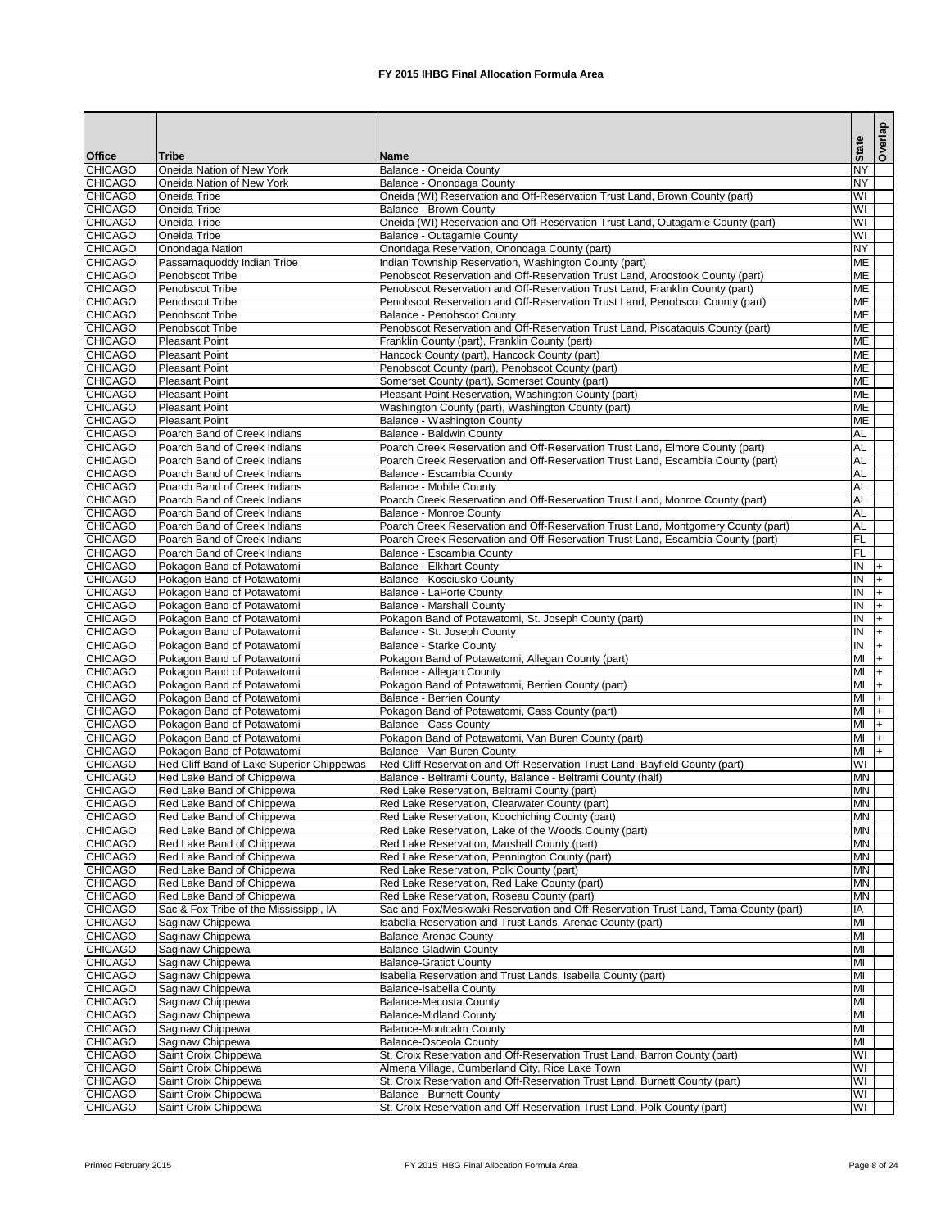|                                  |                                                              |                                                                                                                    | <b>State</b>            | Overlap   |
|----------------------------------|--------------------------------------------------------------|--------------------------------------------------------------------------------------------------------------------|-------------------------|-----------|
| <b>Office</b>                    | Tribe                                                        | <b>Name</b>                                                                                                        |                         |           |
| <b>CHICAGO</b><br><b>CHICAGO</b> | Oneida Nation of New York<br>Oneida Nation of New York       | <b>Balance - Oneida County</b><br>Balance - Onondaga County                                                        | <b>NY</b><br><b>NY</b>  |           |
| <b>CHICAGO</b>                   | Oneida Tribe                                                 | Oneida (WI) Reservation and Off-Reservation Trust Land, Brown County (part)                                        | $\overline{\mathsf{W}}$ |           |
| <b>CHICAGO</b>                   | Oneida Tribe                                                 | <b>Balance - Brown County</b>                                                                                      | WI                      |           |
| <b>CHICAGO</b>                   | Oneida Tribe                                                 | Oneida (WI) Reservation and Off-Reservation Trust Land, Outagamie County (part)                                    | $\overline{\mathsf{W}}$ |           |
| <b>CHICAGO</b>                   | Oneida Tribe                                                 | Balance - Outagamie County                                                                                         | WI                      |           |
| <b>CHICAGO</b>                   | Onondaga Nation                                              | Onondaga Reservation, Onondaga County (part)                                                                       | <b>NY</b>               |           |
| <b>CHICAGO</b>                   | Passamaquoddy Indian Tribe                                   | Indian Township Reservation, Washington County (part)                                                              | <b>ME</b>               |           |
| <b>CHICAGO</b>                   | Penobscot Tribe                                              | Penobscot Reservation and Off-Reservation Trust Land, Aroostook County (part)                                      | <b>ME</b>               |           |
| <b>CHICAGO</b><br><b>CHICAGO</b> | Penobscot Tribe<br>Penobscot Tribe                           | Penobscot Reservation and Off-Reservation Trust Land, Franklin County (part)                                       | <b>ME</b><br><b>ME</b>  |           |
| <b>CHICAGO</b>                   | Penobscot Tribe                                              | Penobscot Reservation and Off-Reservation Trust Land, Penobscot County (part)<br><b>Balance - Penobscot County</b> | <b>ME</b>               |           |
| <b>CHICAGO</b>                   | Penobscot Tribe                                              | Penobscot Reservation and Off-Reservation Trust Land, Piscataquis County (part)                                    | <b>ME</b>               |           |
| <b>CHICAGO</b>                   | <b>Pleasant Point</b>                                        | Franklin County (part), Franklin County (part)                                                                     | <b>ME</b>               |           |
| <b>CHICAGO</b>                   | <b>Pleasant Point</b>                                        | Hancock County (part), Hancock County (part)                                                                       | <b>ME</b>               |           |
| <b>CHICAGO</b>                   | <b>Pleasant Point</b>                                        | Penobscot County (part), Penobscot County (part)                                                                   | <b>ME</b>               |           |
| <b>CHICAGO</b>                   | <b>Pleasant Point</b>                                        | Somerset County (part), Somerset County (part)                                                                     | <b>ME</b>               |           |
| <b>CHICAGO</b>                   | <b>Pleasant Point</b>                                        | Pleasant Point Reservation, Washington County (part)                                                               | <b>ME</b>               |           |
| <b>CHICAGO</b>                   | <b>Pleasant Point</b>                                        | Washington County (part), Washington County (part)                                                                 | <b>ME</b>               |           |
| <b>CHICAGO</b>                   | <b>Pleasant Point</b>                                        | Balance - Washington County                                                                                        | <b>ME</b>               |           |
| <b>CHICAGO</b>                   | Poarch Band of Creek Indians                                 | <b>Balance - Baldwin County</b>                                                                                    | <b>AL</b>               |           |
| <b>CHICAGO</b>                   | Poarch Band of Creek Indians                                 | Poarch Creek Reservation and Off-Reservation Trust Land, Elmore County (part)                                      | AL                      |           |
| <b>CHICAGO</b>                   | Poarch Band of Creek Indians                                 | Poarch Creek Reservation and Off-Reservation Trust Land, Escambia County (part)                                    | AL                      |           |
| <b>CHICAGO</b><br><b>CHICAGO</b> | Poarch Band of Creek Indians<br>Poarch Band of Creek Indians | Balance - Escambia County<br><b>Balance - Mobile County</b>                                                        | <b>AL</b><br><b>AL</b>  |           |
| <b>CHICAGO</b>                   | Poarch Band of Creek Indians                                 | Poarch Creek Reservation and Off-Reservation Trust Land, Monroe County (part)                                      | <b>AL</b>               |           |
| <b>CHICAGO</b>                   | Poarch Band of Creek Indians                                 | <b>Balance - Monroe County</b>                                                                                     | AL                      |           |
| <b>CHICAGO</b>                   | Poarch Band of Creek Indians                                 | Poarch Creek Reservation and Off-Reservation Trust Land, Montgomery County (part)                                  | AL                      |           |
| <b>CHICAGO</b>                   | Poarch Band of Creek Indians                                 | Poarch Creek Reservation and Off-Reservation Trust Land, Escambia County (part)                                    | FL                      |           |
| <b>CHICAGO</b>                   | Poarch Band of Creek Indians                                 | Balance - Escambia County                                                                                          | FL                      |           |
| <b>CHICAGO</b>                   | Pokagon Band of Potawatomi                                   | <b>Balance - Elkhart County</b>                                                                                    | IN                      | I+        |
| <b>CHICAGO</b>                   | Pokagon Band of Potawatomi                                   | Balance - Kosciusko County                                                                                         | IN                      | $\ddot{}$ |
| <b>CHICAGO</b>                   | Pokagon Band of Potawatomi                                   | <b>Balance - LaPorte County</b>                                                                                    | $\overline{N}$          | I+        |
| <b>CHICAGO</b>                   | Pokagon Band of Potawatomi                                   | <b>Balance - Marshall County</b>                                                                                   | $\overline{1}$          | $+$       |
| <b>CHICAGO</b>                   | Pokagon Band of Potawatomi                                   | Pokagon Band of Potawatomi, St. Joseph County (part)                                                               | IN                      |           |
| <b>CHICAGO</b>                   | Pokagon Band of Potawatomi                                   | Balance - St. Joseph County                                                                                        | IN<br>IN                |           |
| <b>CHICAGO</b><br><b>CHICAGO</b> | Pokagon Band of Potawatomi<br>Pokagon Band of Potawatomi     | <b>Balance - Starke County</b><br>Pokagon Band of Potawatomi, Allegan County (part)                                | MI                      |           |
| <b>CHICAGO</b>                   | Pokagon Band of Potawatomi                                   | Balance - Allegan County                                                                                           | MI                      |           |
| <b>CHICAGO</b>                   | Pokagon Band of Potawatomi                                   | Pokagon Band of Potawatomi, Berrien County (part)                                                                  | MI                      |           |
| <b>CHICAGO</b>                   | Pokagon Band of Potawatomi                                   | <b>Balance - Berrien County</b>                                                                                    | MI                      |           |
| <b>CHICAGO</b>                   | Pokagon Band of Potawatomi                                   | Pokagon Band of Potawatomi, Cass County (part)                                                                     | MI                      | $+$       |
| <b>CHICAGO</b>                   | Pokagon Band of Potawatomi                                   | <b>Balance - Cass County</b>                                                                                       | MI                      | $+$       |
| <b>CHICAGO</b>                   | Pokagon Band of Potawatomi                                   | Pokagon Band of Potawatomi, Van Buren County (part)                                                                | MI                      | $+$       |
| <b>CHICAGO</b>                   | Pokagon Band of Potawatomi                                   | Balance - Van Buren County                                                                                         | MI                      | $+$       |
| <b>CHICAGO</b>                   | Red Cliff Band of Lake Superior Chippewas                    | Red Cliff Reservation and Off-Reservation Trust Land, Bayfield County (part)                                       | WI                      |           |
| <b>CHICAGO</b>                   | Red Lake Band of Chippewa                                    | Balance - Beltrami County, Balance - Beltrami County (half)                                                        | <b>MN</b>               |           |
| <b>CHICAGO</b>                   | Red Lake Band of Chippewa                                    | Red Lake Reservation, Beltrami County (part)                                                                       | <b>MN</b>               |           |
| <b>CHICAGO</b>                   | Red Lake Band of Chippewa                                    | Red Lake Reservation, Clearwater County (part)                                                                     | <b>MN</b>               |           |
| <b>CHICAGO</b><br><b>CHICAGO</b> | Red Lake Band of Chippewa<br>Red Lake Band of Chippewa       | Red Lake Reservation, Koochiching County (part)<br>Red Lake Reservation, Lake of the Woods County (part)           | <b>MN</b><br><b>MN</b>  |           |
| <b>CHICAGO</b>                   | Red Lake Band of Chippewa                                    | Red Lake Reservation, Marshall County (part)                                                                       | <b>MN</b>               |           |
| <b>CHICAGO</b>                   | Red Lake Band of Chippewa                                    | Red Lake Reservation, Pennington County (part)                                                                     | <b>MN</b>               |           |
| <b>CHICAGO</b>                   | Red Lake Band of Chippewa                                    | Red Lake Reservation, Polk County (part)                                                                           | <b>MN</b>               |           |
| <b>CHICAGO</b>                   | Red Lake Band of Chippewa                                    | Red Lake Reservation, Red Lake County (part)                                                                       | <b>MN</b>               |           |
| <b>CHICAGO</b>                   | Red Lake Band of Chippewa                                    | Red Lake Reservation, Roseau County (part)                                                                         | <b>MN</b>               |           |
| <b>CHICAGO</b>                   | Sac & Fox Tribe of the Mississippi, IA                       | Sac and Fox/Meskwaki Reservation and Off-Reservation Trust Land, Tama County (part)                                | IA                      |           |
| <b>CHICAGO</b>                   | Saginaw Chippewa                                             | Isabella Reservation and Trust Lands, Arenac County (part)                                                         | MI                      |           |
| <b>CHICAGO</b>                   | Saginaw Chippewa                                             | <b>Balance-Arenac County</b>                                                                                       | MI                      |           |
| <b>CHICAGO</b>                   | Saginaw Chippewa                                             | <b>Balance-Gladwin County</b>                                                                                      | MI                      |           |
| <b>CHICAGO</b>                   | Saginaw Chippewa                                             | <b>Balance-Gratiot County</b>                                                                                      | MI<br>MI                |           |
| <b>CHICAGO</b><br><b>CHICAGO</b> | Saginaw Chippewa<br>Saginaw Chippewa                         | Isabella Reservation and Trust Lands, Isabella County (part)<br><b>Balance-Isabella County</b>                     | MI                      |           |
| <b>CHICAGO</b>                   | Saginaw Chippewa                                             | <b>Balance-Mecosta County</b>                                                                                      | MI                      |           |
| <b>CHICAGO</b>                   | Saginaw Chippewa                                             | <b>Balance-Midland County</b>                                                                                      | MI                      |           |
| <b>CHICAGO</b>                   | Saginaw Chippewa                                             | <b>Balance-Montcalm County</b>                                                                                     | MI                      |           |
| <b>CHICAGO</b>                   | Saginaw Chippewa                                             | <b>Balance-Osceola County</b>                                                                                      | MI                      |           |
| <b>CHICAGO</b>                   | Saint Croix Chippewa                                         | St. Croix Reservation and Off-Reservation Trust Land, Barron County (part)                                         | $\overline{\mathsf{W}}$ |           |
| <b>CHICAGO</b>                   | Saint Croix Chippewa                                         | Almena Village, Cumberland City, Rice Lake Town                                                                    | WI                      |           |
| <b>CHICAGO</b>                   | Saint Croix Chippewa                                         | St. Croix Reservation and Off-Reservation Trust Land, Burnett County (part)                                        | <b>MI</b>               |           |
| <b>CHICAGO</b>                   | Saint Croix Chippewa                                         | <b>Balance - Burnett County</b>                                                                                    | <b>IM</b>               |           |
| <b>CHICAGO</b>                   | Saint Croix Chippewa                                         | St. Croix Reservation and Off-Reservation Trust Land, Polk County (part)                                           | WI                      |           |

Printed February 2015 **FX** 2015 IHBG Final Allocation Formula Area Page 8 of 24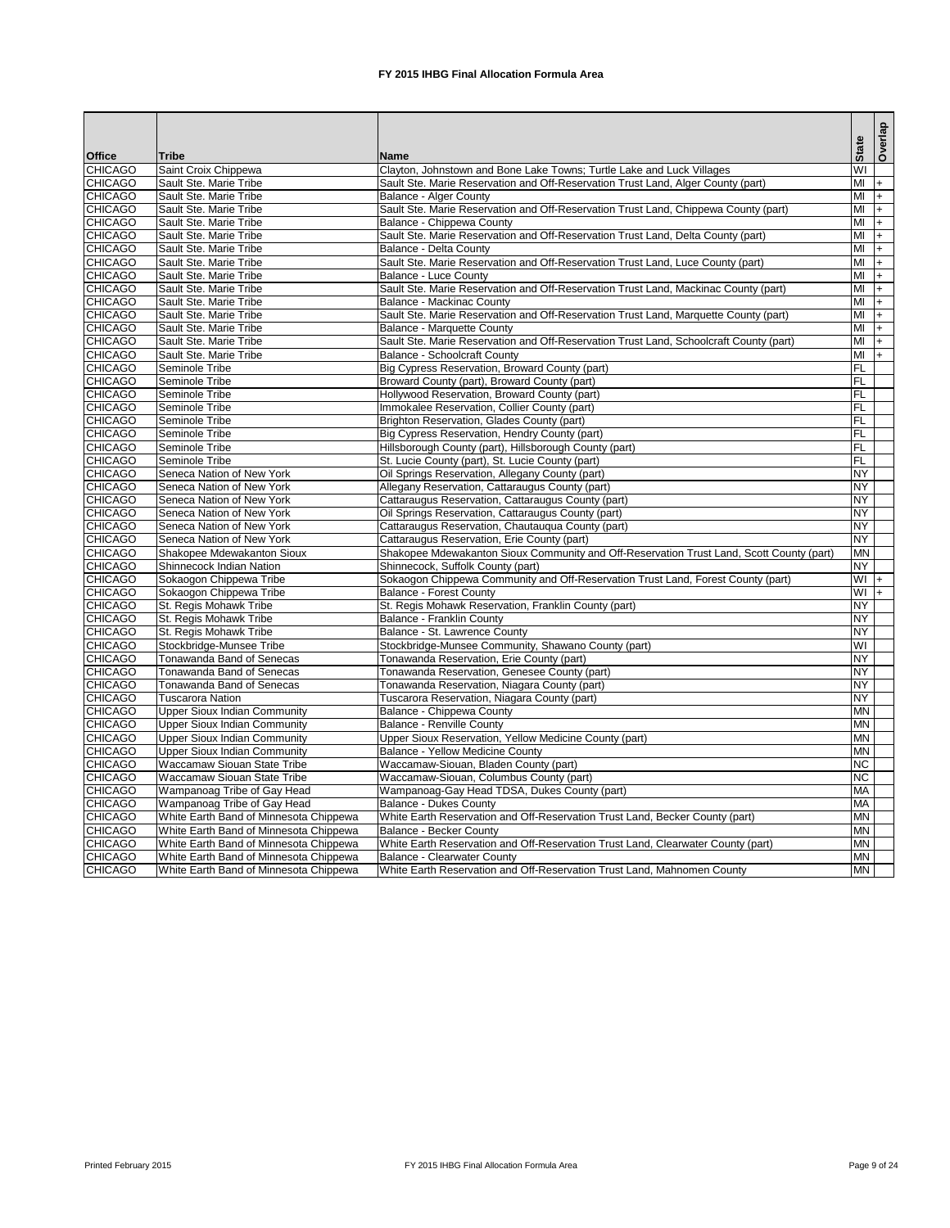|                |                                        |                                                                                          |                                   | Overlap            |
|----------------|----------------------------------------|------------------------------------------------------------------------------------------|-----------------------------------|--------------------|
| <b>Office</b>  | <b>Tribe</b>                           | <b>Name</b>                                                                              | <b>State</b>                      |                    |
| <b>CHICAGO</b> | Saint Croix Chippewa                   | Clayton, Johnstown and Bone Lake Towns; Turtle Lake and Luck Villages                    | WI                                |                    |
| <b>CHICAGO</b> | Sault Ste. Marie Tribe                 | Sault Ste. Marie Reservation and Off-Reservation Trust Land, Alger County (part)         | MI                                | $ + $              |
| <b>CHICAGO</b> | Sault Ste. Marie Tribe                 | <b>Balance - Alger County</b>                                                            | MI                                | $ + $              |
| <b>CHICAGO</b> | Sault Ste. Marie Tribe                 | Sault Ste. Marie Reservation and Off-Reservation Trust Land, Chippewa County (part)      | MI                                | $ + $              |
| <b>CHICAGO</b> | Sault Ste. Marie Tribe                 | Balance - Chippewa County                                                                | MI                                | $ + $              |
| <b>CHICAGO</b> | Sault Ste. Marie Tribe                 | Sault Ste. Marie Reservation and Off-Reservation Trust Land, Delta County (part)         | MI                                | $\left  + \right $ |
| <b>CHICAGO</b> | Sault Ste. Marie Tribe                 | Balance - Delta County                                                                   | MI                                | $ + $              |
| <b>CHICAGO</b> | Sault Ste. Marie Tribe                 | Sault Ste. Marie Reservation and Off-Reservation Trust Land, Luce County (part)          | MI                                | $ + $              |
| <b>CHICAGO</b> | Sault Ste. Marie Tribe                 | Balance - Luce County                                                                    | MI                                | $ + $              |
| <b>CHICAGO</b> | Sault Ste. Marie Tribe                 | Sault Ste. Marie Reservation and Off-Reservation Trust Land, Mackinac County (part)      | M <sub>l</sub>                    | $ + $              |
| <b>CHICAGO</b> | Sault Ste. Marie Tribe                 | <b>Balance - Mackinac County</b>                                                         | M <sub>l</sub>                    | $ + $              |
| <b>CHICAGO</b> | Sault Ste. Marie Tribe                 | Sault Ste. Marie Reservation and Off-Reservation Trust Land, Marquette County (part)     | MI                                | $ + $              |
| <b>CHICAGO</b> | Sault Ste. Marie Tribe                 | Balance - Marquette County                                                               | MI                                | $ + $              |
| <b>CHICAGO</b> | Sault Ste. Marie Tribe                 | Sault Ste. Marie Reservation and Off-Reservation Trust Land, Schoolcraft County (part)   | MI                                | $ + $              |
| <b>CHICAGO</b> | Sault Ste. Marie Tribe                 | <b>Balance - Schoolcraft County</b>                                                      | MI                                | $ + $              |
| <b>CHICAGO</b> | Seminole Tribe                         | Big Cypress Reservation, Broward County (part)                                           | F                                 |                    |
| <b>CHICAGO</b> | Seminole Tribe                         | Broward County (part), Broward County (part)                                             | <b>FL</b>                         |                    |
| <b>CHICAGO</b> | Seminole Tribe                         | Hollywood Reservation, Broward County (part)                                             | F                                 |                    |
| <b>CHICAGO</b> | Seminole Tribe                         | Immokalee Reservation, Collier County (part)                                             | FL                                |                    |
| <b>CHICAGO</b> | Seminole Tribe                         | Brighton Reservation, Glades County (part)                                               | F                                 |                    |
| <b>CHICAGO</b> | Seminole Tribe                         | Big Cypress Reservation, Hendry County (part)                                            | FL                                |                    |
| <b>CHICAGO</b> | Seminole Tribe                         | Hillsborough County (part), Hillsborough County (part)                                   | FL                                |                    |
| <b>CHICAGO</b> | Seminole Tribe                         | St. Lucie County (part), St. Lucie County (part)                                         | <b>FL</b>                         |                    |
| <b>CHICAGO</b> | Seneca Nation of New York              | Oil Springs Reservation, Allegany County (part)                                          | <b>NY</b>                         |                    |
| <b>CHICAGO</b> | Seneca Nation of New York              | Allegany Reservation, Cattaraugus County (part)                                          | <b>NY</b>                         |                    |
| <b>CHICAGO</b> | Seneca Nation of New York              | Cattaraugus Reservation, Cattaraugus County (part)                                       | <b>NY</b>                         |                    |
| <b>CHICAGO</b> | Seneca Nation of New York              | Oil Springs Reservation, Cattaraugus County (part)                                       | <b>NY</b>                         |                    |
| <b>CHICAGO</b> | Seneca Nation of New York              | Cattaraugus Reservation, Chautauqua County (part)                                        | <b>NY</b>                         |                    |
| <b>CHICAGO</b> | Seneca Nation of New York              | Cattaraugus Reservation, Erie County (part)                                              | <b>NY</b>                         |                    |
| <b>CHICAGO</b> | Shakopee Mdewakanton Sioux             | Shakopee Mdewakanton Sioux Community and Off-Reservation Trust Land, Scott County (part) | <b>MN</b>                         |                    |
| <b>CHICAGO</b> | Shinnecock Indian Nation               | Shinnecock, Suffolk County (part)                                                        | <b>NY</b>                         |                    |
| <b>CHICAGO</b> | Sokaogon Chippewa Tribe                | Sokaogon Chippewa Community and Off-Reservation Trust Land, Forest County (part)         | $+$ IW                            |                    |
| <b>CHICAGO</b> | Sokaogon Chippewa Tribe                | Balance - Forest County                                                                  | $WI +$                            |                    |
| <b>CHICAGO</b> | St. Regis Mohawk Tribe                 | St. Regis Mohawk Reservation, Franklin County (part)                                     | <b>NY</b>                         |                    |
| <b>CHICAGO</b> | St. Regis Mohawk Tribe                 | Balance - Franklin County                                                                | <b>NY</b>                         |                    |
| <b>CHICAGO</b> | St. Regis Mohawk Tribe                 | Balance - St. Lawrence County                                                            | <b>NY</b>                         |                    |
| <b>CHICAGO</b> | Stockbridge-Munsee Tribe               | Stockbridge-Munsee Community, Shawano County (part)                                      | $\overline{\mathsf{I}\mathsf{M}}$ |                    |
| <b>CHICAGO</b> | Tonawanda Band of Senecas              | Tonawanda Reservation, Erie County (part)                                                | <b>NY</b>                         |                    |
| <b>CHICAGO</b> | <b>Tonawanda Band of Senecas</b>       | Tonawanda Reservation, Genesee County (part)                                             | <b>NY</b>                         |                    |
| <b>CHICAGO</b> | Tonawanda Band of Senecas              | Tonawanda Reservation, Niagara County (part)                                             | <b>NY</b>                         |                    |
| <b>CHICAGO</b> | <b>Tuscarora Nation</b>                | Tuscarora Reservation, Niagara County (part)                                             | <b>NY</b>                         |                    |
| <b>CHICAGO</b> | <b>Upper Sioux Indian Community</b>    | Balance - Chippewa County                                                                | <b>MN</b>                         |                    |
| <b>CHICAGO</b> | <b>Upper Sioux Indian Community</b>    | Balance - Renville County                                                                | <b>MN</b>                         |                    |
| <b>CHICAGO</b> | <b>Upper Sioux Indian Community</b>    | Upper Sioux Reservation, Yellow Medicine County (part)                                   | <b>MN</b>                         |                    |
| <b>CHICAGO</b> | <b>Upper Sioux Indian Community</b>    | Balance - Yellow Medicine County                                                         | <b>MN</b>                         |                    |
| <b>CHICAGO</b> | Waccamaw Siouan State Tribe            | Waccamaw-Siouan, Bladen County (part)                                                    | <b>NC</b>                         |                    |
| <b>CHICAGO</b> | <b>Waccamaw Siouan State Tribe</b>     | Waccamaw-Siouan, Columbus County (part)                                                  | <b>NC</b>                         |                    |
| <b>CHICAGO</b> | Wampanoag Tribe of Gay Head            | Wampanoag-Gay Head TDSA, Dukes County (part)                                             | <b>MA</b>                         |                    |
| <b>CHICAGO</b> | Wampanoag Tribe of Gay Head            | <b>Balance - Dukes County</b>                                                            | <b>MA</b>                         |                    |
| <b>CHICAGO</b> | White Earth Band of Minnesota Chippewa | White Earth Reservation and Off-Reservation Trust Land, Becker County (part)             | <b>MN</b>                         |                    |
| <b>CHICAGO</b> | White Earth Band of Minnesota Chippewa | Balance - Becker County                                                                  | <b>MN</b>                         |                    |
| <b>CHICAGO</b> | White Earth Band of Minnesota Chippewa | White Earth Reservation and Off-Reservation Trust Land, Clearwater County (part)         | <b>MN</b>                         |                    |
| <b>CHICAGO</b> | White Earth Band of Minnesota Chippewa | Balance - Clearwater County                                                              | <b>MN</b>                         |                    |
| <b>CHICAGO</b> | White Earth Band of Minnesota Chippewa | White Earth Reservation and Off-Reservation Trust Land, Mahnomen County                  | <b>MN</b>                         |                    |

Printed February 2015 **FX** 2015 IHBG Final Allocation Formula Area Page 9 of 24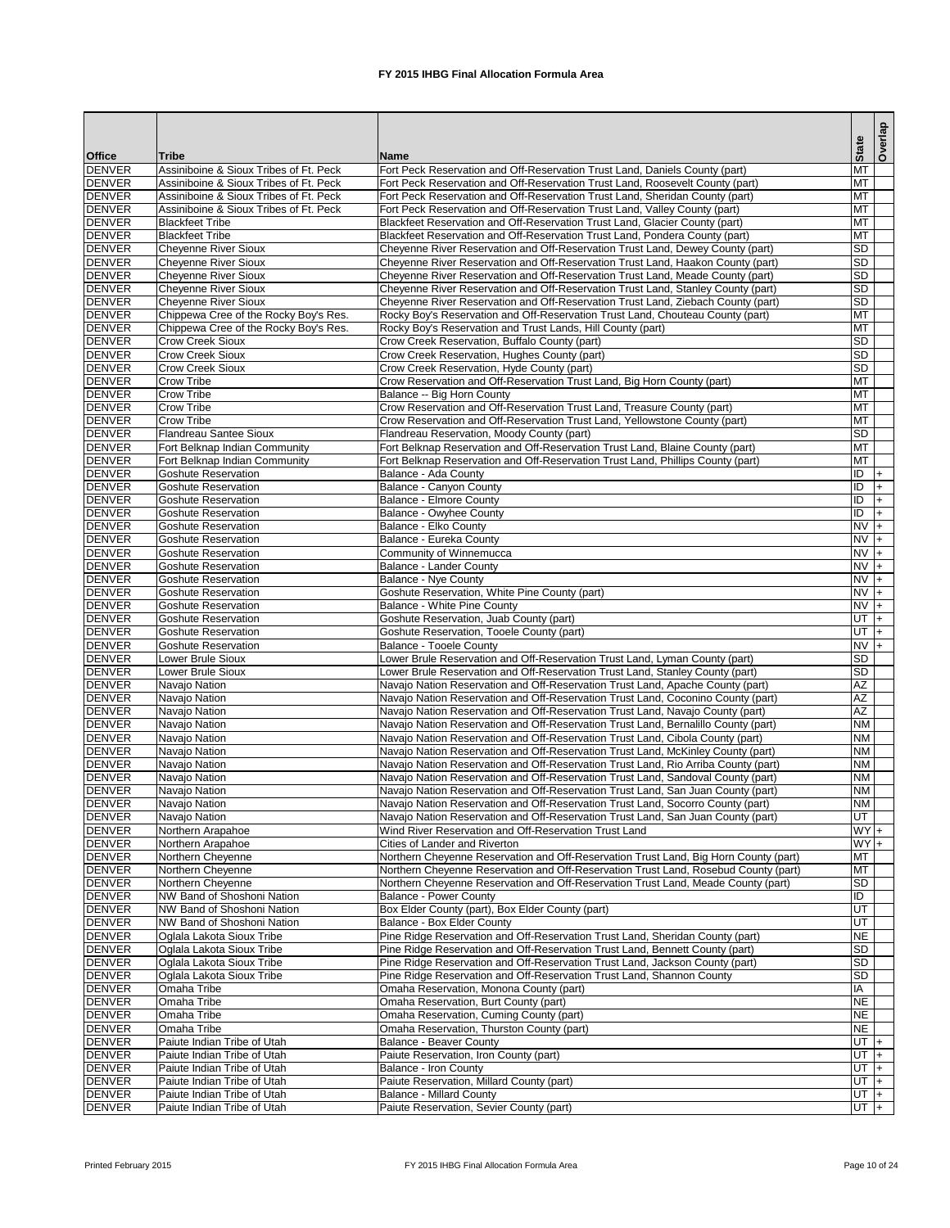|                                |                                                                                  |                                                                                                                                                                     | <b>State</b>           | Overlap |  |
|--------------------------------|----------------------------------------------------------------------------------|---------------------------------------------------------------------------------------------------------------------------------------------------------------------|------------------------|---------|--|
| <b>Office</b>                  | <b>Tribe</b>                                                                     | <b>Name</b>                                                                                                                                                         |                        |         |  |
| <b>DENVER</b>                  | Assiniboine & Sioux Tribes of Ft. Peck                                           | Fort Peck Reservation and Off-Reservation Trust Land, Daniels County (part)                                                                                         | <b>MT</b>              |         |  |
| <b>DENVER</b><br><b>DENVER</b> | Assiniboine & Sioux Tribes of Ft. Peck<br>Assiniboine & Sioux Tribes of Ft. Peck | Fort Peck Reservation and Off-Reservation Trust Land, Roosevelt County (part)<br>Fort Peck Reservation and Off-Reservation Trust Land, Sheridan County (part)       | MT<br><b>MT</b>        |         |  |
| <b>DENVER</b>                  | Assiniboine & Sioux Tribes of Ft. Peck                                           | Fort Peck Reservation and Off-Reservation Trust Land, Valley County (part)                                                                                          | <b>MT</b>              |         |  |
| <b>DENVER</b>                  | <b>Blackfeet Tribe</b>                                                           | Blackfeet Reservation and Off-Reservation Trust Land, Glacier County (part)                                                                                         | <b>MT</b>              |         |  |
| <b>DENVER</b>                  | <b>Blackfeet Tribe</b>                                                           | Blackfeet Reservation and Off-Reservation Trust Land, Pondera County (part)                                                                                         | <b>MT</b>              |         |  |
| <b>DENVER</b>                  | <b>Cheyenne River Sioux</b>                                                      | Cheyenne River Reservation and Off-Reservation Trust Land, Dewey County (part)                                                                                      | <b>SD</b>              |         |  |
| <b>DENVER</b>                  | <b>Cheyenne River Sioux</b>                                                      | Cheyenne River Reservation and Off-Reservation Trust Land, Haakon County (part)                                                                                     | <b>SD</b>              |         |  |
| <b>DENVER</b>                  | <b>Cheyenne River Sioux</b>                                                      | Cheyenne River Reservation and Off-Reservation Trust Land, Meade County (part)                                                                                      | <b>SD</b>              |         |  |
| <b>DENVER</b>                  | <b>Cheyenne River Sioux</b>                                                      | Cheyenne River Reservation and Off-Reservation Trust Land, Stanley County (part)                                                                                    | <b>SD</b><br><b>SD</b> |         |  |
| <b>DENVER</b><br><b>DENVER</b> | <b>Cheyenne River Sioux</b><br>Chippewa Cree of the Rocky Boy's Res.             | Cheyenne River Reservation and Off-Reservation Trust Land, Ziebach County (part)<br>Rocky Boy's Reservation and Off-Reservation Trust Land, Chouteau County (part)  | <b>MT</b>              |         |  |
| <b>DENVER</b>                  | Chippewa Cree of the Rocky Boy's Res.                                            | Rocky Boy's Reservation and Trust Lands, Hill County (part)                                                                                                         | <b>MT</b>              |         |  |
| <b>DENVER</b>                  | <b>Crow Creek Sioux</b>                                                          | Crow Creek Reservation, Buffalo County (part)                                                                                                                       | <b>SD</b>              |         |  |
| <b>DENVER</b>                  | <b>Crow Creek Sioux</b>                                                          | Crow Creek Reservation, Hughes County (part)                                                                                                                        | <b>SD</b>              |         |  |
| <b>DENVER</b>                  | <b>Crow Creek Sioux</b>                                                          | Crow Creek Reservation, Hyde County (part)                                                                                                                          | <b>SD</b>              |         |  |
| <b>DENVER</b>                  | <b>Crow Tribe</b>                                                                | Crow Reservation and Off-Reservation Trust Land, Big Horn County (part)                                                                                             | MT                     |         |  |
| <b>DENVER</b>                  | <b>Crow Tribe</b>                                                                | Balance -- Big Horn County                                                                                                                                          | <b>MT</b>              |         |  |
| <b>DENVER</b>                  | <b>Crow Tribe</b>                                                                | Crow Reservation and Off-Reservation Trust Land, Treasure County (part)                                                                                             | MT                     |         |  |
| <b>DENVER</b>                  | <b>Crow Tribe</b><br><b>Flandreau Santee Sioux</b>                               | Crow Reservation and Off-Reservation Trust Land, Yellowstone County (part)                                                                                          | <b>MT</b><br><b>SD</b> |         |  |
| <b>DENVER</b><br><b>DENVER</b> | Fort Belknap Indian Community                                                    | Flandreau Reservation, Moody County (part)<br>Fort Belknap Reservation and Off-Reservation Trust Land, Blaine County (part)                                         | <b>MT</b>              |         |  |
| <b>DENVER</b>                  | Fort Belknap Indian Community                                                    | Fort Belknap Reservation and Off-Reservation Trust Land, Phillips County (part)                                                                                     | <b>MT</b>              |         |  |
| <b>DENVER</b>                  | <b>Goshute Reservation</b>                                                       | Balance - Ada County                                                                                                                                                | ID                     | $\pm$   |  |
| <b>DENVER</b>                  | <b>Goshute Reservation</b>                                                       | Balance - Canyon County                                                                                                                                             | ID                     |         |  |
| <b>DENVER</b>                  | <b>Goshute Reservation</b>                                                       | <b>Balance - Elmore County</b>                                                                                                                                      | ID                     | $\pm$   |  |
| <b>DENVER</b>                  | <b>Goshute Reservation</b>                                                       | Balance - Owyhee County                                                                                                                                             | ID                     | I+      |  |
| <b>DENVER</b>                  | <b>Goshute Reservation</b>                                                       | Balance - Elko County                                                                                                                                               | <b>NV</b>              | $ +$    |  |
| <b>DENVER</b>                  | <b>Goshute Reservation</b>                                                       | Balance - Eureka County                                                                                                                                             | <b>NV</b>              | $+$     |  |
| <b>DENVER</b><br><b>DENVER</b> | <b>Goshute Reservation</b>                                                       | Community of Winnemucca                                                                                                                                             | <b>NV</b><br>$NVI +$   | $+$     |  |
| <b>DENVER</b>                  | <b>Goshute Reservation</b><br><b>Goshute Reservation</b>                         | <b>Balance - Lander County</b><br><b>Balance - Nye County</b>                                                                                                       | <b>NV</b>              | $+$     |  |
| <b>DENVER</b>                  | <b>Goshute Reservation</b>                                                       | Goshute Reservation, White Pine County (part)                                                                                                                       | $NVI +$                |         |  |
| <b>DENVER</b>                  | <b>Goshute Reservation</b>                                                       | Balance - White Pine County                                                                                                                                         | $N\overline{V}$ +      |         |  |
| <b>DENVER</b>                  | <b>Goshute Reservation</b>                                                       | Goshute Reservation, Juab County (part)                                                                                                                             | UT.                    | $ + $   |  |
| <b>DENVER</b>                  | <b>Goshute Reservation</b>                                                       | Goshute Reservation, Tooele County (part)                                                                                                                           | UT                     | $ + $   |  |
| <b>DENVER</b>                  | <b>Goshute Reservation</b>                                                       | <b>Balance - Tooele County</b>                                                                                                                                      | $NV +$                 |         |  |
| <b>DENVER</b>                  | Lower Brule Sioux                                                                | Lower Brule Reservation and Off-Reservation Trust Land, Lyman County (part)                                                                                         | <b>SD</b>              |         |  |
| <b>DENVER</b><br><b>DENVER</b> | Lower Brule Sioux                                                                | Lower Brule Reservation and Off-Reservation Trust Land, Stanley County (part)                                                                                       | <b>SD</b><br>AZ        |         |  |
| <b>DENVER</b>                  | Navajo Nation<br>Navajo Nation                                                   | Navajo Nation Reservation and Off-Reservation Trust Land, Apache County (part)<br>Navajo Nation Reservation and Off-Reservation Trust Land, Coconino County (part)  | AZ                     |         |  |
| <b>DENVER</b>                  | Navajo Nation                                                                    | Navajo Nation Reservation and Off-Reservation Trust Land, Navajo County (part)                                                                                      | $\overline{AZ}$        |         |  |
| <b>DENVER</b>                  | Navajo Nation                                                                    | Navajo Nation Reservation and Off-Reservation Trust Land, Bernalillo County (part)                                                                                  | <b>NM</b>              |         |  |
| <b>DENVER</b>                  | Navajo Nation                                                                    | Navajo Nation Reservation and Off-Reservation Trust Land, Cibola County (part)                                                                                      | <b>NM</b>              |         |  |
| <b>DENVER</b>                  | Navajo Nation                                                                    | Navajo Nation Reservation and Off-Reservation Trust Land, McKinley County (part)                                                                                    | <b>NM</b>              |         |  |
| <b>DENVER</b>                  | Navajo Nation                                                                    | Navajo Nation Reservation and Off-Reservation Trust Land, Rio Arriba County (part)                                                                                  | <b>NM</b>              |         |  |
| <b>DENVER</b>                  | Navajo Nation                                                                    | Navajo Nation Reservation and Off-Reservation Trust Land, Sandoval County (part)                                                                                    | <b>NM</b>              |         |  |
| <b>DENVER</b>                  | Navajo Nation                                                                    | Navajo Nation Reservation and Off-Reservation Trust Land, San Juan County (part)                                                                                    | <b>NM</b>              |         |  |
| <b>DENVER</b><br><b>DENVER</b> | Navajo Nation<br>Navajo Nation                                                   | Navajo Nation Reservation and Off-Reservation Trust Land, Socorro County (part)<br>Navajo Nation Reservation and Off-Reservation Trust Land, San Juan County (part) | <b>NM</b><br>UT        |         |  |
| <b>DENVER</b>                  | Northern Arapahoe                                                                | Wind River Reservation and Off-Reservation Trust Land                                                                                                               | $WY +$                 |         |  |
| <b>DENVER</b>                  | Northern Arapahoe                                                                | Cities of Lander and Riverton                                                                                                                                       | $WY +$                 |         |  |
| <b>DENVER</b>                  | Northern Cheyenne                                                                | Northern Cheyenne Reservation and Off-Reservation Trust Land, Big Horn County (part)                                                                                | MT                     |         |  |
| <b>DENVER</b>                  | Northern Cheyenne                                                                | Northern Cheyenne Reservation and Off-Reservation Trust Land, Rosebud County (part)                                                                                 | <b>MT</b>              |         |  |
| <b>DENVER</b>                  | Northern Cheyenne                                                                | Northern Cheyenne Reservation and Off-Reservation Trust Land, Meade County (part)                                                                                   | <b>SD</b>              |         |  |
| <b>DENVER</b>                  | <b>NW Band of Shoshoni Nation</b>                                                | <b>Balance - Power County</b>                                                                                                                                       | Ū                      |         |  |
| <b>DENVER</b>                  | NW Band of Shoshoni Nation                                                       | Box Elder County (part), Box Elder County (part)                                                                                                                    | UT                     |         |  |
| <b>DENVER</b>                  | <b>NW Band of Shoshoni Nation</b>                                                | Balance - Box Elder County                                                                                                                                          | UT<br><b>NE</b>        |         |  |
| <b>DENVER</b><br><b>DENVER</b> | Oglala Lakota Sioux Tribe<br>Oglala Lakota Sioux Tribe                           | Pine Ridge Reservation and Off-Reservation Trust Land, Sheridan County (part)<br>Pine Ridge Reservation and Off-Reservation Trust Land, Bennett County (part)       | <b>SD</b>              |         |  |
| <b>DENVER</b>                  | Oglala Lakota Sioux Tribe                                                        | Pine Ridge Reservation and Off-Reservation Trust Land, Jackson County (part)                                                                                        | <b>SD</b>              |         |  |
| <b>DENVER</b>                  | Oglala Lakota Sioux Tribe                                                        | Pine Ridge Reservation and Off-Reservation Trust Land, Shannon County                                                                                               | <b>SD</b>              |         |  |
| <b>DENVER</b>                  | Omaha Tribe                                                                      | Omaha Reservation, Monona County (part)                                                                                                                             | IA                     |         |  |
| <b>DENVER</b>                  | Omaha Tribe                                                                      | Omaha Reservation, Burt County (part)                                                                                                                               | <b>NE</b>              |         |  |
| <b>DENVER</b>                  | Omaha Tribe                                                                      | Omaha Reservation, Cuming County (part)                                                                                                                             | <b>NE</b>              |         |  |
| <b>DENVER</b>                  | Omaha Tribe                                                                      | Omaha Reservation, Thurston County (part)                                                                                                                           | <b>NE</b>              |         |  |
| <b>DENVER</b>                  | Paiute Indian Tribe of Utah                                                      | <b>Balance - Beaver County</b>                                                                                                                                      | UT.                    | $+$     |  |
| <b>DENVER</b>                  | Paiute Indian Tribe of Utah                                                      | Paiute Reservation, Iron County (part)                                                                                                                              | UT                     | $ +$    |  |
| <b>DENVER</b>                  | Paiute Indian Tribe of Utah                                                      | Balance - Iron County<br>Paiute Reservation, Millard County (part)                                                                                                  | UT<br>UT $+$           | $ +$    |  |
| <b>DENVER</b><br><b>DENVER</b> | Paiute Indian Tribe of Utah<br>Paiute Indian Tribe of Utah                       | <b>Balance - Millard County</b>                                                                                                                                     | $UT$ +                 |         |  |
| <b>DENVER</b>                  | Paiute Indian Tribe of Utah                                                      | Paiute Reservation, Sevier County (part)                                                                                                                            | UT $\vert + \vert$     |         |  |
|                                |                                                                                  |                                                                                                                                                                     |                        |         |  |

Printed February 2015 **FX** 2015 IHBG Final Allocation Formula Area Page 10 of 24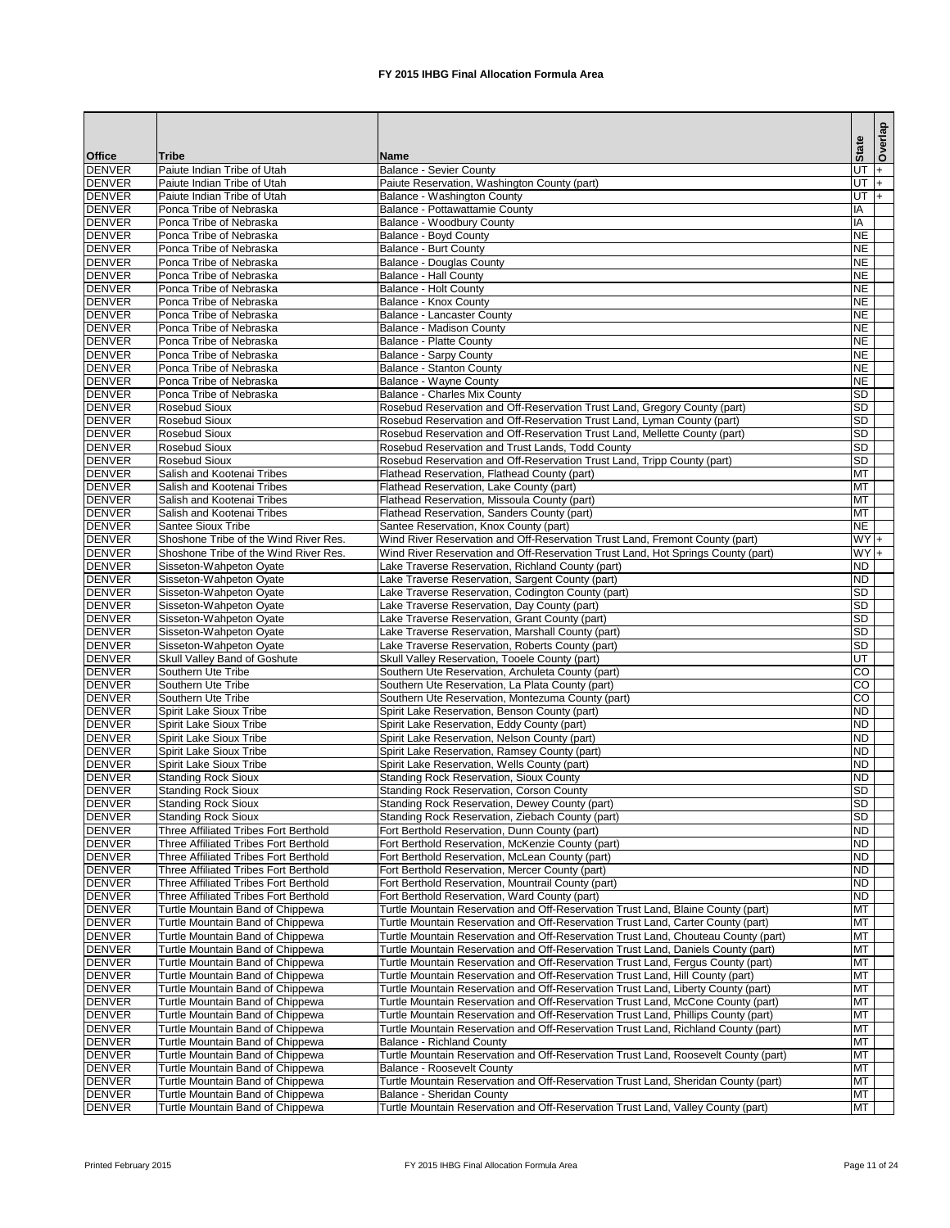|                                |                                                                                |                                                                                                                                                                  | <b>State</b>           | Overlap |
|--------------------------------|--------------------------------------------------------------------------------|------------------------------------------------------------------------------------------------------------------------------------------------------------------|------------------------|---------|
| <b>Office</b>                  | Tribe                                                                          | <b>Name</b>                                                                                                                                                      |                        |         |
| <b>DENVER</b>                  | Paiute Indian Tribe of Utah                                                    | <b>Balance - Sevier County</b>                                                                                                                                   | UT                     | $ + $   |
| <b>DENVER</b>                  | Paiute Indian Tribe of Utah                                                    | Paiute Reservation, Washington County (part)                                                                                                                     | UT $+$                 |         |
| <b>DENVER</b><br><b>DENVER</b> | Paiute Indian Tribe of Utah<br>Ponca Tribe of Nebraska                         | Balance - Washington County<br>Balance - Pottawattamie County                                                                                                    | UT $ +$<br>ΙA          |         |
| <b>DENVER</b>                  | Ponca Tribe of Nebraska                                                        | Balance - Woodbury County                                                                                                                                        | IA                     |         |
| <b>DENVER</b>                  | Ponca Tribe of Nebraska                                                        | <b>Balance - Boyd County</b>                                                                                                                                     | <b>NE</b>              |         |
| <b>DENVER</b>                  | Ponca Tribe of Nebraska                                                        | <b>Balance - Burt County</b>                                                                                                                                     | <b>NE</b>              |         |
| <b>DENVER</b>                  | Ponca Tribe of Nebraska                                                        | <b>Balance - Douglas County</b>                                                                                                                                  | <b>NE</b>              |         |
| <b>DENVER</b>                  | Ponca Tribe of Nebraska                                                        | <b>Balance - Hall County</b>                                                                                                                                     | <b>NE</b>              |         |
| <b>DENVER</b>                  | Ponca Tribe of Nebraska                                                        | <b>Balance - Holt County</b>                                                                                                                                     | <b>NE</b>              |         |
| <b>DENVER</b>                  | Ponca Tribe of Nebraska                                                        | Balance - Knox County                                                                                                                                            | <b>NE</b>              |         |
| <b>DENVER</b>                  | Ponca Tribe of Nebraska                                                        | Balance - Lancaster County                                                                                                                                       | <b>NE</b>              |         |
| <b>DENVER</b>                  | Ponca Tribe of Nebraska                                                        | <b>Balance - Madison County</b>                                                                                                                                  | <b>NE</b>              |         |
| <b>DENVER</b><br><b>DENVER</b> | Ponca Tribe of Nebraska<br>Ponca Tribe of Nebraska                             | <b>Balance - Platte County</b><br><b>Balance - Sarpy County</b>                                                                                                  | <b>NE</b><br><b>NE</b> |         |
| <b>DENVER</b>                  | Ponca Tribe of Nebraska                                                        | Balance - Stanton County                                                                                                                                         | <b>NE</b>              |         |
| <b>DENVER</b>                  | Ponca Tribe of Nebraska                                                        | <b>Balance - Wayne County</b>                                                                                                                                    | <b>NE</b>              |         |
| <b>DENVER</b>                  | Ponca Tribe of Nebraska                                                        | <b>Balance - Charles Mix County</b>                                                                                                                              | <b>SD</b>              |         |
| <b>DENVER</b>                  | <b>Rosebud Sioux</b>                                                           | Rosebud Reservation and Off-Reservation Trust Land, Gregory County (part)                                                                                        | <b>SD</b>              |         |
| <b>DENVER</b>                  | <b>Rosebud Sioux</b>                                                           | Rosebud Reservation and Off-Reservation Trust Land, Lyman County (part)                                                                                          | <b>SD</b>              |         |
| <b>DENVER</b>                  | <b>Rosebud Sioux</b>                                                           | Rosebud Reservation and Off-Reservation Trust Land, Mellette County (part)                                                                                       | <b>SD</b>              |         |
| <b>DENVER</b>                  | <b>Rosebud Sioux</b>                                                           | Rosebud Reservation and Trust Lands, Todd County                                                                                                                 | <b>SD</b>              |         |
| <b>DENVER</b>                  | <b>Rosebud Sioux</b>                                                           | Rosebud Reservation and Off-Reservation Trust Land, Tripp County (part)                                                                                          | <b>SD</b>              |         |
| <b>DENVER</b>                  | Salish and Kootenai Tribes                                                     | Flathead Reservation, Flathead County (part)                                                                                                                     | MT                     |         |
| <b>DENVER</b>                  | Salish and Kootenai Tribes                                                     | Flathead Reservation, Lake County (part)                                                                                                                         | <b>MT</b>              |         |
| <b>DENVER</b>                  | Salish and Kootenai Tribes                                                     | Flathead Reservation, Missoula County (part)                                                                                                                     | <b>MT</b>              |         |
| <b>DENVER</b>                  | Salish and Kootenai Tribes                                                     | Flathead Reservation, Sanders County (part)                                                                                                                      | <b>MT</b>              |         |
| <b>DENVER</b>                  | Santee Sioux Tribe                                                             | Santee Reservation, Knox County (part)                                                                                                                           | <b>NE</b>              |         |
| <b>DENVER</b><br><b>DENVER</b> | Shoshone Tribe of the Wind River Res.<br>Shoshone Tribe of the Wind River Res. | Wind River Reservation and Off-Reservation Trust Land, Fremont County (part)<br>Wind River Reservation and Off-Reservation Trust Land, Hot Springs County (part) | $WY +$<br>$WY +$       |         |
| <b>DENVER</b>                  | Sisseton-Wahpeton Oyate                                                        | Lake Traverse Reservation, Richland County (part)                                                                                                                | <b>ND</b>              |         |
| <b>DENVER</b>                  | Sisseton-Wahpeton Oyate                                                        | Lake Traverse Reservation, Sargent County (part)                                                                                                                 | <b>ND</b>              |         |
| <b>DENVER</b>                  | Sisseton-Wahpeton Oyate                                                        | Lake Traverse Reservation, Codington County (part)                                                                                                               | SD                     |         |
| <b>DENVER</b>                  | Sisseton-Wahpeton Oyate                                                        | Lake Traverse Reservation, Day County (part)                                                                                                                     | <b>SD</b>              |         |
| <b>DENVER</b>                  | Sisseton-Wahpeton Oyate                                                        | Lake Traverse Reservation, Grant County (part)                                                                                                                   | <b>SD</b>              |         |
| <b>DENVER</b>                  | Sisseton-Wahpeton Oyate                                                        | Lake Traverse Reservation, Marshall County (part)                                                                                                                | SD                     |         |
| <b>DENVER</b>                  | Sisseton-Wahpeton Oyate                                                        | Lake Traverse Reservation, Roberts County (part)                                                                                                                 | $\overline{SD}$        |         |
| <b>DENVER</b>                  | Skull Valley Band of Goshute                                                   | Skull Valley Reservation, Tooele County (part)                                                                                                                   | $\overline{UT}$        |         |
| <b>DENVER</b>                  | Southern Ute Tribe                                                             | Southern Ute Reservation, Archuleta County (part)                                                                                                                | CO                     |         |
| <b>DENVER</b>                  | Southern Ute Tribe                                                             | Southern Ute Reservation, La Plata County (part)                                                                                                                 | $\overline{CO}$        |         |
| <b>DENVER</b>                  | Southern Ute Tribe                                                             | Southern Ute Reservation, Montezuma County (part)                                                                                                                | $\overline{co}$        |         |
| <b>DENVER</b>                  | Spirit Lake Sioux Tribe                                                        | Spirit Lake Reservation, Benson County (part)                                                                                                                    | <b>ND</b><br><b>ND</b> |         |
| <b>DENVER</b><br><b>DENVER</b> | Spirit Lake Sioux Tribe<br><b>Spirit Lake Sioux Tribe</b>                      | Spirit Lake Reservation, Eddy County (part)<br>Spirit Lake Reservation, Nelson County (part)                                                                     | <b>ND</b>              |         |
| <b>DENVER</b>                  | Spirit Lake Sioux Tribe                                                        | Spirit Lake Reservation, Ramsey County (part)                                                                                                                    | <b>ND</b>              |         |
| <b>DENVER</b>                  | Spirit Lake Sioux Tribe                                                        | Spirit Lake Reservation, Wells County (part)                                                                                                                     | <b>ND</b>              |         |
| <b>DENVER</b>                  | <b>Standing Rock Sioux</b>                                                     | <b>Standing Rock Reservation, Sioux County</b>                                                                                                                   | <b>ND</b>              |         |
| <b>DENVER</b>                  | <b>Standing Rock Sioux</b>                                                     | <b>Standing Rock Reservation, Corson County</b>                                                                                                                  | <b>SD</b>              |         |
| <b>DENVER</b>                  | <b>Standing Rock Sioux</b>                                                     | <b>Standing Rock Reservation, Dewey County (part)</b>                                                                                                            | <b>SD</b>              |         |
| <b>DENVER</b>                  | <b>Standing Rock Sioux</b>                                                     | Standing Rock Reservation, Ziebach County (part)                                                                                                                 | <b>SD</b>              |         |
| <b>DENVER</b>                  | Three Affiliated Tribes Fort Berthold                                          | Fort Berthold Reservation, Dunn County (part)                                                                                                                    | <b>ND</b>              |         |
| <b>DENVER</b>                  | Three Affiliated Tribes Fort Berthold                                          | Fort Berthold Reservation, McKenzie County (part)                                                                                                                | <b>ND</b>              |         |
| <b>DENVER</b>                  | Three Affiliated Tribes Fort Berthold                                          | Fort Berthold Reservation, McLean County (part)                                                                                                                  | <b>ND</b>              |         |
| <b>DENVER</b>                  | Three Affiliated Tribes Fort Berthold                                          | Fort Berthold Reservation, Mercer County (part)                                                                                                                  | <b>ND</b>              |         |
| <b>DENVER</b>                  | Three Affiliated Tribes Fort Berthold                                          | Fort Berthold Reservation, Mountrail County (part)                                                                                                               | <b>ND</b>              |         |
| <b>DENVER</b><br><b>DENVER</b> | Three Affiliated Tribes Fort Berthold<br>Turtle Mountain Band of Chippewa      | Fort Berthold Reservation, Ward County (part)<br>Turtle Mountain Reservation and Off-Reservation Trust Land, Blaine County (part)                                | <b>ND</b><br><b>MT</b> |         |
| <b>DENVER</b>                  | Turtle Mountain Band of Chippewa                                               | Turtle Mountain Reservation and Off-Reservation Trust Land, Carter County (part)                                                                                 | <b>MT</b>              |         |
| <b>DENVER</b>                  | Turtle Mountain Band of Chippewa                                               | Turtle Mountain Reservation and Off-Reservation Trust Land, Chouteau County (part)                                                                               | <b>MT</b>              |         |
| <b>DENVER</b>                  | Turtle Mountain Band of Chippewa                                               | Turtle Mountain Reservation and Off-Reservation Trust Land, Daniels County (part)                                                                                | <b>MT</b>              |         |
| <b>DENVER</b>                  | Turtle Mountain Band of Chippewa                                               | Turtle Mountain Reservation and Off-Reservation Trust Land, Fergus County (part)                                                                                 | <b>MT</b>              |         |
| <b>DENVER</b>                  | Turtle Mountain Band of Chippewa                                               | Turtle Mountain Reservation and Off-Reservation Trust Land, Hill County (part)                                                                                   | MT                     |         |
| <b>DENVER</b>                  | Turtle Mountain Band of Chippewa                                               | Turtle Mountain Reservation and Off-Reservation Trust Land, Liberty County (part)                                                                                | <b>MT</b>              |         |
| <b>DENVER</b>                  | Turtle Mountain Band of Chippewa                                               | Turtle Mountain Reservation and Off-Reservation Trust Land, McCone County (part)                                                                                 | MT                     |         |
| <b>DENVER</b>                  | Turtle Mountain Band of Chippewa                                               | Turtle Mountain Reservation and Off-Reservation Trust Land, Phillips County (part)                                                                               | MT                     |         |
| <b>DENVER</b>                  | Turtle Mountain Band of Chippewa                                               | Turtle Mountain Reservation and Off-Reservation Trust Land, Richland County (part)                                                                               | MT                     |         |
| <b>DENVER</b>                  | Turtle Mountain Band of Chippewa                                               | <b>Balance - Richland County</b>                                                                                                                                 | <b>MT</b>              |         |
| <b>DENVER</b>                  | Turtle Mountain Band of Chippewa                                               | Turtle Mountain Reservation and Off-Reservation Trust Land, Roosevelt County (part)                                                                              | MT                     |         |
| <b>DENVER</b>                  | Turtle Mountain Band of Chippewa                                               | <b>Balance - Roosevelt County</b>                                                                                                                                | <b>MT</b>              |         |
| <b>DENVER</b><br><b>DENVER</b> | Turtle Mountain Band of Chippewa<br>Turtle Mountain Band of Chippewa           | Turtle Mountain Reservation and Off-Reservation Trust Land, Sheridan County (part)<br>Balance - Sheridan County                                                  | MT<br><b>MT</b>        |         |
| <b>DENVER</b>                  | Turtle Mountain Band of Chippewa                                               | Turtle Mountain Reservation and Off-Reservation Trust Land, Valley County (part)                                                                                 | <b>MT</b>              |         |
|                                |                                                                                |                                                                                                                                                                  |                        |         |

Printed February 2015 **FX** 2015 IHBG Final Allocation Formula Area Page 11 of 24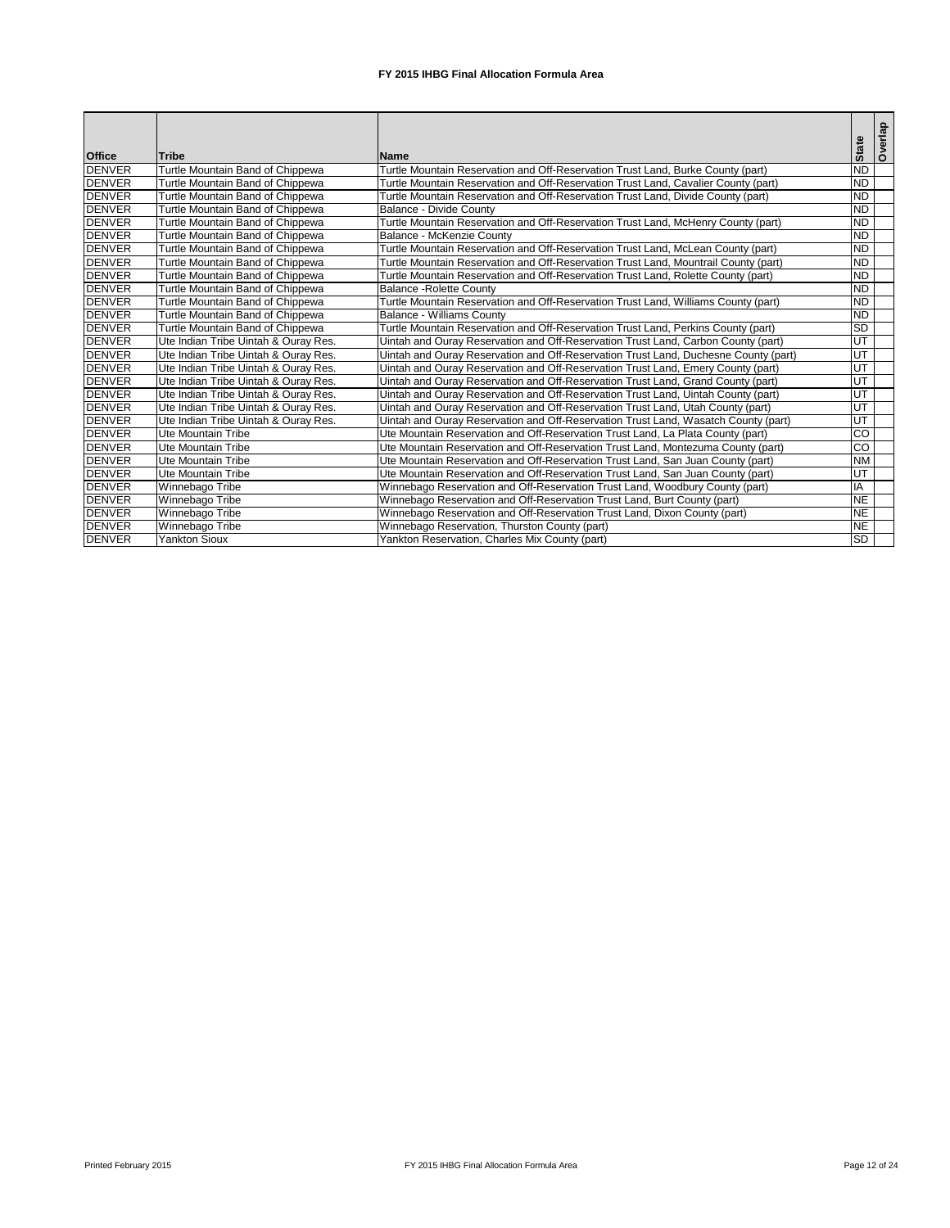|               |                                      |                                                                                     |              | Overlap |
|---------------|--------------------------------------|-------------------------------------------------------------------------------------|--------------|---------|
| <b>Office</b> | <b>Tribe</b>                         | <b>Name</b>                                                                         | <b>State</b> |         |
| <b>DENVER</b> | Turtle Mountain Band of Chippewa     | Turtle Mountain Reservation and Off-Reservation Trust Land, Burke County (part)     | <b>ND</b>    |         |
| <b>DENVER</b> | Turtle Mountain Band of Chippewa     | Turtle Mountain Reservation and Off-Reservation Trust Land, Cavalier County (part)  | <b>ND</b>    |         |
| <b>DENVER</b> | Turtle Mountain Band of Chippewa     | Turtle Mountain Reservation and Off-Reservation Trust Land, Divide County (part)    | <b>ND</b>    |         |
| <b>DENVER</b> | Turtle Mountain Band of Chippewa     | <b>Balance - Divide County</b>                                                      | <b>ND</b>    |         |
| <b>DENVER</b> | Turtle Mountain Band of Chippewa     | Turtle Mountain Reservation and Off-Reservation Trust Land, McHenry County (part)   | <b>ND</b>    |         |
| <b>DENVER</b> | Turtle Mountain Band of Chippewa     | Balance - McKenzie County                                                           | <b>ND</b>    |         |
| <b>DENVER</b> | Turtle Mountain Band of Chippewa     | Turtle Mountain Reservation and Off-Reservation Trust Land, McLean County (part)    | <b>ND</b>    |         |
| <b>DENVER</b> | Turtle Mountain Band of Chippewa     | Turtle Mountain Reservation and Off-Reservation Trust Land, Mountrail County (part) | <b>ND</b>    |         |
| <b>DENVER</b> | Turtle Mountain Band of Chippewa     | Turtle Mountain Reservation and Off-Reservation Trust Land, Rolette County (part)   | <b>ND</b>    |         |
| <b>DENVER</b> | Turtle Mountain Band of Chippewa     | <b>Balance - Rolette County</b>                                                     | <b>ND</b>    |         |
| <b>DENVER</b> | Turtle Mountain Band of Chippewa     | Turtle Mountain Reservation and Off-Reservation Trust Land, Williams County (part)  | <b>ND</b>    |         |
| <b>DENVER</b> | Turtle Mountain Band of Chippewa     | <b>Balance - Williams County</b>                                                    | <b>ND</b>    |         |
| <b>DENVER</b> | Turtle Mountain Band of Chippewa     | Turtle Mountain Reservation and Off-Reservation Trust Land, Perkins County (part)   | <b>SD</b>    |         |
| <b>DENVER</b> | Ute Indian Tribe Uintah & Ouray Res. | Uintah and Ouray Reservation and Off-Reservation Trust Land, Carbon County (part)   | UT           |         |
| <b>DENVER</b> | Ute Indian Tribe Uintah & Ouray Res. | Uintah and Ouray Reservation and Off-Reservation Trust Land, Duchesne County (part) | UT           |         |
| <b>DENVER</b> | Ute Indian Tribe Uintah & Ouray Res. | Uintah and Ouray Reservation and Off-Reservation Trust Land, Emery County (part)    | UT           |         |
| <b>DENVER</b> | Ute Indian Tribe Uintah & Ouray Res. | Uintah and Ouray Reservation and Off-Reservation Trust Land, Grand County (part)    | UT           |         |
| <b>DENVER</b> | Ute Indian Tribe Uintah & Ouray Res. | Uintah and Ouray Reservation and Off-Reservation Trust Land, Uintah County (part)   | UT           |         |
| <b>DENVER</b> | Ute Indian Tribe Uintah & Ouray Res. | Uintah and Ouray Reservation and Off-Reservation Trust Land, Utah County (part)     | UT           |         |
| <b>DENVER</b> | Ute Indian Tribe Uintah & Ouray Res. | Uintah and Ouray Reservation and Off-Reservation Trust Land, Wasatch County (part)  | UT           |         |
| <b>DENVER</b> | Ute Mountain Tribe                   | Ute Mountain Reservation and Off-Reservation Trust Land, La Plata County (part)     | g            |         |
| <b>DENVER</b> | Ute Mountain Tribe                   | Ute Mountain Reservation and Off-Reservation Trust Land, Montezuma County (part)    | CO           |         |
| <b>DENVER</b> | Ute Mountain Tribe                   | Ute Mountain Reservation and Off-Reservation Trust Land, San Juan County (part)     | <b>NM</b>    |         |
| <b>DENVER</b> | Ute Mountain Tribe                   | Ute Mountain Reservation and Off-Reservation Trust Land, San Juan County (part)     | UT           |         |
| <b>DENVER</b> | Winnebago Tribe                      | Winnebago Reservation and Off-Reservation Trust Land, Woodbury County (part)        | IA           |         |
| <b>DENVER</b> | Winnebago Tribe                      | Winnebago Reservation and Off-Reservation Trust Land, Burt County (part)            | <b>NE</b>    |         |
| <b>DENVER</b> | Winnebago Tribe                      | Winnebago Reservation and Off-Reservation Trust Land, Dixon County (part)           | <b>NE</b>    |         |
| <b>DENVER</b> | Winnebago Tribe                      | Winnebago Reservation, Thurston County (part)                                       | <b>NE</b>    |         |
| <b>DENVER</b> | <b>Yankton Sioux</b>                 | Yankton Reservation, Charles Mix County (part)                                      | <b>SD</b>    |         |

Printed February 2015 **FX** 2015 IHBG Final Allocation Formula Area Page 12 of 24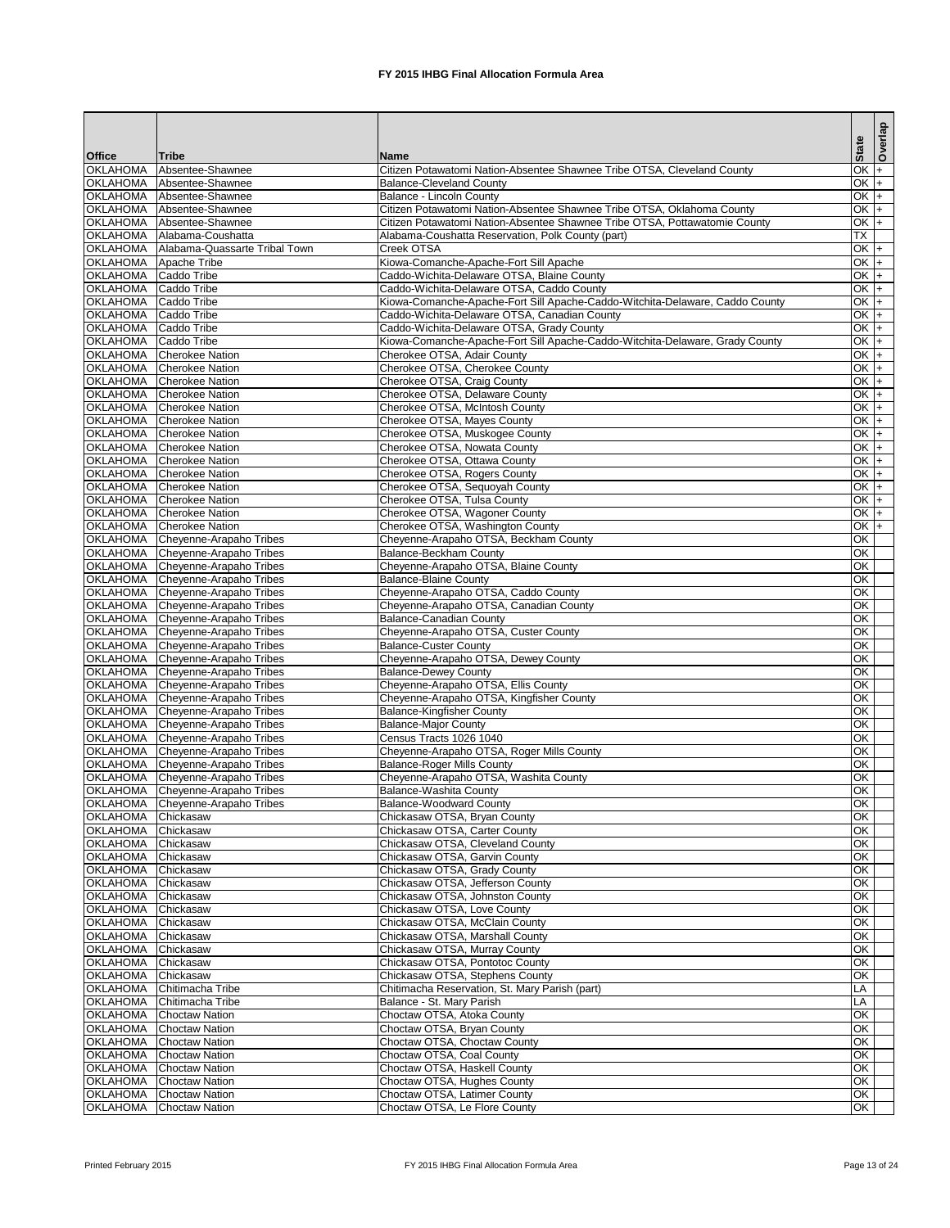|                                         |                                                    |                                                                                                                           |                  | Overlap |
|-----------------------------------------|----------------------------------------------------|---------------------------------------------------------------------------------------------------------------------------|------------------|---------|
| <b>Office</b>                           | Tribe                                              | <b>Name</b>                                                                                                               | <b>State</b>     |         |
| <b>OKLAHOMA</b>                         | Absentee-Shawnee                                   | Citizen Potawatomi Nation-Absentee Shawnee Tribe OTSA, Cleveland County                                                   | $OK +$           |         |
| <b>OKLAHOMA</b>                         | Absentee-Shawnee                                   | <b>Balance-Cleveland County</b>                                                                                           | $OK +$           |         |
| <b>OKLAHOMA</b>                         | Absentee-Shawnee                                   | Balance - Lincoln County                                                                                                  | $ OK $ +         |         |
| <b>OKLAHOMA</b>                         | Absentee-Shawnee                                   | Citizen Potawatomi Nation-Absentee Shawnee Tribe OTSA, Oklahoma County                                                    | $OK +$           |         |
| <b>OKLAHOMA</b><br><b>OKLAHOMA</b>      | Absentee-Shawnee<br>Alabama-Coushatta              | Citizen Potawatomi Nation-Absentee Shawnee Tribe OTSA, Pottawatomie County                                                | $OK +$<br>ТX     |         |
| <b>OKLAHOMA</b>                         | Alabama-Quassarte Tribal Town                      | Alabama-Coushatta Reservation, Polk County (part)<br><b>Creek OTSA</b>                                                    | $OK +$           |         |
| <b>OKLAHOMA</b>                         | Apache Tribe                                       | Kiowa-Comanche-Apache-Fort Sill Apache                                                                                    | OK $+$           |         |
| OKLAHOMA Caddo Tribe                    |                                                    | Caddo-Wichita-Delaware OTSA, Blaine County                                                                                | $OK +$           |         |
| <b>OKLAHOMA</b>                         | <b>Caddo Tribe</b>                                 | Caddo-Wichita-Delaware OTSA, Caddo County                                                                                 | $OK +$           |         |
| <b>OKLAHOMA</b>                         | <b>Caddo Tribe</b>                                 | Kiowa-Comanche-Apache-Fort Sill Apache-Caddo-Witchita-Delaware, Caddo County                                              | $OK +$           |         |
| OKLAHOMA Caddo Tribe                    |                                                    | Caddo-Wichita-Delaware OTSA, Canadian County                                                                              | $OK +$           |         |
| OKLAHOMA Caddo Tribe<br><b>OKLAHOMA</b> | Caddo Tribe                                        | Caddo-Wichita-Delaware OTSA, Grady County<br>Kiowa-Comanche-Apache-Fort Sill Apache-Caddo-Witchita-Delaware, Grady County | $OK +$<br>$OK +$ |         |
| <b>OKLAHOMA</b>                         | <b>Cherokee Nation</b>                             | Cherokee OTSA, Adair County                                                                                               | $OK +$           |         |
| <b>OKLAHOMA</b>                         | <b>Cherokee Nation</b>                             | Cherokee OTSA, Cherokee County                                                                                            | $OK +$           |         |
|                                         | OKLAHOMA Cherokee Nation                           | Cherokee OTSA, Craig County                                                                                               | $OK +$           |         |
| <b>OKLAHOMA</b>                         | <b>Cherokee Nation</b>                             | Cherokee OTSA, Delaware County                                                                                            | $OK +$           |         |
| <b>OKLAHOMA</b>                         | <b>Cherokee Nation</b>                             | Cherokee OTSA, McIntosh County                                                                                            | $OK +$           |         |
| <b>OKLAHOMA</b><br><b>OKLAHOMA</b>      | <b>Cherokee Nation</b><br><b>Cherokee Nation</b>   | Cherokee OTSA, Mayes County<br>Cherokee OTSA, Muskogee County                                                             | $OK +$<br>$OK +$ |         |
| <b>OKLAHOMA</b>                         | <b>Cherokee Nation</b>                             | Cherokee OTSA, Nowata County                                                                                              | $OK +$           |         |
| <b>OKLAHOMA</b>                         | <b>Cherokee Nation</b>                             | Cherokee OTSA, Ottawa County                                                                                              | $OK +$           |         |
| <b>OKLAHOMA</b>                         | <b>Cherokee Nation</b>                             | Cherokee OTSA, Rogers County                                                                                              | $OK +$           |         |
| <b>OKLAHOMA</b>                         | <b>Cherokee Nation</b>                             | Cherokee OTSA, Sequoyah County                                                                                            | $OK +$           |         |
| <b>OKLAHOMA</b>                         | <b>Cherokee Nation</b>                             | Cherokee OTSA, Tulsa County                                                                                               | $OK +$           |         |
| <b>OKLAHOMA</b>                         | <b>Cherokee Nation</b>                             | Cherokee OTSA, Wagoner County                                                                                             | $OK +$           |         |
| <b>OKLAHOMA</b><br><b>OKLAHOMA</b>      | <b>Cherokee Nation</b><br>Cheyenne-Arapaho Tribes  | Cherokee OTSA, Washington County<br>Cheyenne-Arapaho OTSA, Beckham County                                                 | $OK +$<br>OK     |         |
| <b>OKLAHOMA</b>                         | Cheyenne-Arapaho Tribes                            | <b>Balance-Beckham County</b>                                                                                             | OK               |         |
| <b>OKLAHOMA</b>                         | Cheyenne-Arapaho Tribes                            | Cheyenne-Arapaho OTSA, Blaine County                                                                                      | OK               |         |
| <b>OKLAHOMA</b>                         | Cheyenne-Arapaho Tribes                            | <b>Balance-Blaine County</b>                                                                                              | OK               |         |
| <b>OKLAHOMA</b>                         | Cheyenne-Arapaho Tribes                            | Cheyenne-Arapaho OTSA, Caddo County                                                                                       | <b>OK</b>        |         |
| <b>OKLAHOMA</b>                         | Cheyenne-Arapaho Tribes                            | Cheyenne-Arapaho OTSA, Canadian County                                                                                    | OK               |         |
| <b>OKLAHOMA</b><br><b>OKLAHOMA</b>      | Cheyenne-Arapaho Tribes                            | <b>Balance-Canadian County</b><br>Cheyenne-Arapaho OTSA, Custer County                                                    | OK<br>OK         |         |
| <b>OKLAHOMA</b>                         | Cheyenne-Arapaho Tribes<br>Cheyenne-Arapaho Tribes | <b>Balance-Custer County</b>                                                                                              | OK               |         |
| <b>OKLAHOMA</b>                         | Cheyenne-Arapaho Tribes                            | Cheyenne-Arapaho OTSA, Dewey County                                                                                       | OK               |         |
| <b>OKLAHOMA</b>                         | Cheyenne-Arapaho Tribes                            | <b>Balance-Dewey County</b>                                                                                               | OK               |         |
| <b>OKLAHOMA</b>                         | Cheyenne-Arapaho Tribes                            | Cheyenne-Arapaho OTSA, Ellis County                                                                                       | OK               |         |
| <b>OKLAHOMA</b>                         | Cheyenne-Arapaho Tribes                            | Cheyenne-Arapaho OTSA, Kingfisher County                                                                                  | OK               |         |
| <b>OKLAHOMA</b><br><b>OKLAHOMA</b>      | Cheyenne-Arapaho Tribes                            | <b>Balance-Kingfisher County</b>                                                                                          | ЮK<br>ЮK         |         |
| <b>OKLAHOMA</b>                         | Cheyenne-Arapaho Tribes<br>Cheyenne-Arapaho Tribes | <b>Balance-Major County</b><br>Census Tracts 1026 1040                                                                    | OK               |         |
| <b>OKLAHOMA</b>                         | Cheyenne-Arapaho Tribes                            | Cheyenne-Arapaho OTSA, Roger Mills County                                                                                 | OK               |         |
| <b>OKLAHOMA</b>                         | Cheyenne-Arapaho Tribes                            | <b>Balance-Roger Mills County</b>                                                                                         | OK               |         |
| <b>OKLAHOMA</b>                         | Cheyenne-Arapaho Tribes                            | Cheyenne-Arapaho OTSA, Washita County                                                                                     | OK               |         |
| <b>OKLAHOMA</b>                         | Cheyenne-Arapaho Tribes                            | <b>Balance-Washita County</b>                                                                                             | OK               |         |
| <b>OKLAHOMA</b>                         | Cheyenne-Arapaho Tribes                            | <b>Balance-Woodward County</b>                                                                                            | OK               |         |
| <b>OKLAHOMA</b><br><b>OKLAHOMA</b>      | Chickasaw<br>Chickasaw                             | Chickasaw OTSA, Bryan County<br>Chickasaw OTSA, Carter County                                                             | OK<br>ЮK         |         |
| <b>OKLAHOMA</b>                         | Chickasaw                                          | Chickasaw OTSA, Cleveland County                                                                                          | OK               |         |
| <b>OKLAHOMA</b>                         | Chickasaw                                          | Chickasaw OTSA, Garvin County                                                                                             | ЮK               |         |
| <b>OKLAHOMA</b>                         | Chickasaw                                          | Chickasaw OTSA, Grady County                                                                                              | OK               |         |
| <b>OKLAHOMA</b>                         | Chickasaw                                          | Chickasaw OTSA, Jefferson County                                                                                          | ЮK               |         |
| <b>OKLAHOMA</b>                         | Chickasaw                                          | Chickasaw OTSA, Johnston County                                                                                           | OK               |         |
| <b>OKLAHOMA</b><br><b>OKLAHOMA</b>      | Chickasaw<br>Chickasaw                             | Chickasaw OTSA, Love County<br>Chickasaw OTSA, McClain County                                                             | ЮK<br>OK         |         |
| <b>OKLAHOMA</b>                         | Chickasaw                                          | Chickasaw OTSA, Marshall County                                                                                           | OK               |         |
| <b>OKLAHOMA</b>                         | Chickasaw                                          | Chickasaw OTSA, Murray County                                                                                             | ЮK               |         |
| <b>OKLAHOMA</b>                         | Chickasaw                                          | Chickasaw OTSA, Pontotoc County                                                                                           | OK               |         |
| <b>OKLAHOMA</b>                         | Chickasaw                                          | Chickasaw OTSA, Stephens County                                                                                           | OK               |         |
| <b>OKLAHOMA</b>                         | Chitimacha Tribe                                   | Chitimacha Reservation, St. Mary Parish (part)                                                                            | LA               |         |
| <b>OKLAHOMA</b><br><b>OKLAHOMA</b>      | Chitimacha Tribe<br><b>Choctaw Nation</b>          | Balance - St. Mary Parish<br>Choctaw OTSA, Atoka County                                                                   | LA<br>OK         |         |
| <b>OKLAHOMA</b>                         | <b>Choctaw Nation</b>                              | Choctaw OTSA, Bryan County                                                                                                | OK               |         |
| <b>OKLAHOMA</b>                         | <b>Choctaw Nation</b>                              | Choctaw OTSA, Choctaw County                                                                                              | OK               |         |
| <b>OKLAHOMA</b>                         | <b>Choctaw Nation</b>                              | Choctaw OTSA, Coal County                                                                                                 | OK               |         |
| <b>OKLAHOMA</b>                         | <b>Choctaw Nation</b>                              | Choctaw OTSA, Haskell County                                                                                              | OK               |         |
| <b>OKLAHOMA</b>                         | <b>Choctaw Nation</b>                              | Choctaw OTSA, Hughes County                                                                                               | $\overline{OR}$  |         |
| <b>OKLAHOMA</b><br><b>OKLAHOMA</b>      | <b>Choctaw Nation</b><br><b>Choctaw Nation</b>     | Choctaw OTSA, Latimer County<br>Choctaw OTSA, Le Flore County                                                             | ЮK<br>OK         |         |
|                                         |                                                    |                                                                                                                           |                  |         |

Printed February 2015 **FX** 2015 IHBG Final Allocation Formula Area Page 13 of 24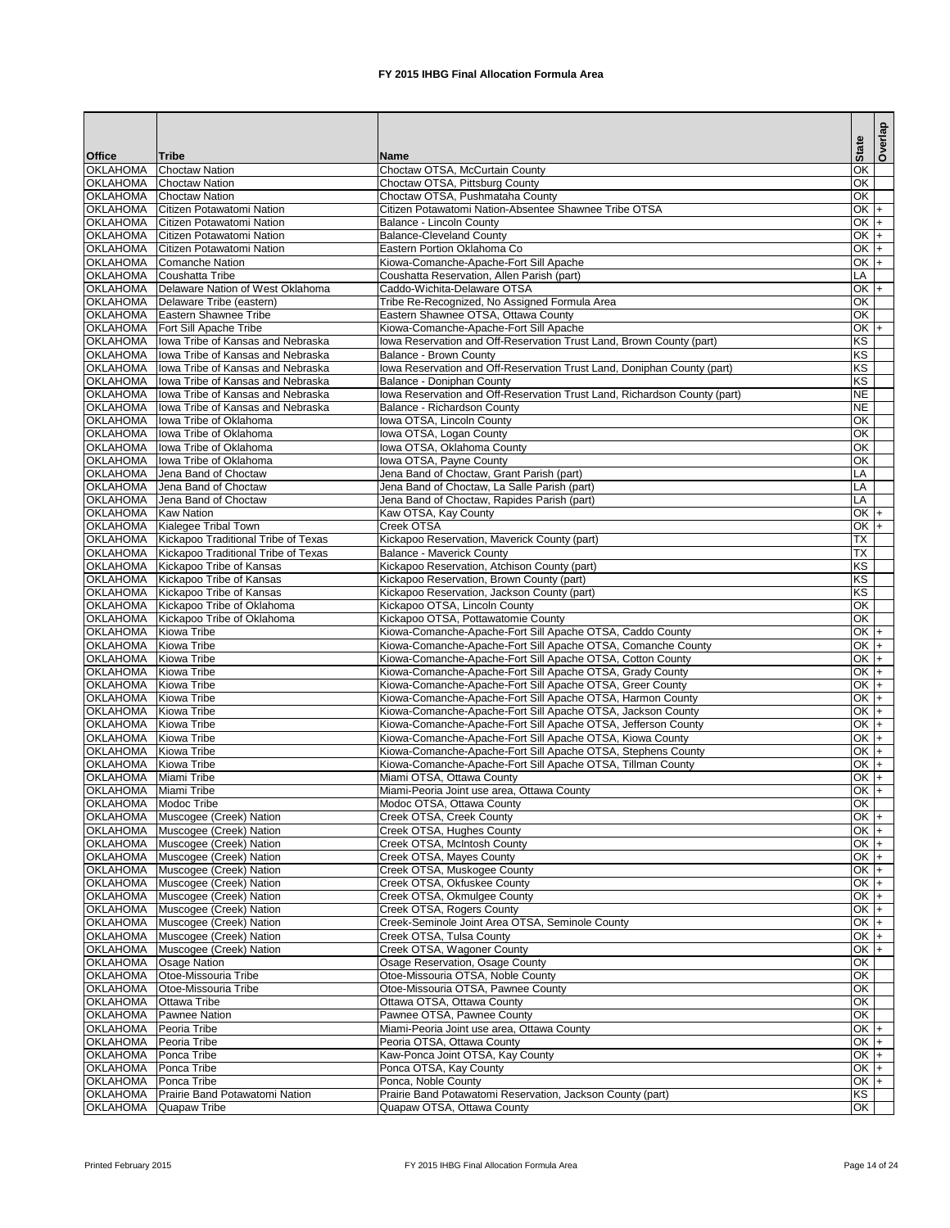|                                    |                                                                        |                                                                                          | <b>State</b>             | Overlap |
|------------------------------------|------------------------------------------------------------------------|------------------------------------------------------------------------------------------|--------------------------|---------|
| <b>Office</b><br><b>OKLAHOMA</b>   | Tribe<br><b>Choctaw Nation</b>                                         | <b>Name</b><br>Choctaw OTSA, McCurtain County                                            | $\overline{OK}$          |         |
| <b>OKLAHOMA</b>                    | <b>Choctaw Nation</b>                                                  | Choctaw OTSA, Pittsburg County                                                           | $\overline{OK}$          |         |
| <b>OKLAHOMA</b>                    | <b>Choctaw Nation</b>                                                  | Choctaw OTSA, Pushmataha County                                                          | $\overline{OK}$          |         |
| <b>OKLAHOMA</b>                    | Citizen Potawatomi Nation                                              | Citizen Potawatomi Nation-Absentee Shawnee Tribe OTSA                                    | $OK +$                   |         |
| <b>OKLAHOMA</b>                    | Citizen Potawatomi Nation                                              | Balance - Lincoln County                                                                 | $OK +$                   |         |
| <b>OKLAHOMA</b>                    | Citizen Potawatomi Nation                                              | <b>Balance-Cleveland County</b>                                                          | $OK +$                   |         |
| <b>OKLAHOMA</b>                    | Citizen Potawatomi Nation                                              | Eastern Portion Oklahoma Co                                                              | OK                       | I+      |
| <b>OKLAHOMA</b>                    | Comanche Nation                                                        | Kiowa-Comanche-Apache-Fort Sill Apache                                                   | $OK +$<br>LA             |         |
| <b>OKLAHOMA</b><br><b>OKLAHOMA</b> | Coushatta Tribe<br>Delaware Nation of West Oklahoma                    | Coushatta Reservation, Allen Parish (part)<br>Caddo-Wichita-Delaware OTSA                | $OK +$                   |         |
| <b>OKLAHOMA</b>                    | Delaware Tribe (eastern)                                               | Tribe Re-Recognized, No Assigned Formula Area                                            | $\overline{OK}$          |         |
| <b>OKLAHOMA</b>                    | Eastern Shawnee Tribe                                                  | Eastern Shawnee OTSA, Ottawa County                                                      | OK                       |         |
| <b>OKLAHOMA</b>                    | Fort Sill Apache Tribe                                                 | Kiowa-Comanche-Apache-Fort Sill Apache                                                   | $OK +$                   |         |
| <b>OKLAHOMA</b>                    | lowa Tribe of Kansas and Nebraska                                      | Iowa Reservation and Off-Reservation Trust Land, Brown County (part)                     | KS                       |         |
| <b>OKLAHOMA</b>                    | Iowa Tribe of Kansas and Nebraska                                      | <b>Balance - Brown County</b>                                                            | KS                       |         |
| <b>OKLAHOMA</b>                    | Iowa Tribe of Kansas and Nebraska                                      | Iowa Reservation and Off-Reservation Trust Land, Doniphan County (part)                  | KS                       |         |
| <b>OKLAHOMA</b>                    | lowa Tribe of Kansas and Nebraska                                      | Balance - Doniphan County                                                                | KS                       |         |
| <b>OKLAHOMA</b><br><b>OKLAHOMA</b> | lowa Tribe of Kansas and Nebraska<br>Iowa Tribe of Kansas and Nebraska | Iowa Reservation and Off-Reservation Trust Land, Richardson County (part)                | <b>NE</b><br><b>NE</b>   |         |
| <b>OKLAHOMA</b>                    | Iowa Tribe of Oklahoma                                                 | Balance - Richardson County<br>Iowa OTSA, Lincoln County                                 | ΟK                       |         |
| <b>OKLAHOMA</b>                    | lowa Tribe of Oklahoma                                                 | Iowa OTSA, Logan County                                                                  | OK                       |         |
| <b>OKLAHOMA</b>                    | lowa Tribe of Oklahoma                                                 | Iowa OTSA, Oklahoma County                                                               | $\overline{OK}$          |         |
| <b>OKLAHOMA</b>                    | lowa Tribe of Oklahoma                                                 | Iowa OTSA, Payne County                                                                  | $\overline{OK}$          |         |
| <b>OKLAHOMA</b>                    | Jena Band of Choctaw                                                   | Jena Band of Choctaw, Grant Parish (part)                                                | LA                       |         |
| <b>OKLAHOMA</b>                    | Jena Band of Choctaw                                                   | Jena Band of Choctaw, La Salle Parish (part)                                             | LA                       |         |
| <b>OKLAHOMA</b>                    | Jena Band of Choctaw                                                   | Jena Band of Choctaw, Rapides Parish (part)                                              | LA                       |         |
| <b>OKLAHOMA</b>                    | <b>Kaw Nation</b>                                                      | Kaw OTSA, Kay County                                                                     | $OK +$                   |         |
| <b>OKLAHOMA</b>                    | Kialegee Tribal Town                                                   | <b>Creek OTSA</b>                                                                        | $OK +$                   |         |
| <b>OKLAHOMA</b>                    | Kickapoo Traditional Tribe of Texas                                    | Kickapoo Reservation, Maverick County (part)                                             | $\overline{\mathsf{TX}}$ |         |
| <b>OKLAHOMA</b>                    | Kickapoo Traditional Tribe of Texas                                    | <b>Balance - Maverick County</b>                                                         | TX                       |         |
| <b>OKLAHOMA</b>                    | Kickapoo Tribe of Kansas                                               | Kickapoo Reservation, Atchison County (part)                                             | KS                       |         |
| <b>OKLAHOMA</b>                    | Kickapoo Tribe of Kansas                                               | Kickapoo Reservation, Brown County (part)                                                | KS                       |         |
| <b>OKLAHOMA</b>                    | Kickapoo Tribe of Kansas<br>OKLAHOMA   Kickapoo Tribe of Oklahoma      | Kickapoo Reservation, Jackson County (part)<br>Kickapoo OTSA, Lincoln County             | KS<br>OK                 |         |
|                                    | OKLAHOMA   Kickapoo Tribe of Oklahoma                                  | Kickapoo OTSA, Pottawatomie County                                                       | OK                       |         |
| OKLAHOMA Kiowa Tribe               |                                                                        | Kiowa-Comanche-Apache-Fort Sill Apache OTSA, Caddo County                                | $OK +$                   |         |
| <b>OKLAHOMA</b>                    | <b>Kiowa Tribe</b>                                                     | Kiowa-Comanche-Apache-Fort Sill Apache OTSA, Comanche County                             | $OK +$                   |         |
| <b>OKLAHOMA</b>                    | <b>Kiowa Tribe</b>                                                     | Kiowa-Comanche-Apache-Fort Sill Apache OTSA, Cotton County                               | $OK +$                   |         |
| <b>OKLAHOMA</b>                    | <b>Kiowa Tribe</b>                                                     | Kiowa-Comanche-Apache-Fort Sill Apache OTSA, Grady County                                | $OK +$                   |         |
| <b>OKLAHOMA</b>                    | <b>Kiowa Tribe</b>                                                     | Kiowa-Comanche-Apache-Fort Sill Apache OTSA, Greer County                                | $OK +$                   |         |
| <b>OKLAHOMA</b>                    | <b>Kiowa Tribe</b>                                                     | Kiowa-Comanche-Apache-Fort Sill Apache OTSA, Harmon County                               | $OK +$                   |         |
| <b>OKLAHOMA</b>                    | <b>Kiowa Tribe</b>                                                     | Kiowa-Comanche-Apache-Fort Sill Apache OTSA, Jackson County                              | $OK +$                   |         |
| <b>OKLAHOMA</b>                    | Kiowa Tribe                                                            | Kiowa-Comanche-Apache-Fort Sill Apache OTSA, Jefferson County                            | $OK$ +                   |         |
| <b>OKLAHOMA</b>                    | <b>Kiowa Tribe</b>                                                     | Kiowa-Comanche-Apache-Fort Sill Apache OTSA, Kiowa County                                | $OK +$                   |         |
| <b>OKLAHOMA</b>                    | <b>Kiowa Tribe</b>                                                     | Kiowa-Comanche-Apache-Fort Sill Apache OTSA, Stephens County                             | OK $+$<br>$OK +$         |         |
| <b>OKLAHOMA</b><br><b>OKLAHOMA</b> | <b>Kiowa Tribe</b><br>Miami Tribe                                      | Kiowa-Comanche-Apache-Fort Sill Apache OTSA, Tillman County<br>Miami OTSA, Ottawa County | $OK +$                   |         |
| <b>OKLAHOMA</b>                    | Miami Tribe                                                            | Miami-Peoria Joint use area, Ottawa County                                               | $OK \,   +$              |         |
| OKLAHOMA Modoc Tribe               |                                                                        | Modoc OTSA, Ottawa County                                                                | $\overline{\mathsf{OK}}$ |         |
| <b>OKLAHOMA</b>                    | Muscogee (Creek) Nation                                                | Creek OTSA, Creek County                                                                 | $OK +$                   |         |
| <b>OKLAHOMA</b>                    | Muscogee (Creek) Nation                                                | Creek OTSA, Hughes County                                                                | $OK +$                   |         |
| <b>OKLAHOMA</b>                    | Muscogee (Creek) Nation                                                | Creek OTSA, McIntosh County                                                              | $OK +$                   |         |
|                                    | OKLAHOMA Muscogee (Creek) Nation                                       | Creek OTSA, Mayes County                                                                 | $OK +$                   |         |
| <b>OKLAHOMA</b>                    | Muscogee (Creek) Nation                                                | Creek OTSA, Muskogee County                                                              | $OK +$                   |         |
| <b>OKLAHOMA</b>                    | Muscogee (Creek) Nation                                                | Creek OTSA, Okfuskee County                                                              | $OK +$                   |         |
| <b>OKLAHOMA</b>                    | Muscogee (Creek) Nation                                                | Creek OTSA, Okmulgee County                                                              | $OK +$                   |         |
| <b>OKLAHOMA</b>                    | Muscogee (Creek) Nation                                                | Creek OTSA, Rogers County                                                                | $OK +$                   |         |
| <b>OKLAHOMA</b>                    | Muscogee (Creek) Nation                                                | Creek-Seminole Joint Area OTSA, Seminole County                                          | $OK +$                   |         |
| <b>OKLAHOMA</b><br><b>OKLAHOMA</b> | Muscogee (Creek) Nation<br>Muscogee (Creek) Nation                     | Creek OTSA, Tulsa County<br>Creek OTSA, Wagoner County                                   | $OK +$<br>$OK +$         |         |
| <b>OKLAHOMA</b>                    | <b>Osage Nation</b>                                                    | Osage Reservation, Osage County                                                          | $\overline{OK}$          |         |
| <b>OKLAHOMA</b>                    | Otoe-Missouria Tribe                                                   | Otoe-Missouria OTSA, Noble County                                                        | $\overline{OK}$          |         |
| <b>OKLAHOMA</b>                    | Otoe-Missouria Tribe                                                   | Otoe-Missouria OTSA, Pawnee County                                                       | $\overline{OK}$          |         |
| <b>OKLAHOMA</b>                    | <b>Ottawa Tribe</b>                                                    | Ottawa OTSA, Ottawa County                                                               | $\overline{OK}$          |         |
| <b>OKLAHOMA</b>                    | <b>Pawnee Nation</b>                                                   | Pawnee OTSA, Pawnee County                                                               | OK                       |         |
| <b>OKLAHOMA</b>                    | Peoria Tribe                                                           | Miami-Peoria Joint use area, Ottawa County                                               | $OK +$                   |         |
| <b>OKLAHOMA</b>                    | Peoria Tribe                                                           | Peoria OTSA, Ottawa County                                                               | $OK$ +                   |         |
| <b>OKLAHOMA</b>                    | Ponca Tribe                                                            | Kaw-Ponca Joint OTSA, Kay County                                                         | $OK +$                   |         |
| <b>OKLAHOMA</b>                    | Ponca Tribe                                                            | Ponca OTSA, Kay County                                                                   | $OK +$                   |         |
| <b>OKLAHOMA</b><br><b>OKLAHOMA</b> | Ponca Tribe                                                            | Ponca, Noble County                                                                      | $OK +$<br>KS             |         |
| <b>OKLAHOMA</b>                    | Prairie Band Potawatomi Nation<br>Quapaw Tribe                         | Prairie Band Potawatomi Reservation, Jackson County (part)<br>Quapaw OTSA, Ottawa County | OK                       |         |
|                                    |                                                                        |                                                                                          |                          |         |

Printed February 2015 **FX** 2015 IHBG Final Allocation Formula Area Page 14 of 24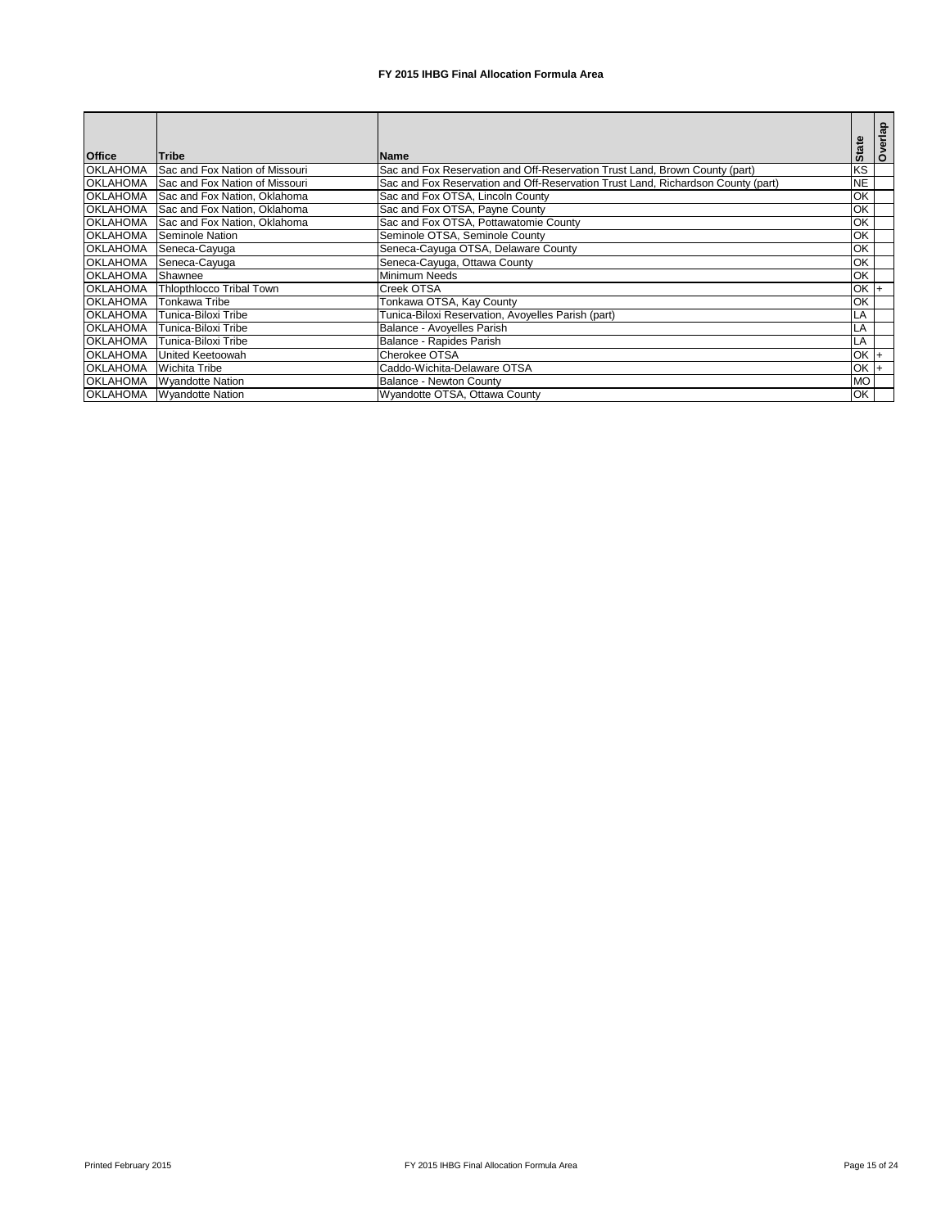| <b>Office</b>   | <b>Tribe</b>                   | <b>IName</b>                                                                     | <b>State</b>   | Overlap |
|-----------------|--------------------------------|----------------------------------------------------------------------------------|----------------|---------|
| <b>OKLAHOMA</b> | Sac and Fox Nation of Missouri | Sac and Fox Reservation and Off-Reservation Trust Land, Brown County (part)      | KS             |         |
| <b>OKLAHOMA</b> | Sac and Fox Nation of Missouri | Sac and Fox Reservation and Off-Reservation Trust Land, Richardson County (part) | <b>NE</b>      |         |
| <b>OKLAHOMA</b> | Sac and Fox Nation, Oklahoma   | Sac and Fox OTSA, Lincoln County                                                 | OK             |         |
| <b>OKLAHOMA</b> | Sac and Fox Nation, Oklahoma   | Sac and Fox OTSA, Payne County                                                   | OK             |         |
| <b>OKLAHOMA</b> | Sac and Fox Nation, Oklahoma   | Sac and Fox OTSA, Pottawatomie County                                            | OK             |         |
| <b>OKLAHOMA</b> | Seminole Nation                | Seminole OTSA, Seminole County                                                   | OK             |         |
| <b>OKLAHOMA</b> | Seneca-Cayuga                  | Seneca-Cayuga OTSA, Delaware County                                              | OK             |         |
| <b>OKLAHOMA</b> | Seneca-Cayuga                  | Seneca-Cayuga, Ottawa County                                                     | ЮK             |         |
| <b>OKLAHOMA</b> | Shawnee                        | <b>Minimum Needs</b>                                                             | ЮK             |         |
| <b>OKLAHOMA</b> | Thlopthlocco Tribal Town       | Creek OTSA                                                                       | $OK$ $+$       |         |
| <b>OKLAHOMA</b> | <b>Tonkawa Tribe</b>           | Tonkawa OTSA, Kay County                                                         | ЮK             |         |
| <b>OKLAHOMA</b> | Tunica-Biloxi Tribe            | Tunica-Biloxi Reservation, Avoyelles Parish (part)                               | LA             |         |
| <b>OKLAHOMA</b> | Tunica-Biloxi Tribe            | Balance - Avoyelles Parish                                                       | LA             |         |
| <b>OKLAHOMA</b> | Tunica-Biloxi Tribe            | Balance - Rapides Parish                                                         | LA             |         |
| <b>OKLAHOMA</b> | <b>United Keetoowah</b>        | Cherokee OTSA                                                                    | $OK$ $+$       |         |
| <b>OKLAHOMA</b> | <b>Wichita Tribe</b>           | Caddo-Wichita-Delaware OTSA                                                      | $OK$ $\vert +$ |         |
| <b>OKLAHOMA</b> | <b>Wyandotte Nation</b>        | <b>Balance - Newton County</b>                                                   | <b>MO</b>      |         |
| <b>OKLAHOMA</b> | <b>Wyandotte Nation</b>        | Wyandotte OTSA, Ottawa County                                                    | OK             |         |

Printed February 2015 **FX** 2015 IHBG Final Allocation Formula Area Page 15 of 24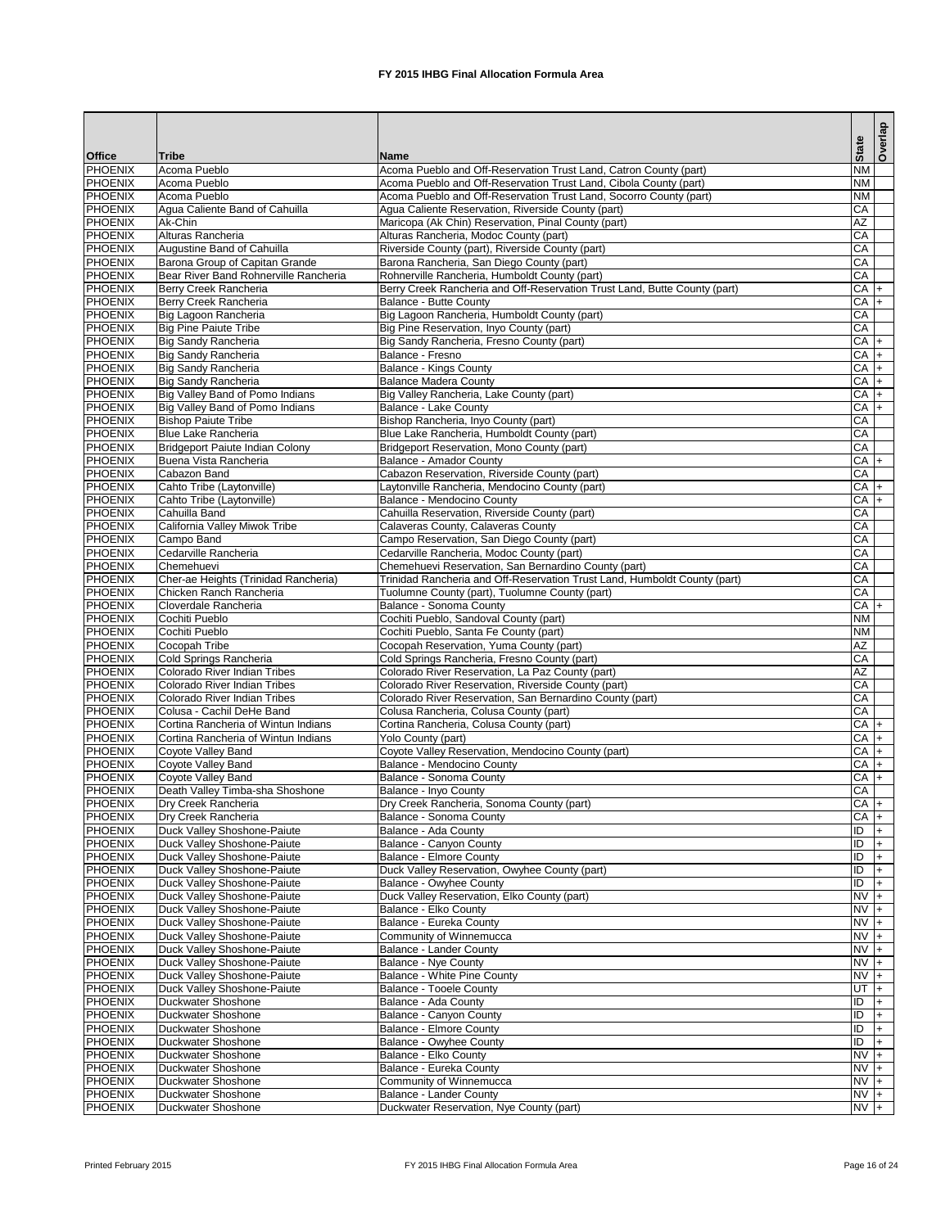|                                  |                                                            |                                                                                                                          | <b>State</b>              | Overlap    |
|----------------------------------|------------------------------------------------------------|--------------------------------------------------------------------------------------------------------------------------|---------------------------|------------|
| <b>Office</b>                    | <b>Tribe</b>                                               | <b>Name</b>                                                                                                              |                           |            |
| <b>PHOENIX</b>                   | Acoma Pueblo                                               | Acoma Pueblo and Off-Reservation Trust Land, Catron County (part)                                                        | $\overline{\text{NM}}$    |            |
| <b>PHOENIX</b>                   | Acoma Pueblo                                               | Acoma Pueblo and Off-Reservation Trust Land, Cibola County (part)                                                        | <b>NM</b>                 |            |
| <b>PHOENIX</b><br><b>PHOENIX</b> | Acoma Pueblo<br>Agua Caliente Band of Cahuilla             | Acoma Pueblo and Off-Reservation Trust Land, Socorro County (part)<br>Agua Caliente Reservation, Riverside County (part) | <b>NM</b><br>CA           |            |
| <b>PHOENIX</b>                   | Ak-Chin                                                    | Maricopa (Ak Chin) Reservation, Pinal County (part)                                                                      | AZ                        |            |
| <b>PHOENIX</b>                   | Alturas Rancheria                                          | Alturas Rancheria, Modoc County (part)                                                                                   | CA                        |            |
| <b>PHOENIX</b>                   | Augustine Band of Cahuilla                                 | Riverside County (part), Riverside County (part)                                                                         | CA                        |            |
| <b>PHOENIX</b>                   | Barona Group of Capitan Grande                             | Barona Rancheria, San Diego County (part)                                                                                | CA                        |            |
| <b>PHOENIX</b>                   | Bear River Band Rohnerville Rancheria                      | Rohnerville Rancheria, Humboldt County (part)                                                                            | CA                        |            |
| <b>PHOENIX</b>                   | Berry Creek Rancheria                                      | Berry Creek Rancheria and Off-Reservation Trust Land, Butte County (part)                                                | $CA +$                    |            |
| <b>PHOENIX</b>                   | Berry Creek Rancheria                                      | <b>Balance - Butte County</b>                                                                                            | $CA +$                    |            |
| <b>PHOENIX</b>                   | Big Lagoon Rancheria                                       | Big Lagoon Rancheria, Humboldt County (part)                                                                             | CA                        |            |
| <b>PHOENIX</b><br><b>PHOENIX</b> | <b>Big Pine Paiute Tribe</b><br>Big Sandy Rancheria        | Big Pine Reservation, Inyo County (part)<br>Big Sandy Rancheria, Fresno County (part)                                    | CA<br>$CA$ +              |            |
| <b>PHOENIX</b>                   | <b>Big Sandy Rancheria</b>                                 | Balance - Fresno                                                                                                         | $CA$ +                    |            |
| <b>PHOENIX</b>                   | Big Sandy Rancheria                                        | <b>Balance - Kings County</b>                                                                                            | $CA +$                    |            |
| <b>PHOENIX</b>                   | <b>Big Sandy Rancheria</b>                                 | <b>Balance Madera County</b>                                                                                             | $CA +$                    |            |
| <b>PHOENIX</b>                   | Big Valley Band of Pomo Indians                            | Big Valley Rancheria, Lake County (part)                                                                                 | CA                        | l+         |
| <b>PHOENIX</b>                   | Big Valley Band of Pomo Indians                            | <b>Balance - Lake County</b>                                                                                             | CA                        | $+$        |
| <b>PHOENIX</b>                   | <b>Bishop Paiute Tribe</b>                                 | Bishop Rancheria, Inyo County (part)                                                                                     | CA                        |            |
| <b>PHOENIX</b>                   | <b>Blue Lake Rancheria</b>                                 | Blue Lake Rancheria, Humboldt County (part)                                                                              | CA                        |            |
| <b>PHOENIX</b>                   | <b>Bridgeport Paiute Indian Colony</b>                     | Bridgeport Reservation, Mono County (part)                                                                               | CA                        |            |
| <b>PHOENIX</b>                   | Buena Vista Rancheria                                      | Balance - Amador County                                                                                                  | $CA$ +<br><b>CA</b>       |            |
| <b>PHOENIX</b><br><b>PHOENIX</b> | Cabazon Band<br>Cahto Tribe (Laytonville)                  | Cabazon Reservation, Riverside County (part)<br>aytonville Rancheria, Mendocino County (part)                            | $CA +$                    |            |
| <b>PHOENIX</b>                   | Cahto Tribe (Laytonville)                                  | Balance - Mendocino County                                                                                               | $CA +$                    |            |
| <b>PHOENIX</b>                   | Cahuilla Band                                              | Cahuilla Reservation, Riverside County (part)                                                                            | CA                        |            |
| <b>PHOENIX</b>                   | California Valley Miwok Tribe                              | Calaveras County, Calaveras County                                                                                       | CA                        |            |
| <b>PHOENIX</b>                   | Campo Band                                                 | Campo Reservation, San Diego County (part)                                                                               | CA                        |            |
| <b>PHOENIX</b>                   | Cedarville Rancheria                                       | Cedarville Rancheria, Modoc County (part)                                                                                | CA                        |            |
| <b>PHOENIX</b>                   | Chemehuevi                                                 | Chemehuevi Reservation, San Bernardino County (part)                                                                     | CA                        |            |
| <b>PHOENIX</b>                   | Cher-ae Heights (Trinidad Rancheria)                       | Trinidad Rancheria and Off-Reservation Trust Land, Humboldt County (part)                                                | CA                        |            |
| <b>PHOENIX</b><br><b>PHOENIX</b> | Chicken Ranch Rancheria                                    | Tuolumne County (part), Tuolumne County (part)                                                                           | $\overline{CA}$<br>$CA +$ |            |
| <b>PHOENIX</b>                   | Cloverdale Rancheria<br>Cochiti Pueblo                     | <b>Balance - Sonoma County</b><br>Cochiti Pueblo, Sandoval County (part)                                                 | <b>NM</b>                 |            |
| <b>PHOENIX</b>                   | Cochiti Pueblo                                             | Cochiti Pueblo, Santa Fe County (part)                                                                                   | <b>NM</b>                 |            |
| <b>PHOENIX</b>                   | Cocopah Tribe                                              | Cocopah Reservation, Yuma County (part)                                                                                  | <b>AZ</b>                 |            |
| <b>PHOENIX</b>                   | Cold Springs Rancheria                                     | Cold Springs Rancheria, Fresno County (part)                                                                             | CA                        |            |
| <b>PHOENIX</b>                   | Colorado River Indian Tribes                               | Colorado River Reservation, La Paz County (part)                                                                         | AZ                        |            |
| <b>PHOENIX</b>                   | Colorado River Indian Tribes                               | Colorado River Reservation, Riverside County (part)                                                                      | CA                        |            |
| <b>PHOENIX</b>                   | Colorado River Indian Tribes                               | Colorado River Reservation, San Bernardino County (part)                                                                 | CA                        |            |
| <b>PHOENIX</b>                   | Colusa - Cachil DeHe Band                                  | Colusa Rancheria, Colusa County (part)                                                                                   | CA                        |            |
| <b>PHOENIX</b>                   | Cortina Rancheria of Wintun Indians                        | Cortina Rancheria, Colusa County (part)                                                                                  | $CA$ +                    |            |
| <b>PHOENIX</b><br><b>PHOENIX</b> | Cortina Rancheria of Wintun Indians<br>Coyote Valley Band  | <b>Yolo County (part)</b><br>Coyote Valley Reservation, Mendocino County (part)                                          | $CA$ +<br>$CA +$          |            |
| <b>PHOENIX</b>                   | Coyote Valley Band                                         | Balance - Mendocino County                                                                                               | $CA$ +                    |            |
| <b>PHOENIX</b>                   | Coyote Valley Band                                         | <b>Balance - Sonoma County</b>                                                                                           | $CA$ +                    |            |
| <b>PHOENIX</b>                   | Death Valley Timba-sha Shoshone                            | Balance - Inyo County                                                                                                    | <b>CA</b>                 |            |
| <b>PHOENIX</b>                   | Dry Creek Rancheria                                        | Dry Creek Rancheria, Sonoma County (part)                                                                                | $CA +$                    |            |
| <b>PHOENIX</b>                   | Dry Creek Rancheria                                        | Balance - Sonoma County                                                                                                  | $CA$ +                    |            |
| <b>PHOENIX</b>                   | Duck Valley Shoshone-Paiute                                | Balance - Ada County                                                                                                     | $\overline{D}$            | $+$        |
| <b>PHOENIX</b>                   | Duck Valley Shoshone-Paiute                                | Balance - Canyon County                                                                                                  | $\overline{D}$            | $+$        |
| <b>PHOENIX</b><br><b>PHOENIX</b> | Duck Valley Shoshone-Paiute                                | <b>Balance - Elmore County</b>                                                                                           | $\overline{D}$<br>ID      |            |
| <b>PHOENIX</b>                   | Duck Valley Shoshone-Paiute<br>Duck Valley Shoshone-Paiute | Duck Valley Reservation, Owyhee County (part)<br>Balance - Owyhee County                                                 | $\overline{1}$            | $+$<br>$+$ |
| <b>PHOENIX</b>                   | Duck Valley Shoshone-Paiute                                | Duck Valley Reservation, Elko County (part)                                                                              | $NV +$                    |            |
| <b>PHOENIX</b>                   | Duck Valley Shoshone-Paiute                                | Balance - Elko County                                                                                                    | $NVI +$                   |            |
| <b>PHOENIX</b>                   | Duck Valley Shoshone-Paiute                                | Balance - Eureka County                                                                                                  | $NVI +$                   |            |
| <b>PHOENIX</b>                   | Duck Valley Shoshone-Paiute                                | Community of Winnemucca                                                                                                  | $NVI +$                   |            |
| <b>PHOENIX</b>                   | Duck Valley Shoshone-Paiute                                | <b>Balance - Lander County</b>                                                                                           | $NVI +$                   |            |
| <b>PHOENIX</b>                   | Duck Valley Shoshone-Paiute                                | <b>Balance - Nye County</b>                                                                                              | $NVI +$                   |            |
| <b>PHOENIX</b>                   | Duck Valley Shoshone-Paiute                                | <b>Balance - White Pine County</b>                                                                                       | $NVI +$                   |            |
| <b>PHOENIX</b><br><b>PHOENIX</b> | Duck Valley Shoshone-Paiute<br><b>Duckwater Shoshone</b>   | <b>Balance - Tooele County</b><br>Balance - Ada County                                                                   | UT $ +$<br>ID             | $ + $      |
| <b>PHOENIX</b>                   | <b>Duckwater Shoshone</b>                                  | <b>Balance - Canyon County</b>                                                                                           | ID                        | $ + $      |
| <b>PHOENIX</b>                   | <b>Duckwater Shoshone</b>                                  | <b>Balance - Elmore County</b>                                                                                           | $\overline{D}$            | $ + $      |
| <b>PHOENIX</b>                   | Duckwater Shoshone                                         | Balance - Owyhee County                                                                                                  | ID                        | $+$        |
| <b>PHOENIX</b>                   | Duckwater Shoshone                                         | Balance - Elko County                                                                                                    | $NV +$                    |            |
| <b>PHOENIX</b>                   | <b>Duckwater Shoshone</b>                                  | Balance - Eureka County                                                                                                  | $NVI +$                   |            |
| <b>PHOENIX</b>                   | <b>IDuckwater Shoshone</b>                                 | Community of Winnemucca                                                                                                  | $NV +$                    |            |
| <b>PHOENIX</b>                   | <b>Duckwater Shoshone</b>                                  | Balance - Lander County                                                                                                  | $NVI +$                   |            |
| <b>PHOENIX</b>                   | <b>Duckwater Shoshone</b>                                  | Duckwater Reservation, Nye County (part)                                                                                 | $NV +$                    |            |

Printed February 2015 **FX** 2015 IHBG Final Allocation Formula Area Page 16 of 24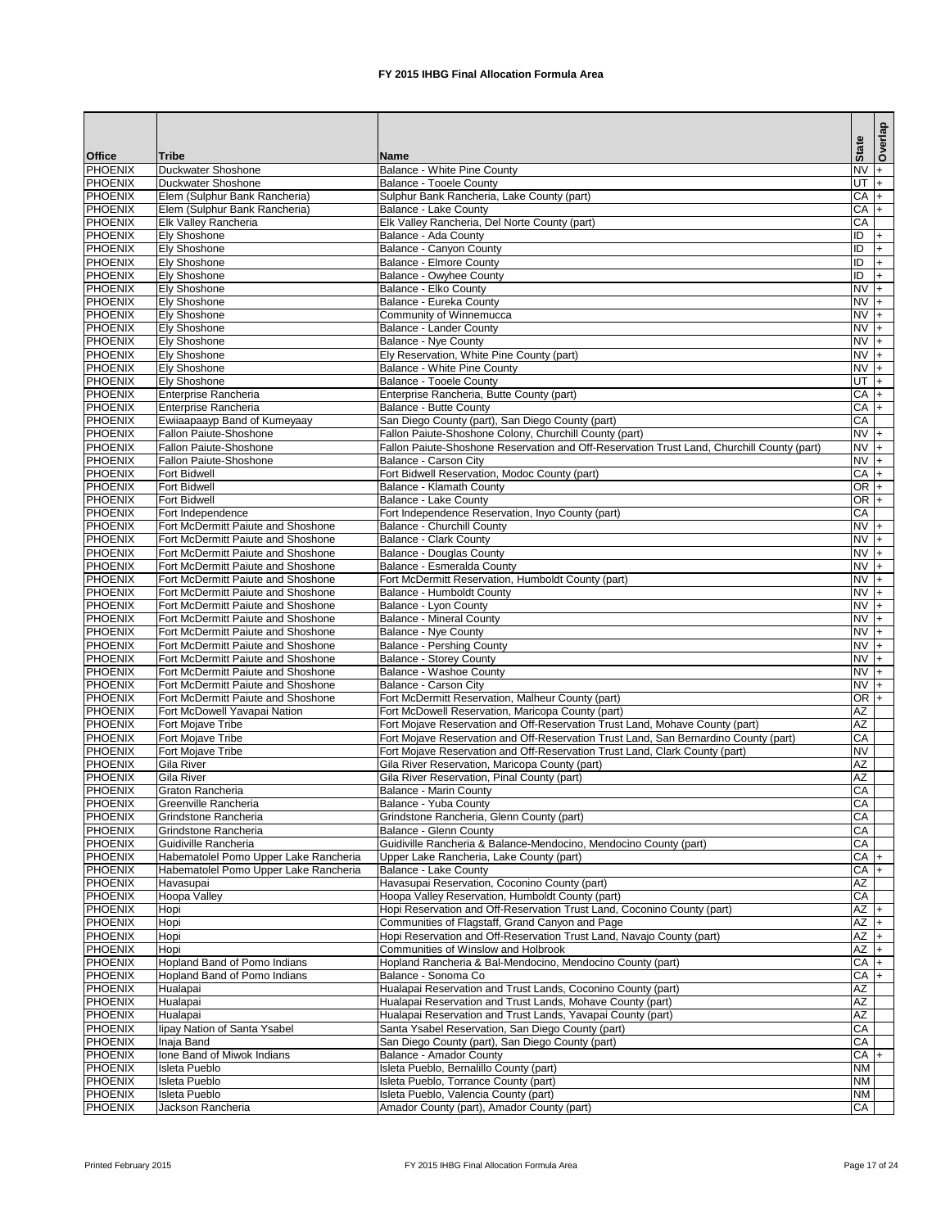|                                  |                                                                                        |                                                                                                                                                                     | <b>State</b>       | Overlap       |
|----------------------------------|----------------------------------------------------------------------------------------|---------------------------------------------------------------------------------------------------------------------------------------------------------------------|--------------------|---------------|
| <b>Office</b>                    | Tribe                                                                                  | <b>Name</b>                                                                                                                                                         |                    |               |
| <b>PHOENIX</b>                   | Duckwater Shoshone                                                                     | <b>Balance - White Pine County</b>                                                                                                                                  | <b>NV</b>          |               |
| <b>PHOENIX</b><br>PHOENIX        | <b>Duckwater Shoshone</b><br>Elem (Sulphur Bank Rancheria)                             | <b>Balance - Tooele County</b><br>Sulphur Bank Rancheria, Lake County (part)                                                                                        | UT<br><b>CA</b>    | $ + $<br>$ +$ |
| <b>PHOENIX</b>                   | Elem (Sulphur Bank Rancheria)                                                          | Balance - Lake County                                                                                                                                               | $CA +$             |               |
| <b>PHOENIX</b>                   | Elk Valley Rancheria                                                                   | Elk Valley Rancheria, Del Norte County (part)                                                                                                                       | CA                 |               |
| <b>PHOENIX</b>                   | <b>Ely Shoshone</b>                                                                    | Balance - Ada County                                                                                                                                                | $\overline{D}$     | $+$           |
| <b>PHOENIX</b>                   | <b>Ely Shoshone</b>                                                                    | <b>Balance - Canyon County</b>                                                                                                                                      | ID                 | $+$           |
| <b>PHOENIX</b>                   | <b>Ely Shoshone</b>                                                                    | <b>Balance - Elmore County</b>                                                                                                                                      | ID                 | $+$           |
| <b>PHOENIX</b>                   | <b>Ely Shoshone</b>                                                                    | <b>Balance - Owyhee County</b>                                                                                                                                      | ID                 | $+$           |
| <b>PHOENIX</b>                   | <b>Ely Shoshone</b>                                                                    | <b>Balance - Elko County</b>                                                                                                                                        | $NV +$             |               |
| <b>PHOENIX</b><br><b>PHOENIX</b> | <b>Ely Shoshone</b><br><b>Ely Shoshone</b>                                             | <b>Balance - Eureka County</b><br>Community of Winnemucca                                                                                                           | $NV +$<br>$NVI +$  |               |
| <b>PHOENIX</b>                   | <b>Ely Shoshone</b>                                                                    | <b>Balance - Lander County</b>                                                                                                                                      | $NV +$             |               |
| <b>PHOENIX</b>                   | <b>Ely Shoshone</b>                                                                    | <b>Balance - Nye County</b>                                                                                                                                         | $NVI +$            |               |
| <b>PHOENIX</b>                   | <b>Ely Shoshone</b>                                                                    | Ely Reservation, White Pine County (part)                                                                                                                           | $NVI +$            |               |
| PHOENIX                          | <b>Ely Shoshone</b>                                                                    | Balance - White Pine County                                                                                                                                         | $NVI +$            |               |
| <b>PHOENIX</b>                   | <b>Ely Shoshone</b>                                                                    | <b>Balance - Tooele County</b>                                                                                                                                      | UT                 | $ +$          |
| <b>PHOENIX</b>                   | Enterprise Rancheria                                                                   | Enterprise Rancheria, Butte County (part)                                                                                                                           | $CA +$             |               |
| <b>PHOENIX</b>                   | Enterprise Rancheria                                                                   | <b>Balance - Butte County</b>                                                                                                                                       | $CA +$             |               |
| <b>PHOENIX</b>                   | Ewiiaapaayp Band of Kumeyaay                                                           | San Diego County (part), San Diego County (part)                                                                                                                    | CA                 |               |
| <b>PHOENIX</b><br><b>PHOENIX</b> | <b>Fallon Paiute-Shoshone</b><br><b>Fallon Paiute-Shoshone</b>                         | Fallon Paiute-Shoshone Colony, Churchill County (part)<br>Fallon Paiute-Shoshone Reservation and Off-Reservation Trust Land, Churchill County (part)                | $NVI +$<br>$NVI +$ |               |
| <b>PHOENIX</b>                   | <b>Fallon Paiute-Shoshone</b>                                                          | Balance - Carson City                                                                                                                                               | $NVI +$            |               |
| <b>PHOENIX</b>                   | <b>Fort Bidwell</b>                                                                    | Fort Bidwell Reservation, Modoc County (part)                                                                                                                       | <b>CA</b>          |               |
| <b>PHOENIX</b>                   | <b>Fort Bidwell</b>                                                                    | <b>Balance - Klamath County</b>                                                                                                                                     | $OR +$             |               |
| <b>PHOENIX</b>                   | <b>Fort Bidwell</b>                                                                    | <b>Balance - Lake County</b>                                                                                                                                        | $OR +$             |               |
| <b>PHOENIX</b>                   | Fort Independence                                                                      | Fort Independence Reservation, Inyo County (part)                                                                                                                   | CA                 |               |
| <b>PHOENIX</b>                   | Fort McDermitt Paiute and Shoshone                                                     | <b>Balance - Churchill County</b>                                                                                                                                   | $NVI +$            |               |
| <b>PHOENIX</b>                   | Fort McDermitt Paiute and Shoshone                                                     | <b>Balance - Clark County</b>                                                                                                                                       | $NVI +$            |               |
| <b>PHOENIX</b>                   | Fort McDermitt Paiute and Shoshone                                                     | <b>Balance - Douglas County</b>                                                                                                                                     | $NVI +$            |               |
| <b>PHOENIX</b>                   | Fort McDermitt Paiute and Shoshone                                                     | Balance - Esmeralda County                                                                                                                                          | $NVI +$            |               |
| <b>PHOENIX</b>                   | Fort McDermitt Paiute and Shoshone                                                     | Fort McDermitt Reservation, Humboldt County (part)                                                                                                                  | $NVI +$<br>$NVI +$ |               |
| PHOENIX<br><b>PHOENIX</b>        | <b>Fort McDermitt Paiute and Shoshone</b><br><b>Fort McDermitt Paiute and Shoshone</b> | Balance - Humboldt County<br>Balance - Lyon County                                                                                                                  | $\overline{NV}$ +  |               |
| <b>PHOENIX</b>                   | Fort McDermitt Paiute and Shoshone                                                     | <b>Balance - Mineral County</b>                                                                                                                                     | $NVI +$            |               |
| <b>PHOENIX</b>                   | Fort McDermitt Paiute and Shoshone                                                     | Balance - Nye County                                                                                                                                                | $NVI +$            |               |
| PHOENIX                          | Fort McDermitt Paiute and Shoshone                                                     | <b>Balance - Pershing County</b>                                                                                                                                    | $NVI +$            |               |
| <b>PHOENIX</b>                   | Fort McDermitt Paiute and Shoshone                                                     | <b>Balance - Storey County</b>                                                                                                                                      | $NVI +$            |               |
| PHOENIX                          | Fort McDermitt Paiute and Shoshone                                                     | Balance - Washoe County                                                                                                                                             | $NVI +$            |               |
| <b>PHOENIX</b>                   | Fort McDermitt Paiute and Shoshone                                                     | <b>Balance - Carson City</b>                                                                                                                                        | $NVI +$            |               |
| PHOENIX                          | Fort McDermitt Paiute and Shoshone                                                     | Fort McDermitt Reservation, Malheur County (part)                                                                                                                   | $OR$ +             |               |
| <b>PHOENIX</b>                   | Fort McDowell Yavapai Nation                                                           | Fort McDowell Reservation, Maricopa County (part)                                                                                                                   | AZ                 |               |
| <b>PHOENIX</b>                   | Fort Mojave Tribe                                                                      | Fort Mojave Reservation and Off-Reservation Trust Land, Mohave County (part)                                                                                        | AZ                 |               |
| <b>PHOENIX</b><br><b>PHOENIX</b> | <b>Fort Mojave Tribe</b><br>Fort Mojave Tribe                                          | Fort Mojave Reservation and Off-Reservation Trust Land, San Bernardino County (part)<br>Fort Mojave Reservation and Off-Reservation Trust Land, Clark County (part) | CA<br><b>NV</b>    |               |
| <b>PHOENIX</b>                   | <b>Gila River</b>                                                                      | Gila River Reservation, Maricopa County (part)                                                                                                                      | AZ                 |               |
| <b>PHOENIX</b>                   | <b>Gila River</b>                                                                      | Gila River Reservation, Pinal County (part)                                                                                                                         | <b>AZ</b>          |               |
| PHOENIX                          | <b>Graton Rancheria</b>                                                                | <b>Balance - Marin County</b>                                                                                                                                       | CA                 |               |
| <b>PHOENIX</b>                   | Greenville Rancheria                                                                   | Balance - Yuba County                                                                                                                                               | CA                 |               |
| PHOENIX                          | Grindstone Rancheria                                                                   | Grindstone Rancheria, Glenn County (part)                                                                                                                           | CA                 |               |
| <b>PHOENIX</b>                   | Grindstone Rancheria                                                                   | <b>Balance - Glenn County</b>                                                                                                                                       | CA                 |               |
| <b>PHOENIX</b>                   | Guidiville Rancheria                                                                   | Guidiville Rancheria & Balance-Mendocino, Mendocino County (part)                                                                                                   | CA                 |               |
| <b>PHOENIX</b>                   | Habematolel Pomo Upper Lake Rancheria                                                  | Upper Lake Rancheria, Lake County (part)                                                                                                                            | $CA +$             |               |
| PHOENIX                          | Habematolel Pomo Upper Lake Rancheria                                                  | <b>Balance - Lake County</b>                                                                                                                                        | CA                 |               |
| <b>PHOENIX</b>                   | Havasupai                                                                              | Havasupai Reservation, Coconino County (part)                                                                                                                       | <b>AZ</b><br>CA    |               |
| PHOENIX<br><b>PHOENIX</b>        | Hoopa Valley<br>Hopi                                                                   | Hoopa Valley Reservation, Humboldt County (part)<br>Hopi Reservation and Off-Reservation Trust Land, Coconino County (part)                                         | $AZ +$             |               |
| PHOENIX                          | Hopi                                                                                   | Communities of Flagstaff, Grand Canyon and Page                                                                                                                     | AZ                 |               |
| <b>PHOENIX</b>                   | Hopi                                                                                   | Hopi Reservation and Off-Reservation Trust Land, Navajo County (part)                                                                                               | <b>AZ</b>          |               |
| <b>PHOENIX</b>                   | Hopi                                                                                   | Communities of Winslow and Holbrook                                                                                                                                 | <b>AZ</b>          |               |
| <b>PHOENIX</b>                   | Hopland Band of Pomo Indians                                                           | Hopland Rancheria & Bal-Mendocino, Mendocino County (part)                                                                                                          | $CA +$             |               |
| <b>PHOENIX</b>                   | Hopland Band of Pomo Indians                                                           | Balance - Sonoma Co                                                                                                                                                 | $CA +$             |               |
| <b>PHOENIX</b>                   | Hualapai                                                                               | Hualapai Reservation and Trust Lands, Coconino County (part)                                                                                                        | AZ                 |               |
| <b>PHOENIX</b>                   | Hualapai                                                                               | Hualapai Reservation and Trust Lands, Mohave County (part)                                                                                                          | <b>AZ</b>          |               |
| PHOENIX                          | Hualapai                                                                               | Hualapai Reservation and Trust Lands, Yavapai County (part)                                                                                                         | AZ                 |               |
| <b>PHOENIX</b>                   | lipay Nation of Santa Ysabel                                                           | Santa Ysabel Reservation, San Diego County (part)                                                                                                                   | CA                 |               |
| <b>PHOENIX</b>                   | Inaja Band<br>Ione Band of Miwok Indians                                               | San Diego County (part), San Diego County (part)<br><b>Balance - Amador County</b>                                                                                  | CA<br>$CA +$       |               |
| <b>PHOENIX</b><br><b>PHOENIX</b> | <b>Isleta Pueblo</b>                                                                   | Isleta Pueblo, Bernalillo County (part)                                                                                                                             | <b>NM</b>          |               |
| PHOENIX                          | <b>Isleta Pueblo</b>                                                                   | Isleta Pueblo, Torrance County (part)                                                                                                                               | <b>NM</b>          |               |
| <b>PHOENIX</b>                   | Isleta Pueblo                                                                          | Isleta Pueblo, Valencia County (part)                                                                                                                               | <b>NM</b>          |               |
| PHOENIX                          | Jackson Rancheria                                                                      | Amador County (part), Amador County (part)                                                                                                                          | CA                 |               |

Printed February 2015 **FX** 2015 IHBG Final Allocation Formula Area Page 17 of 24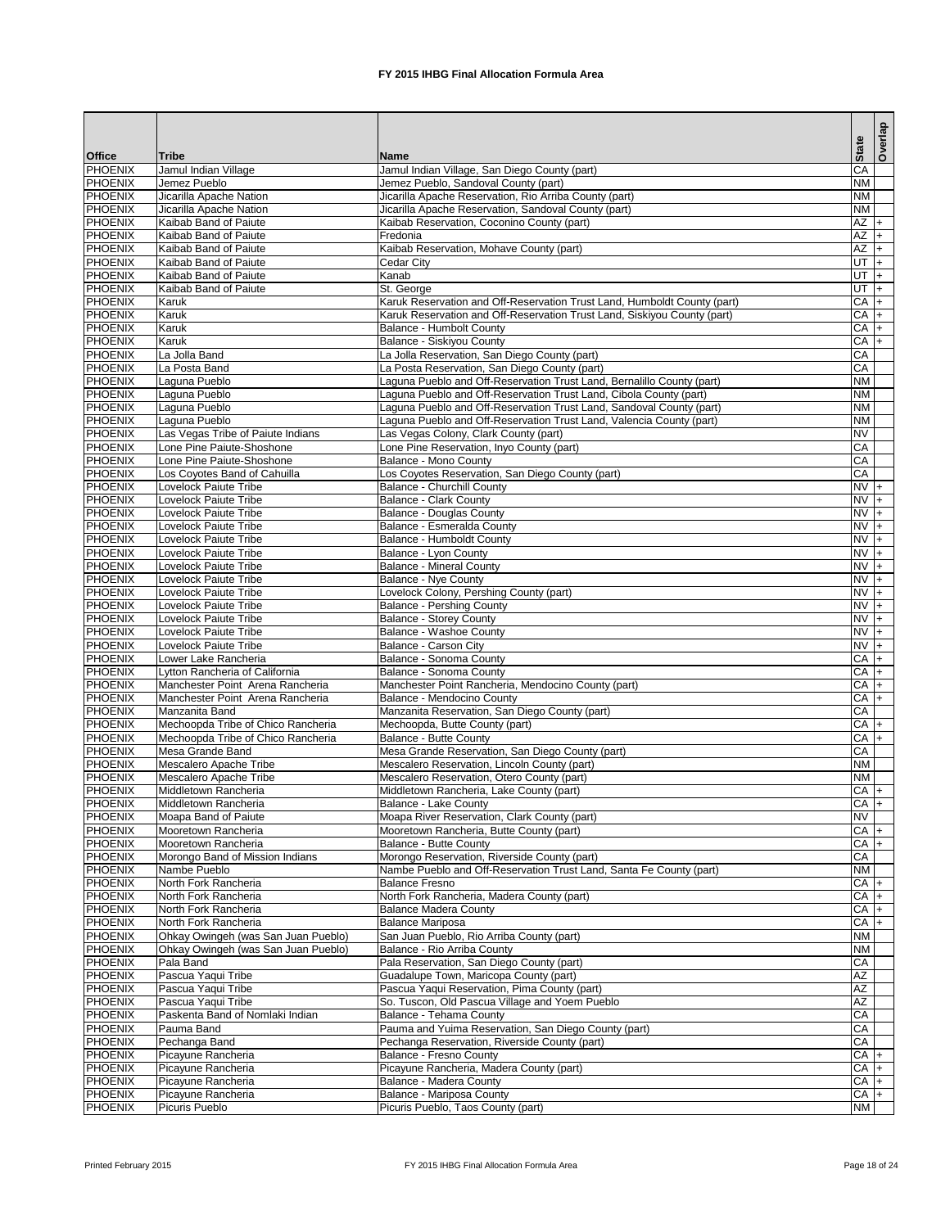| CA<br><b>PHOENIX</b><br>Jamul Indian Village, San Diego County (part)<br>Jamul Indian Village<br><b>PHOENIX</b><br><b>NM</b><br>Jemez Pueblo<br>Jemez Pueblo, Sandoval County (part)<br><b>PHOENIX</b><br>Jicarilla Apache Reservation, Rio Arriba County (part)<br><b>NM</b><br>Jicarilla Apache Nation<br><b>PHOENIX</b><br><b>NM</b><br>Jicarilla Apache Nation<br>Jicarilla Apache Reservation, Sandoval County (part)<br>$AZ +$<br><b>PHOENIX</b><br>Kaibab Band of Paiute<br>Kaibab Reservation, Coconino County (part)<br>$AZ +$<br><b>PHOENIX</b><br>Kaibab Band of Paiute<br>Fredonia<br>AZ<br><b>PHOENIX</b><br>Kaibab Reservation, Mohave County (part)<br>Kaibab Band of Paiute<br>$+$<br>UT<br><b>PHOENIX</b><br>Kaibab Band of Paiute<br><b>Cedar City</b><br>$ +$<br><b>PHOENIX</b><br>Kanab<br>UT<br>Kaibab Band of Paiute<br>$+$<br><b>PHOENIX</b><br>Kaibab Band of Paiute<br>St. George<br>UT<br>$\vert + \vert$<br><b>PHOENIX</b><br>Karuk Reservation and Off-Reservation Trust Land, Humboldt County (part)<br>$CA +$<br>Karuk<br><b>PHOENIX</b><br>Karuk Reservation and Off-Reservation Trust Land, Siskiyou County (part)<br>$CA +$<br><b>Karuk</b><br><b>PHOENIX</b><br>$CA +$<br><b>Karuk</b><br><b>Balance - Humbolt County</b><br><b>PHOENIX</b><br>$CA +$<br><b>Karuk</b><br>Balance - Siskiyou County<br><b>PHOENIX</b><br>La Jolla Reservation, San Diego County (part)<br>CA<br>La Jolla Band<br><b>PHOENIX</b><br>CA<br>La Posta Reservation, San Diego County (part)<br>La Posta Band<br><b>PHOENIX</b><br>Laguna Pueblo and Off-Reservation Trust Land, Bernalillo County (part)<br><b>NM</b><br>Laguna Pueblo<br><b>PHOENIX</b><br>Laguna Pueblo and Off-Reservation Trust Land, Cibola County (part)<br><b>NM</b><br>Laguna Pueblo<br><b>PHOENIX</b><br>Laguna Pueblo and Off-Reservation Trust Land, Sandoval County (part)<br><b>NM</b><br>Laguna Pueblo<br><b>PHOENIX</b><br><b>NM</b><br>Laguna Pueblo and Off-Reservation Trust Land, Valencia County (part)<br>Laguna Pueblo<br><b>PHOENIX</b><br>Las Vegas Tribe of Paiute Indians<br><b>NV</b><br>Las Vegas Colony, Clark County (part)<br><b>PHOENIX</b><br>CA<br>Lone Pine Paiute-Shoshone<br>Lone Pine Reservation, Inyo County (part)<br><b>PHOENIX</b><br><b>Balance - Mono County</b><br>CA<br>Lone Pine Paiute-Shoshone<br><b>PHOENIX</b><br>CA<br>Los Coyotes Reservation, San Diego County (part)<br>Los Coyotes Band of Cahuilla<br><b>PHOENIX</b><br>$NVI +$<br><b>Lovelock Paiute Tribe</b><br><b>Balance - Churchill County</b><br><b>PHOENIX</b><br>$NVI +$<br><b>Balance - Clark County</b><br>Lovelock Paiute Tribe<br><b>PHOENIX</b><br>$NVI +$<br>Lovelock Paiute Tribe<br><b>Balance - Douglas County</b><br><b>PHOENIX</b><br>$NVI +$<br>Lovelock Paiute Tribe<br>Balance - Esmeralda County<br><b>PHOENIX</b><br>$NVI +$<br>Lovelock Paiute Tribe<br>Balance - Humboldt County<br><b>PHOENIX</b><br>$NVI +$<br>Lovelock Paiute Tribe<br>Balance - Lyon County<br><b>PHOENIX</b><br><b>Balance - Mineral County</b><br>$NVI +$<br>Lovelock Paiute Tribe<br><b>PHOENIX</b><br><b>Balance - Nye County</b><br>$NVI +$<br>Lovelock Paiute Tribe<br>$NV +$<br>PHOENIX<br>Lovelock Colony, Pershing County (part)<br>Lovelock Paiute Tribe<br><b>PHOENIX</b><br>$\overline{NV}$ +<br>Lovelock Paiute Tribe<br><b>Balance - Pershing County</b><br><b>PHOENIX</b><br>$NVI +$<br><b>Balance - Storey County</b><br>Lovelock Paiute Tribe<br><b>PHOENIX</b><br>$NV +$<br><b>Balance - Washoe County</b><br>Lovelock Paiute Tribe<br><b>PHOENIX</b><br>Balance - Carson City<br>$NVI +$<br>Lovelock Paiute Tribe<br><b>PHOENIX</b><br><b>Balance - Sonoma County</b><br>CA<br>Lower Lake Rancheria<br>$+$<br><b>PHOENIX</b><br><b>Balance - Sonoma County</b><br>CA<br>Lytton Rancheria of California<br>$+$<br><b>PHOENIX</b><br>CA<br>Manchester Point Arena Rancheria<br>Manchester Point Rancheria, Mendocino County (part)<br>$+$<br><b>PHOENIX</b><br><b>Balance - Mendocino County</b><br>CA<br>Manchester Point Arena Rancheria<br>$+$<br><b>PHOENIX</b><br>Manzanita Reservation, San Diego County (part)<br>CA<br>Manzanita Band<br><b>PHOENIX</b><br>$CA +$<br>Mechoopda Tribe of Chico Rancheria<br>Mechoopda, Butte County (part)<br><b>PHOENIX</b><br>Mechoopda Tribe of Chico Rancheria<br>$CA +$<br><b>Balance - Butte County</b><br><b>PHOENIX</b><br>Mesa Grande Reservation, San Diego County (part)<br>CA<br>Mesa Grande Band<br><b>PHOENIX</b><br>Mescalero Apache Tribe<br><b>NM</b><br>Mescalero Reservation, Lincoln County (part)<br><b>PHOENIX</b><br><b>Mescalero Apache Tribe</b><br>Mescalero Reservation, Otero County (part)<br><b>NM</b><br><b>PHOENIX</b><br>Middletown Rancheria<br>$CA +$<br>Middletown Rancheria, Lake County (part)<br><b>PHOENIX</b><br>$CA +$<br>Middletown Rancheria<br>Balance - Lake County<br><b>PHOENIX</b><br>Moapa River Reservation, Clark County (part)<br><b>NV</b><br>Moapa Band of Paiute<br><b>PHOENIX</b><br>$CA +$<br>Mooretown Rancheria, Butte County (part)<br>Mooretown Rancheria<br><b>PHOENIX</b><br>$CA +$<br>Mooretown Rancheria<br>Balance - Butte County<br><b>PHOENIX</b><br>Morongo Reservation, Riverside County (part)<br>Morongo Band of Mission Indians<br>CA<br><b>PHOENIX</b><br><b>NM</b><br>Nambe Pueblo and Off-Reservation Trust Land, Santa Fe County (part)<br>Nambe Pueblo<br><b>PHOENIX</b><br>$CA +$<br>North Fork Rancheria<br><b>Balance Fresno</b><br><b>PHOENIX</b><br>CA<br>North Fork Rancheria, Madera County (part)<br>North Fork Rancheria<br><b>PHOENIX</b><br>CA<br>North Fork Rancheria<br><b>Balance Madera County</b><br><b>PHOENIX</b><br>CA<br>North Fork Rancheria<br><b>Balance Mariposa</b><br><b>PHOENIX</b><br>Ohkay Owingeh (was San Juan Pueblo)<br>San Juan Pueblo, Rio Arriba County (part)<br><b>NM</b><br><b>PHOENIX</b><br>Ohkay Owingeh (was San Juan Pueblo)<br>Balance - Rio Arriba County<br><b>NM</b><br><b>PHOENIX</b><br>Pala Band<br>Pala Reservation, San Diego County (part)<br>CA<br><b>PHOENIX</b><br>Pascua Yaqui Tribe<br><b>AZ</b><br>Guadalupe Town, Maricopa County (part)<br><b>PHOENIX</b><br><b>AZ</b><br>Pascua Yaqui Tribe<br>Pascua Yaqui Reservation, Pima County (part)<br><b>AZ</b><br><b>PHOENIX</b><br>Pascua Yaqui Tribe<br>So. Tuscon, Old Pascua Village and Yoem Pueblo<br>CA<br><b>PHOENIX</b><br>Paskenta Band of Nomlaki Indian<br>Balance - Tehama County<br><b>PHOENIX</b><br>CA<br>Pauma and Yuima Reservation, San Diego County (part)<br>Pauma Band<br>CA<br><b>PHOENIX</b><br>Pechanga Reservation, Riverside County (part)<br>Pechanga Band<br><b>PHOENIX</b><br>$CA +$<br>Picayune Rancheria<br>Balance - Fresno County<br><b>PHOENIX</b><br>$CA +$<br>Picayune Rancheria<br>Picayune Rancheria, Madera County (part)<br><b>PHOENIX</b><br>$CA +$<br>Picayune Rancheria<br>Balance - Madera County<br>$CA +$<br><b>PHOENIX</b><br>Balance - Mariposa County<br>Picayune Rancheria<br><b>PHOENIX</b><br>Picuris Pueblo, Taos County (part)<br><b>NM</b><br>Picuris Pueblo |               |              |      | <b>State</b> | Overlap |
|-----------------------------------------------------------------------------------------------------------------------------------------------------------------------------------------------------------------------------------------------------------------------------------------------------------------------------------------------------------------------------------------------------------------------------------------------------------------------------------------------------------------------------------------------------------------------------------------------------------------------------------------------------------------------------------------------------------------------------------------------------------------------------------------------------------------------------------------------------------------------------------------------------------------------------------------------------------------------------------------------------------------------------------------------------------------------------------------------------------------------------------------------------------------------------------------------------------------------------------------------------------------------------------------------------------------------------------------------------------------------------------------------------------------------------------------------------------------------------------------------------------------------------------------------------------------------------------------------------------------------------------------------------------------------------------------------------------------------------------------------------------------------------------------------------------------------------------------------------------------------------------------------------------------------------------------------------------------------------------------------------------------------------------------------------------------------------------------------------------------------------------------------------------------------------------------------------------------------------------------------------------------------------------------------------------------------------------------------------------------------------------------------------------------------------------------------------------------------------------------------------------------------------------------------------------------------------------------------------------------------------------------------------------------------------------------------------------------------------------------------------------------------------------------------------------------------------------------------------------------------------------------------------------------------------------------------------------------------------------------------------------------------------------------------------------------------------------------------------------------------------------------------------------------------------------------------------------------------------------------------------------------------------------------------------------------------------------------------------------------------------------------------------------------------------------------------------------------------------------------------------------------------------------------------------------------------------------------------------------------------------------------------------------------------------------------------------------------------------------------------------------------------------------------------------------------------------------------------------------------------------------------------------------------------------------------------------------------------------------------------------------------------------------------------------------------------------------------------------------------------------------------------------------------------------------------------------------------------------------------------------------------------------------------------------------------------------------------------------------------------------------------------------------------------------------------------------------------------------------------------------------------------------------------------------------------------------------------------------------------------------------------------------------------------------------------------------------------------------------------------------------------------------------------------------------------------------------------------------------------------------------------------------------------------------------------------------------------------------------------------------------------------------------------------------------------------------------------------------------------------------------------------------------------------------------------------------------------------------------------------------------------------------------------------------------------------------------------------------------------------------------------------------------------------------------------------------------------------------------------------------------------------------------------------------------------------------------------------------------------------------------------------------------------------------------------------------------------------------------------------------------------------------------------------------------------------------------------------------------------------------------------------------------------------------------------------------------------------------------------------------------------------------------------------------------------------------------------------------------------------------------------------------------------------------------------------------------------------------------------------------------------------------------------------------------------------------------------------------------------------------------------------------------------------------------------------------------------------------------------------------------------------------------------------------------------------------------------------------------------------------------------------------------------------------------------------------------------------------------------------------------------------------------------------------------------------------------------------------------------------------------------------------------------------------------------------------------------------------------------------------------------------------------------------------------|---------------|--------------|------|--------------|---------|
|                                                                                                                                                                                                                                                                                                                                                                                                                                                                                                                                                                                                                                                                                                                                                                                                                                                                                                                                                                                                                                                                                                                                                                                                                                                                                                                                                                                                                                                                                                                                                                                                                                                                                                                                                                                                                                                                                                                                                                                                                                                                                                                                                                                                                                                                                                                                                                                                                                                                                                                                                                                                                                                                                                                                                                                                                                                                                                                                                                                                                                                                                                                                                                                                                                                                                                                                                                                                                                                                                                                                                                                                                                                                                                                                                                                                                                                                                                                                                                                                                                                                                                                                                                                                                                                                                                                                                                                                                                                                                                                                                                                                                                                                                                                                                                                                                                                                                                                                                                                                                                                                                                                                                                                                                                                                                                                                                                                                                                                                                                                                                                                                                                                                                                                                                                                                                                                                                                                                                                                                                                                                                                                                                                                                                                                                                                                                                                                                                                                                                                                                                                                                                                                                                                                                                                                                                                                                                                                                                                                                                                                           | <b>Office</b> | <b>Tribe</b> | Name |              |         |
|                                                                                                                                                                                                                                                                                                                                                                                                                                                                                                                                                                                                                                                                                                                                                                                                                                                                                                                                                                                                                                                                                                                                                                                                                                                                                                                                                                                                                                                                                                                                                                                                                                                                                                                                                                                                                                                                                                                                                                                                                                                                                                                                                                                                                                                                                                                                                                                                                                                                                                                                                                                                                                                                                                                                                                                                                                                                                                                                                                                                                                                                                                                                                                                                                                                                                                                                                                                                                                                                                                                                                                                                                                                                                                                                                                                                                                                                                                                                                                                                                                                                                                                                                                                                                                                                                                                                                                                                                                                                                                                                                                                                                                                                                                                                                                                                                                                                                                                                                                                                                                                                                                                                                                                                                                                                                                                                                                                                                                                                                                                                                                                                                                                                                                                                                                                                                                                                                                                                                                                                                                                                                                                                                                                                                                                                                                                                                                                                                                                                                                                                                                                                                                                                                                                                                                                                                                                                                                                                                                                                                                                           |               |              |      |              |         |
|                                                                                                                                                                                                                                                                                                                                                                                                                                                                                                                                                                                                                                                                                                                                                                                                                                                                                                                                                                                                                                                                                                                                                                                                                                                                                                                                                                                                                                                                                                                                                                                                                                                                                                                                                                                                                                                                                                                                                                                                                                                                                                                                                                                                                                                                                                                                                                                                                                                                                                                                                                                                                                                                                                                                                                                                                                                                                                                                                                                                                                                                                                                                                                                                                                                                                                                                                                                                                                                                                                                                                                                                                                                                                                                                                                                                                                                                                                                                                                                                                                                                                                                                                                                                                                                                                                                                                                                                                                                                                                                                                                                                                                                                                                                                                                                                                                                                                                                                                                                                                                                                                                                                                                                                                                                                                                                                                                                                                                                                                                                                                                                                                                                                                                                                                                                                                                                                                                                                                                                                                                                                                                                                                                                                                                                                                                                                                                                                                                                                                                                                                                                                                                                                                                                                                                                                                                                                                                                                                                                                                                                           |               |              |      |              |         |
|                                                                                                                                                                                                                                                                                                                                                                                                                                                                                                                                                                                                                                                                                                                                                                                                                                                                                                                                                                                                                                                                                                                                                                                                                                                                                                                                                                                                                                                                                                                                                                                                                                                                                                                                                                                                                                                                                                                                                                                                                                                                                                                                                                                                                                                                                                                                                                                                                                                                                                                                                                                                                                                                                                                                                                                                                                                                                                                                                                                                                                                                                                                                                                                                                                                                                                                                                                                                                                                                                                                                                                                                                                                                                                                                                                                                                                                                                                                                                                                                                                                                                                                                                                                                                                                                                                                                                                                                                                                                                                                                                                                                                                                                                                                                                                                                                                                                                                                                                                                                                                                                                                                                                                                                                                                                                                                                                                                                                                                                                                                                                                                                                                                                                                                                                                                                                                                                                                                                                                                                                                                                                                                                                                                                                                                                                                                                                                                                                                                                                                                                                                                                                                                                                                                                                                                                                                                                                                                                                                                                                                                           |               |              |      |              |         |
|                                                                                                                                                                                                                                                                                                                                                                                                                                                                                                                                                                                                                                                                                                                                                                                                                                                                                                                                                                                                                                                                                                                                                                                                                                                                                                                                                                                                                                                                                                                                                                                                                                                                                                                                                                                                                                                                                                                                                                                                                                                                                                                                                                                                                                                                                                                                                                                                                                                                                                                                                                                                                                                                                                                                                                                                                                                                                                                                                                                                                                                                                                                                                                                                                                                                                                                                                                                                                                                                                                                                                                                                                                                                                                                                                                                                                                                                                                                                                                                                                                                                                                                                                                                                                                                                                                                                                                                                                                                                                                                                                                                                                                                                                                                                                                                                                                                                                                                                                                                                                                                                                                                                                                                                                                                                                                                                                                                                                                                                                                                                                                                                                                                                                                                                                                                                                                                                                                                                                                                                                                                                                                                                                                                                                                                                                                                                                                                                                                                                                                                                                                                                                                                                                                                                                                                                                                                                                                                                                                                                                                                           |               |              |      |              |         |
|                                                                                                                                                                                                                                                                                                                                                                                                                                                                                                                                                                                                                                                                                                                                                                                                                                                                                                                                                                                                                                                                                                                                                                                                                                                                                                                                                                                                                                                                                                                                                                                                                                                                                                                                                                                                                                                                                                                                                                                                                                                                                                                                                                                                                                                                                                                                                                                                                                                                                                                                                                                                                                                                                                                                                                                                                                                                                                                                                                                                                                                                                                                                                                                                                                                                                                                                                                                                                                                                                                                                                                                                                                                                                                                                                                                                                                                                                                                                                                                                                                                                                                                                                                                                                                                                                                                                                                                                                                                                                                                                                                                                                                                                                                                                                                                                                                                                                                                                                                                                                                                                                                                                                                                                                                                                                                                                                                                                                                                                                                                                                                                                                                                                                                                                                                                                                                                                                                                                                                                                                                                                                                                                                                                                                                                                                                                                                                                                                                                                                                                                                                                                                                                                                                                                                                                                                                                                                                                                                                                                                                                           |               |              |      |              |         |
|                                                                                                                                                                                                                                                                                                                                                                                                                                                                                                                                                                                                                                                                                                                                                                                                                                                                                                                                                                                                                                                                                                                                                                                                                                                                                                                                                                                                                                                                                                                                                                                                                                                                                                                                                                                                                                                                                                                                                                                                                                                                                                                                                                                                                                                                                                                                                                                                                                                                                                                                                                                                                                                                                                                                                                                                                                                                                                                                                                                                                                                                                                                                                                                                                                                                                                                                                                                                                                                                                                                                                                                                                                                                                                                                                                                                                                                                                                                                                                                                                                                                                                                                                                                                                                                                                                                                                                                                                                                                                                                                                                                                                                                                                                                                                                                                                                                                                                                                                                                                                                                                                                                                                                                                                                                                                                                                                                                                                                                                                                                                                                                                                                                                                                                                                                                                                                                                                                                                                                                                                                                                                                                                                                                                                                                                                                                                                                                                                                                                                                                                                                                                                                                                                                                                                                                                                                                                                                                                                                                                                                                           |               |              |      |              |         |
|                                                                                                                                                                                                                                                                                                                                                                                                                                                                                                                                                                                                                                                                                                                                                                                                                                                                                                                                                                                                                                                                                                                                                                                                                                                                                                                                                                                                                                                                                                                                                                                                                                                                                                                                                                                                                                                                                                                                                                                                                                                                                                                                                                                                                                                                                                                                                                                                                                                                                                                                                                                                                                                                                                                                                                                                                                                                                                                                                                                                                                                                                                                                                                                                                                                                                                                                                                                                                                                                                                                                                                                                                                                                                                                                                                                                                                                                                                                                                                                                                                                                                                                                                                                                                                                                                                                                                                                                                                                                                                                                                                                                                                                                                                                                                                                                                                                                                                                                                                                                                                                                                                                                                                                                                                                                                                                                                                                                                                                                                                                                                                                                                                                                                                                                                                                                                                                                                                                                                                                                                                                                                                                                                                                                                                                                                                                                                                                                                                                                                                                                                                                                                                                                                                                                                                                                                                                                                                                                                                                                                                                           |               |              |      |              |         |
|                                                                                                                                                                                                                                                                                                                                                                                                                                                                                                                                                                                                                                                                                                                                                                                                                                                                                                                                                                                                                                                                                                                                                                                                                                                                                                                                                                                                                                                                                                                                                                                                                                                                                                                                                                                                                                                                                                                                                                                                                                                                                                                                                                                                                                                                                                                                                                                                                                                                                                                                                                                                                                                                                                                                                                                                                                                                                                                                                                                                                                                                                                                                                                                                                                                                                                                                                                                                                                                                                                                                                                                                                                                                                                                                                                                                                                                                                                                                                                                                                                                                                                                                                                                                                                                                                                                                                                                                                                                                                                                                                                                                                                                                                                                                                                                                                                                                                                                                                                                                                                                                                                                                                                                                                                                                                                                                                                                                                                                                                                                                                                                                                                                                                                                                                                                                                                                                                                                                                                                                                                                                                                                                                                                                                                                                                                                                                                                                                                                                                                                                                                                                                                                                                                                                                                                                                                                                                                                                                                                                                                                           |               |              |      |              |         |
|                                                                                                                                                                                                                                                                                                                                                                                                                                                                                                                                                                                                                                                                                                                                                                                                                                                                                                                                                                                                                                                                                                                                                                                                                                                                                                                                                                                                                                                                                                                                                                                                                                                                                                                                                                                                                                                                                                                                                                                                                                                                                                                                                                                                                                                                                                                                                                                                                                                                                                                                                                                                                                                                                                                                                                                                                                                                                                                                                                                                                                                                                                                                                                                                                                                                                                                                                                                                                                                                                                                                                                                                                                                                                                                                                                                                                                                                                                                                                                                                                                                                                                                                                                                                                                                                                                                                                                                                                                                                                                                                                                                                                                                                                                                                                                                                                                                                                                                                                                                                                                                                                                                                                                                                                                                                                                                                                                                                                                                                                                                                                                                                                                                                                                                                                                                                                                                                                                                                                                                                                                                                                                                                                                                                                                                                                                                                                                                                                                                                                                                                                                                                                                                                                                                                                                                                                                                                                                                                                                                                                                                           |               |              |      |              |         |
|                                                                                                                                                                                                                                                                                                                                                                                                                                                                                                                                                                                                                                                                                                                                                                                                                                                                                                                                                                                                                                                                                                                                                                                                                                                                                                                                                                                                                                                                                                                                                                                                                                                                                                                                                                                                                                                                                                                                                                                                                                                                                                                                                                                                                                                                                                                                                                                                                                                                                                                                                                                                                                                                                                                                                                                                                                                                                                                                                                                                                                                                                                                                                                                                                                                                                                                                                                                                                                                                                                                                                                                                                                                                                                                                                                                                                                                                                                                                                                                                                                                                                                                                                                                                                                                                                                                                                                                                                                                                                                                                                                                                                                                                                                                                                                                                                                                                                                                                                                                                                                                                                                                                                                                                                                                                                                                                                                                                                                                                                                                                                                                                                                                                                                                                                                                                                                                                                                                                                                                                                                                                                                                                                                                                                                                                                                                                                                                                                                                                                                                                                                                                                                                                                                                                                                                                                                                                                                                                                                                                                                                           |               |              |      |              |         |
|                                                                                                                                                                                                                                                                                                                                                                                                                                                                                                                                                                                                                                                                                                                                                                                                                                                                                                                                                                                                                                                                                                                                                                                                                                                                                                                                                                                                                                                                                                                                                                                                                                                                                                                                                                                                                                                                                                                                                                                                                                                                                                                                                                                                                                                                                                                                                                                                                                                                                                                                                                                                                                                                                                                                                                                                                                                                                                                                                                                                                                                                                                                                                                                                                                                                                                                                                                                                                                                                                                                                                                                                                                                                                                                                                                                                                                                                                                                                                                                                                                                                                                                                                                                                                                                                                                                                                                                                                                                                                                                                                                                                                                                                                                                                                                                                                                                                                                                                                                                                                                                                                                                                                                                                                                                                                                                                                                                                                                                                                                                                                                                                                                                                                                                                                                                                                                                                                                                                                                                                                                                                                                                                                                                                                                                                                                                                                                                                                                                                                                                                                                                                                                                                                                                                                                                                                                                                                                                                                                                                                                                           |               |              |      |              |         |
|                                                                                                                                                                                                                                                                                                                                                                                                                                                                                                                                                                                                                                                                                                                                                                                                                                                                                                                                                                                                                                                                                                                                                                                                                                                                                                                                                                                                                                                                                                                                                                                                                                                                                                                                                                                                                                                                                                                                                                                                                                                                                                                                                                                                                                                                                                                                                                                                                                                                                                                                                                                                                                                                                                                                                                                                                                                                                                                                                                                                                                                                                                                                                                                                                                                                                                                                                                                                                                                                                                                                                                                                                                                                                                                                                                                                                                                                                                                                                                                                                                                                                                                                                                                                                                                                                                                                                                                                                                                                                                                                                                                                                                                                                                                                                                                                                                                                                                                                                                                                                                                                                                                                                                                                                                                                                                                                                                                                                                                                                                                                                                                                                                                                                                                                                                                                                                                                                                                                                                                                                                                                                                                                                                                                                                                                                                                                                                                                                                                                                                                                                                                                                                                                                                                                                                                                                                                                                                                                                                                                                                                           |               |              |      |              |         |
|                                                                                                                                                                                                                                                                                                                                                                                                                                                                                                                                                                                                                                                                                                                                                                                                                                                                                                                                                                                                                                                                                                                                                                                                                                                                                                                                                                                                                                                                                                                                                                                                                                                                                                                                                                                                                                                                                                                                                                                                                                                                                                                                                                                                                                                                                                                                                                                                                                                                                                                                                                                                                                                                                                                                                                                                                                                                                                                                                                                                                                                                                                                                                                                                                                                                                                                                                                                                                                                                                                                                                                                                                                                                                                                                                                                                                                                                                                                                                                                                                                                                                                                                                                                                                                                                                                                                                                                                                                                                                                                                                                                                                                                                                                                                                                                                                                                                                                                                                                                                                                                                                                                                                                                                                                                                                                                                                                                                                                                                                                                                                                                                                                                                                                                                                                                                                                                                                                                                                                                                                                                                                                                                                                                                                                                                                                                                                                                                                                                                                                                                                                                                                                                                                                                                                                                                                                                                                                                                                                                                                                                           |               |              |      |              |         |
|                                                                                                                                                                                                                                                                                                                                                                                                                                                                                                                                                                                                                                                                                                                                                                                                                                                                                                                                                                                                                                                                                                                                                                                                                                                                                                                                                                                                                                                                                                                                                                                                                                                                                                                                                                                                                                                                                                                                                                                                                                                                                                                                                                                                                                                                                                                                                                                                                                                                                                                                                                                                                                                                                                                                                                                                                                                                                                                                                                                                                                                                                                                                                                                                                                                                                                                                                                                                                                                                                                                                                                                                                                                                                                                                                                                                                                                                                                                                                                                                                                                                                                                                                                                                                                                                                                                                                                                                                                                                                                                                                                                                                                                                                                                                                                                                                                                                                                                                                                                                                                                                                                                                                                                                                                                                                                                                                                                                                                                                                                                                                                                                                                                                                                                                                                                                                                                                                                                                                                                                                                                                                                                                                                                                                                                                                                                                                                                                                                                                                                                                                                                                                                                                                                                                                                                                                                                                                                                                                                                                                                                           |               |              |      |              |         |
|                                                                                                                                                                                                                                                                                                                                                                                                                                                                                                                                                                                                                                                                                                                                                                                                                                                                                                                                                                                                                                                                                                                                                                                                                                                                                                                                                                                                                                                                                                                                                                                                                                                                                                                                                                                                                                                                                                                                                                                                                                                                                                                                                                                                                                                                                                                                                                                                                                                                                                                                                                                                                                                                                                                                                                                                                                                                                                                                                                                                                                                                                                                                                                                                                                                                                                                                                                                                                                                                                                                                                                                                                                                                                                                                                                                                                                                                                                                                                                                                                                                                                                                                                                                                                                                                                                                                                                                                                                                                                                                                                                                                                                                                                                                                                                                                                                                                                                                                                                                                                                                                                                                                                                                                                                                                                                                                                                                                                                                                                                                                                                                                                                                                                                                                                                                                                                                                                                                                                                                                                                                                                                                                                                                                                                                                                                                                                                                                                                                                                                                                                                                                                                                                                                                                                                                                                                                                                                                                                                                                                                                           |               |              |      |              |         |
|                                                                                                                                                                                                                                                                                                                                                                                                                                                                                                                                                                                                                                                                                                                                                                                                                                                                                                                                                                                                                                                                                                                                                                                                                                                                                                                                                                                                                                                                                                                                                                                                                                                                                                                                                                                                                                                                                                                                                                                                                                                                                                                                                                                                                                                                                                                                                                                                                                                                                                                                                                                                                                                                                                                                                                                                                                                                                                                                                                                                                                                                                                                                                                                                                                                                                                                                                                                                                                                                                                                                                                                                                                                                                                                                                                                                                                                                                                                                                                                                                                                                                                                                                                                                                                                                                                                                                                                                                                                                                                                                                                                                                                                                                                                                                                                                                                                                                                                                                                                                                                                                                                                                                                                                                                                                                                                                                                                                                                                                                                                                                                                                                                                                                                                                                                                                                                                                                                                                                                                                                                                                                                                                                                                                                                                                                                                                                                                                                                                                                                                                                                                                                                                                                                                                                                                                                                                                                                                                                                                                                                                           |               |              |      |              |         |
|                                                                                                                                                                                                                                                                                                                                                                                                                                                                                                                                                                                                                                                                                                                                                                                                                                                                                                                                                                                                                                                                                                                                                                                                                                                                                                                                                                                                                                                                                                                                                                                                                                                                                                                                                                                                                                                                                                                                                                                                                                                                                                                                                                                                                                                                                                                                                                                                                                                                                                                                                                                                                                                                                                                                                                                                                                                                                                                                                                                                                                                                                                                                                                                                                                                                                                                                                                                                                                                                                                                                                                                                                                                                                                                                                                                                                                                                                                                                                                                                                                                                                                                                                                                                                                                                                                                                                                                                                                                                                                                                                                                                                                                                                                                                                                                                                                                                                                                                                                                                                                                                                                                                                                                                                                                                                                                                                                                                                                                                                                                                                                                                                                                                                                                                                                                                                                                                                                                                                                                                                                                                                                                                                                                                                                                                                                                                                                                                                                                                                                                                                                                                                                                                                                                                                                                                                                                                                                                                                                                                                                                           |               |              |      |              |         |
|                                                                                                                                                                                                                                                                                                                                                                                                                                                                                                                                                                                                                                                                                                                                                                                                                                                                                                                                                                                                                                                                                                                                                                                                                                                                                                                                                                                                                                                                                                                                                                                                                                                                                                                                                                                                                                                                                                                                                                                                                                                                                                                                                                                                                                                                                                                                                                                                                                                                                                                                                                                                                                                                                                                                                                                                                                                                                                                                                                                                                                                                                                                                                                                                                                                                                                                                                                                                                                                                                                                                                                                                                                                                                                                                                                                                                                                                                                                                                                                                                                                                                                                                                                                                                                                                                                                                                                                                                                                                                                                                                                                                                                                                                                                                                                                                                                                                                                                                                                                                                                                                                                                                                                                                                                                                                                                                                                                                                                                                                                                                                                                                                                                                                                                                                                                                                                                                                                                                                                                                                                                                                                                                                                                                                                                                                                                                                                                                                                                                                                                                                                                                                                                                                                                                                                                                                                                                                                                                                                                                                                                           |               |              |      |              |         |
|                                                                                                                                                                                                                                                                                                                                                                                                                                                                                                                                                                                                                                                                                                                                                                                                                                                                                                                                                                                                                                                                                                                                                                                                                                                                                                                                                                                                                                                                                                                                                                                                                                                                                                                                                                                                                                                                                                                                                                                                                                                                                                                                                                                                                                                                                                                                                                                                                                                                                                                                                                                                                                                                                                                                                                                                                                                                                                                                                                                                                                                                                                                                                                                                                                                                                                                                                                                                                                                                                                                                                                                                                                                                                                                                                                                                                                                                                                                                                                                                                                                                                                                                                                                                                                                                                                                                                                                                                                                                                                                                                                                                                                                                                                                                                                                                                                                                                                                                                                                                                                                                                                                                                                                                                                                                                                                                                                                                                                                                                                                                                                                                                                                                                                                                                                                                                                                                                                                                                                                                                                                                                                                                                                                                                                                                                                                                                                                                                                                                                                                                                                                                                                                                                                                                                                                                                                                                                                                                                                                                                                                           |               |              |      |              |         |
|                                                                                                                                                                                                                                                                                                                                                                                                                                                                                                                                                                                                                                                                                                                                                                                                                                                                                                                                                                                                                                                                                                                                                                                                                                                                                                                                                                                                                                                                                                                                                                                                                                                                                                                                                                                                                                                                                                                                                                                                                                                                                                                                                                                                                                                                                                                                                                                                                                                                                                                                                                                                                                                                                                                                                                                                                                                                                                                                                                                                                                                                                                                                                                                                                                                                                                                                                                                                                                                                                                                                                                                                                                                                                                                                                                                                                                                                                                                                                                                                                                                                                                                                                                                                                                                                                                                                                                                                                                                                                                                                                                                                                                                                                                                                                                                                                                                                                                                                                                                                                                                                                                                                                                                                                                                                                                                                                                                                                                                                                                                                                                                                                                                                                                                                                                                                                                                                                                                                                                                                                                                                                                                                                                                                                                                                                                                                                                                                                                                                                                                                                                                                                                                                                                                                                                                                                                                                                                                                                                                                                                                           |               |              |      |              |         |
|                                                                                                                                                                                                                                                                                                                                                                                                                                                                                                                                                                                                                                                                                                                                                                                                                                                                                                                                                                                                                                                                                                                                                                                                                                                                                                                                                                                                                                                                                                                                                                                                                                                                                                                                                                                                                                                                                                                                                                                                                                                                                                                                                                                                                                                                                                                                                                                                                                                                                                                                                                                                                                                                                                                                                                                                                                                                                                                                                                                                                                                                                                                                                                                                                                                                                                                                                                                                                                                                                                                                                                                                                                                                                                                                                                                                                                                                                                                                                                                                                                                                                                                                                                                                                                                                                                                                                                                                                                                                                                                                                                                                                                                                                                                                                                                                                                                                                                                                                                                                                                                                                                                                                                                                                                                                                                                                                                                                                                                                                                                                                                                                                                                                                                                                                                                                                                                                                                                                                                                                                                                                                                                                                                                                                                                                                                                                                                                                                                                                                                                                                                                                                                                                                                                                                                                                                                                                                                                                                                                                                                                           |               |              |      |              |         |
|                                                                                                                                                                                                                                                                                                                                                                                                                                                                                                                                                                                                                                                                                                                                                                                                                                                                                                                                                                                                                                                                                                                                                                                                                                                                                                                                                                                                                                                                                                                                                                                                                                                                                                                                                                                                                                                                                                                                                                                                                                                                                                                                                                                                                                                                                                                                                                                                                                                                                                                                                                                                                                                                                                                                                                                                                                                                                                                                                                                                                                                                                                                                                                                                                                                                                                                                                                                                                                                                                                                                                                                                                                                                                                                                                                                                                                                                                                                                                                                                                                                                                                                                                                                                                                                                                                                                                                                                                                                                                                                                                                                                                                                                                                                                                                                                                                                                                                                                                                                                                                                                                                                                                                                                                                                                                                                                                                                                                                                                                                                                                                                                                                                                                                                                                                                                                                                                                                                                                                                                                                                                                                                                                                                                                                                                                                                                                                                                                                                                                                                                                                                                                                                                                                                                                                                                                                                                                                                                                                                                                                                           |               |              |      |              |         |
|                                                                                                                                                                                                                                                                                                                                                                                                                                                                                                                                                                                                                                                                                                                                                                                                                                                                                                                                                                                                                                                                                                                                                                                                                                                                                                                                                                                                                                                                                                                                                                                                                                                                                                                                                                                                                                                                                                                                                                                                                                                                                                                                                                                                                                                                                                                                                                                                                                                                                                                                                                                                                                                                                                                                                                                                                                                                                                                                                                                                                                                                                                                                                                                                                                                                                                                                                                                                                                                                                                                                                                                                                                                                                                                                                                                                                                                                                                                                                                                                                                                                                                                                                                                                                                                                                                                                                                                                                                                                                                                                                                                                                                                                                                                                                                                                                                                                                                                                                                                                                                                                                                                                                                                                                                                                                                                                                                                                                                                                                                                                                                                                                                                                                                                                                                                                                                                                                                                                                                                                                                                                                                                                                                                                                                                                                                                                                                                                                                                                                                                                                                                                                                                                                                                                                                                                                                                                                                                                                                                                                                                           |               |              |      |              |         |
|                                                                                                                                                                                                                                                                                                                                                                                                                                                                                                                                                                                                                                                                                                                                                                                                                                                                                                                                                                                                                                                                                                                                                                                                                                                                                                                                                                                                                                                                                                                                                                                                                                                                                                                                                                                                                                                                                                                                                                                                                                                                                                                                                                                                                                                                                                                                                                                                                                                                                                                                                                                                                                                                                                                                                                                                                                                                                                                                                                                                                                                                                                                                                                                                                                                                                                                                                                                                                                                                                                                                                                                                                                                                                                                                                                                                                                                                                                                                                                                                                                                                                                                                                                                                                                                                                                                                                                                                                                                                                                                                                                                                                                                                                                                                                                                                                                                                                                                                                                                                                                                                                                                                                                                                                                                                                                                                                                                                                                                                                                                                                                                                                                                                                                                                                                                                                                                                                                                                                                                                                                                                                                                                                                                                                                                                                                                                                                                                                                                                                                                                                                                                                                                                                                                                                                                                                                                                                                                                                                                                                                                           |               |              |      |              |         |
|                                                                                                                                                                                                                                                                                                                                                                                                                                                                                                                                                                                                                                                                                                                                                                                                                                                                                                                                                                                                                                                                                                                                                                                                                                                                                                                                                                                                                                                                                                                                                                                                                                                                                                                                                                                                                                                                                                                                                                                                                                                                                                                                                                                                                                                                                                                                                                                                                                                                                                                                                                                                                                                                                                                                                                                                                                                                                                                                                                                                                                                                                                                                                                                                                                                                                                                                                                                                                                                                                                                                                                                                                                                                                                                                                                                                                                                                                                                                                                                                                                                                                                                                                                                                                                                                                                                                                                                                                                                                                                                                                                                                                                                                                                                                                                                                                                                                                                                                                                                                                                                                                                                                                                                                                                                                                                                                                                                                                                                                                                                                                                                                                                                                                                                                                                                                                                                                                                                                                                                                                                                                                                                                                                                                                                                                                                                                                                                                                                                                                                                                                                                                                                                                                                                                                                                                                                                                                                                                                                                                                                                           |               |              |      |              |         |
|                                                                                                                                                                                                                                                                                                                                                                                                                                                                                                                                                                                                                                                                                                                                                                                                                                                                                                                                                                                                                                                                                                                                                                                                                                                                                                                                                                                                                                                                                                                                                                                                                                                                                                                                                                                                                                                                                                                                                                                                                                                                                                                                                                                                                                                                                                                                                                                                                                                                                                                                                                                                                                                                                                                                                                                                                                                                                                                                                                                                                                                                                                                                                                                                                                                                                                                                                                                                                                                                                                                                                                                                                                                                                                                                                                                                                                                                                                                                                                                                                                                                                                                                                                                                                                                                                                                                                                                                                                                                                                                                                                                                                                                                                                                                                                                                                                                                                                                                                                                                                                                                                                                                                                                                                                                                                                                                                                                                                                                                                                                                                                                                                                                                                                                                                                                                                                                                                                                                                                                                                                                                                                                                                                                                                                                                                                                                                                                                                                                                                                                                                                                                                                                                                                                                                                                                                                                                                                                                                                                                                                                           |               |              |      |              |         |
|                                                                                                                                                                                                                                                                                                                                                                                                                                                                                                                                                                                                                                                                                                                                                                                                                                                                                                                                                                                                                                                                                                                                                                                                                                                                                                                                                                                                                                                                                                                                                                                                                                                                                                                                                                                                                                                                                                                                                                                                                                                                                                                                                                                                                                                                                                                                                                                                                                                                                                                                                                                                                                                                                                                                                                                                                                                                                                                                                                                                                                                                                                                                                                                                                                                                                                                                                                                                                                                                                                                                                                                                                                                                                                                                                                                                                                                                                                                                                                                                                                                                                                                                                                                                                                                                                                                                                                                                                                                                                                                                                                                                                                                                                                                                                                                                                                                                                                                                                                                                                                                                                                                                                                                                                                                                                                                                                                                                                                                                                                                                                                                                                                                                                                                                                                                                                                                                                                                                                                                                                                                                                                                                                                                                                                                                                                                                                                                                                                                                                                                                                                                                                                                                                                                                                                                                                                                                                                                                                                                                                                                           |               |              |      |              |         |
|                                                                                                                                                                                                                                                                                                                                                                                                                                                                                                                                                                                                                                                                                                                                                                                                                                                                                                                                                                                                                                                                                                                                                                                                                                                                                                                                                                                                                                                                                                                                                                                                                                                                                                                                                                                                                                                                                                                                                                                                                                                                                                                                                                                                                                                                                                                                                                                                                                                                                                                                                                                                                                                                                                                                                                                                                                                                                                                                                                                                                                                                                                                                                                                                                                                                                                                                                                                                                                                                                                                                                                                                                                                                                                                                                                                                                                                                                                                                                                                                                                                                                                                                                                                                                                                                                                                                                                                                                                                                                                                                                                                                                                                                                                                                                                                                                                                                                                                                                                                                                                                                                                                                                                                                                                                                                                                                                                                                                                                                                                                                                                                                                                                                                                                                                                                                                                                                                                                                                                                                                                                                                                                                                                                                                                                                                                                                                                                                                                                                                                                                                                                                                                                                                                                                                                                                                                                                                                                                                                                                                                                           |               |              |      |              |         |
|                                                                                                                                                                                                                                                                                                                                                                                                                                                                                                                                                                                                                                                                                                                                                                                                                                                                                                                                                                                                                                                                                                                                                                                                                                                                                                                                                                                                                                                                                                                                                                                                                                                                                                                                                                                                                                                                                                                                                                                                                                                                                                                                                                                                                                                                                                                                                                                                                                                                                                                                                                                                                                                                                                                                                                                                                                                                                                                                                                                                                                                                                                                                                                                                                                                                                                                                                                                                                                                                                                                                                                                                                                                                                                                                                                                                                                                                                                                                                                                                                                                                                                                                                                                                                                                                                                                                                                                                                                                                                                                                                                                                                                                                                                                                                                                                                                                                                                                                                                                                                                                                                                                                                                                                                                                                                                                                                                                                                                                                                                                                                                                                                                                                                                                                                                                                                                                                                                                                                                                                                                                                                                                                                                                                                                                                                                                                                                                                                                                                                                                                                                                                                                                                                                                                                                                                                                                                                                                                                                                                                                                           |               |              |      |              |         |
|                                                                                                                                                                                                                                                                                                                                                                                                                                                                                                                                                                                                                                                                                                                                                                                                                                                                                                                                                                                                                                                                                                                                                                                                                                                                                                                                                                                                                                                                                                                                                                                                                                                                                                                                                                                                                                                                                                                                                                                                                                                                                                                                                                                                                                                                                                                                                                                                                                                                                                                                                                                                                                                                                                                                                                                                                                                                                                                                                                                                                                                                                                                                                                                                                                                                                                                                                                                                                                                                                                                                                                                                                                                                                                                                                                                                                                                                                                                                                                                                                                                                                                                                                                                                                                                                                                                                                                                                                                                                                                                                                                                                                                                                                                                                                                                                                                                                                                                                                                                                                                                                                                                                                                                                                                                                                                                                                                                                                                                                                                                                                                                                                                                                                                                                                                                                                                                                                                                                                                                                                                                                                                                                                                                                                                                                                                                                                                                                                                                                                                                                                                                                                                                                                                                                                                                                                                                                                                                                                                                                                                                           |               |              |      |              |         |
|                                                                                                                                                                                                                                                                                                                                                                                                                                                                                                                                                                                                                                                                                                                                                                                                                                                                                                                                                                                                                                                                                                                                                                                                                                                                                                                                                                                                                                                                                                                                                                                                                                                                                                                                                                                                                                                                                                                                                                                                                                                                                                                                                                                                                                                                                                                                                                                                                                                                                                                                                                                                                                                                                                                                                                                                                                                                                                                                                                                                                                                                                                                                                                                                                                                                                                                                                                                                                                                                                                                                                                                                                                                                                                                                                                                                                                                                                                                                                                                                                                                                                                                                                                                                                                                                                                                                                                                                                                                                                                                                                                                                                                                                                                                                                                                                                                                                                                                                                                                                                                                                                                                                                                                                                                                                                                                                                                                                                                                                                                                                                                                                                                                                                                                                                                                                                                                                                                                                                                                                                                                                                                                                                                                                                                                                                                                                                                                                                                                                                                                                                                                                                                                                                                                                                                                                                                                                                                                                                                                                                                                           |               |              |      |              |         |
|                                                                                                                                                                                                                                                                                                                                                                                                                                                                                                                                                                                                                                                                                                                                                                                                                                                                                                                                                                                                                                                                                                                                                                                                                                                                                                                                                                                                                                                                                                                                                                                                                                                                                                                                                                                                                                                                                                                                                                                                                                                                                                                                                                                                                                                                                                                                                                                                                                                                                                                                                                                                                                                                                                                                                                                                                                                                                                                                                                                                                                                                                                                                                                                                                                                                                                                                                                                                                                                                                                                                                                                                                                                                                                                                                                                                                                                                                                                                                                                                                                                                                                                                                                                                                                                                                                                                                                                                                                                                                                                                                                                                                                                                                                                                                                                                                                                                                                                                                                                                                                                                                                                                                                                                                                                                                                                                                                                                                                                                                                                                                                                                                                                                                                                                                                                                                                                                                                                                                                                                                                                                                                                                                                                                                                                                                                                                                                                                                                                                                                                                                                                                                                                                                                                                                                                                                                                                                                                                                                                                                                                           |               |              |      |              |         |
|                                                                                                                                                                                                                                                                                                                                                                                                                                                                                                                                                                                                                                                                                                                                                                                                                                                                                                                                                                                                                                                                                                                                                                                                                                                                                                                                                                                                                                                                                                                                                                                                                                                                                                                                                                                                                                                                                                                                                                                                                                                                                                                                                                                                                                                                                                                                                                                                                                                                                                                                                                                                                                                                                                                                                                                                                                                                                                                                                                                                                                                                                                                                                                                                                                                                                                                                                                                                                                                                                                                                                                                                                                                                                                                                                                                                                                                                                                                                                                                                                                                                                                                                                                                                                                                                                                                                                                                                                                                                                                                                                                                                                                                                                                                                                                                                                                                                                                                                                                                                                                                                                                                                                                                                                                                                                                                                                                                                                                                                                                                                                                                                                                                                                                                                                                                                                                                                                                                                                                                                                                                                                                                                                                                                                                                                                                                                                                                                                                                                                                                                                                                                                                                                                                                                                                                                                                                                                                                                                                                                                                                           |               |              |      |              |         |
|                                                                                                                                                                                                                                                                                                                                                                                                                                                                                                                                                                                                                                                                                                                                                                                                                                                                                                                                                                                                                                                                                                                                                                                                                                                                                                                                                                                                                                                                                                                                                                                                                                                                                                                                                                                                                                                                                                                                                                                                                                                                                                                                                                                                                                                                                                                                                                                                                                                                                                                                                                                                                                                                                                                                                                                                                                                                                                                                                                                                                                                                                                                                                                                                                                                                                                                                                                                                                                                                                                                                                                                                                                                                                                                                                                                                                                                                                                                                                                                                                                                                                                                                                                                                                                                                                                                                                                                                                                                                                                                                                                                                                                                                                                                                                                                                                                                                                                                                                                                                                                                                                                                                                                                                                                                                                                                                                                                                                                                                                                                                                                                                                                                                                                                                                                                                                                                                                                                                                                                                                                                                                                                                                                                                                                                                                                                                                                                                                                                                                                                                                                                                                                                                                                                                                                                                                                                                                                                                                                                                                                                           |               |              |      |              |         |
|                                                                                                                                                                                                                                                                                                                                                                                                                                                                                                                                                                                                                                                                                                                                                                                                                                                                                                                                                                                                                                                                                                                                                                                                                                                                                                                                                                                                                                                                                                                                                                                                                                                                                                                                                                                                                                                                                                                                                                                                                                                                                                                                                                                                                                                                                                                                                                                                                                                                                                                                                                                                                                                                                                                                                                                                                                                                                                                                                                                                                                                                                                                                                                                                                                                                                                                                                                                                                                                                                                                                                                                                                                                                                                                                                                                                                                                                                                                                                                                                                                                                                                                                                                                                                                                                                                                                                                                                                                                                                                                                                                                                                                                                                                                                                                                                                                                                                                                                                                                                                                                                                                                                                                                                                                                                                                                                                                                                                                                                                                                                                                                                                                                                                                                                                                                                                                                                                                                                                                                                                                                                                                                                                                                                                                                                                                                                                                                                                                                                                                                                                                                                                                                                                                                                                                                                                                                                                                                                                                                                                                                           |               |              |      |              |         |
|                                                                                                                                                                                                                                                                                                                                                                                                                                                                                                                                                                                                                                                                                                                                                                                                                                                                                                                                                                                                                                                                                                                                                                                                                                                                                                                                                                                                                                                                                                                                                                                                                                                                                                                                                                                                                                                                                                                                                                                                                                                                                                                                                                                                                                                                                                                                                                                                                                                                                                                                                                                                                                                                                                                                                                                                                                                                                                                                                                                                                                                                                                                                                                                                                                                                                                                                                                                                                                                                                                                                                                                                                                                                                                                                                                                                                                                                                                                                                                                                                                                                                                                                                                                                                                                                                                                                                                                                                                                                                                                                                                                                                                                                                                                                                                                                                                                                                                                                                                                                                                                                                                                                                                                                                                                                                                                                                                                                                                                                                                                                                                                                                                                                                                                                                                                                                                                                                                                                                                                                                                                                                                                                                                                                                                                                                                                                                                                                                                                                                                                                                                                                                                                                                                                                                                                                                                                                                                                                                                                                                                                           |               |              |      |              |         |
|                                                                                                                                                                                                                                                                                                                                                                                                                                                                                                                                                                                                                                                                                                                                                                                                                                                                                                                                                                                                                                                                                                                                                                                                                                                                                                                                                                                                                                                                                                                                                                                                                                                                                                                                                                                                                                                                                                                                                                                                                                                                                                                                                                                                                                                                                                                                                                                                                                                                                                                                                                                                                                                                                                                                                                                                                                                                                                                                                                                                                                                                                                                                                                                                                                                                                                                                                                                                                                                                                                                                                                                                                                                                                                                                                                                                                                                                                                                                                                                                                                                                                                                                                                                                                                                                                                                                                                                                                                                                                                                                                                                                                                                                                                                                                                                                                                                                                                                                                                                                                                                                                                                                                                                                                                                                                                                                                                                                                                                                                                                                                                                                                                                                                                                                                                                                                                                                                                                                                                                                                                                                                                                                                                                                                                                                                                                                                                                                                                                                                                                                                                                                                                                                                                                                                                                                                                                                                                                                                                                                                                                           |               |              |      |              |         |
|                                                                                                                                                                                                                                                                                                                                                                                                                                                                                                                                                                                                                                                                                                                                                                                                                                                                                                                                                                                                                                                                                                                                                                                                                                                                                                                                                                                                                                                                                                                                                                                                                                                                                                                                                                                                                                                                                                                                                                                                                                                                                                                                                                                                                                                                                                                                                                                                                                                                                                                                                                                                                                                                                                                                                                                                                                                                                                                                                                                                                                                                                                                                                                                                                                                                                                                                                                                                                                                                                                                                                                                                                                                                                                                                                                                                                                                                                                                                                                                                                                                                                                                                                                                                                                                                                                                                                                                                                                                                                                                                                                                                                                                                                                                                                                                                                                                                                                                                                                                                                                                                                                                                                                                                                                                                                                                                                                                                                                                                                                                                                                                                                                                                                                                                                                                                                                                                                                                                                                                                                                                                                                                                                                                                                                                                                                                                                                                                                                                                                                                                                                                                                                                                                                                                                                                                                                                                                                                                                                                                                                                           |               |              |      |              |         |
|                                                                                                                                                                                                                                                                                                                                                                                                                                                                                                                                                                                                                                                                                                                                                                                                                                                                                                                                                                                                                                                                                                                                                                                                                                                                                                                                                                                                                                                                                                                                                                                                                                                                                                                                                                                                                                                                                                                                                                                                                                                                                                                                                                                                                                                                                                                                                                                                                                                                                                                                                                                                                                                                                                                                                                                                                                                                                                                                                                                                                                                                                                                                                                                                                                                                                                                                                                                                                                                                                                                                                                                                                                                                                                                                                                                                                                                                                                                                                                                                                                                                                                                                                                                                                                                                                                                                                                                                                                                                                                                                                                                                                                                                                                                                                                                                                                                                                                                                                                                                                                                                                                                                                                                                                                                                                                                                                                                                                                                                                                                                                                                                                                                                                                                                                                                                                                                                                                                                                                                                                                                                                                                                                                                                                                                                                                                                                                                                                                                                                                                                                                                                                                                                                                                                                                                                                                                                                                                                                                                                                                                           |               |              |      |              |         |
|                                                                                                                                                                                                                                                                                                                                                                                                                                                                                                                                                                                                                                                                                                                                                                                                                                                                                                                                                                                                                                                                                                                                                                                                                                                                                                                                                                                                                                                                                                                                                                                                                                                                                                                                                                                                                                                                                                                                                                                                                                                                                                                                                                                                                                                                                                                                                                                                                                                                                                                                                                                                                                                                                                                                                                                                                                                                                                                                                                                                                                                                                                                                                                                                                                                                                                                                                                                                                                                                                                                                                                                                                                                                                                                                                                                                                                                                                                                                                                                                                                                                                                                                                                                                                                                                                                                                                                                                                                                                                                                                                                                                                                                                                                                                                                                                                                                                                                                                                                                                                                                                                                                                                                                                                                                                                                                                                                                                                                                                                                                                                                                                                                                                                                                                                                                                                                                                                                                                                                                                                                                                                                                                                                                                                                                                                                                                                                                                                                                                                                                                                                                                                                                                                                                                                                                                                                                                                                                                                                                                                                                           |               |              |      |              |         |
|                                                                                                                                                                                                                                                                                                                                                                                                                                                                                                                                                                                                                                                                                                                                                                                                                                                                                                                                                                                                                                                                                                                                                                                                                                                                                                                                                                                                                                                                                                                                                                                                                                                                                                                                                                                                                                                                                                                                                                                                                                                                                                                                                                                                                                                                                                                                                                                                                                                                                                                                                                                                                                                                                                                                                                                                                                                                                                                                                                                                                                                                                                                                                                                                                                                                                                                                                                                                                                                                                                                                                                                                                                                                                                                                                                                                                                                                                                                                                                                                                                                                                                                                                                                                                                                                                                                                                                                                                                                                                                                                                                                                                                                                                                                                                                                                                                                                                                                                                                                                                                                                                                                                                                                                                                                                                                                                                                                                                                                                                                                                                                                                                                                                                                                                                                                                                                                                                                                                                                                                                                                                                                                                                                                                                                                                                                                                                                                                                                                                                                                                                                                                                                                                                                                                                                                                                                                                                                                                                                                                                                                           |               |              |      |              |         |
|                                                                                                                                                                                                                                                                                                                                                                                                                                                                                                                                                                                                                                                                                                                                                                                                                                                                                                                                                                                                                                                                                                                                                                                                                                                                                                                                                                                                                                                                                                                                                                                                                                                                                                                                                                                                                                                                                                                                                                                                                                                                                                                                                                                                                                                                                                                                                                                                                                                                                                                                                                                                                                                                                                                                                                                                                                                                                                                                                                                                                                                                                                                                                                                                                                                                                                                                                                                                                                                                                                                                                                                                                                                                                                                                                                                                                                                                                                                                                                                                                                                                                                                                                                                                                                                                                                                                                                                                                                                                                                                                                                                                                                                                                                                                                                                                                                                                                                                                                                                                                                                                                                                                                                                                                                                                                                                                                                                                                                                                                                                                                                                                                                                                                                                                                                                                                                                                                                                                                                                                                                                                                                                                                                                                                                                                                                                                                                                                                                                                                                                                                                                                                                                                                                                                                                                                                                                                                                                                                                                                                                                           |               |              |      |              |         |
|                                                                                                                                                                                                                                                                                                                                                                                                                                                                                                                                                                                                                                                                                                                                                                                                                                                                                                                                                                                                                                                                                                                                                                                                                                                                                                                                                                                                                                                                                                                                                                                                                                                                                                                                                                                                                                                                                                                                                                                                                                                                                                                                                                                                                                                                                                                                                                                                                                                                                                                                                                                                                                                                                                                                                                                                                                                                                                                                                                                                                                                                                                                                                                                                                                                                                                                                                                                                                                                                                                                                                                                                                                                                                                                                                                                                                                                                                                                                                                                                                                                                                                                                                                                                                                                                                                                                                                                                                                                                                                                                                                                                                                                                                                                                                                                                                                                                                                                                                                                                                                                                                                                                                                                                                                                                                                                                                                                                                                                                                                                                                                                                                                                                                                                                                                                                                                                                                                                                                                                                                                                                                                                                                                                                                                                                                                                                                                                                                                                                                                                                                                                                                                                                                                                                                                                                                                                                                                                                                                                                                                                           |               |              |      |              |         |
|                                                                                                                                                                                                                                                                                                                                                                                                                                                                                                                                                                                                                                                                                                                                                                                                                                                                                                                                                                                                                                                                                                                                                                                                                                                                                                                                                                                                                                                                                                                                                                                                                                                                                                                                                                                                                                                                                                                                                                                                                                                                                                                                                                                                                                                                                                                                                                                                                                                                                                                                                                                                                                                                                                                                                                                                                                                                                                                                                                                                                                                                                                                                                                                                                                                                                                                                                                                                                                                                                                                                                                                                                                                                                                                                                                                                                                                                                                                                                                                                                                                                                                                                                                                                                                                                                                                                                                                                                                                                                                                                                                                                                                                                                                                                                                                                                                                                                                                                                                                                                                                                                                                                                                                                                                                                                                                                                                                                                                                                                                                                                                                                                                                                                                                                                                                                                                                                                                                                                                                                                                                                                                                                                                                                                                                                                                                                                                                                                                                                                                                                                                                                                                                                                                                                                                                                                                                                                                                                                                                                                                                           |               |              |      |              |         |
|                                                                                                                                                                                                                                                                                                                                                                                                                                                                                                                                                                                                                                                                                                                                                                                                                                                                                                                                                                                                                                                                                                                                                                                                                                                                                                                                                                                                                                                                                                                                                                                                                                                                                                                                                                                                                                                                                                                                                                                                                                                                                                                                                                                                                                                                                                                                                                                                                                                                                                                                                                                                                                                                                                                                                                                                                                                                                                                                                                                                                                                                                                                                                                                                                                                                                                                                                                                                                                                                                                                                                                                                                                                                                                                                                                                                                                                                                                                                                                                                                                                                                                                                                                                                                                                                                                                                                                                                                                                                                                                                                                                                                                                                                                                                                                                                                                                                                                                                                                                                                                                                                                                                                                                                                                                                                                                                                                                                                                                                                                                                                                                                                                                                                                                                                                                                                                                                                                                                                                                                                                                                                                                                                                                                                                                                                                                                                                                                                                                                                                                                                                                                                                                                                                                                                                                                                                                                                                                                                                                                                                                           |               |              |      |              |         |
|                                                                                                                                                                                                                                                                                                                                                                                                                                                                                                                                                                                                                                                                                                                                                                                                                                                                                                                                                                                                                                                                                                                                                                                                                                                                                                                                                                                                                                                                                                                                                                                                                                                                                                                                                                                                                                                                                                                                                                                                                                                                                                                                                                                                                                                                                                                                                                                                                                                                                                                                                                                                                                                                                                                                                                                                                                                                                                                                                                                                                                                                                                                                                                                                                                                                                                                                                                                                                                                                                                                                                                                                                                                                                                                                                                                                                                                                                                                                                                                                                                                                                                                                                                                                                                                                                                                                                                                                                                                                                                                                                                                                                                                                                                                                                                                                                                                                                                                                                                                                                                                                                                                                                                                                                                                                                                                                                                                                                                                                                                                                                                                                                                                                                                                                                                                                                                                                                                                                                                                                                                                                                                                                                                                                                                                                                                                                                                                                                                                                                                                                                                                                                                                                                                                                                                                                                                                                                                                                                                                                                                                           |               |              |      |              |         |
|                                                                                                                                                                                                                                                                                                                                                                                                                                                                                                                                                                                                                                                                                                                                                                                                                                                                                                                                                                                                                                                                                                                                                                                                                                                                                                                                                                                                                                                                                                                                                                                                                                                                                                                                                                                                                                                                                                                                                                                                                                                                                                                                                                                                                                                                                                                                                                                                                                                                                                                                                                                                                                                                                                                                                                                                                                                                                                                                                                                                                                                                                                                                                                                                                                                                                                                                                                                                                                                                                                                                                                                                                                                                                                                                                                                                                                                                                                                                                                                                                                                                                                                                                                                                                                                                                                                                                                                                                                                                                                                                                                                                                                                                                                                                                                                                                                                                                                                                                                                                                                                                                                                                                                                                                                                                                                                                                                                                                                                                                                                                                                                                                                                                                                                                                                                                                                                                                                                                                                                                                                                                                                                                                                                                                                                                                                                                                                                                                                                                                                                                                                                                                                                                                                                                                                                                                                                                                                                                                                                                                                                           |               |              |      |              |         |
|                                                                                                                                                                                                                                                                                                                                                                                                                                                                                                                                                                                                                                                                                                                                                                                                                                                                                                                                                                                                                                                                                                                                                                                                                                                                                                                                                                                                                                                                                                                                                                                                                                                                                                                                                                                                                                                                                                                                                                                                                                                                                                                                                                                                                                                                                                                                                                                                                                                                                                                                                                                                                                                                                                                                                                                                                                                                                                                                                                                                                                                                                                                                                                                                                                                                                                                                                                                                                                                                                                                                                                                                                                                                                                                                                                                                                                                                                                                                                                                                                                                                                                                                                                                                                                                                                                                                                                                                                                                                                                                                                                                                                                                                                                                                                                                                                                                                                                                                                                                                                                                                                                                                                                                                                                                                                                                                                                                                                                                                                                                                                                                                                                                                                                                                                                                                                                                                                                                                                                                                                                                                                                                                                                                                                                                                                                                                                                                                                                                                                                                                                                                                                                                                                                                                                                                                                                                                                                                                                                                                                                                           |               |              |      |              |         |
|                                                                                                                                                                                                                                                                                                                                                                                                                                                                                                                                                                                                                                                                                                                                                                                                                                                                                                                                                                                                                                                                                                                                                                                                                                                                                                                                                                                                                                                                                                                                                                                                                                                                                                                                                                                                                                                                                                                                                                                                                                                                                                                                                                                                                                                                                                                                                                                                                                                                                                                                                                                                                                                                                                                                                                                                                                                                                                                                                                                                                                                                                                                                                                                                                                                                                                                                                                                                                                                                                                                                                                                                                                                                                                                                                                                                                                                                                                                                                                                                                                                                                                                                                                                                                                                                                                                                                                                                                                                                                                                                                                                                                                                                                                                                                                                                                                                                                                                                                                                                                                                                                                                                                                                                                                                                                                                                                                                                                                                                                                                                                                                                                                                                                                                                                                                                                                                                                                                                                                                                                                                                                                                                                                                                                                                                                                                                                                                                                                                                                                                                                                                                                                                                                                                                                                                                                                                                                                                                                                                                                                                           |               |              |      |              |         |
|                                                                                                                                                                                                                                                                                                                                                                                                                                                                                                                                                                                                                                                                                                                                                                                                                                                                                                                                                                                                                                                                                                                                                                                                                                                                                                                                                                                                                                                                                                                                                                                                                                                                                                                                                                                                                                                                                                                                                                                                                                                                                                                                                                                                                                                                                                                                                                                                                                                                                                                                                                                                                                                                                                                                                                                                                                                                                                                                                                                                                                                                                                                                                                                                                                                                                                                                                                                                                                                                                                                                                                                                                                                                                                                                                                                                                                                                                                                                                                                                                                                                                                                                                                                                                                                                                                                                                                                                                                                                                                                                                                                                                                                                                                                                                                                                                                                                                                                                                                                                                                                                                                                                                                                                                                                                                                                                                                                                                                                                                                                                                                                                                                                                                                                                                                                                                                                                                                                                                                                                                                                                                                                                                                                                                                                                                                                                                                                                                                                                                                                                                                                                                                                                                                                                                                                                                                                                                                                                                                                                                                                           |               |              |      |              |         |
|                                                                                                                                                                                                                                                                                                                                                                                                                                                                                                                                                                                                                                                                                                                                                                                                                                                                                                                                                                                                                                                                                                                                                                                                                                                                                                                                                                                                                                                                                                                                                                                                                                                                                                                                                                                                                                                                                                                                                                                                                                                                                                                                                                                                                                                                                                                                                                                                                                                                                                                                                                                                                                                                                                                                                                                                                                                                                                                                                                                                                                                                                                                                                                                                                                                                                                                                                                                                                                                                                                                                                                                                                                                                                                                                                                                                                                                                                                                                                                                                                                                                                                                                                                                                                                                                                                                                                                                                                                                                                                                                                                                                                                                                                                                                                                                                                                                                                                                                                                                                                                                                                                                                                                                                                                                                                                                                                                                                                                                                                                                                                                                                                                                                                                                                                                                                                                                                                                                                                                                                                                                                                                                                                                                                                                                                                                                                                                                                                                                                                                                                                                                                                                                                                                                                                                                                                                                                                                                                                                                                                                                           |               |              |      |              |         |
|                                                                                                                                                                                                                                                                                                                                                                                                                                                                                                                                                                                                                                                                                                                                                                                                                                                                                                                                                                                                                                                                                                                                                                                                                                                                                                                                                                                                                                                                                                                                                                                                                                                                                                                                                                                                                                                                                                                                                                                                                                                                                                                                                                                                                                                                                                                                                                                                                                                                                                                                                                                                                                                                                                                                                                                                                                                                                                                                                                                                                                                                                                                                                                                                                                                                                                                                                                                                                                                                                                                                                                                                                                                                                                                                                                                                                                                                                                                                                                                                                                                                                                                                                                                                                                                                                                                                                                                                                                                                                                                                                                                                                                                                                                                                                                                                                                                                                                                                                                                                                                                                                                                                                                                                                                                                                                                                                                                                                                                                                                                                                                                                                                                                                                                                                                                                                                                                                                                                                                                                                                                                                                                                                                                                                                                                                                                                                                                                                                                                                                                                                                                                                                                                                                                                                                                                                                                                                                                                                                                                                                                           |               |              |      |              |         |
|                                                                                                                                                                                                                                                                                                                                                                                                                                                                                                                                                                                                                                                                                                                                                                                                                                                                                                                                                                                                                                                                                                                                                                                                                                                                                                                                                                                                                                                                                                                                                                                                                                                                                                                                                                                                                                                                                                                                                                                                                                                                                                                                                                                                                                                                                                                                                                                                                                                                                                                                                                                                                                                                                                                                                                                                                                                                                                                                                                                                                                                                                                                                                                                                                                                                                                                                                                                                                                                                                                                                                                                                                                                                                                                                                                                                                                                                                                                                                                                                                                                                                                                                                                                                                                                                                                                                                                                                                                                                                                                                                                                                                                                                                                                                                                                                                                                                                                                                                                                                                                                                                                                                                                                                                                                                                                                                                                                                                                                                                                                                                                                                                                                                                                                                                                                                                                                                                                                                                                                                                                                                                                                                                                                                                                                                                                                                                                                                                                                                                                                                                                                                                                                                                                                                                                                                                                                                                                                                                                                                                                                           |               |              |      |              |         |
|                                                                                                                                                                                                                                                                                                                                                                                                                                                                                                                                                                                                                                                                                                                                                                                                                                                                                                                                                                                                                                                                                                                                                                                                                                                                                                                                                                                                                                                                                                                                                                                                                                                                                                                                                                                                                                                                                                                                                                                                                                                                                                                                                                                                                                                                                                                                                                                                                                                                                                                                                                                                                                                                                                                                                                                                                                                                                                                                                                                                                                                                                                                                                                                                                                                                                                                                                                                                                                                                                                                                                                                                                                                                                                                                                                                                                                                                                                                                                                                                                                                                                                                                                                                                                                                                                                                                                                                                                                                                                                                                                                                                                                                                                                                                                                                                                                                                                                                                                                                                                                                                                                                                                                                                                                                                                                                                                                                                                                                                                                                                                                                                                                                                                                                                                                                                                                                                                                                                                                                                                                                                                                                                                                                                                                                                                                                                                                                                                                                                                                                                                                                                                                                                                                                                                                                                                                                                                                                                                                                                                                                           |               |              |      |              |         |
|                                                                                                                                                                                                                                                                                                                                                                                                                                                                                                                                                                                                                                                                                                                                                                                                                                                                                                                                                                                                                                                                                                                                                                                                                                                                                                                                                                                                                                                                                                                                                                                                                                                                                                                                                                                                                                                                                                                                                                                                                                                                                                                                                                                                                                                                                                                                                                                                                                                                                                                                                                                                                                                                                                                                                                                                                                                                                                                                                                                                                                                                                                                                                                                                                                                                                                                                                                                                                                                                                                                                                                                                                                                                                                                                                                                                                                                                                                                                                                                                                                                                                                                                                                                                                                                                                                                                                                                                                                                                                                                                                                                                                                                                                                                                                                                                                                                                                                                                                                                                                                                                                                                                                                                                                                                                                                                                                                                                                                                                                                                                                                                                                                                                                                                                                                                                                                                                                                                                                                                                                                                                                                                                                                                                                                                                                                                                                                                                                                                                                                                                                                                                                                                                                                                                                                                                                                                                                                                                                                                                                                                           |               |              |      |              |         |
|                                                                                                                                                                                                                                                                                                                                                                                                                                                                                                                                                                                                                                                                                                                                                                                                                                                                                                                                                                                                                                                                                                                                                                                                                                                                                                                                                                                                                                                                                                                                                                                                                                                                                                                                                                                                                                                                                                                                                                                                                                                                                                                                                                                                                                                                                                                                                                                                                                                                                                                                                                                                                                                                                                                                                                                                                                                                                                                                                                                                                                                                                                                                                                                                                                                                                                                                                                                                                                                                                                                                                                                                                                                                                                                                                                                                                                                                                                                                                                                                                                                                                                                                                                                                                                                                                                                                                                                                                                                                                                                                                                                                                                                                                                                                                                                                                                                                                                                                                                                                                                                                                                                                                                                                                                                                                                                                                                                                                                                                                                                                                                                                                                                                                                                                                                                                                                                                                                                                                                                                                                                                                                                                                                                                                                                                                                                                                                                                                                                                                                                                                                                                                                                                                                                                                                                                                                                                                                                                                                                                                                                           |               |              |      |              |         |
|                                                                                                                                                                                                                                                                                                                                                                                                                                                                                                                                                                                                                                                                                                                                                                                                                                                                                                                                                                                                                                                                                                                                                                                                                                                                                                                                                                                                                                                                                                                                                                                                                                                                                                                                                                                                                                                                                                                                                                                                                                                                                                                                                                                                                                                                                                                                                                                                                                                                                                                                                                                                                                                                                                                                                                                                                                                                                                                                                                                                                                                                                                                                                                                                                                                                                                                                                                                                                                                                                                                                                                                                                                                                                                                                                                                                                                                                                                                                                                                                                                                                                                                                                                                                                                                                                                                                                                                                                                                                                                                                                                                                                                                                                                                                                                                                                                                                                                                                                                                                                                                                                                                                                                                                                                                                                                                                                                                                                                                                                                                                                                                                                                                                                                                                                                                                                                                                                                                                                                                                                                                                                                                                                                                                                                                                                                                                                                                                                                                                                                                                                                                                                                                                                                                                                                                                                                                                                                                                                                                                                                                           |               |              |      |              |         |
|                                                                                                                                                                                                                                                                                                                                                                                                                                                                                                                                                                                                                                                                                                                                                                                                                                                                                                                                                                                                                                                                                                                                                                                                                                                                                                                                                                                                                                                                                                                                                                                                                                                                                                                                                                                                                                                                                                                                                                                                                                                                                                                                                                                                                                                                                                                                                                                                                                                                                                                                                                                                                                                                                                                                                                                                                                                                                                                                                                                                                                                                                                                                                                                                                                                                                                                                                                                                                                                                                                                                                                                                                                                                                                                                                                                                                                                                                                                                                                                                                                                                                                                                                                                                                                                                                                                                                                                                                                                                                                                                                                                                                                                                                                                                                                                                                                                                                                                                                                                                                                                                                                                                                                                                                                                                                                                                                                                                                                                                                                                                                                                                                                                                                                                                                                                                                                                                                                                                                                                                                                                                                                                                                                                                                                                                                                                                                                                                                                                                                                                                                                                                                                                                                                                                                                                                                                                                                                                                                                                                                                                           |               |              |      |              |         |
|                                                                                                                                                                                                                                                                                                                                                                                                                                                                                                                                                                                                                                                                                                                                                                                                                                                                                                                                                                                                                                                                                                                                                                                                                                                                                                                                                                                                                                                                                                                                                                                                                                                                                                                                                                                                                                                                                                                                                                                                                                                                                                                                                                                                                                                                                                                                                                                                                                                                                                                                                                                                                                                                                                                                                                                                                                                                                                                                                                                                                                                                                                                                                                                                                                                                                                                                                                                                                                                                                                                                                                                                                                                                                                                                                                                                                                                                                                                                                                                                                                                                                                                                                                                                                                                                                                                                                                                                                                                                                                                                                                                                                                                                                                                                                                                                                                                                                                                                                                                                                                                                                                                                                                                                                                                                                                                                                                                                                                                                                                                                                                                                                                                                                                                                                                                                                                                                                                                                                                                                                                                                                                                                                                                                                                                                                                                                                                                                                                                                                                                                                                                                                                                                                                                                                                                                                                                                                                                                                                                                                                                           |               |              |      |              |         |
|                                                                                                                                                                                                                                                                                                                                                                                                                                                                                                                                                                                                                                                                                                                                                                                                                                                                                                                                                                                                                                                                                                                                                                                                                                                                                                                                                                                                                                                                                                                                                                                                                                                                                                                                                                                                                                                                                                                                                                                                                                                                                                                                                                                                                                                                                                                                                                                                                                                                                                                                                                                                                                                                                                                                                                                                                                                                                                                                                                                                                                                                                                                                                                                                                                                                                                                                                                                                                                                                                                                                                                                                                                                                                                                                                                                                                                                                                                                                                                                                                                                                                                                                                                                                                                                                                                                                                                                                                                                                                                                                                                                                                                                                                                                                                                                                                                                                                                                                                                                                                                                                                                                                                                                                                                                                                                                                                                                                                                                                                                                                                                                                                                                                                                                                                                                                                                                                                                                                                                                                                                                                                                                                                                                                                                                                                                                                                                                                                                                                                                                                                                                                                                                                                                                                                                                                                                                                                                                                                                                                                                                           |               |              |      |              |         |
|                                                                                                                                                                                                                                                                                                                                                                                                                                                                                                                                                                                                                                                                                                                                                                                                                                                                                                                                                                                                                                                                                                                                                                                                                                                                                                                                                                                                                                                                                                                                                                                                                                                                                                                                                                                                                                                                                                                                                                                                                                                                                                                                                                                                                                                                                                                                                                                                                                                                                                                                                                                                                                                                                                                                                                                                                                                                                                                                                                                                                                                                                                                                                                                                                                                                                                                                                                                                                                                                                                                                                                                                                                                                                                                                                                                                                                                                                                                                                                                                                                                                                                                                                                                                                                                                                                                                                                                                                                                                                                                                                                                                                                                                                                                                                                                                                                                                                                                                                                                                                                                                                                                                                                                                                                                                                                                                                                                                                                                                                                                                                                                                                                                                                                                                                                                                                                                                                                                                                                                                                                                                                                                                                                                                                                                                                                                                                                                                                                                                                                                                                                                                                                                                                                                                                                                                                                                                                                                                                                                                                                                           |               |              |      |              |         |
|                                                                                                                                                                                                                                                                                                                                                                                                                                                                                                                                                                                                                                                                                                                                                                                                                                                                                                                                                                                                                                                                                                                                                                                                                                                                                                                                                                                                                                                                                                                                                                                                                                                                                                                                                                                                                                                                                                                                                                                                                                                                                                                                                                                                                                                                                                                                                                                                                                                                                                                                                                                                                                                                                                                                                                                                                                                                                                                                                                                                                                                                                                                                                                                                                                                                                                                                                                                                                                                                                                                                                                                                                                                                                                                                                                                                                                                                                                                                                                                                                                                                                                                                                                                                                                                                                                                                                                                                                                                                                                                                                                                                                                                                                                                                                                                                                                                                                                                                                                                                                                                                                                                                                                                                                                                                                                                                                                                                                                                                                                                                                                                                                                                                                                                                                                                                                                                                                                                                                                                                                                                                                                                                                                                                                                                                                                                                                                                                                                                                                                                                                                                                                                                                                                                                                                                                                                                                                                                                                                                                                                                           |               |              |      |              |         |
|                                                                                                                                                                                                                                                                                                                                                                                                                                                                                                                                                                                                                                                                                                                                                                                                                                                                                                                                                                                                                                                                                                                                                                                                                                                                                                                                                                                                                                                                                                                                                                                                                                                                                                                                                                                                                                                                                                                                                                                                                                                                                                                                                                                                                                                                                                                                                                                                                                                                                                                                                                                                                                                                                                                                                                                                                                                                                                                                                                                                                                                                                                                                                                                                                                                                                                                                                                                                                                                                                                                                                                                                                                                                                                                                                                                                                                                                                                                                                                                                                                                                                                                                                                                                                                                                                                                                                                                                                                                                                                                                                                                                                                                                                                                                                                                                                                                                                                                                                                                                                                                                                                                                                                                                                                                                                                                                                                                                                                                                                                                                                                                                                                                                                                                                                                                                                                                                                                                                                                                                                                                                                                                                                                                                                                                                                                                                                                                                                                                                                                                                                                                                                                                                                                                                                                                                                                                                                                                                                                                                                                                           |               |              |      |              |         |
|                                                                                                                                                                                                                                                                                                                                                                                                                                                                                                                                                                                                                                                                                                                                                                                                                                                                                                                                                                                                                                                                                                                                                                                                                                                                                                                                                                                                                                                                                                                                                                                                                                                                                                                                                                                                                                                                                                                                                                                                                                                                                                                                                                                                                                                                                                                                                                                                                                                                                                                                                                                                                                                                                                                                                                                                                                                                                                                                                                                                                                                                                                                                                                                                                                                                                                                                                                                                                                                                                                                                                                                                                                                                                                                                                                                                                                                                                                                                                                                                                                                                                                                                                                                                                                                                                                                                                                                                                                                                                                                                                                                                                                                                                                                                                                                                                                                                                                                                                                                                                                                                                                                                                                                                                                                                                                                                                                                                                                                                                                                                                                                                                                                                                                                                                                                                                                                                                                                                                                                                                                                                                                                                                                                                                                                                                                                                                                                                                                                                                                                                                                                                                                                                                                                                                                                                                                                                                                                                                                                                                                                           |               |              |      |              |         |
|                                                                                                                                                                                                                                                                                                                                                                                                                                                                                                                                                                                                                                                                                                                                                                                                                                                                                                                                                                                                                                                                                                                                                                                                                                                                                                                                                                                                                                                                                                                                                                                                                                                                                                                                                                                                                                                                                                                                                                                                                                                                                                                                                                                                                                                                                                                                                                                                                                                                                                                                                                                                                                                                                                                                                                                                                                                                                                                                                                                                                                                                                                                                                                                                                                                                                                                                                                                                                                                                                                                                                                                                                                                                                                                                                                                                                                                                                                                                                                                                                                                                                                                                                                                                                                                                                                                                                                                                                                                                                                                                                                                                                                                                                                                                                                                                                                                                                                                                                                                                                                                                                                                                                                                                                                                                                                                                                                                                                                                                                                                                                                                                                                                                                                                                                                                                                                                                                                                                                                                                                                                                                                                                                                                                                                                                                                                                                                                                                                                                                                                                                                                                                                                                                                                                                                                                                                                                                                                                                                                                                                                           |               |              |      |              |         |

Printed February 2015 **FX** 2015 IHBG Final Allocation Formula Area Page 18 of 24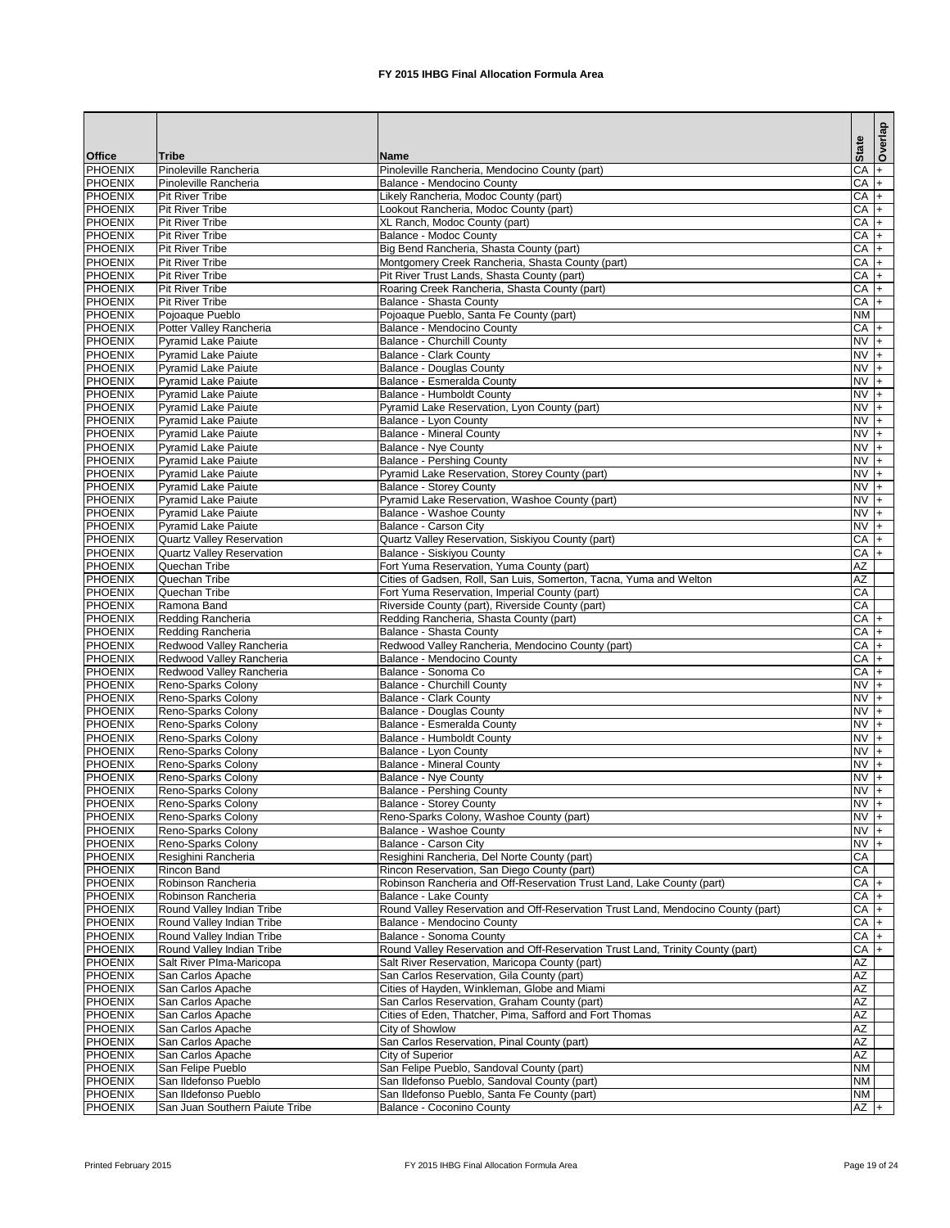|                                  |                                                          |                                                                                                   |                        | Overlap     |
|----------------------------------|----------------------------------------------------------|---------------------------------------------------------------------------------------------------|------------------------|-------------|
| <b>Office</b>                    | Tribe                                                    | Name                                                                                              | <b>State</b>           |             |
| <b>PHOENIX</b>                   | Pinoleville Rancheria                                    | Pinoleville Rancheria, Mendocino County (part)                                                    | CA                     |             |
| <b>PHOENIX</b>                   | Pinoleville Rancheria                                    | <b>Balance - Mendocino County</b>                                                                 | CA                     | $ +$        |
| <b>PHOENIX</b>                   | <b>Pit River Tribe</b>                                   | Likely Rancheria, Modoc County (part)                                                             | <b>CA</b>              | $+$         |
| <b>PHOENIX</b>                   | <b>Pit River Tribe</b>                                   | Lookout Rancheria, Modoc County (part)                                                            | CA                     | $+$         |
| <b>PHOENIX</b>                   | <b>Pit River Tribe</b>                                   | XL Ranch, Modoc County (part)                                                                     | CA                     | $ + $       |
| <b>PHOENIX</b><br><b>PHOENIX</b> | <b>Pit River Tribe</b><br>Pit River Tribe                | <b>Balance - Modoc County</b><br>Big Bend Rancheria, Shasta County (part)                         | CA<br>CA               | $+$<br>$ +$ |
| <b>PHOENIX</b>                   | <b>Pit River Tribe</b>                                   | Montgomery Creek Rancheria, Shasta County (part)                                                  | CA                     | $ +$        |
| <b>PHOENIX</b>                   | <b>Pit River Tribe</b>                                   | Pit River Trust Lands, Shasta County (part)                                                       | $CA +$                 |             |
| <b>PHOENIX</b>                   | <b>Pit River Tribe</b>                                   | Roaring Creek Rancheria, Shasta County (part)                                                     | CA                     | $ +$        |
| <b>PHOENIX</b>                   | <b>Pit River Tribe</b>                                   | <b>Balance - Shasta County</b>                                                                    | $CA +$                 |             |
| <b>PHOENIX</b>                   | Pojoaque Pueblo                                          | Pojoaque Pueblo, Santa Fe County (part)                                                           | <b>NM</b>              |             |
| <b>PHOENIX</b>                   | Potter Valley Rancheria                                  | Balance - Mendocino County                                                                        | $CA +$                 |             |
| <b>PHOENIX</b><br><b>PHOENIX</b> | Pyramid Lake Paiute<br><b>Pyramid Lake Paiute</b>        | <b>Balance - Churchill County</b><br><b>Balance - Clark County</b>                                | $NV +$<br>$NV +$       |             |
| <b>PHOENIX</b>                   | Pyramid Lake Paiute                                      | <b>Balance - Douglas County</b>                                                                   | <b>NV</b>              | $ +$        |
| <b>PHOENIX</b>                   | <b>Pyramid Lake Paiute</b>                               | <b>Balance - Esmeralda County</b>                                                                 | $NVI +$                |             |
| <b>PHOENIX</b>                   | <b>Pyramid Lake Paiute</b>                               | <b>Balance - Humboldt County</b>                                                                  | $NV +$                 |             |
| <b>PHOENIX</b>                   | <b>Pyramid Lake Paiute</b>                               | Pyramid Lake Reservation, Lyon County (part)                                                      | $NV +$                 |             |
| <b>PHOENIX</b>                   | Pyramid Lake Paiute                                      | Balance - Lyon County                                                                             | $NVI +$                |             |
| <b>PHOENIX</b>                   | <b>Pyramid Lake Paiute</b>                               | <b>Balance - Mineral County</b>                                                                   | $NVI +$                |             |
| <b>PHOENIX</b>                   | <b>Pyramid Lake Paiute</b>                               | <b>Balance - Nye County</b>                                                                       | NV +                   |             |
| <b>PHOENIX</b>                   | <b>Pyramid Lake Paiute</b>                               | <b>Balance - Pershing County</b>                                                                  | $NVI +$                |             |
| <b>PHOENIX</b><br><b>PHOENIX</b> | <b>Pyramid Lake Paiute</b><br><b>Pyramid Lake Paiute</b> | Pyramid Lake Reservation, Storey County (part)<br><b>Balance - Storey County</b>                  | <b>NV</b><br><b>NV</b> |             |
| <b>PHOENIX</b>                   | <b>Pyramid Lake Paiute</b>                               | Pyramid Lake Reservation, Washoe County (part)                                                    | <b>NV</b>              | $ +$        |
| <b>PHOENIX</b>                   | <b>Pyramid Lake Paiute</b>                               | Balance - Washoe County                                                                           | <b>NV</b>              | $ +$        |
| <b>PHOENIX</b>                   | <b>Pyramid Lake Paiute</b>                               | <b>Balance - Carson City</b>                                                                      | <b>NV</b>              | $+$         |
| <b>PHOENIX</b>                   | <b>Quartz Valley Reservation</b>                         | Quartz Valley Reservation, Siskiyou County (part)                                                 | <b>CA</b>              | $ + $       |
| <b>PHOENIX</b>                   | <b>Quartz Valley Reservation</b>                         | <b>Balance - Siskiyou County</b>                                                                  | CA                     | $+$         |
| <b>PHOENIX</b>                   | Quechan Tribe                                            | Fort Yuma Reservation, Yuma County (part)                                                         | AΖ                     |             |
| <b>PHOENIX</b>                   | Quechan Tribe                                            | Cities of Gadsen, Roll, San Luis, Somerton, Tacna, Yuma and Welton                                | $\overline{AZ}$        |             |
| PHOENIX<br><b>PHOENIX</b>        | Quechan Tribe<br>Ramona Band                             | Fort Yuma Reservation, Imperial County (part)<br>Riverside County (part), Riverside County (part) | CA<br>CA               |             |
| <b>PHOENIX</b>                   | Redding Rancheria                                        | Redding Rancheria, Shasta County (part)                                                           | CA                     | $+$         |
| <b>PHOENIX</b>                   | Redding Rancheria                                        | <b>Balance - Shasta County</b>                                                                    | CA                     | $ +$        |
| <b>PHOENIX</b>                   | Redwood Valley Rancheria                                 | Redwood Valley Rancheria, Mendocino County (part)                                                 | CA                     | $+$         |
| <b>PHOENIX</b>                   | Redwood Valley Rancheria                                 | Balance - Mendocino County                                                                        | CA                     | $+$         |
| <b>PHOENIX</b>                   | Redwood Valley Rancheria                                 | Balance - Sonoma Co                                                                               | CA                     | I+          |
| <b>PHOENIX</b>                   | Reno-Sparks Colony                                       | Balance - Churchill County                                                                        | <b>NV</b>              | $+$         |
| <b>PHOENIX</b>                   | Reno-Sparks Colony                                       | <b>Balance - Clark County</b>                                                                     | <b>NV</b>              |             |
| <b>PHOENIX</b><br><b>PHOENIX</b> | Reno-Sparks Colony                                       | <b>Balance - Douglas County</b><br>Balance - Esmeralda County                                     | <b>NV</b><br><b>NV</b> | $+$<br>$ +$ |
| <b>PHOENIX</b>                   | Reno-Sparks Colony<br><b>Reno-Sparks Colony</b>          | <b>Balance - Humboldt County</b>                                                                  | <b>NV</b>              | $+$         |
| <b>PHOENIX</b>                   | Reno-Sparks Colony                                       | Balance - Lyon County                                                                             | <b>NV</b>              | $ +$        |
| <b>PHOENIX</b>                   | Reno-Sparks Colony                                       | <b>Balance - Mineral County</b>                                                                   | <b>NV</b>              | $ +$        |
| <b>PHOENIX</b>                   | Reno-Sparks Colony                                       | Balance - Nye County                                                                              | <b>NV</b>              | $+$         |
| <b>PHOENIX</b>                   | Reno-Sparks Colony                                       | <b>Balance - Pershing County</b>                                                                  | <b>NV</b>              | $+$         |
| <b>PHOENIX</b>                   | Reno-Sparks Colony                                       | <b>Balance - Storey County</b>                                                                    | <b>NV</b>              | $+$         |
| PHOENIX                          | Reno-Sparks Colony                                       | Reno-Sparks Colony, Washoe County (part)                                                          | <b>NV</b>              |             |
| <b>PHOENIX</b>                   | Reno-Sparks Colony                                       | <b>Balance - Washoe County</b>                                                                    | $NV +$                 |             |
| <b>PHOENIX</b><br><b>PHOENIX</b> | Reno-Sparks Colony<br>Resighini Rancheria                | Balance - Carson City<br>Resighini Rancheria, Del Norte County (part)                             | $NV +$<br>CA           |             |
| PHOENIX                          | Rincon Band                                              | Rincon Reservation, San Diego County (part)                                                       | CA                     |             |
| <b>PHOENIX</b>                   | Robinson Rancheria                                       | Robinson Rancheria and Off-Reservation Trust Land, Lake County (part)                             | $CA +$                 |             |
| <b>PHOENIX</b>                   | Robinson Rancheria                                       | Balance - Lake County                                                                             | CA                     |             |
| <b>PHOENIX</b>                   | Round Valley Indian Tribe                                | Round Valley Reservation and Off-Reservation Trust Land, Mendocino County (part)                  | CA                     |             |
| PHOENIX                          | Round Valley Indian Tribe                                | Balance - Mendocino County                                                                        | $CA +$                 |             |
| <b>PHOENIX</b>                   | Round Valley Indian Tribe                                | Balance - Sonoma County                                                                           | $CA +$                 |             |
| <b>PHOENIX</b>                   | Round Valley Indian Tribe                                | Round Valley Reservation and Off-Reservation Trust Land, Trinity County (part)                    | $CA +$                 |             |
| <b>PHOENIX</b><br><b>PHOENIX</b> | Salt River PIma-Maricopa<br>San Carlos Apache            | Salt River Reservation, Maricopa County (part)<br>San Carlos Reservation, Gila County (part)      | AZ<br>AZ               |             |
| PHOENIX                          | San Carlos Apache                                        | Cities of Hayden, Winkleman, Globe and Miami                                                      | $\overline{AZ}$        |             |
| <b>PHOENIX</b>                   | San Carlos Apache                                        | San Carlos Reservation, Graham County (part)                                                      | AZ                     |             |
| <b>PHOENIX</b>                   | San Carlos Apache                                        | Cities of Eden, Thatcher, Pima, Safford and Fort Thomas                                           | $\overline{AZ}$        |             |
| <b>PHOENIX</b>                   | San Carlos Apache                                        | City of Showlow                                                                                   | $\overline{AZ}$        |             |
| <b>PHOENIX</b>                   | San Carlos Apache                                        | San Carlos Reservation, Pinal County (part)                                                       | AΖ                     |             |
| <b>PHOENIX</b>                   | San Carlos Apache                                        | <b>City of Superior</b>                                                                           | AZ                     |             |
| <b>PHOENIX</b>                   | San Felipe Pueblo                                        | San Felipe Pueblo, Sandoval County (part)                                                         | <b>NM</b>              |             |
| <b>PHOENIX</b>                   | San Ildefonso Pueblo                                     | San Ildefonso Pueblo, Sandoval County (part)                                                      | <b>NM</b>              |             |
| <b>PHOENIX</b><br><b>PHOENIX</b> | San Ildefonso Pueblo<br>San Juan Southern Paiute Tribe   | San Ildefonso Pueblo, Santa Fe County (part)<br><b>Balance - Coconino County</b>                  | <b>NM</b><br>$AZ +$    |             |
|                                  |                                                          |                                                                                                   |                        |             |

Printed February 2015 **FX** 2015 IHBG Final Allocation Formula Area Page 19 of 24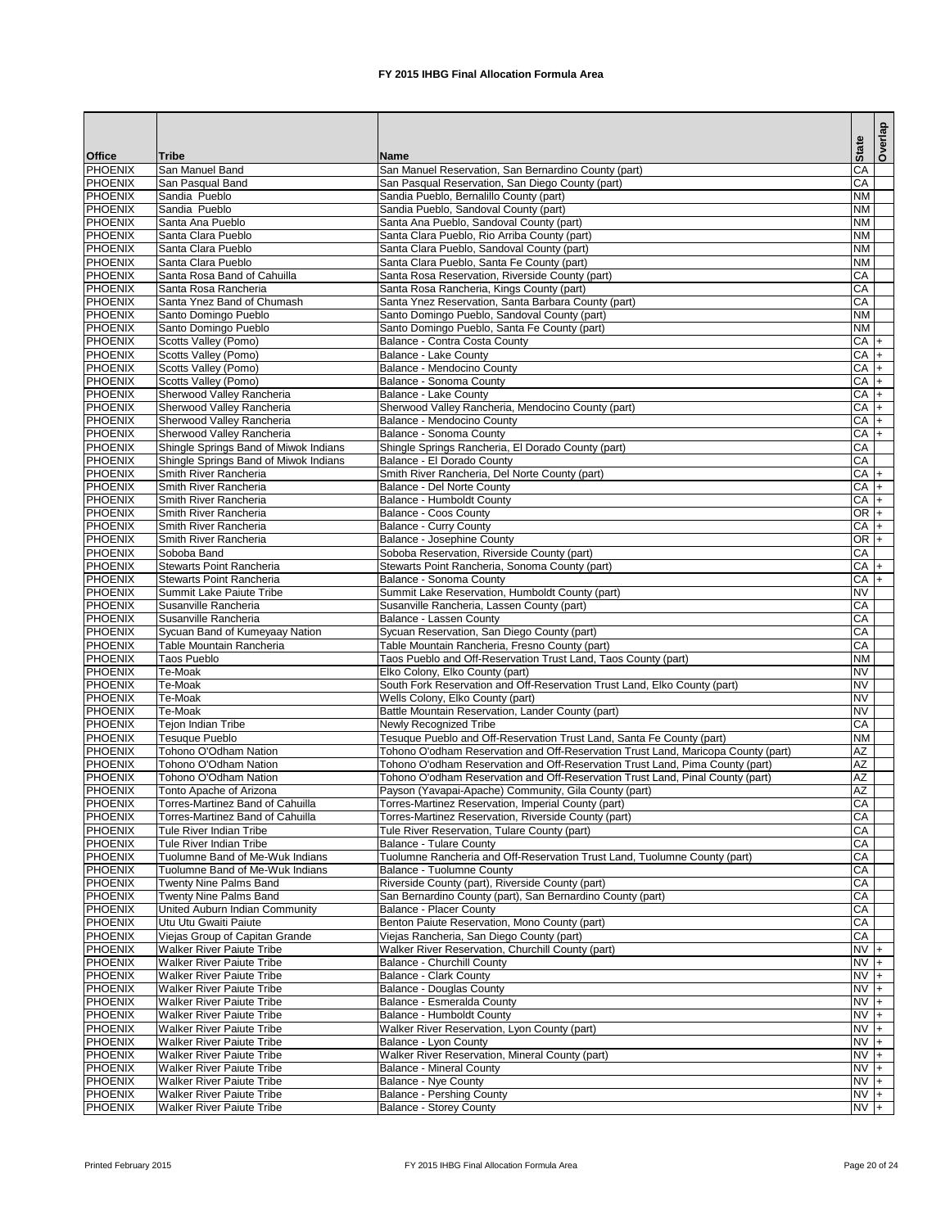|                                  |                                                                      |                                                                                                                  | <b>State</b>     | Overlap |
|----------------------------------|----------------------------------------------------------------------|------------------------------------------------------------------------------------------------------------------|------------------|---------|
| <b>Office</b>                    | <b>Tribe</b>                                                         | Name                                                                                                             |                  |         |
| <b>PHOENIX</b><br><b>PHOENIX</b> | San Manuel Band<br>San Pasqual Band                                  | San Manuel Reservation, San Bernardino County (part)<br>San Pasqual Reservation, San Diego County (part)         | CA<br>CA         |         |
| <b>PHOENIX</b>                   | Sandia Pueblo                                                        | Sandia Pueblo, Bernalillo County (part)                                                                          | <b>NM</b>        |         |
| <b>PHOENIX</b>                   | Sandia Pueblo                                                        | Sandia Pueblo, Sandoval County (part)                                                                            | <b>NM</b>        |         |
| <b>PHOENIX</b>                   | Santa Ana Pueblo                                                     | Santa Ana Pueblo, Sandoval County (part)                                                                         | <b>NM</b>        |         |
| <b>PHOENIX</b>                   | Santa Clara Pueblo                                                   | Santa Clara Pueblo, Rio Arriba County (part)                                                                     | <b>NM</b>        |         |
| <b>PHOENIX</b>                   | Santa Clara Pueblo                                                   | Santa Clara Pueblo, Sandoval County (part)                                                                       | <b>NM</b>        |         |
| <b>PHOENIX</b>                   | Santa Clara Pueblo                                                   | Santa Clara Pueblo, Santa Fe County (part)                                                                       | <b>NM</b>        |         |
| <b>PHOENIX</b>                   | Santa Rosa Band of Cahuilla                                          | Santa Rosa Reservation, Riverside County (part)                                                                  | CA               |         |
| <b>PHOENIX</b>                   | Santa Rosa Rancheria                                                 | Santa Rosa Rancheria, Kings County (part)                                                                        | CA               |         |
| <b>PHOENIX</b><br><b>PHOENIX</b> | Santa Ynez Band of Chumash<br>Santo Domingo Pueblo                   | Santa Ynez Reservation, Santa Barbara County (part)<br>Santo Domingo Pueblo, Sandoval County (part)              | CA<br><b>NM</b>  |         |
| <b>PHOENIX</b>                   | Santo Domingo Pueblo                                                 | Santo Domingo Pueblo, Santa Fe County (part)                                                                     | <b>NM</b>        |         |
| <b>PHOENIX</b>                   | Scotts Valley (Pomo)                                                 | Balance - Contra Costa County                                                                                    | $CA +$           |         |
| <b>PHOENIX</b>                   | Scotts Valley (Pomo)                                                 | <b>Balance - Lake County</b>                                                                                     | $CA +$           |         |
| <b>PHOENIX</b>                   | Scotts Valley (Pomo)                                                 | Balance - Mendocino County                                                                                       | $CA +$           |         |
| <b>PHOENIX</b>                   | Scotts Valley (Pomo)                                                 | <b>Balance - Sonoma County</b>                                                                                   | $CA +$           |         |
| <b>PHOENIX</b>                   | Sherwood Valley Rancheria                                            | Balance - Lake County                                                                                            | $CA +$           |         |
| <b>PHOENIX</b>                   | Sherwood Valley Rancheria                                            | Sherwood Valley Rancheria, Mendocino County (part)                                                               | $CA +$           |         |
| <b>PHOENIX</b>                   | Sherwood Valley Rancheria                                            | Balance - Mendocino County                                                                                       | CA               |         |
| <b>PHOENIX</b>                   | Sherwood Valley Rancheria                                            | <b>Balance - Sonoma County</b>                                                                                   | $CA +$           |         |
| <b>PHOENIX</b>                   | Shingle Springs Band of Miwok Indians                                | Shingle Springs Rancheria, El Dorado County (part)                                                               | CA               |         |
| <b>PHOENIX</b>                   | Shingle Springs Band of Miwok Indians                                | Balance - El Dorado County                                                                                       | CA               |         |
| <b>PHOENIX</b><br><b>PHOENIX</b> | Smith River Rancheria<br>Smith River Rancheria                       | Smith River Rancheria, Del Norte County (part)<br><b>Balance - Del Norte County</b>                              | $CA +$<br>$CA +$ |         |
| <b>PHOENIX</b>                   | Smith River Rancheria                                                | <b>Balance - Humboldt County</b>                                                                                 | $CA +$           |         |
| <b>PHOENIX</b>                   | Smith River Rancheria                                                | <b>Balance - Coos County</b>                                                                                     | $OR +$           |         |
| <b>PHOENIX</b>                   | Smith River Rancheria                                                | <b>Balance - Curry County</b>                                                                                    | $CA +$           |         |
| <b>PHOENIX</b>                   | Smith River Rancheria                                                | Balance - Josephine County                                                                                       | $OR$ +           |         |
| <b>PHOENIX</b>                   | Soboba Band                                                          | Soboba Reservation, Riverside County (part)                                                                      | CA               |         |
| <b>PHOENIX</b>                   | <b>Stewarts Point Rancheria</b>                                      | Stewarts Point Rancheria, Sonoma County (part)                                                                   | $CA +$           |         |
| <b>PHOENIX</b>                   | <b>Stewarts Point Rancheria</b>                                      | Balance - Sonoma County                                                                                          | $CA +$           |         |
| PHOENIX                          | Summit Lake Paiute Tribe                                             | Summit Lake Reservation, Humboldt County (part)                                                                  | <b>NV</b>        |         |
| <b>PHOENIX</b>                   | Susanville Rancheria                                                 | Susanville Rancheria, Lassen County (part)                                                                       | CA               |         |
| <b>PHOENIX</b>                   | Susanville Rancheria                                                 | Balance - Lassen County                                                                                          | CA               |         |
| <b>PHOENIX</b><br><b>PHOENIX</b> | Sycuan Band of Kumeyaay Nation<br>Table Mountain Rancheria           | Sycuan Reservation, San Diego County (part)                                                                      | CA<br>CA         |         |
| <b>PHOENIX</b>                   | Taos Pueblo                                                          | Table Mountain Rancheria, Fresno County (part)<br>Taos Pueblo and Off-Reservation Trust Land, Taos County (part) | <b>NM</b>        |         |
| <b>PHOENIX</b>                   | Te-Moak                                                              | Elko Colony, Elko County (part)                                                                                  | <b>NV</b>        |         |
| <b>PHOENIX</b>                   | Te-Moak                                                              | South Fork Reservation and Off-Reservation Trust Land, Elko County (part)                                        | <b>NV</b>        |         |
| <b>PHOENIX</b>                   | Te-Moak                                                              | Wells Colony, Elko County (part)                                                                                 | <b>NV</b>        |         |
| <b>PHOENIX</b>                   | Te-Moak                                                              | Battle Mountain Reservation, Lander County (part)                                                                | <b>NV</b>        |         |
| <b>PHOENIX</b>                   | <b>Tejon Indian Tribe</b>                                            | <b>Newly Recognized Tribe</b>                                                                                    | CA               |         |
| <b>PHOENIX</b>                   | <b>Tesuque Pueblo</b>                                                | Tesuque Pueblo and Off-Reservation Trust Land, Santa Fe County (part)                                            | <b>NM</b>        |         |
| <b>PHOENIX</b>                   | <b>Tohono O'Odham Nation</b>                                         | Tohono O'odham Reservation and Off-Reservation Trust Land, Maricopa County (part)                                | <b>AZ</b>        |         |
| <b>PHOENIX</b>                   | Tohono O'Odham Nation                                                | Tohono O'odham Reservation and Off-Reservation Trust Land, Pima County (part)                                    | <b>AZ</b>        |         |
| <b>PHOENIX</b>                   | Tohono O'Odham Nation                                                | Tohono O'odham Reservation and Off-Reservation Trust Land, Pinal County (part)                                   | <b>AZ</b><br>AZ  |         |
| <b>PHOENIX</b><br><b>PHOENIX</b> | Tonto Apache of Arizona<br><b>Torres-Martinez Band of Cahuilla</b>   | Payson (Yavapai-Apache) Community, Gila County (part)<br>Torres-Martinez Reservation, Imperial County (part)     | CA               |         |
| <b>PHOENIX</b>                   | <b>Torres-Martinez Band of Cahuilla</b>                              | Torres-Martinez Reservation, Riverside County (part)                                                             | CA               |         |
| <b>PHOENIX</b>                   | Tule River Indian Tribe                                              | Tule River Reservation, Tulare County (part)                                                                     | CA               |         |
| <b>PHOENIX</b>                   | Tule River Indian Tribe                                              | <b>Balance - Tulare County</b>                                                                                   | CA               |         |
| <b>PHOENIX</b>                   | Tuolumne Band of Me-Wuk Indians                                      | Tuolumne Rancheria and Off-Reservation Trust Land, Tuolumne County (part)                                        | CA               |         |
| <b>PHOENIX</b>                   | Tuolumne Band of Me-Wuk Indians                                      | Balance - Tuolumne County                                                                                        | CA               |         |
| <b>PHOENIX</b>                   | <b>Twenty Nine Palms Band</b>                                        | Riverside County (part), Riverside County (part)                                                                 | CA               |         |
| PHOENIX                          | <b>Twenty Nine Palms Band</b>                                        | San Bernardino County (part), San Bernardino County (part)                                                       | CA               |         |
| <b>PHOENIX</b>                   | United Auburn Indian Community                                       | <b>Balance - Placer County</b>                                                                                   | CA               |         |
| <b>PHOENIX</b>                   | Utu Utu Gwaiti Paiute                                                | Benton Paiute Reservation, Mono County (part)                                                                    | <b>CA</b><br>CA  |         |
| <b>PHOENIX</b><br><b>PHOENIX</b> | Viejas Group of Capitan Grande<br><b>Walker River Paiute Tribe</b>   | Viejas Rancheria, San Diego County (part)<br>Walker River Reservation, Churchill County (part)                   | $NV +$           |         |
| <b>PHOENIX</b>                   | <b>Walker River Paiute Tribe</b>                                     | <b>Balance - Churchill County</b>                                                                                | $NVI +$          |         |
| <b>PHOENIX</b>                   | <b>Walker River Paiute Tribe</b>                                     | <b>Balance - Clark County</b>                                                                                    | $NVI +$          |         |
| PHOENIX                          | <b>Walker River Paiute Tribe</b>                                     | <b>Balance - Douglas County</b>                                                                                  | $NVI +$          |         |
| <b>PHOENIX</b>                   | <b>Walker River Paiute Tribe</b>                                     | Balance - Esmeralda County                                                                                       | $NVI +$          |         |
| <b>PHOENIX</b>                   | <b>Walker River Paiute Tribe</b>                                     | <b>Balance - Humboldt County</b>                                                                                 | $NVI +$          |         |
| <b>PHOENIX</b>                   | <b>Walker River Paiute Tribe</b>                                     | Walker River Reservation, Lyon County (part)                                                                     | $NVI +$          |         |
| <b>PHOENIX</b>                   | <b>Walker River Paiute Tribe</b>                                     | Balance - Lyon County                                                                                            | $NVI +$          |         |
| <b>PHOENIX</b>                   | <b>Walker River Paiute Tribe</b>                                     | Walker River Reservation, Mineral County (part)                                                                  | $NVI +$          |         |
| <b>PHOENIX</b>                   | <b>Walker River Paiute Tribe</b>                                     | <b>Balance - Mineral County</b>                                                                                  | $NVI +$          |         |
| PHOENIX<br><b>PHOENIX</b>        | <b>Walker River Paiute Tribe</b><br><b>Walker River Paiute Tribe</b> | Balance - Nye County<br><b>Balance - Pershing County</b>                                                         | $NV +$<br>NV +   |         |
| <b>PHOENIX</b>                   | <b>Walker River Paiute Tribe</b>                                     | <b>Balance - Storey County</b>                                                                                   | $NV +$           |         |
|                                  |                                                                      |                                                                                                                  |                  |         |

Printed February 2015 **FX** 2015 IHBG Final Allocation Formula Area Page 20 of 24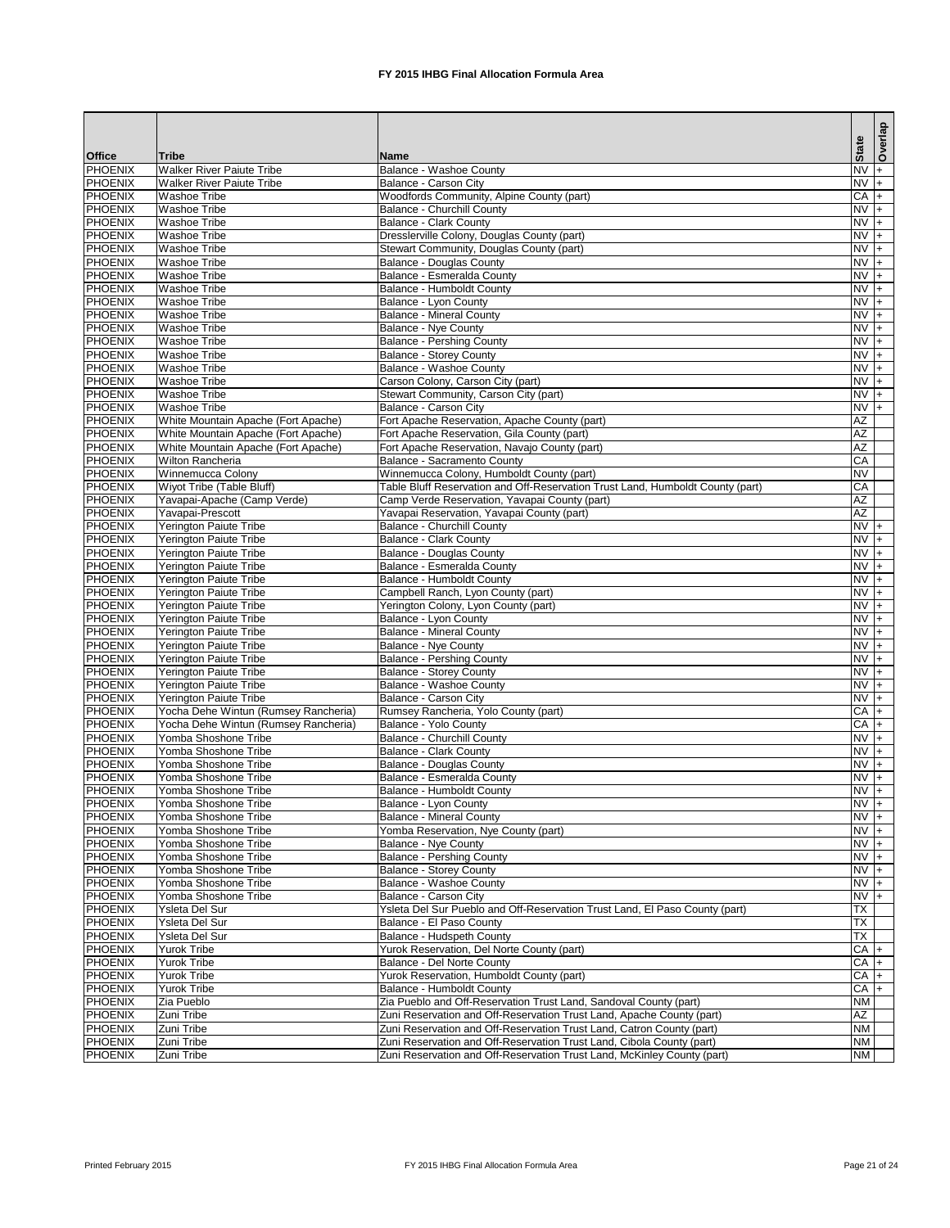|                                  |                                                            |                                                                                                |                             | Overlap |
|----------------------------------|------------------------------------------------------------|------------------------------------------------------------------------------------------------|-----------------------------|---------|
| <b>Office</b>                    | <b>Tribe</b>                                               | <b>Name</b>                                                                                    | <b>State</b>                |         |
| <b>PHOENIX</b>                   | <b>Walker River Paiute Tribe</b>                           | Balance - Washoe County                                                                        | $NV +$                      |         |
| <b>PHOENIX</b>                   | <b>Walker River Paiute Tribe</b>                           | Balance - Carson City                                                                          | $NVI +$                     |         |
| <b>PHOENIX</b>                   | <b>Washoe Tribe</b>                                        | Woodfords Community, Alpine County (part)                                                      | $CA +$                      |         |
| <b>PHOENIX</b>                   | <b>Washoe Tribe</b>                                        | <b>Balance - Churchill County</b>                                                              | $NVI +$                     |         |
| <b>PHOENIX</b><br><b>PHOENIX</b> | <b>Washoe Tribe</b><br><b>Washoe Tribe</b>                 | <b>Balance - Clark County</b><br>Dresslerville Colony, Douglas County (part)                   | $\overline{NV}$ +<br>$NV +$ |         |
| <b>PHOENIX</b>                   | <b>Washoe Tribe</b>                                        | Stewart Community, Douglas County (part)                                                       | $N\sqrt{+}$                 |         |
| <b>PHOENIX</b>                   | <b>Washoe Tribe</b>                                        | <b>Balance - Douglas County</b>                                                                | $NV +$                      |         |
| <b>PHOENIX</b>                   | <b>Washoe Tribe</b>                                        | Balance - Esmeralda County                                                                     | $\frac{1}{\sqrt{N}}$        |         |
| <b>PHOENIX</b>                   | <b>Washoe Tribe</b>                                        | <b>Balance - Humboldt County</b>                                                               | $NVI +$                     |         |
| <b>PHOENIX</b>                   | <b>Washoe Tribe</b>                                        | Balance - Lyon County                                                                          | $NVI +$                     |         |
| <b>PHOENIX</b>                   | <b>Washoe Tribe</b>                                        | <b>Balance - Mineral County</b>                                                                | $\overline{NV}$ +           |         |
| <b>PHOENIX</b>                   | <b>Washoe Tribe</b>                                        | <b>Balance - Nye County</b>                                                                    | $NV +$                      |         |
| <b>PHOENIX</b>                   | <b>Washoe Tribe</b>                                        | <b>Balance - Pershing County</b>                                                               | $NV +$                      |         |
| <b>PHOENIX</b>                   | <b>Washoe Tribe</b>                                        | <b>Balance - Storey County</b>                                                                 | $NV +$                      |         |
| <b>PHOENIX</b>                   | <b>Washoe Tribe</b>                                        | <b>Balance - Washoe County</b>                                                                 | $NV +$                      |         |
| <b>PHOENIX</b>                   | <b>Washoe Tribe</b>                                        | Carson Colony, Carson City (part)                                                              | $NV +$                      |         |
| <b>PHOENIX</b>                   | <b>Washoe Tribe</b>                                        | Stewart Community, Carson City (part)                                                          | $NV +$                      |         |
| <b>PHOENIX</b><br><b>PHOENIX</b> | <b>Washoe Tribe</b><br>White Mountain Apache (Fort Apache) | <b>Balance - Carson City</b><br>Fort Apache Reservation, Apache County (part)                  | $NV +$<br>AZ                |         |
| <b>PHOENIX</b>                   | White Mountain Apache (Fort Apache)                        | Fort Apache Reservation, Gila County (part)                                                    | AZ                          |         |
| <b>PHOENIX</b>                   | White Mountain Apache (Fort Apache)                        | Fort Apache Reservation, Navajo County (part)                                                  | AZ                          |         |
| <b>PHOENIX</b>                   | Wilton Rancheria                                           | <b>Balance - Sacramento County</b>                                                             | CA                          |         |
| <b>PHOENIX</b>                   | Winnemucca Colony                                          | Winnemucca Colony, Humboldt County (part)                                                      | <b>NV</b>                   |         |
| <b>PHOENIX</b>                   | Wiyot Tribe (Table Bluff)                                  | Table Bluff Reservation and Off-Reservation Trust Land, Humboldt County (part)                 | CA                          |         |
| <b>PHOENIX</b>                   | Yavapai-Apache (Camp Verde)                                | Camp Verde Reservation, Yavapai County (part)                                                  | <b>AZ</b>                   |         |
| <b>PHOENIX</b>                   | Yavapai-Prescott                                           | Yavapai Reservation, Yavapai County (part)                                                     | AZ                          |         |
| <b>PHOENIX</b>                   | Yerington Paiute Tribe                                     | <b>Balance - Churchill County</b>                                                              | $NVI +$                     |         |
| <b>PHOENIX</b>                   | <b>Yerington Paiute Tribe</b>                              | <b>Balance - Clark County</b>                                                                  | $NVI +$                     |         |
| <b>PHOENIX</b>                   | Yerington Paiute Tribe                                     | <b>Balance - Douglas County</b>                                                                | $NVI +$                     |         |
| <b>PHOENIX</b>                   | Yerington Paiute Tribe                                     | Balance - Esmeralda County                                                                     | $NVI +$                     |         |
| <b>PHOENIX</b>                   | Yerington Paiute Tribe                                     | <b>Balance - Humboldt County</b>                                                               | $NVI +$                     |         |
| <b>PHOENIX</b>                   | Yerington Paiute Tribe                                     | Campbell Ranch, Lyon County (part)                                                             | $NV +$                      |         |
| <b>PHOENIX</b><br><b>PHOENIX</b> | Yerington Paiute Tribe<br>Yerington Paiute Tribe           | Yerington Colony, Lyon County (part)<br>Balance - Lyon County                                  | $N\overline{V}$ +<br>$NV +$ |         |
| <b>PHOENIX</b>                   | <b>Yerington Paiute Tribe</b>                              | <b>Balance - Mineral County</b>                                                                | $NV +$                      |         |
| <b>PHOENIX</b>                   | Yerington Paiute Tribe                                     | <b>Balance - Nye County</b>                                                                    | $\overline{NV}$ +           |         |
| <b>PHOENIX</b>                   | <b>Yerington Paiute Tribe</b>                              | <b>Balance - Pershing County</b>                                                               | $NV +$                      |         |
| <b>PHOENIX</b>                   | Yerington Paiute Tribe                                     | <b>Balance - Storey County</b>                                                                 | $NV +$                      |         |
| <b>PHOENIX</b>                   | <b>Yerington Paiute Tribe</b>                              | <b>Balance - Washoe County</b>                                                                 | $NV +$                      |         |
| <b>PHOENIX</b>                   | Yerington Paiute Tribe                                     | Balance - Carson City                                                                          | $NV +$                      |         |
| <b>PHOENIX</b>                   | Yocha Dehe Wintun (Rumsey Rancheria)                       | Rumsey Rancheria, Yolo County (part)                                                           | $CA +$                      |         |
| <b>PHOENIX</b>                   | Yocha Dehe Wintun (Rumsey Rancheria)                       | <b>Balance - Yolo County</b>                                                                   | $CA +$                      |         |
| <b>PHOENIX</b>                   | Yomba Shoshone Tribe                                       | <b>Balance - Churchill County</b>                                                              | $NV +$                      |         |
| <b>PHOENIX</b>                   | Yomba Shoshone Tribe                                       | <b>Balance - Clark County</b>                                                                  | $NV +$                      |         |
| <b>PHOENIX</b>                   | Yomba Shoshone Tribe                                       | <b>Balance - Douglas County</b>                                                                | $NV +$                      |         |
| <b>PHOENIX</b>                   | Yomba Shoshone Tribe                                       | <b>Balance - Esmeralda County</b><br><b>Balance - Humboldt County</b>                          | $NV +$<br>$NVI +$           |         |
| <b>PHOENIX</b><br><b>PHOENIX</b> | Yomba Shoshone Tribe<br>Yomba Shoshone Tribe               | <b>Balance - Lyon County</b>                                                                   | $NV +$                      |         |
| <b>PHOENIX</b>                   | Yomba Shoshone Tribe                                       | <b>Balance - Mineral County</b>                                                                | $\frac{1}{1}$               |         |
| <b>PHOENIX</b>                   | Yomba Shoshone Tribe                                       | Yomba Reservation, Nye County (part)                                                           | $NV +$                      |         |
| <b>PHOENIX</b>                   | Yomba Shoshone Tribe                                       | Balance - Nye County                                                                           | $NV +$                      |         |
| <b>PHOENIX</b>                   | Yomba Shoshone Tribe                                       | <b>Balance - Pershing County</b>                                                               | $NV +$                      |         |
| <b>PHOENIX</b>                   | Yomba Shoshone Tribe                                       | <b>Balance - Storey County</b>                                                                 | $NVI +$                     |         |
| <b>PHOENIX</b>                   | Yomba Shoshone Tribe                                       | <b>Balance - Washoe County</b>                                                                 | $NV +$                      |         |
| <b>PHOENIX</b>                   | Yomba Shoshone Tribe                                       | Balance - Carson City                                                                          | $NV +$                      |         |
| <b>PHOENIX</b>                   | <b>Ysleta Del Sur</b>                                      | Ysleta Del Sur Pueblo and Off-Reservation Trust Land, El Paso County (part)                    | <b>TX</b>                   |         |
| <b>PHOENIX</b>                   | Ysleta Del Sur                                             | Balance - El Paso County                                                                       | $\overline{TX}$             |         |
| <b>PHOENIX</b>                   | Ysleta Del Sur                                             | Balance - Hudspeth County                                                                      | <b>TX</b>                   |         |
| <b>PHOENIX</b>                   | <b>Yurok Tribe</b>                                         | Yurok Reservation, Del Norte County (part)                                                     | $CA +$                      |         |
| <b>PHOENIX</b>                   | <b>Yurok Tribe</b>                                         | <b>Balance - Del Norte County</b>                                                              | $CA +$                      |         |
| <b>PHOENIX</b>                   | <b>Yurok Tribe</b>                                         | Yurok Reservation, Humboldt County (part)                                                      | $CA +$                      |         |
| <b>PHOENIX</b><br><b>PHOENIX</b> | <b>Yurok Tribe</b>                                         | Balance - Humboldt County<br>Zia Pueblo and Off-Reservation Trust Land, Sandoval County (part) | $CA$ +<br><b>NM</b>         |         |
| <b>PHOENIX</b>                   | Zia Pueblo<br>Zuni Tribe                                   | Zuni Reservation and Off-Reservation Trust Land, Apache County (part)                          | $\overline{AZ}$             |         |
| <b>PHOENIX</b>                   | Zuni Tribe                                                 | Zuni Reservation and Off-Reservation Trust Land, Catron County (part)                          | <b>NM</b>                   |         |
| <b>PHOENIX</b>                   | Zuni Tribe                                                 | Zuni Reservation and Off-Reservation Trust Land, Cibola County (part)                          | <b>NM</b>                   |         |
| <b>PHOENIX</b>                   | Zuni Tribe                                                 | Zuni Reservation and Off-Reservation Trust Land, McKinley County (part)                        | <b>NM</b>                   |         |

Printed February 2015 **FX** 2015 IHBG Final Allocation Formula Area Page 21 of 24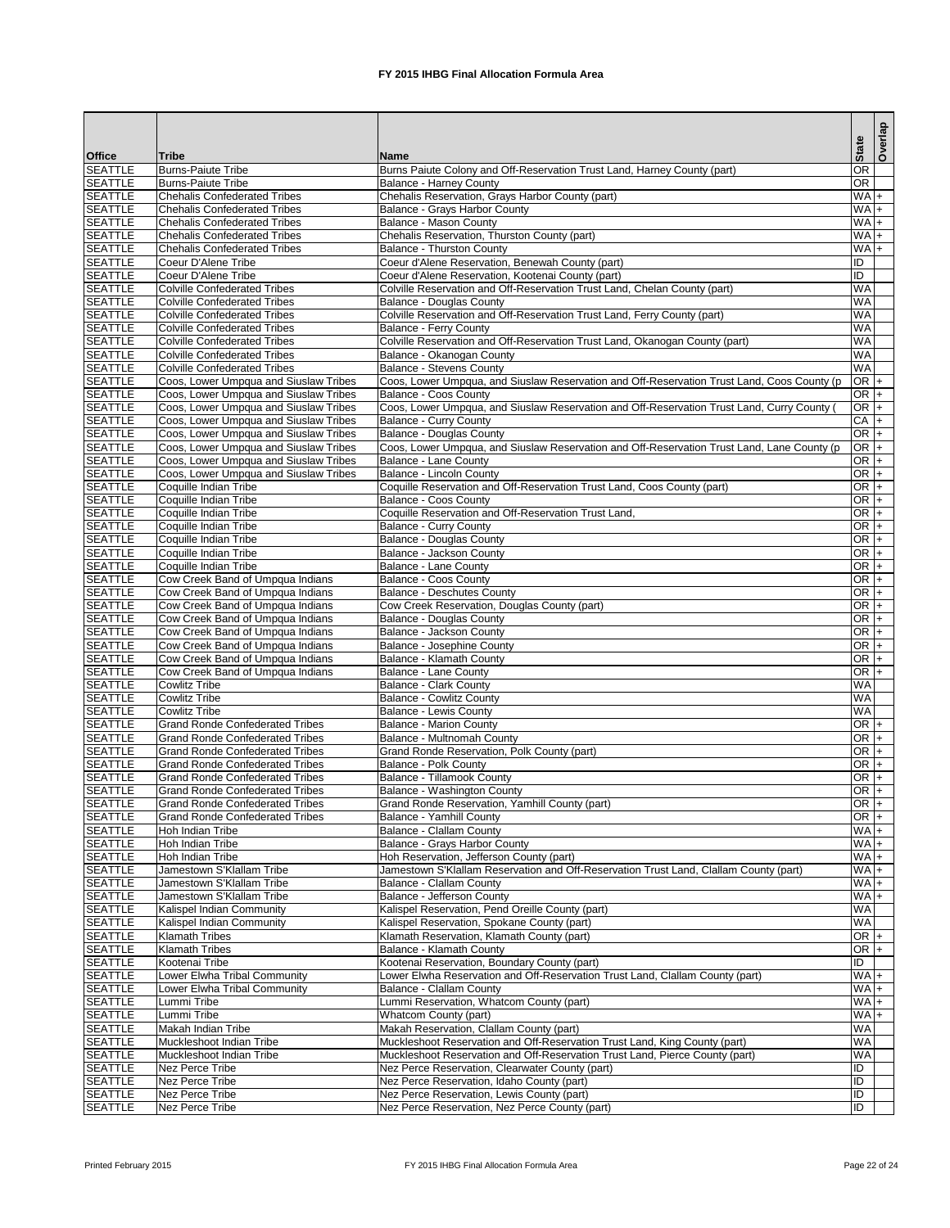| <b>Office</b>                    | <b>Tribe</b>                                                                   | Name                                                                                                                          | <b>State</b>           | Overlap |
|----------------------------------|--------------------------------------------------------------------------------|-------------------------------------------------------------------------------------------------------------------------------|------------------------|---------|
| <b>SEATTLE</b>                   | <b>Burns-Paiute Tribe</b>                                                      | Burns Paiute Colony and Off-Reservation Trust Land, Harney County (part)                                                      | OR                     |         |
| <b>SEATTLE</b>                   | <b>Burns-Paiute Tribe</b>                                                      | <b>Balance - Harney County</b>                                                                                                | OR                     |         |
| <b>SEATTLE</b>                   | <b>Chehalis Confederated Tribes</b>                                            | Chehalis Reservation, Grays Harbor County (part)                                                                              | $\overline{WA}$ +      |         |
| <b>SEATTLE</b>                   | <b>Chehalis Confederated Tribes</b>                                            | Balance - Grays Harbor County                                                                                                 | $WA +$                 |         |
| <b>SEATTLE</b>                   | <b>Chehalis Confederated Tribes</b>                                            | Balance - Mason County                                                                                                        | $WA +$                 |         |
| <b>SEATTLE</b>                   | <b>Chehalis Confederated Tribes</b><br><b>Chehalis Confederated Tribes</b>     | Chehalis Reservation, Thurston County (part)                                                                                  | $W A +$                |         |
| <b>SEATTLE</b><br><b>SEATTLE</b> | Coeur D'Alene Tribe                                                            | <b>Balance - Thurston County</b><br>Coeur d'Alene Reservation, Benewah County (part)                                          | $WA +$<br>ID           |         |
| <b>SEATTLE</b>                   | Coeur D'Alene Tribe                                                            | Coeur d'Alene Reservation, Kootenai County (part)                                                                             | ID                     |         |
| <b>SEATTLE</b>                   | <b>Colville Confederated Tribes</b>                                            | Colville Reservation and Off-Reservation Trust Land, Chelan County (part)                                                     | <b>WA</b>              |         |
| <b>SEATTLE</b>                   | <b>Colville Confederated Tribes</b>                                            | <b>Balance - Douglas County</b>                                                                                               | <b>WA</b>              |         |
| <b>SEATTLE</b>                   | <b>Colville Confederated Tribes</b>                                            | Colville Reservation and Off-Reservation Trust Land, Ferry County (part)                                                      | <b>WA</b>              |         |
| <b>SEATTLE</b>                   | <b>Colville Confederated Tribes</b>                                            | <b>Balance - Ferry County</b>                                                                                                 | <b>WA</b>              |         |
| <b>SEATTLE</b>                   | <b>Colville Confederated Tribes</b>                                            | Colville Reservation and Off-Reservation Trust Land, Okanogan County (part)                                                   | WA                     |         |
| <b>SEATTLE</b>                   | <b>Colville Confederated Tribes</b>                                            | Balance - Okanogan County                                                                                                     | WA                     |         |
| <b>SEATTLE</b><br><b>SEATTLE</b> | <b>Colville Confederated Tribes</b>                                            | <b>Balance - Stevens County</b><br>Coos, Lower Umpqua, and Siuslaw Reservation and Off-Reservation Trust Land, Coos County (p | WA<br>$OR +$           |         |
| <b>SEATTLE</b>                   | Coos, Lower Umpqua and Siuslaw Tribes<br>Coos, Lower Umpqua and Siuslaw Tribes | <b>Balance - Coos County</b>                                                                                                  | OR $+$                 |         |
| <b>SEATTLE</b>                   | Coos, Lower Umpqua and Siuslaw Tribes                                          | Coos, Lower Umpqua, and Siuslaw Reservation and Off-Reservation Trust Land, Curry County                                      | OR <sub>+</sub>        |         |
| <b>SEATTLE</b>                   | Coos, Lower Umpqua and Siuslaw Tribes                                          | <b>Balance - Curry County</b>                                                                                                 | $CA +$                 |         |
| <b>SEATTLE</b>                   | Coos, Lower Umpqua and Siuslaw Tribes                                          | <b>Balance - Douglas County</b>                                                                                               | $OR +$                 |         |
| <b>SEATTLE</b>                   | Coos, Lower Umpqua and Siuslaw Tribes                                          | Coos, Lower Umpqua, and Siuslaw Reservation and Off-Reservation Trust Land, Lane County (p                                    | $OR +$                 |         |
| <b>SEATTLE</b>                   | Coos, Lower Umpqua and Siuslaw Tribes                                          | <b>Balance - Lane County</b>                                                                                                  | $OR +$                 |         |
| <b>SEATTLE</b>                   | Coos, Lower Umpqua and Siuslaw Tribes                                          | <b>Balance - Lincoln County</b>                                                                                               | OR <sub>+</sub>        |         |
| <b>SEATTLE</b>                   | Coquille Indian Tribe                                                          | Coquille Reservation and Off-Reservation Trust Land, Coos County (part)                                                       | OR $+$                 |         |
| <b>SEATTLE</b>                   | Coquille Indian Tribe                                                          | <b>Balance - Coos County</b>                                                                                                  | OR $+$                 |         |
| <b>SEATTLE</b>                   | Coquille Indian Tribe                                                          | Coquille Reservation and Off-Reservation Trust Land,                                                                          | $OR +$                 |         |
| <b>SEATTLE</b><br><b>SEATTLE</b> | Coquille Indian Tribe                                                          | <b>Balance - Curry County</b>                                                                                                 | $OR +$<br>$OR +$       |         |
| <b>SEATTLE</b>                   | Coquille Indian Tribe<br>Coquille Indian Tribe                                 | <b>Balance - Douglas County</b><br>Balance - Jackson County                                                                   | OR $+$                 |         |
| <b>SEATTLE</b>                   | Coquille Indian Tribe                                                          | <b>Balance - Lane County</b>                                                                                                  | $OR +$                 |         |
| <b>SEATTLE</b>                   | Cow Creek Band of Umpqua Indians                                               | <b>Balance - Coos County</b>                                                                                                  | $OR$ +                 |         |
| <b>SEATTLE</b>                   | Cow Creek Band of Umpqua Indians                                               | Balance - Deschutes County                                                                                                    | $OR$ +                 |         |
| <b>SEATTLE</b>                   | Cow Creek Band of Umpqua Indians                                               | Cow Creek Reservation, Douglas County (part)                                                                                  | $OR$ +                 |         |
| <b>SEATTLE</b>                   | Cow Creek Band of Umpqua Indians                                               | <b>Balance - Douglas County</b>                                                                                               | $OR +$                 |         |
| <b>SEATTLE</b>                   | Cow Creek Band of Umpqua Indians                                               | Balance - Jackson County                                                                                                      | $OR +$                 |         |
| <b>SEATTLE</b>                   | Cow Creek Band of Umpqua Indians                                               | Balance - Josephine County                                                                                                    | OR $ +$                |         |
| <b>SEATTLE</b>                   | Cow Creek Band of Umpqua Indians                                               | Balance - Klamath County                                                                                                      | OR $+$                 |         |
| <b>SEATTLE</b>                   | Cow Creek Band of Umpqua Indians                                               | <b>Balance - Lane County</b>                                                                                                  | $OR +$                 |         |
| <b>SEATTLE</b><br><b>SEATTLE</b> | <b>Cowlitz Tribe</b><br><b>Cowlitz Tribe</b>                                   | <b>Balance - Clark County</b><br><b>Balance - Cowlitz County</b>                                                              | <b>WA</b><br><b>WA</b> |         |
| <b>SEATTLE</b>                   | <b>Cowlitz Tribe</b>                                                           | <b>Balance - Lewis County</b>                                                                                                 | <b>WA</b>              |         |
| <b>SEATTLE</b>                   | <b>Grand Ronde Confederated Tribes</b>                                         | <b>Balance - Marion County</b>                                                                                                | OR $+$                 |         |
| <b>SEATTLE</b>                   | <b>Grand Ronde Confederated Tribes</b>                                         | <b>Balance - Multnomah County</b>                                                                                             | $OR +$                 |         |
| <b>SEATTLE</b>                   | <b>Grand Ronde Confederated Tribes</b>                                         | Grand Ronde Reservation, Polk County (part)                                                                                   | $OR +$                 |         |
| <b>SEATTLE</b>                   | <b>Grand Ronde Confederated Tribes</b>                                         | <b>Balance - Polk County</b>                                                                                                  | $OR$ +                 |         |
| <b>SEATTLE</b>                   | <b>Grand Ronde Confederated Tribes</b>                                         | <b>Balance - Tillamook County</b>                                                                                             | OR $+$                 |         |
| <b>SEATTLE</b>                   | <b>Grand Ronde Confederated Tribes</b>                                         | <b>Balance - Washington County</b>                                                                                            | $OR +$                 |         |
| <b>SEATTLE</b>                   | <b>Grand Ronde Confederated Tribes</b>                                         | Grand Ronde Reservation, Yamhill County (part)                                                                                | $OR +$                 |         |
| <b>SEATTLE</b>                   | <b>Grand Ronde Confederated Tribes</b>                                         | <b>Balance - Yamhill County</b>                                                                                               | $OR +$                 |         |
| <b>SEATTLE</b>                   | <b>Hoh Indian Tribe</b>                                                        | <b>Balance - Clallam County</b>                                                                                               | $WA +$<br>$WA +$       |         |
| <b>SEATTLE</b><br><b>SEATTLE</b> | <b>Hoh Indian Tribe</b><br>Hoh Indian Tribe                                    | Balance - Grays Harbor County<br>Hoh Reservation, Jefferson County (part)                                                     | WA+                    |         |
| <b>SEATTLE</b>                   | Jamestown S'Klallam Tribe                                                      | Jamestown S'Klallam Reservation and Off-Reservation Trust Land, Clallam County (part)                                         | $WA +$                 |         |
| <b>SEATTLE</b>                   | Jamestown S'Klallam Tribe                                                      | Balance - Clallam County                                                                                                      | $WA +$                 |         |
| <b>SEATTLE</b>                   | Jamestown S'Klallam Tribe                                                      | Balance - Jefferson County                                                                                                    | $WA +$                 |         |
| <b>SEATTLE</b>                   | <b>Kalispel Indian Community</b>                                               | Kalispel Reservation, Pend Oreille County (part)                                                                              | WA                     |         |
| <b>SEATTLE</b>                   | Kalispel Indian Community                                                      | Kalispel Reservation, Spokane County (part)                                                                                   | WA                     |         |
| <b>SEATTLE</b>                   | <b>Klamath Tribes</b>                                                          | Klamath Reservation, Klamath County (part)                                                                                    | OR $+$                 |         |
| <b>SEATTLE</b>                   | <b>Klamath Tribes</b>                                                          | <b>Balance - Klamath County</b>                                                                                               | OR <sub>+</sub>        |         |
| <b>SEATTLE</b>                   | Kootenai Tribe                                                                 | Kootenai Reservation, Boundary County (part)                                                                                  | Œ                      |         |
| <b>SEATTLE</b>                   | Lower Elwha Tribal Community                                                   | Lower Elwha Reservation and Off-Reservation Trust Land, Clallam County (part)                                                 | $WA +$                 |         |
| <b>SEATTLE</b><br><b>SEATTLE</b> | Lower Elwha Tribal Community<br>Lummi Tribe                                    | <b>Balance - Clallam County</b><br>Lummi Reservation, Whatcom County (part)                                                   | $WA +$<br>$WA +$       |         |
| <b>SEATTLE</b>                   | Lummi Tribe                                                                    | Whatcom County (part)                                                                                                         | $WA +$                 |         |
| <b>SEATTLE</b>                   | <b>Makah Indian Tribe</b>                                                      | Makah Reservation, Clallam County (part)                                                                                      | <b>WA</b>              |         |
| <b>SEATTLE</b>                   | Muckleshoot Indian Tribe                                                       | Muckleshoot Reservation and Off-Reservation Trust Land, King County (part)                                                    | <b>WA</b>              |         |
| <b>SEATTLE</b>                   | Muckleshoot Indian Tribe                                                       | Muckleshoot Reservation and Off-Reservation Trust Land, Pierce County (part)                                                  | <b>WA</b>              |         |
| <b>SEATTLE</b>                   | Nez Perce Tribe                                                                | Nez Perce Reservation, Clearwater County (part)                                                                               | ID                     |         |
| <b>SEATTLE</b>                   | Nez Perce Tribe                                                                | Nez Perce Reservation, Idaho County (part)                                                                                    | ID                     |         |
| <b>SEATTLE</b>                   | Nez Perce Tribe                                                                | Nez Perce Reservation, Lewis County (part)                                                                                    | ID.                    |         |
| <b>SEATTLE</b>                   | <b>Nez Perce Tribe</b>                                                         | Nez Perce Reservation, Nez Perce County (part)                                                                                | ID                     |         |

Printed February 2015 **FX** 2015 IHBG Final Allocation Formula Area Page 22 of 24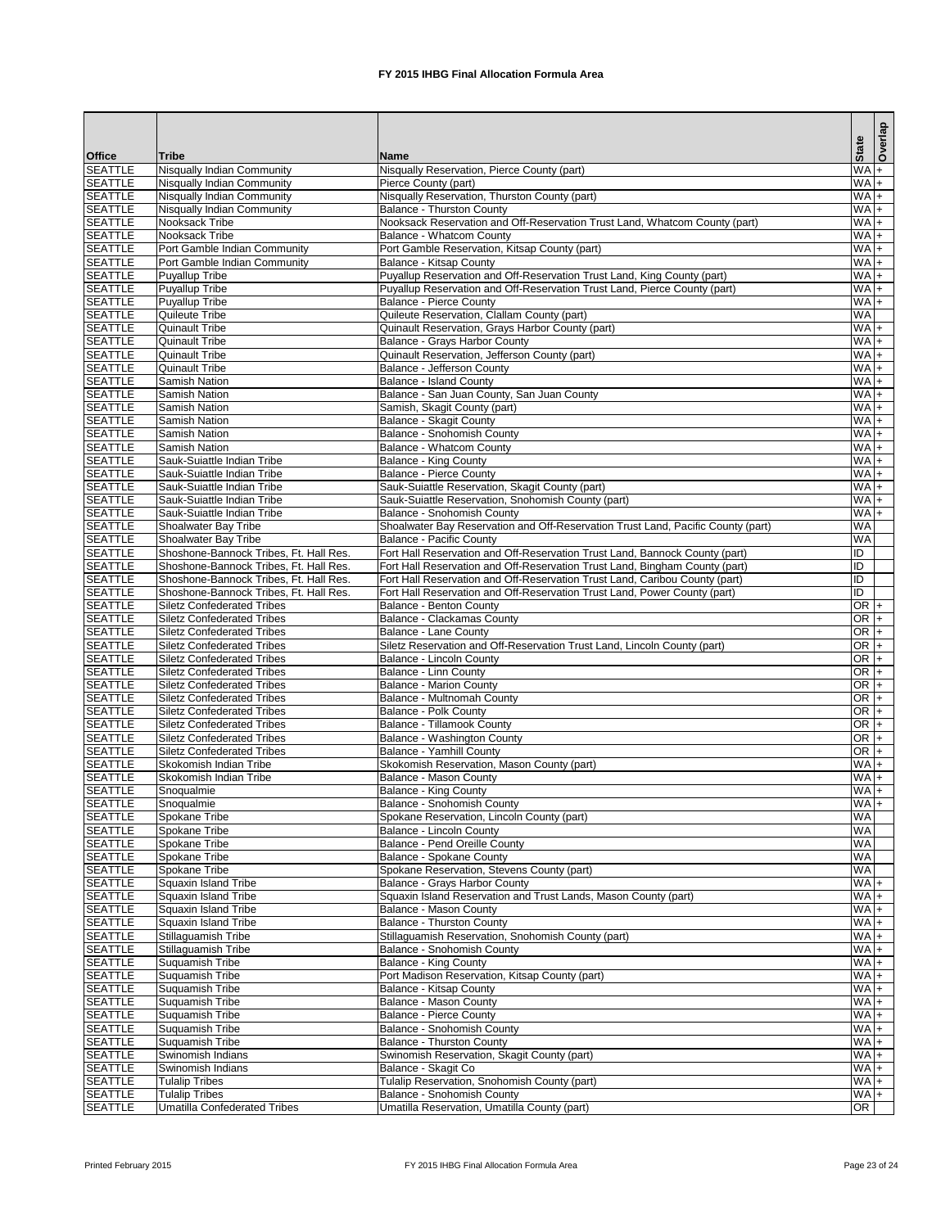|                                  |                                                                        |                                                                                                   | <b>State</b>          | Overlap |
|----------------------------------|------------------------------------------------------------------------|---------------------------------------------------------------------------------------------------|-----------------------|---------|
| <b>Office</b>                    | <b>Tribe</b>                                                           | <b>Name</b>                                                                                       |                       |         |
| <b>SEATTLE</b>                   | Nisqually Indian Community                                             | Nisqually Reservation, Pierce County (part)                                                       | $W_A$                 |         |
| <b>SEATTLE</b><br><b>SEATTLE</b> | Nisqually Indian Community<br>Nisqually Indian Community               | Pierce County (part)<br>Nisqually Reservation, Thurston County (part)                             | $W_A$<br>$WA +$       |         |
| <b>SEATTLE</b>                   | Nisqually Indian Community                                             | <b>Balance - Thurston County</b>                                                                  | WA+                   |         |
| <b>SEATTLE</b>                   | Nooksack Tribe                                                         | Nooksack Reservation and Off-Reservation Trust Land, Whatcom County (part)                        | $WA +$                |         |
| <b>SEATTLE</b>                   | Nooksack Tribe                                                         | Balance - Whatcom County                                                                          | WA+                   |         |
| <b>SEATTLE</b>                   | Port Gamble Indian Community                                           | Port Gamble Reservation, Kitsap County (part)                                                     | $WA +$                |         |
| <b>SEATTLE</b>                   | Port Gamble Indian Community                                           | <b>Balance - Kitsap County</b>                                                                    | WA+                   |         |
| <b>SEATTLE</b>                   | <b>Puyallup Tribe</b>                                                  | Puyallup Reservation and Off-Reservation Trust Land, King County (part)                           | WA+                   |         |
| <b>SEATTLE</b>                   | <b>Puyallup Tribe</b>                                                  | Puyallup Reservation and Off-Reservation Trust Land, Pierce County (part)                         | WA <sub>+</sub>       |         |
| <b>SEATTLE</b><br><b>SEATTLE</b> | Puyallup Tribe                                                         | <b>Balance - Pierce County</b>                                                                    | WA <sub>+</sub><br>WA |         |
| <b>SEATTLE</b>                   | Quileute Tribe<br><b>Quinault Tribe</b>                                | Quileute Reservation, Clallam County (part)<br>Quinault Reservation, Grays Harbor County (part)   | $WA +$                |         |
| <b>SEATTLE</b>                   | <b>Quinault Tribe</b>                                                  | <b>Balance - Grays Harbor County</b>                                                              | $W_A +$               |         |
| <b>SEATTLE</b>                   | <b>Quinault Tribe</b>                                                  | Quinault Reservation, Jefferson County (part)                                                     | WA+                   |         |
| <b>SEATTLE</b>                   | <b>Quinault Tribe</b>                                                  | Balance - Jefferson County                                                                        | $W A +$               |         |
| <b>SEATTLE</b>                   | Samish Nation                                                          | <b>Balance - Island County</b>                                                                    | $W_A +$               |         |
| <b>SEATTLE</b>                   | Samish Nation                                                          | Balance - San Juan County, San Juan County                                                        | $W_A$                 |         |
| <b>SEATTLE</b>                   | Samish Nation                                                          | Samish, Skagit County (part)                                                                      | $WA +$                |         |
| <b>SEATTLE</b>                   | Samish Nation                                                          | Balance - Skagit County                                                                           | $W_A$                 |         |
| <b>SEATTLE</b>                   | Samish Nation                                                          | <b>Balance - Snohomish County</b>                                                                 | $W A +$               |         |
| <b>SEATTLE</b>                   | <b>Samish Nation</b>                                                   | <b>Balance - Whatcom County</b>                                                                   | $W A +$               |         |
| <b>SEATTLE</b>                   | Sauk-Suiattle Indian Tribe                                             | <b>Balance - King County</b>                                                                      | $W A +$               |         |
| <b>SEATTLE</b><br><b>SEATTLE</b> | Sauk-Suiattle Indian Tribe<br>Sauk-Suiattle Indian Tribe               | <b>Balance - Pierce County</b><br>Sauk-Suiattle Reservation, Skagit County (part)                 | $WA +$<br>$W_A$       |         |
| <b>SEATTLE</b>                   | Sauk-Suiattle Indian Tribe                                             | Sauk-Suiattle Reservation, Snohomish County (part)                                                | $W_A$                 |         |
| <b>SEATTLE</b>                   | Sauk-Suiattle Indian Tribe                                             | <b>Balance - Snohomish County</b>                                                                 | $W A +$               |         |
| <b>SEATTLE</b>                   | Shoalwater Bay Tribe                                                   | Shoalwater Bay Reservation and Off-Reservation Trust Land, Pacific County (part)                  | WA                    |         |
| <b>SEATTLE</b>                   | Shoalwater Bay Tribe                                                   | <b>Balance - Pacific County</b>                                                                   | <b>WA</b>             |         |
| <b>SEATTLE</b>                   | Shoshone-Bannock Tribes, Ft. Hall Res.                                 | Fort Hall Reservation and Off-Reservation Trust Land, Bannock County (part)                       | $\overline{D}$        |         |
| <b>SEATTLE</b>                   | Shoshone-Bannock Tribes, Ft. Hall Res.                                 | Fort Hall Reservation and Off-Reservation Trust Land, Bingham County (part)                       | $\overline{D}$        |         |
| <b>SEATTLE</b>                   | Shoshone-Bannock Tribes, Ft. Hall Res.                                 | Fort Hall Reservation and Off-Reservation Trust Land, Caribou County (part)                       | $\overline{D}$        |         |
| <b>SEATTLE</b>                   | Shoshone-Bannock Tribes, Ft. Hall Res.                                 | Fort Hall Reservation and Off-Reservation Trust Land, Power County (part)                         | Ī                     |         |
| <b>SEATTLE</b>                   | <b>Siletz Confederated Tribes</b>                                      | Balance - Benton County                                                                           | $OR +$                |         |
| <b>SEATTLE</b>                   | <b>Siletz Confederated Tribes</b>                                      | <b>Balance - Clackamas County</b>                                                                 | $OR$ +                |         |
| <b>SEATTLE</b><br><b>SEATTLE</b> | <b>Siletz Confederated Tribes</b><br><b>Siletz Confederated Tribes</b> | Balance - Lane County<br>Siletz Reservation and Off-Reservation Trust Land, Lincoln County (part) | $OR +$<br>$OR$ +      |         |
| <b>SEATTLE</b>                   | <b>Siletz Confederated Tribes</b>                                      | <b>Balance - Lincoln County</b>                                                                   | OR $+$                |         |
| <b>SEATTLE</b>                   | <b>Siletz Confederated Tribes</b>                                      | <b>Balance - Linn County</b>                                                                      | $OR +$                |         |
| <b>SEATTLE</b>                   | <b>Siletz Confederated Tribes</b>                                      | <b>Balance - Marion County</b>                                                                    | $OR +$                |         |
| <b>SEATTLE</b>                   | <b>Siletz Confederated Tribes</b>                                      | <b>Balance - Multnomah County</b>                                                                 | $OR$ +                |         |
| <b>SEATTLE</b>                   | <b>Siletz Confederated Tribes</b>                                      | <b>Balance - Polk County</b>                                                                      | OR $+$                |         |
| <b>SEATTLE</b>                   | <b>Siletz Confederated Tribes</b>                                      | <b>Balance - Tillamook County</b>                                                                 | $OR +$                |         |
| <b>SEATTLE</b>                   | <b>Siletz Confederated Tribes</b>                                      | Balance - Washington County                                                                       | $OR +$                |         |
| <b>SEATTLE</b>                   | <b>Siletz Confederated Tribes</b>                                      | <b>Balance - Yamhill County</b>                                                                   | $OR +$                |         |
| <b>SEATTLE</b>                   | Skokomish Indian Tribe                                                 | Skokomish Reservation, Mason County (part)                                                        | $WA +$                |         |
| <b>SEATTLE</b>                   | Skokomish Indian Tribe                                                 | <b>Balance - Mason County</b>                                                                     | $WA +$                |         |
| <b>SEATTLE</b><br><b>SEATTLE</b> | Snoqualmie                                                             | <b>Balance - King County</b><br><b>Balance - Snohomish County</b>                                 | $W_A +$<br>$W_A +$    |         |
| <b>SEATTLE</b>                   | Snoqualmie<br>Spokane Tribe                                            | Spokane Reservation, Lincoln County (part)                                                        | <b>WA</b>             |         |
| <b>SEATTLE</b>                   | Spokane Tribe                                                          | <b>Balance - Lincoln County</b>                                                                   | WA                    |         |
| <b>SEATTLE</b>                   | Spokane Tribe                                                          | Balance - Pend Oreille County                                                                     | <b>WA</b>             |         |
| <b>SEATTLE</b>                   | Spokane Tribe                                                          | Balance - Spokane County                                                                          | <b>WA</b>             |         |
| <b>SEATTLE</b>                   | Spokane Tribe                                                          | Spokane Reservation, Stevens County (part)                                                        | <b>WA</b>             |         |
| <b>SEATTLE</b>                   | Squaxin Island Tribe                                                   | Balance - Grays Harbor County                                                                     | $W_A +$               |         |
| <b>SEATTLE</b>                   | Squaxin Island Tribe                                                   | Squaxin Island Reservation and Trust Lands, Mason County (part)                                   | $W_A$                 |         |
| <b>SEATTLE</b>                   | <b>Squaxin Island Tribe</b>                                            | Balance - Mason County                                                                            | $W_A +$               |         |
| <b>SEATTLE</b>                   | <b>Squaxin Island Tribe</b>                                            | <b>Balance - Thurston County</b>                                                                  | $WA +$                |         |
| <b>SEATTLE</b><br><b>SEATTLE</b> | Stillaguamish Tribe                                                    | Stillaguamish Reservation, Snohomish County (part)<br>Balance - Snohomish County                  | $W_A$<br>$W_A$        |         |
| <b>SEATTLE</b>                   | Stillaguamish Tribe<br>Suquamish Tribe                                 | <b>Balance - King County</b>                                                                      | $WA +$                |         |
| <b>SEATTLE</b>                   | Suquamish Tribe                                                        | Port Madison Reservation, Kitsap County (part)                                                    | $W_A +$               |         |
| <b>SEATTLE</b>                   | Suquamish Tribe                                                        | Balance - Kitsap County                                                                           | $WA +$                |         |
| <b>SEATTLE</b>                   | Suquamish Tribe                                                        | <b>Balance - Mason County</b>                                                                     | $W A +$               |         |
| <b>SEATTLE</b>                   | Suquamish Tribe                                                        | <b>Balance - Pierce County</b>                                                                    | $WA +$                |         |
| <b>SEATTLE</b>                   | Suquamish Tribe                                                        | <b>Balance - Snohomish County</b>                                                                 | $WA +$                |         |
| <b>SEATTLE</b>                   | Suquamish Tribe                                                        | <b>Balance - Thurston County</b>                                                                  | $WA$ +                |         |
| <b>SEATTLE</b>                   | Swinomish Indians                                                      | Swinomish Reservation, Skagit County (part)                                                       | $WA +$                |         |
| <b>SEATTLE</b>                   | Swinomish Indians                                                      | Balance - Skagit Co                                                                               | $WA$ +                |         |
| <b>SEATTLE</b>                   | Tulalip Tribes                                                         | Tulalip Reservation, Snohomish County (part)                                                      | $WA +$                |         |
| <b>SEATTLE</b>                   | <b>Tulalip Tribes</b>                                                  | Balance - Snohomish County<br>Umatilla Reservation, Umatilla County (part)                        | $WA +$                |         |
| <b>SEATTLE</b>                   | <b>Umatilla Confederated Tribes</b>                                    |                                                                                                   | $\overline{OR}$       |         |

Printed February 2015 **FX** 2015 IHBG Final Allocation Formula Area Page 23 of 24